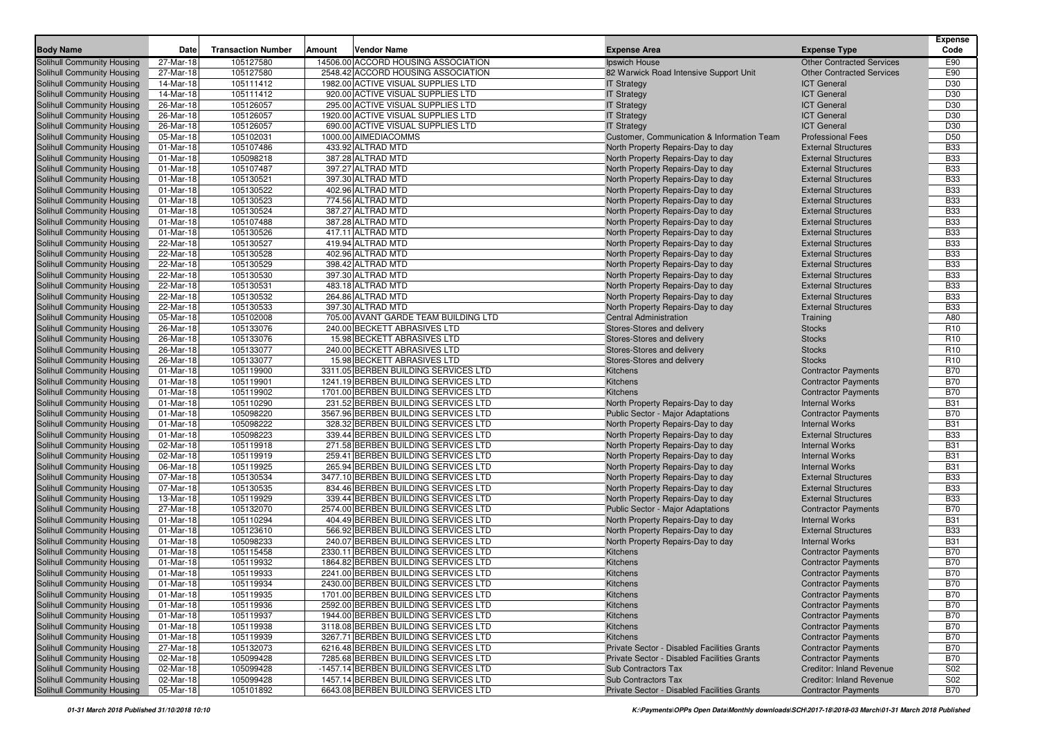|                                                                 | Date                   | <b>Transaction Number</b> | Amount<br><b>Vendor Name</b>                                                 |                                             |                                                          | <b>Expense</b><br>Code   |
|-----------------------------------------------------------------|------------------------|---------------------------|------------------------------------------------------------------------------|---------------------------------------------|----------------------------------------------------------|--------------------------|
| <b>Body Name</b>                                                | 27-Mar-18              | 105127580                 | 14506.00 ACCORD HOUSING ASSOCIATION                                          | <b>Expense Area</b>                         | <b>Expense Type</b>                                      | E90                      |
| Solihull Community Housing                                      |                        |                           |                                                                              | Ipswich House                               | <b>Other Contracted Services</b>                         |                          |
| Solihull Community Housing                                      | 27-Mar-18              | 105127580                 | 2548.42 ACCORD HOUSING ASSOCIATION                                           | 82 Warwick Road Intensive Support Unit      | <b>Other Contracted Services</b>                         | E90                      |
| Solihull Community Housing                                      | 14-Mar-18<br>14-Mar-18 | 105111412                 | 1982.00 ACTIVE VISUAL SUPPLIES LTD<br>920.00 ACTIVE VISUAL SUPPLIES LTD      | <b>IT Strategy</b>                          | <b>ICT General</b>                                       | D30<br>D30               |
| Solihull Community Housing<br>Solihull Community Housing        | 26-Mar-18              | 105111412<br>105126057    | 295.00 ACTIVE VISUAL SUPPLIES LTD                                            | <b>IT Strategy</b>                          | <b>ICT General</b><br><b>ICT General</b>                 | D30                      |
| Solihull Community Housing                                      | 26-Mar-18              | 105126057                 | 1920.00 ACTIVE VISUAL SUPPLIES LTD                                           | <b>IT Strategy</b>                          | <b>ICT General</b>                                       | D30                      |
| Solihull Community Housing                                      | 26-Mar-18              | 105126057                 | 690.00 ACTIVE VISUAL SUPPLIES LTD                                            | <b>IT Strategy</b><br><b>IT Strategy</b>    | <b>ICT General</b>                                       | D30                      |
| Solihull Community Housing                                      | 05-Mar-18              | 105102031                 | 1000.00 AIMEDIACOMMS                                                         | Customer, Communication & Information Team  | <b>Professional Fees</b>                                 | D <sub>50</sub>          |
| Solihull Community Housing                                      | 01-Mar-18              | 105107486                 | 433.92 ALTRAD MTD                                                            | North Property Repairs-Day to day           | <b>External Structures</b>                               | <b>B33</b>               |
| Solihull Community Housing                                      | 01-Mar-18              | 105098218                 | 387.28 ALTRAD MTD                                                            | North Property Repairs-Day to day           | <b>External Structures</b>                               | <b>B33</b>               |
| <b>Solihull Community Housing</b>                               | 01-Mar-18              | 105107487                 | 397.27 ALTRAD MTD                                                            | North Property Repairs-Day to day           | <b>External Structures</b>                               | <b>B33</b>               |
| Solihull Community Housing                                      | 01-Mar-18              | 105130521                 | 397.30 ALTRAD MTD                                                            | North Property Repairs-Day to day           | <b>External Structures</b>                               | <b>B33</b>               |
| Solihull Community Housing                                      | 01-Mar-18              | 105130522                 | 402.96 ALTRAD MTD                                                            | North Property Repairs-Day to day           | <b>External Structures</b>                               | <b>B33</b>               |
| Solihull Community Housing                                      | 01-Mar-18              | 105130523                 | 774.56 ALTRAD MTD                                                            | North Property Repairs-Day to day           | <b>External Structures</b>                               | <b>B33</b>               |
| Solihull Community Housing                                      | 01-Mar-18              | 105130524                 | 387.27 ALTRAD MTD                                                            | North Property Repairs-Day to day           | <b>External Structures</b>                               | <b>B33</b>               |
| Solihull Community Housing                                      | 01-Mar-18              | 105107488                 | 387.28 ALTRAD MTD                                                            | North Property Repairs-Day to day           | <b>External Structures</b>                               | <b>B33</b>               |
| Solihull Community Housing                                      | 01-Mar-18              | 105130526                 | 417.11 ALTRAD MTD                                                            | North Property Repairs-Day to day           | <b>External Structures</b>                               | <b>B33</b>               |
| Solihull Community Housing                                      | 22-Mar-18              | 105130527                 | 419.94 ALTRAD MTD                                                            | North Property Repairs-Day to day           | <b>External Structures</b>                               | <b>B33</b>               |
| Solihull Community Housing                                      | 22-Mar-18              | 105130528                 | 402.96 ALTRAD MTD                                                            | North Property Repairs-Day to day           | <b>External Structures</b>                               | <b>B33</b>               |
| Solihull Community Housing                                      | 22-Mar-18              | 105130529                 | 398.42 ALTRAD MTD                                                            | North Property Repairs-Day to day           | <b>External Structures</b>                               | <b>B33</b>               |
| Solihull Community Housing                                      | 22-Mar-18              | 105130530                 | 397.30 ALTRAD MTD                                                            | North Property Repairs-Day to day           | <b>External Structures</b>                               | <b>B33</b>               |
| Solihull Community Housing                                      | 22-Mar-18              | 105130531                 | 483.18 ALTRAD MTD                                                            | North Property Repairs-Day to day           | <b>External Structures</b>                               | <b>B33</b>               |
| Solihull Community Housing                                      | 22-Mar-18              | 105130532                 | 264.86 ALTRAD MTD                                                            | North Property Repairs-Day to day           | <b>External Structures</b>                               | <b>B33</b>               |
| Solihull Community Housing                                      | 22-Mar-18              | 105130533                 | 397.30 ALTRAD MTD                                                            | North Property Repairs-Day to day           | <b>External Structures</b>                               | <b>B33</b>               |
| Solihull Community Housing                                      | 05-Mar-18              | 105102008                 | 705.00 AVANT GARDE TEAM BUILDING LTD                                         | <b>Central Administration</b>               | Training                                                 | A80                      |
| Solihull Community Housing                                      | 26-Mar-18              | 105133076                 | 240.00 BECKETT ABRASIVES LTD                                                 | Stores-Stores and delivery                  | <b>Stocks</b>                                            | R <sub>10</sub>          |
| Solihull Community Housing                                      | 26-Mar-18              | 105133076                 | 15.98 BECKETT ABRASIVES LTD                                                  | Stores-Stores and delivery                  | <b>Stocks</b>                                            | R <sub>10</sub>          |
| Solihull Community Housing                                      | 26-Mar-18              | 105133077                 | 240.00 BECKETT ABRASIVES LTD                                                 | Stores-Stores and delivery                  | <b>Stocks</b>                                            | R <sub>10</sub>          |
| Solihull Community Housing                                      | 26-Mar-18              | 105133077                 | 15.98 BECKETT ABRASIVES LTD                                                  | Stores-Stores and delivery                  | <b>Stocks</b>                                            | R <sub>10</sub>          |
| Solihull Community Housing                                      | 01-Mar-18              | 105119900                 | 3311.05 BERBEN BUILDING SERVICES LTD                                         | Kitchens                                    | <b>Contractor Payments</b>                               | <b>B70</b>               |
| Solihull Community Housing                                      | 01-Mar-18              | 105119901                 | 1241.19 BERBEN BUILDING SERVICES LTD                                         | Kitchens                                    | <b>Contractor Payments</b>                               | <b>B70</b>               |
| Solihull Community Housing                                      | 01-Mar-18              | 105119902                 | 1701.00 BERBEN BUILDING SERVICES LTD                                         | Kitchens                                    | <b>Contractor Payments</b>                               | <b>B70</b>               |
| Solihull Community Housing                                      | 01-Mar-18              | 105110290                 | 231.52 BERBEN BUILDING SERVICES LTD                                          | North Property Repairs-Day to day           | <b>Internal Works</b>                                    | <b>B31</b>               |
| Solihull Community Housing                                      | 01-Mar-18              | 105098220                 | 3567.96 BERBEN BUILDING SERVICES LTD                                         | Public Sector - Major Adaptations           | <b>Contractor Payments</b>                               | <b>B70</b>               |
| Solihull Community Housing                                      | 01-Mar-18              | 105098222                 | 328.32 BERBEN BUILDING SERVICES LTD                                          | North Property Repairs-Day to day           | <b>Internal Works</b>                                    | <b>B31</b>               |
| Solihull Community Housing                                      | 01-Mar-18              | 105098223                 | 339.44 BERBEN BUILDING SERVICES LTD                                          | North Property Repairs-Day to day           | <b>External Structures</b>                               | <b>B33</b>               |
| Solihull Community Housing                                      | 02-Mar-18              | 105119918                 | 271.58 BERBEN BUILDING SERVICES LTD                                          | North Property Repairs-Day to day           | <b>Internal Works</b>                                    | <b>B31</b>               |
| Solihull Community Housing                                      | 02-Mar-18              | 105119919                 | 259.41 BERBEN BUILDING SERVICES LTD                                          | North Property Repairs-Day to day           | <b>Internal Works</b>                                    | <b>B31</b>               |
| Solihull Community Housing                                      | 06-Mar-18              | 105119925                 | 265.94 BERBEN BUILDING SERVICES LTD                                          | North Property Repairs-Day to day           | <b>Internal Works</b>                                    | <b>B31</b>               |
| Solihull Community Housing                                      | 07-Mar-18              | 105130534                 | 3477.10 BERBEN BUILDING SERVICES LTD                                         | North Property Repairs-Day to day           | <b>External Structures</b>                               | <b>B33</b>               |
| Solihull Community Housing                                      | 07-Mar-18              | 105130535                 | 834.46 BERBEN BUILDING SERVICES LTD                                          | North Property Repairs-Day to day           | <b>External Structures</b>                               | <b>B33</b>               |
| Solihull Community Housing                                      | 13-Mar-18              | 105119929                 | 339.44 BERBEN BUILDING SERVICES LTD                                          | North Property Repairs-Day to day           | <b>External Structures</b>                               | <b>B33</b>               |
| Solihull Community Housing                                      | 27-Mar-18              | 105132070                 | 2574.00 BERBEN BUILDING SERVICES LTD                                         | Public Sector - Major Adaptations           | <b>Contractor Payments</b>                               | <b>B70</b>               |
| Solihull Community Housing                                      | 01-Mar-18              | 105110294                 | 404.49 BERBEN BUILDING SERVICES LTD                                          | North Property Repairs-Day to day           | <b>Internal Works</b>                                    | <b>B31</b>               |
| Solihull Community Housing                                      | 01-Mar-18              | 105123610                 | 566.92 BERBEN BUILDING SERVICES LTD                                          | North Property Repairs-Day to day           | <b>External Structures</b>                               | <b>B33</b>               |
| Solihull Community Housing                                      | 01-Mar-18              | 105098233                 | 240.07 BERBEN BUILDING SERVICES LTD                                          | North Property Repairs-Day to day           | <b>Internal Works</b>                                    | <b>B31</b>               |
| Solihull Community Housing                                      | 01-Mar-18              | 105115458                 | 2330.11 BERBEN BUILDING SERVICES LTD                                         | Kitchens                                    | <b>Contractor Payments</b>                               | <b>B70</b>               |
| Solihull Community Housing                                      | 01-Mar-18              | 105119932                 | 1864.82 BERBEN BUILDING SERVICES LTD                                         | Kitchens                                    | <b>Contractor Payments</b>                               | <b>B70</b>               |
| Solihull Community Housing                                      | 01-Mar-18              | 105119933                 | 2241.00 BERBEN BUILDING SERVICES LTD                                         | Kitchens                                    | <b>Contractor Payments</b>                               | <b>B70</b>               |
| Solihull Community Housing                                      | 01-Mar-18              | 105119934                 | 2430.00 BERBEN BUILDING SERVICES LTD                                         | Kitchens                                    | <b>Contractor Payments</b>                               | <b>B70</b>               |
| Solihull Community Housing<br>Solihull Community Housing        | 01-Mar-18              | 105119935                 | 1701.00 BERBEN BUILDING SERVICES LTD<br>2592.00 BERBEN BUILDING SERVICES LTD | Kitchens                                    | <b>Contractor Payments</b><br><b>Contractor Payments</b> | <b>B70</b><br><b>B70</b> |
| <b>Solihull Community Housing</b>                               | 01-Mar-18<br>01-Mar-18 | 105119936<br>105119937    | 1944.00 BERBEN BUILDING SERVICES LTD                                         | Kitchens                                    |                                                          | <b>B70</b>               |
|                                                                 |                        |                           | 3118.08 BERBEN BUILDING SERVICES LTD                                         | Kitchens                                    | <b>Contractor Payments</b>                               | <b>B70</b>               |
| <b>Solihull Community Housing</b><br>Solihull Community Housing | 01-Mar-18<br>01-Mar-18 | 105119938<br>105119939    | 3267.71 BERBEN BUILDING SERVICES LTD                                         | Kitchens<br>Kitchens                        | <b>Contractor Payments</b><br><b>Contractor Payments</b> | <b>B70</b>               |
| Solihull Community Housing                                      | 27-Mar-18              | 105132073                 | 6216.48 BERBEN BUILDING SERVICES LTD                                         | Private Sector - Disabled Facilities Grants | <b>Contractor Payments</b>                               | <b>B70</b>               |
| <b>Solihull Community Housing</b>                               | 02-Mar-18              | 105099428                 | 7285.68 BERBEN BUILDING SERVICES LTD                                         | Private Sector - Disabled Facilities Grants | <b>Contractor Payments</b>                               | <b>B70</b>               |
| Solihull Community Housing                                      | 02-Mar-18              | 105099428                 | -1457.14 BERBEN BUILDING SERVICES LTD                                        | Sub Contractors Tax                         | Creditor: Inland Revenue                                 | S02                      |
| <b>Solihull Community Housing</b>                               | 02-Mar-18              | 105099428                 | 1457.14 BERBEN BUILDING SERVICES LTD                                         | Sub Contractors Tax                         | <b>Creditor: Inland Revenue</b>                          | S02                      |
| Solihull Community Housing                                      | 05-Mar-18              | 105101892                 | 6643.08 BERBEN BUILDING SERVICES LTD                                         | Private Sector - Disabled Facilities Grants | <b>Contractor Payments</b>                               | <b>B70</b>               |
|                                                                 |                        |                           |                                                                              |                                             |                                                          |                          |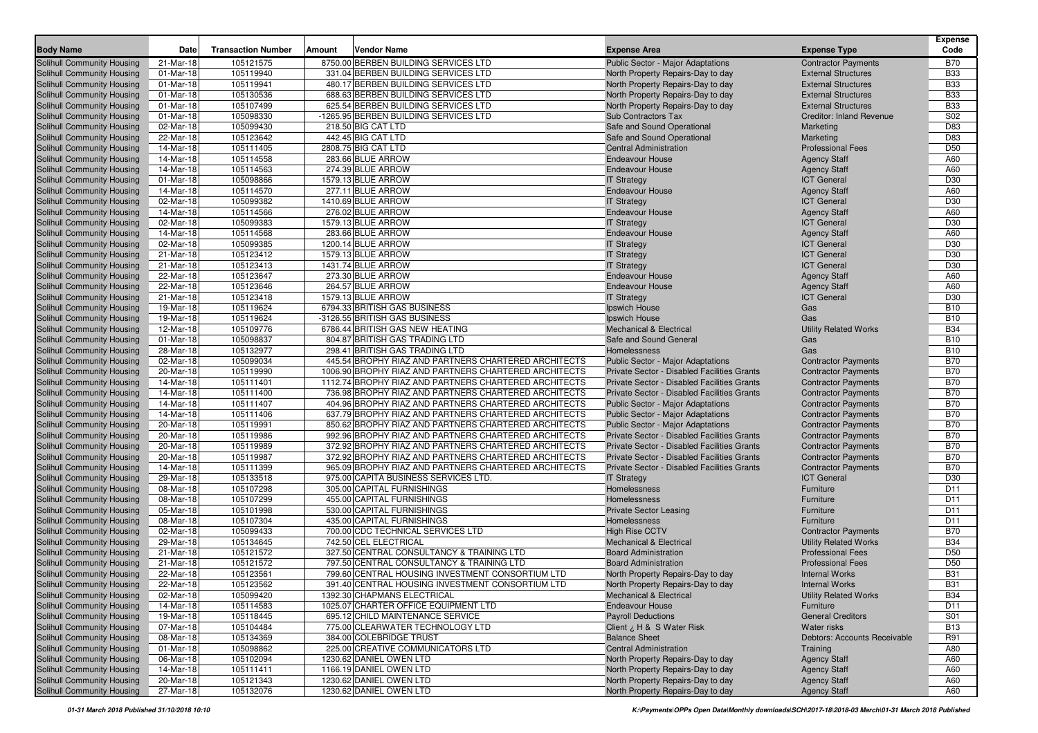| <b>Body Name</b>                  | Date      | <b>Transaction Number</b> | <b>Amount</b> | <b>Vendor Name</b>                                    | <b>Expense Area</b>                         | <b>Expense Type</b>             | <b>Expense</b><br>Code |
|-----------------------------------|-----------|---------------------------|---------------|-------------------------------------------------------|---------------------------------------------|---------------------------------|------------------------|
| Solihull Community Housing        | 21-Mar-18 | 105121575                 |               | 8750.00 BERBEN BUILDING SERVICES LTD                  | Public Sector - Major Adaptations           | <b>Contractor Payments</b>      | <b>B70</b>             |
| Solihull Community Housing        | 01-Mar-18 | 105119940                 |               | 331.04 BERBEN BUILDING SERVICES LTD                   | North Property Repairs-Day to day           | <b>External Structures</b>      | <b>B33</b>             |
| Solihull Community Housing        | 01-Mar-18 | 105119941                 |               | 480.17 BERBEN BUILDING SERVICES LTD                   | North Property Repairs-Day to day           | <b>External Structures</b>      | <b>B33</b>             |
| Solihull Community Housing        | 01-Mar-18 | 105130536                 |               | 688.63 BERBEN BUILDING SERVICES LTD                   | North Property Repairs-Day to day           | <b>External Structures</b>      | <b>B33</b>             |
| Solihull Community Housing        | 01-Mar-18 | 105107499                 |               | 625.54 BERBEN BUILDING SERVICES LTD                   | North Property Repairs-Day to day           | <b>External Structures</b>      | <b>B33</b>             |
| Solihull Community Housing        | 01-Mar-18 | 105098330                 |               | -1265.95 BERBEN BUILDING SERVICES LTD                 | Sub Contractors Tax                         | <b>Creditor: Inland Revenue</b> | S02                    |
| Solihull Community Housing        | 02-Mar-18 | 105099430                 |               | 218.50 BIG CAT LTD                                    | Safe and Sound Operational                  | Marketing                       | D83                    |
| Solihull Community Housing        | 22-Mar-18 | 105123642                 |               | 442.45 BIG CAT LTD                                    | Safe and Sound Operational                  | Marketing                       | D83                    |
| Solihull Community Housing        | 14-Mar-18 | 105111405                 |               | 2808.75 BIG CAT LTD                                   | <b>Central Administration</b>               | <b>Professional Fees</b>        | D <sub>50</sub>        |
| Solihull Community Housing        | 14-Mar-18 | 105114558                 |               | 283.66 BLUE ARROW                                     | <b>Endeavour House</b>                      | <b>Agency Staff</b>             | A60                    |
| Solihull Community Housing        | 14-Mar-18 | 105114563                 |               | 274.39 BLUE ARROW                                     | <b>Endeavour House</b>                      | <b>Agency Staff</b>             | A60                    |
| Solihull Community Housing        | 01-Mar-18 | 105098866                 |               | 1579.13 BLUE ARROW                                    | <b>IT Strategy</b>                          | <b>ICT General</b>              | D30                    |
| Solihull Community Housing        | 14-Mar-18 | 105114570                 |               | 277.11 BLUE ARROW                                     | <b>Endeavour House</b>                      | <b>Agency Staff</b>             | A60                    |
| Solihull Community Housing        | 02-Mar-18 | 105099382                 |               | 1410.69 BLUE ARROW                                    | <b>IT Strategy</b>                          | <b>ICT General</b>              | D30                    |
| Solihull Community Housing        | 14-Mar-18 | 105114566                 |               | 276.02 BLUE ARROW                                     | <b>Endeavour House</b>                      | <b>Agency Staff</b>             | A60                    |
| Solihull Community Housing        | 02-Mar-18 | 105099383                 |               | 1579.13 BLUE ARROW                                    | <b>IT Strategy</b>                          | <b>ICT General</b>              | D30                    |
| Solihull Community Housing        | 14-Mar-18 | 105114568                 |               | 283.66 BLUE ARROW                                     | <b>Endeavour House</b>                      | <b>Agency Staff</b>             | A60                    |
| Solihull Community Housing        | 02-Mar-18 | 105099385                 |               | 1200.14 BLUE ARROW                                    | <b>IT Strategy</b>                          | <b>ICT General</b>              | D30                    |
| Solihull Community Housing        | 21-Mar-18 | 105123412                 |               | 1579.13 BLUE ARROW                                    | <b>IT Strategy</b>                          | <b>ICT General</b>              | D30                    |
| Solihull Community Housing        | 21-Mar-18 | 105123413                 |               | 1431.74 BLUE ARROW                                    | <b>IT Strategy</b>                          | <b>ICT</b> General              | D30                    |
| Solihull Community Housing        | 22-Mar-18 | 105123647                 |               | 273.30 BLUE ARROW                                     | <b>Endeavour House</b>                      | <b>Agency Staff</b>             | A60                    |
| Solihull Community Housing        | 22-Mar-18 | 105123646                 |               | 264.57 BLUE ARROW                                     | <b>Endeavour House</b>                      | <b>Agency Staff</b>             | A60                    |
| Solihull Community Housing        | 21-Mar-18 | 105123418                 |               | 1579.13 BLUE ARROW                                    | <b>IT Strategy</b>                          | <b>ICT General</b>              | D30                    |
| Solihull Community Housing        | 19-Mar-18 | 105119624                 |               | 6794.33 BRITISH GAS BUSINESS                          | Ipswich House                               | Gas                             | <b>B10</b>             |
| Solihull Community Housing        | 19-Mar-18 | 105119624                 |               | -3126.55 BRITISH GAS BUSINESS                         | Ipswich House                               | Gas                             | <b>B10</b>             |
| Solihull Community Housing        | 12-Mar-18 | 105109776                 |               | 6786.44 BRITISH GAS NEW HEATING                       | <b>Mechanical &amp; Electrical</b>          | <b>Utility Related Works</b>    | <b>B34</b>             |
| Solihull Community Housing        | 01-Mar-18 | 105098837                 |               | 804.87 BRITISH GAS TRADING LTD                        | Safe and Sound General                      | Gas                             | <b>B10</b>             |
| Solihull Community Housing        | 28-Mar-18 | 105132977                 |               | 298.41 BRITISH GAS TRADING LTD                        | Homelessness                                | Gas                             | <b>B10</b>             |
| Solihull Community Housing        | 02-Mar-18 | 105099034                 |               | 445.54 BROPHY RIAZ AND PARTNERS CHARTERED ARCHITECTS  | <b>Public Sector - Major Adaptations</b>    | <b>Contractor Payments</b>      | <b>B70</b>             |
| Solihull Community Housing        | 20-Mar-18 | 105119990                 |               | 1006.90 BROPHY RIAZ AND PARTNERS CHARTERED ARCHITECTS | Private Sector - Disabled Facilities Grants | <b>Contractor Payments</b>      | <b>B70</b>             |
| <b>Solihull Community Housing</b> | 14-Mar-18 | 105111401                 |               | 1112.74 BROPHY RIAZ AND PARTNERS CHARTERED ARCHITECTS | Private Sector - Disabled Facilities Grants | <b>Contractor Payments</b>      | <b>B70</b>             |
| Solihull Community Housing        | 14-Mar-18 | 105111400                 |               | 736.98 BROPHY RIAZ AND PARTNERS CHARTERED ARCHITECTS  | Private Sector - Disabled Facilities Grants | <b>Contractor Payments</b>      | <b>B70</b>             |
| Solihull Community Housing        | 14-Mar-18 | 105111407                 |               | 404.96 BROPHY RIAZ AND PARTNERS CHARTERED ARCHITECTS  | Public Sector - Major Adaptations           | <b>Contractor Payments</b>      | <b>B70</b>             |
| Solihull Community Housing        | 14-Mar-18 | 105111406                 |               | 637.79 BROPHY RIAZ AND PARTNERS CHARTERED ARCHITECTS  | <b>Public Sector - Major Adaptations</b>    | <b>Contractor Payments</b>      | <b>B70</b>             |
| Solihull Community Housing        | 20-Mar-18 | 105119991                 |               | 850.62 BROPHY RIAZ AND PARTNERS CHARTERED ARCHITECTS  | Public Sector - Major Adaptations           | <b>Contractor Payments</b>      | <b>B70</b>             |
| Solihull Community Housing        | 20-Mar-18 | 105119986                 |               | 992.96 BROPHY RIAZ AND PARTNERS CHARTERED ARCHITECTS  | Private Sector - Disabled Facilities Grants | <b>Contractor Payments</b>      | <b>B70</b>             |
| Solihull Community Housing        | 20-Mar-18 | 105119989                 |               | 372.92 BROPHY RIAZ AND PARTNERS CHARTERED ARCHITECTS  | Private Sector - Disabled Facilities Grants | <b>Contractor Payments</b>      | <b>B70</b>             |
| Solihull Community Housing        | 20-Mar-18 | 105119987                 |               | 372.92 BROPHY RIAZ AND PARTNERS CHARTERED ARCHITECTS  | Private Sector - Disabled Facilities Grants | <b>Contractor Payments</b>      | <b>B70</b>             |
| Solihull Community Housing        | 14-Mar-18 | 105111399                 |               | 965.09 BROPHY RIAZ AND PARTNERS CHARTERED ARCHITECTS  | Private Sector - Disabled Facilities Grants | <b>Contractor Payments</b>      | <b>B70</b>             |
| Solihull Community Housing        | 29-Mar-18 | 105133518                 |               | 975.00 CAPITA BUSINESS SERVICES LTD.                  | <b>IT Strategy</b>                          | <b>ICT General</b>              | D30                    |
| Solihull Community Housing        | 08-Mar-18 | 105107298                 |               | 305.00 CAPITAL FURNISHINGS                            | Homelessness                                | Furniture                       | D <sub>11</sub>        |
| Solihull Community Housing        | 08-Mar-18 | 105107299                 |               | 455.00 CAPITAL FURNISHINGS                            | Homelessness                                | Furniture                       | D11                    |
| Solihull Community Housing        | 05-Mar-18 | 105101998                 |               | 530.00 CAPITAL FURNISHINGS                            | <b>Private Sector Leasing</b>               | Furniture                       | D <sub>11</sub>        |
| Solihull Community Housing        | 08-Mar-18 | 105107304                 |               | 435.00 CAPITAL FURNISHINGS                            | Homelessness                                | Furniture                       | D <sub>11</sub>        |
| Solihull Community Housing        | 02-Mar-18 | 105099433                 |               | 700.00 CDC TECHNICAL SERVICES LTD                     | <b>High Rise CCTV</b>                       | <b>Contractor Payments</b>      | <b>B70</b>             |
| Solihull Community Housing        | 29-Mar-18 | 105134645                 |               | 742.50 CEL ELECTRICAL                                 | <b>Mechanical &amp; Electrical</b>          | <b>Utility Related Works</b>    | <b>B34</b>             |
| Solihull Community Housing        | 21-Mar-18 | 105121572                 |               | 327.50 CENTRAL CONSULTANCY & TRAINING LTD             | <b>Board Administration</b>                 | <b>Professional Fees</b>        | D <sub>50</sub>        |
| Solihull Community Housing        | 21-Mar-18 | 105121572                 |               | 797.50 CENTRAL CONSULTANCY & TRAINING LTD             | <b>Board Administration</b>                 | <b>Professional Fees</b>        | D <sub>50</sub>        |
| Solihull Community Housing        | 22-Mar-18 | 105123561                 |               | 799.60 CENTRAL HOUSING INVESTMENT CONSORTIUM LTD      | North Property Repairs-Day to day           | <b>Internal Works</b>           | <b>B31</b>             |
| Solihull Community Housing        | 22-Mar-18 | 105123562                 |               | 391.40 CENTRAL HOUSING INVESTMENT CONSORTIUM LTD      | North Property Repairs-Day to day           | <b>Internal Works</b>           | <b>B31</b>             |
| <b>Solihull Community Housing</b> | 02-Mar-18 | 105099420                 |               | 1392.30 CHAPMANS ELECTRICAL                           | Mechanical & Electrical                     | <b>Utility Related Works</b>    | <b>B34</b>             |
| <b>Solihull Community Housing</b> | 14-Mar-18 | 105114583                 |               | 1025.07 CHARTER OFFICE EQUIPMENT LTD                  | <b>Endeavour House</b>                      | Furniture                       | D <sub>11</sub>        |
| <b>Solihull Community Housing</b> | 19-Mar-18 | 105118445                 |               | 695.12 CHILD MAINTENANCE SERVICE                      | <b>Payroll Deductions</b>                   | <b>General Creditors</b>        | S01                    |
| Solihull Community Housing        | 07-Mar-18 | 105104484                 |               | 775.00 CLEARWATER TECHNOLOGY LTD                      | Client ¿ H & S Water Risk                   | Water risks                     | <b>B13</b>             |
| <b>Solihull Community Housing</b> | 08-Mar-18 | 105134369                 |               | 384.00 COLEBRIDGE TRUST                               | <b>Balance Sheet</b>                        | Debtors: Accounts Receivable    | R91                    |
| Solihull Community Housing        | 01-Mar-18 | 105098862                 |               | 225.00 CREATIVE COMMUNICATORS LTD                     | <b>Central Administration</b>               | Training                        | A80                    |
| Solihull Community Housing        | 06-Mar-18 | 105102094                 |               | 1230.62 DANIEL OWEN LTD                               | North Property Repairs-Day to day           | <b>Agency Staff</b>             | A60                    |
| <b>Solihull Community Housing</b> | 14-Mar-18 | 105111411                 |               | 1166.19 DANIEL OWEN LTD                               | North Property Repairs-Day to day           | <b>Agency Staff</b>             | A60                    |
| <b>Solihull Community Housing</b> | 20-Mar-18 | 105121343                 |               | 1230.62 DANIEL OWEN LTD                               | North Property Repairs-Day to day           | <b>Agency Staff</b>             | A60                    |
| <b>Solihull Community Housing</b> | 27-Mar-18 | 105132076                 |               | 1230.62 DANIEL OWEN LTD                               | North Property Repairs-Day to day           | <b>Agency Staff</b>             | A60                    |
|                                   |           |                           |               |                                                       |                                             |                                 |                        |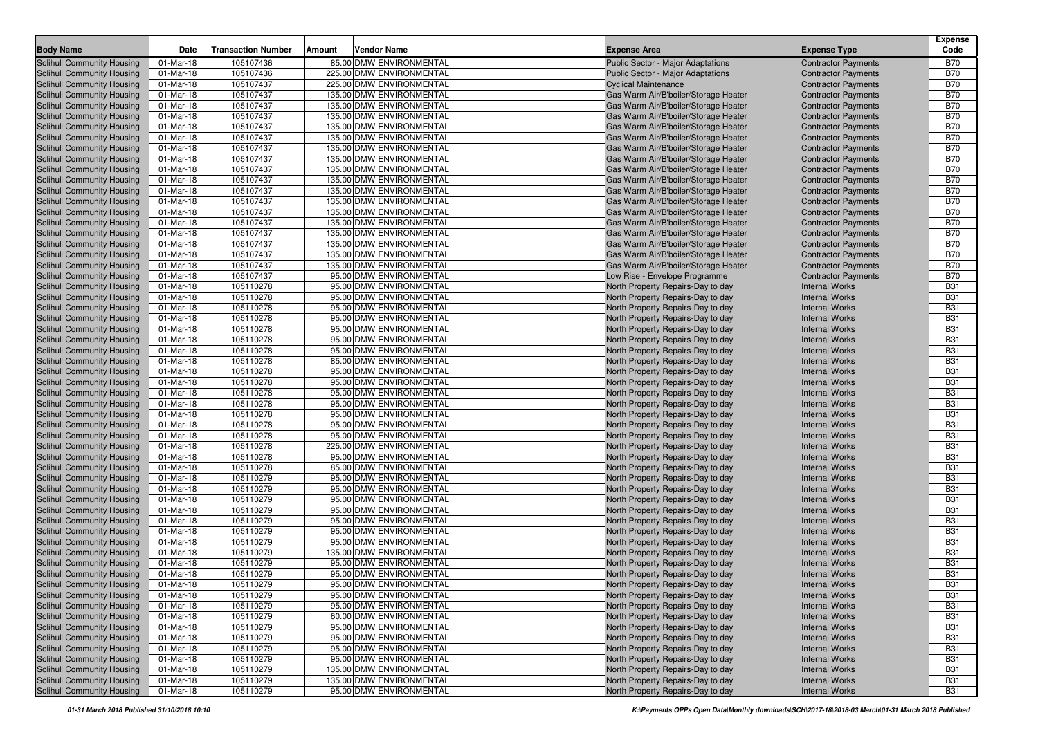| <b>Body Name</b>                  | Date        | <b>Transaction Number</b> | Amount | <b>Vendor Name</b>       | <b>Expense Area</b>                  | <b>Expense Type</b>        | <b>Expense</b><br>Code |
|-----------------------------------|-------------|---------------------------|--------|--------------------------|--------------------------------------|----------------------------|------------------------|
| <b>Solihull Community Housing</b> | 01-Mar-18   | 105107436                 |        | 85.00 DMW ENVIRONMENTAL  | Public Sector - Major Adaptations    | <b>Contractor Payments</b> | <b>B70</b>             |
| <b>Solihull Community Housing</b> | 01-Mar-18   | 105107436                 |        | 225.00 DMW ENVIRONMENTAL | Public Sector - Major Adaptations    | <b>Contractor Payments</b> | <b>B70</b>             |
| <b>Solihull Community Housing</b> | 01-Mar-18   | 105107437                 |        | 225.00 DMW ENVIRONMENTAL | <b>Cyclical Maintenance</b>          | <b>Contractor Payments</b> | <b>B70</b>             |
| Solihull Community Housing        | 01-Mar-18   | 105107437                 |        | 135.00 DMW ENVIRONMENTAL | Gas Warm Air/B'boiler/Storage Heater | <b>Contractor Payments</b> | <b>B70</b>             |
| Solihull Community Housing        | 01-Mar-18   | 105107437                 |        | 135.00 DMW ENVIRONMENTAL | Gas Warm Air/B'boiler/Storage Heater | <b>Contractor Payments</b> | <b>B70</b>             |
| Solihull Community Housing        | 01-Mar-18   | 105107437                 |        | 135.00 DMW ENVIRONMENTAL | Gas Warm Air/B'boiler/Storage Heater | <b>Contractor Payments</b> | <b>B70</b>             |
| Solihull Community Housing        | 01-Mar-18   | 105107437                 |        | 135.00 DMW ENVIRONMENTAL | Gas Warm Air/B'boiler/Storage Heater | <b>Contractor Payments</b> | <b>B70</b>             |
| Solihull Community Housing        | 01-Mar-18   | 105107437                 |        | 135.00 DMW ENVIRONMENTAL | Gas Warm Air/B'boiler/Storage Heater | <b>Contractor Payments</b> | <b>B70</b>             |
| <b>Solihull Community Housing</b> | 01-Mar-18   | 105107437                 |        | 135.00 DMW ENVIRONMENTAL | Gas Warm Air/B'boiler/Storage Heater | <b>Contractor Payments</b> | <b>B70</b>             |
| <b>Solihull Community Housing</b> | 01-Mar-18   | 105107437                 |        | 135.00 DMW ENVIRONMENTAL | Gas Warm Air/B'boiler/Storage Heater | <b>Contractor Payments</b> | <b>B70</b>             |
| <b>Solihull Community Housing</b> | 01-Mar-18   | 105107437                 |        | 135.00 DMW ENVIRONMENTAL | Gas Warm Air/B'boiler/Storage Heater | <b>Contractor Payments</b> | <b>B70</b>             |
| Solihull Community Housing        | 01-Mar-18   | 105107437                 |        | 135.00 DMW ENVIRONMENTAL | Gas Warm Air/B'boiler/Storage Heater | <b>Contractor Payments</b> | <b>B70</b>             |
| Solihull Community Housing        | 01-Mar-18   | 105107437                 |        | 135.00 DMW ENVIRONMENTAL | Gas Warm Air/B'boiler/Storage Heater | <b>Contractor Payments</b> | <b>B70</b>             |
| Solihull Community Housing        | 01-Mar-18   | 105107437                 |        | 135.00 DMW ENVIRONMENTAL | Gas Warm Air/B'boiler/Storage Heater | <b>Contractor Payments</b> | <b>B70</b>             |
| Solihull Community Housing        | 01-Mar-18   | 105107437                 |        | 135.00 DMW ENVIRONMENTAL | Gas Warm Air/B'boiler/Storage Heater | <b>Contractor Payments</b> | <b>B70</b>             |
| Solihull Community Housing        | 01-Mar-18   | 105107437                 |        | 135.00 DMW ENVIRONMENTAL | Gas Warm Air/B'boiler/Storage Heater | <b>Contractor Payments</b> | <b>B70</b>             |
| Solihull Community Housing        | 01-Mar-18   | 105107437                 |        | 135.00 DMW ENVIRONMENTAL | Gas Warm Air/B'boiler/Storage Heater | <b>Contractor Payments</b> | <b>B70</b>             |
| <b>Solihull Community Housing</b> | 01-Mar-18   | 105107437                 |        | 135.00 DMW ENVIRONMENTAL | Gas Warm Air/B'boiler/Storage Heater | <b>Contractor Payments</b> | <b>B70</b>             |
| Solihull Community Housing        | 01-Mar-18   | 105107437                 |        | 135.00 DMW ENVIRONMENTAL | Gas Warm Air/B'boiler/Storage Heater | <b>Contractor Payments</b> | <b>B70</b>             |
| <b>Solihull Community Housing</b> | 01-Mar-18   | 105107437                 |        | 135.00 DMW ENVIRONMENTAL | Gas Warm Air/B'boiler/Storage Heater | <b>Contractor Payments</b> | <b>B70</b>             |
| Solihull Community Housing        | 01-Mar-18   | 105107437                 |        | 95.00 DMW ENVIRONMENTAL  | Low Rise - Envelope Programme        | <b>Contractor Payments</b> | <b>B70</b>             |
| Solihull Community Housing        | 01-Mar-18   | 105110278                 |        | 95.00 DMW ENVIRONMENTAL  | North Property Repairs-Day to day    | <b>Internal Works</b>      | <b>B31</b>             |
| Solihull Community Housing        | 01-Mar-18   | 105110278                 |        | 95.00 DMW ENVIRONMENTAL  | North Property Repairs-Day to day    | <b>Internal Works</b>      | <b>B31</b>             |
| Solihull Community Housing        | 01-Mar-18   | 105110278                 |        | 95.00 DMW ENVIRONMENTAL  | North Property Repairs-Day to day    | <b>Internal Works</b>      | <b>B31</b>             |
| Solihull Community Housing        | 01-Mar-18   | 105110278                 |        | 95.00 DMW ENVIRONMENTAL  | North Property Repairs-Day to day    | <b>Internal Works</b>      | <b>B31</b>             |
| Solihull Community Housing        | 01-Mar-18   | 105110278                 |        | 95.00 DMW ENVIRONMENTAL  | North Property Repairs-Day to day    | <b>Internal Works</b>      | <b>B31</b>             |
| <b>Solihull Community Housing</b> | 01-Mar-18   | 105110278                 |        | 95.00 DMW ENVIRONMENTAL  | North Property Repairs-Day to day    | <b>Internal Works</b>      | <b>B31</b>             |
| Solihull Community Housing        | 01-Mar-18   | 105110278                 |        | 95.00 DMW ENVIRONMENTAL  | North Property Repairs-Day to day    | <b>Internal Works</b>      | <b>B31</b>             |
| Solihull Community Housing        | 01-Mar-18   | 105110278                 |        | 85.00 DMW ENVIRONMENTAL  | North Property Repairs-Day to day    | <b>Internal Works</b>      | <b>B31</b>             |
| Solihull Community Housing        | 01-Mar-18   | 105110278                 |        | 95.00 DMW ENVIRONMENTAL  | North Property Repairs-Day to day    | <b>Internal Works</b>      | <b>B31</b>             |
| Solihull Community Housing        | 01-Mar-18   | 105110278                 |        | 95.00 DMW ENVIRONMENTAL  | North Property Repairs-Day to day    | <b>Internal Works</b>      | <b>B31</b>             |
| Solihull Community Housing        | 01-Mar-18   | 105110278                 |        | 95.00 DMW ENVIRONMENTAL  | North Property Repairs-Day to day    | <b>Internal Works</b>      | <b>B31</b>             |
| <b>Solihull Community Housing</b> | 01-Mar-18   | 105110278                 |        | 95.00 DMW ENVIRONMENTAL  | North Property Repairs-Day to day    | <b>Internal Works</b>      | <b>B31</b>             |
| <b>Solihull Community Housing</b> | 01-Mar-18   | 105110278                 |        | 95.00 DMW ENVIRONMENTAL  | North Property Repairs-Day to day    | <b>Internal Works</b>      | <b>B31</b>             |
| Solihull Community Housing        | 01-Mar-18   | 105110278                 |        | 95.00 DMW ENVIRONMENTAL  | North Property Repairs-Day to day    | <b>Internal Works</b>      | <b>B31</b>             |
| <b>Solihull Community Housing</b> | 01-Mar-18   | 105110278                 |        | 95.00 DMW ENVIRONMENTAL  | North Property Repairs-Day to day    | <b>Internal Works</b>      | <b>B31</b>             |
| Solihull Community Housing        | 01-Mar-18   | 105110278                 |        | 225.00 DMW ENVIRONMENTAL | North Property Repairs-Day to day    | <b>Internal Works</b>      | <b>B31</b>             |
| Solihull Community Housing        | 01-Mar-18   | 105110278                 |        | 95.00 DMW ENVIRONMENTAL  | North Property Repairs-Day to day    | <b>Internal Works</b>      | <b>B31</b>             |
| Solihull Community Housing        | 01-Mar-18   | 105110278                 |        | 85.00 DMW ENVIRONMENTAL  | North Property Repairs-Day to day    | <b>Internal Works</b>      | <b>B31</b>             |
| Solihull Community Housing        | 01-Mar-18   | 105110279                 |        | 95.00 DMW ENVIRONMENTAL  | North Property Repairs-Day to day    | <b>Internal Works</b>      | <b>B31</b>             |
| <b>Solihull Community Housing</b> | 01-Mar-18   | 105110279                 |        | 95.00 DMW ENVIRONMENTAL  | North Property Repairs-Day to day    | <b>Internal Works</b>      | <b>B31</b>             |
| Solihull Community Housing        | 01-Mar-18   | 105110279                 |        | 95.00 DMW ENVIRONMENTAL  | North Property Repairs-Day to day    | <b>Internal Works</b>      | <b>B31</b>             |
| <b>Solihull Community Housing</b> | 01-Mar-18   | 105110279                 |        | 95.00 DMW ENVIRONMENTAL  | North Property Repairs-Day to day    | <b>Internal Works</b>      | <b>B31</b>             |
| <b>Solihull Community Housing</b> | 01-Mar-18   | 105110279                 |        | 95.00 DMW ENVIRONMENTAL  | North Property Repairs-Day to day    | <b>Internal Works</b>      | <b>B31</b>             |
| <b>Solihull Community Housing</b> | 01-Mar-18   | 105110279                 |        | 95.00 DMW ENVIRONMENTAL  | North Property Repairs-Day to day    | <b>Internal Works</b>      | <b>B31</b>             |
| Solihull Community Housing        | 01-Mar-18   | 105110279                 |        | 95.00 DMW ENVIRONMENTAL  | North Property Repairs-Day to day    | <b>Internal Works</b>      | <b>B31</b>             |
| Solihull Community Housing        | 01-Mar-18   | 105110279                 |        | 135.00 DMW ENVIRONMENTAL | North Property Repairs-Day to day    | <b>Internal Works</b>      | <b>B31</b>             |
| Solihull Community Housing        | 01-Mar-18   | 105110279                 |        | 95.00 DMW ENVIRONMENTAL  | North Property Repairs-Day to day    | <b>Internal Works</b>      | <b>B31</b>             |
| <b>Solihull Community Housing</b> | 01-Mar-18   | 105110279                 |        | 95.00 DMW ENVIRONMENTAL  | North Property Repairs-Day to day    | <b>Internal Works</b>      | <b>B31</b>             |
| <b>Solihull Community Housing</b> | $01-Mar-18$ | 105110279                 |        | 95.00 DMW ENVIRONMENTAL  | North Property Repairs-Day to day    | <b>Internal Works</b>      | <b>B31</b>             |
| <b>Solihull Community Housing</b> | 01-Mar-18   | 105110279                 |        | 95.00 DMW ENVIRONMENTAL  | North Property Repairs-Day to day    | <b>Internal Works</b>      | <b>B31</b>             |
| Solihull Community Housing        | 01-Mar-18   | 105110279                 |        | 95.00 DMW ENVIRONMENTAL  | North Property Repairs-Day to day    | <b>Internal Works</b>      | <b>B31</b>             |
| <b>Solihull Community Housing</b> | 01-Mar-18   | 105110279                 |        | 60.00 DMW ENVIRONMENTAL  | North Property Repairs-Day to day    | <b>Internal Works</b>      | <b>B31</b>             |
| <b>Solihull Community Housing</b> | 01-Mar-18   | 105110279                 |        | 95.00 DMW ENVIRONMENTAL  | North Property Repairs-Day to day    | <b>Internal Works</b>      | <b>B31</b>             |
| Solihull Community Housing        | 01-Mar-18   | 105110279                 |        | 95.00 DMW ENVIRONMENTAL  | North Property Repairs-Day to day    | <b>Internal Works</b>      | <b>B31</b>             |
| Solihull Community Housing        | 01-Mar-18   | 105110279                 |        | 95.00 DMW ENVIRONMENTAL  | North Property Repairs-Day to day    | <b>Internal Works</b>      | <b>B31</b>             |
| <b>Solihull Community Housing</b> | 01-Mar-18   | 105110279                 |        | 95.00 DMW ENVIRONMENTAL  | North Property Repairs-Day to day    | <b>Internal Works</b>      | <b>B31</b>             |
| <b>Solihull Community Housing</b> | 01-Mar-18   | 105110279                 |        | 135.00 DMW ENVIRONMENTAL | North Property Repairs-Day to day    | <b>Internal Works</b>      | <b>B31</b>             |
| Solihull Community Housing        | 01-Mar-18   | 105110279                 |        | 135.00 DMW ENVIRONMENTAL | North Property Repairs-Day to day    | <b>Internal Works</b>      | <b>B31</b>             |
| Solihull Community Housing        | 01-Mar-18   | 105110279                 |        | 95.00 DMW ENVIRONMENTAL  | North Property Repairs-Day to day    | <b>Internal Works</b>      | <b>B31</b>             |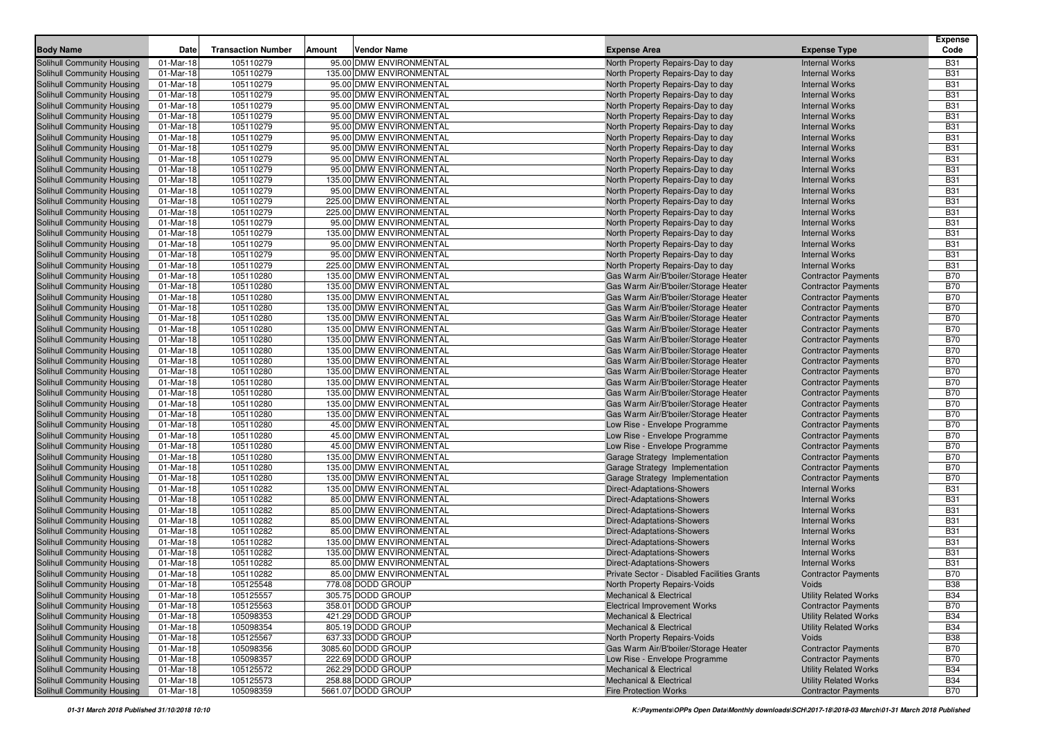| <b>Body Name</b>                                         | Date      | <b>Transaction Number</b> | Amount | <b>Vendor Name</b>                      | <b>Expense Area</b>                         | <b>Expense Type</b>          | <b>Expense</b><br>Code   |
|----------------------------------------------------------|-----------|---------------------------|--------|-----------------------------------------|---------------------------------------------|------------------------------|--------------------------|
| Solihull Community Housing                               | 01-Mar-18 | 105110279                 |        | 95.00 DMW ENVIRONMENTAL                 | North Property Repairs-Day to day           | <b>Internal Works</b>        | <b>B31</b>               |
| Solihull Community Housing                               | 01-Mar-18 | 105110279                 |        | 135.00 DMW ENVIRONMENTAL                | North Property Repairs-Day to day           | <b>Internal Works</b>        | <b>B31</b>               |
| Solihull Community Housing                               | 01-Mar-18 | 105110279                 |        | 95.00 DMW ENVIRONMENTAL                 | North Property Repairs-Day to day           | <b>Internal Works</b>        | <b>B31</b>               |
| Solihull Community Housing                               | 01-Mar-18 | 105110279                 |        | 95.00 DMW ENVIRONMENTAL                 | North Property Repairs-Day to day           | <b>Internal Works</b>        | <b>B31</b>               |
| Solihull Community Housing                               | 01-Mar-18 | 105110279                 |        | 95.00 DMW ENVIRONMENTAL                 | North Property Repairs-Day to day           | <b>Internal Works</b>        | <b>B31</b>               |
| Solihull Community Housing                               | 01-Mar-18 | 105110279                 |        | 95.00 DMW ENVIRONMENTAL                 | North Property Repairs-Day to day           | <b>Internal Works</b>        | <b>B31</b>               |
| Solihull Community Housing                               | 01-Mar-18 | 105110279                 |        | 95.00 DMW ENVIRONMENTAL                 | North Property Repairs-Day to day           | <b>Internal Works</b>        | <b>B31</b>               |
| Solihull Community Housing                               | 01-Mar-18 | 105110279                 |        | 95.00 DMW ENVIRONMENTAL                 | North Property Repairs-Day to day           | <b>Internal Works</b>        | <b>B31</b>               |
| Solihull Community Housing                               | 01-Mar-18 | 105110279                 |        | 95.00 DMW ENVIRONMENTAL                 | North Property Repairs-Day to day           | <b>Internal Works</b>        | <b>B31</b>               |
| Solihull Community Housing                               | 01-Mar-18 | 105110279                 |        | 95.00 DMW ENVIRONMENTAL                 | North Property Repairs-Day to day           | <b>Internal Works</b>        | <b>B31</b>               |
| Solihull Community Housing                               | 01-Mar-18 | 105110279                 |        | 95.00 DMW ENVIRONMENTAL                 | North Property Repairs-Day to day           | <b>Internal Works</b>        | <b>B31</b>               |
| Solihull Community Housing                               | 01-Mar-18 | 105110279                 |        | 135.00 DMW ENVIRONMENTAL                | North Property Repairs-Day to day           | <b>Internal Works</b>        | <b>B31</b>               |
| Solihull Community Housing                               | 01-Mar-18 | 105110279                 |        | 95.00 DMW ENVIRONMENTAL                 | North Property Repairs-Day to day           | <b>Internal Works</b>        | <b>B31</b>               |
| Solihull Community Housing                               | 01-Mar-18 | 105110279                 |        | 225.00 DMW ENVIRONMENTAL                | North Property Repairs-Day to day           | <b>Internal Works</b>        | <b>B31</b>               |
| Solihull Community Housing                               | 01-Mar-18 | 105110279                 |        | 225.00 DMW ENVIRONMENTAL                | North Property Repairs-Day to day           | <b>Internal Works</b>        | <b>B31</b>               |
| Solihull Community Housing                               | 01-Mar-18 | 105110279                 |        | 95.00 DMW ENVIRONMENTAL                 | North Property Repairs-Day to day           | <b>Internal Works</b>        | <b>B31</b>               |
| Solihull Community Housing                               | 01-Mar-18 | 105110279                 |        | 135.00 DMW ENVIRONMENTAL                | North Property Repairs-Day to day           | <b>Internal Works</b>        | <b>B31</b>               |
| Solihull Community Housing                               | 01-Mar-18 | 105110279                 |        | 95.00 DMW ENVIRONMENTAL                 | North Property Repairs-Day to day           | <b>Internal Works</b>        | <b>B31</b>               |
| Solihull Community Housing                               | 01-Mar-18 | 105110279                 |        | 95.00 DMW ENVIRONMENTAL                 | North Property Repairs-Day to day           | <b>Internal Works</b>        | <b>B31</b>               |
| Solihull Community Housing                               | 01-Mar-18 | 105110279                 |        | 225.00 DMW ENVIRONMENTAL                | North Property Repairs-Day to day           | <b>Internal Works</b>        | <b>B31</b>               |
| Solihull Community Housing                               | 01-Mar-18 | 105110280                 |        | 135.00 DMW ENVIRONMENTAL                | Gas Warm Air/B'boiler/Storage Heater        | <b>Contractor Payments</b>   | <b>B70</b>               |
| Solihull Community Housing                               | 01-Mar-18 | 105110280                 |        | 135.00 DMW ENVIRONMENTAL                | Gas Warm Air/B'boiler/Storage Heater        | <b>Contractor Payments</b>   | <b>B70</b>               |
| Solihull Community Housing                               | 01-Mar-18 | 105110280                 |        | 135.00 DMW ENVIRONMENTAL                | Gas Warm Air/B'boiler/Storage Heater        | <b>Contractor Payments</b>   | <b>B70</b>               |
| Solihull Community Housing                               | 01-Mar-18 | 105110280                 |        | 135.00 DMW ENVIRONMENTAL                | Gas Warm Air/B'boiler/Storage Heater        | <b>Contractor Payments</b>   | <b>B70</b>               |
| Solihull Community Housing                               | 01-Mar-18 | 105110280                 |        | 135.00 DMW ENVIRONMENTAL                | Gas Warm Air/B'boiler/Storage Heater        | <b>Contractor Payments</b>   | <b>B70</b>               |
| Solihull Community Housing                               | 01-Mar-18 | 105110280                 |        | 135.00 DMW ENVIRONMENTAL                | Gas Warm Air/B'boiler/Storage Heater        | <b>Contractor Payments</b>   | <b>B70</b>               |
| Solihull Community Housing                               | 01-Mar-18 | 105110280                 |        | 135.00 DMW ENVIRONMENTAL                | Gas Warm Air/B'boiler/Storage Heater        | <b>Contractor Payments</b>   | <b>B70</b>               |
| Solihull Community Housing                               | 01-Mar-18 | 105110280                 |        | 135.00 DMW ENVIRONMENTAL                | Gas Warm Air/B'boiler/Storage Heater        | <b>Contractor Payments</b>   | <b>B70</b>               |
| Solihull Community Housing                               | 01-Mar-18 | 105110280                 |        | 135.00 DMW ENVIRONMENTAL                | Gas Warm Air/B'boiler/Storage Heater        | <b>Contractor Payments</b>   | <b>B70</b>               |
| Solihull Community Housing                               | 01-Mar-18 | 105110280                 |        | 135.00 DMW ENVIRONMENTAL                | Gas Warm Air/B'boiler/Storage Heater        | <b>Contractor Payments</b>   | <b>B70</b>               |
| Solihull Community Housing                               | 01-Mar-18 | 105110280                 |        | 135.00 DMW ENVIRONMENTAL                | Gas Warm Air/B'boiler/Storage Heater        | <b>Contractor Payments</b>   | <b>B70</b>               |
| Solihull Community Housing                               | 01-Mar-18 | 105110280                 |        | 135.00 DMW ENVIRONMENTAL                | Gas Warm Air/B'boiler/Storage Heater        | <b>Contractor Payments</b>   | <b>B70</b>               |
| Solihull Community Housing                               | 01-Mar-18 | 105110280                 |        | 135.00 DMW ENVIRONMENTAL                | Gas Warm Air/B'boiler/Storage Heater        | <b>Contractor Payments</b>   | <b>B70</b>               |
| Solihull Community Housing                               | 01-Mar-18 | 105110280                 |        | 135.00 DMW ENVIRONMENTAL                | Gas Warm Air/B'boiler/Storage Heater        | <b>Contractor Payments</b>   | <b>B70</b>               |
| Solihull Community Housing                               | 01-Mar-18 | 105110280                 |        | 45.00 DMW ENVIRONMENTAL                 | Low Rise - Envelope Programme               | <b>Contractor Payments</b>   | <b>B70</b>               |
| Solihull Community Housing                               | 01-Mar-18 | 105110280                 |        | 45.00 DMW ENVIRONMENTAL                 | Low Rise - Envelope Programme               | <b>Contractor Payments</b>   | <b>B70</b>               |
| Solihull Community Housing                               | 01-Mar-18 | 105110280                 |        | 45.00 DMW ENVIRONMENTAL                 | Low Rise - Envelope Programme               | <b>Contractor Payments</b>   | <b>B70</b>               |
| Solihull Community Housing                               | 01-Mar-18 | 105110280                 |        | 135.00 DMW ENVIRONMENTAL                | Garage Strategy Implementation              | <b>Contractor Payments</b>   | <b>B70</b>               |
| Solihull Community Housing                               | 01-Mar-18 | 105110280                 |        | 135.00 DMW ENVIRONMENTAL                | Garage Strategy Implementation              | <b>Contractor Payments</b>   | <b>B70</b>               |
| Solihull Community Housing                               | 01-Mar-18 | 105110280                 |        | 135.00 DMW ENVIRONMENTAL                | Garage Strategy Implementation              | <b>Contractor Payments</b>   | <b>B70</b>               |
| Solihull Community Housing                               | 01-Mar-18 | 105110282                 |        | 135.00 DMW ENVIRONMENTAL                | Direct-Adaptations-Showers                  | <b>Internal Works</b>        | <b>B31</b>               |
| Solihull Community Housing                               | 01-Mar-18 | 105110282                 |        | 85.00 DMW ENVIRONMENTAL                 | Direct-Adaptations-Showers                  | <b>Internal Works</b>        | <b>B31</b>               |
| Solihull Community Housing                               | 01-Mar-18 | 105110282                 |        | 85.00 DMW ENVIRONMENTAL                 | <b>Direct-Adaptations-Showers</b>           | <b>Internal Works</b>        | <b>B31</b>               |
| Solihull Community Housing                               | 01-Mar-18 | 105110282                 |        | 85.00 DMW ENVIRONMENTAL                 | Direct-Adaptations-Showers                  | <b>Internal Works</b>        | <b>B31</b>               |
| Solihull Community Housing                               | 01-Mar-18 | 105110282                 |        | 85.00 DMW ENVIRONMENTAL                 | <b>Direct-Adaptations-Showers</b>           | <b>Internal Works</b>        | <b>B31</b>               |
| Solihull Community Housing                               | 01-Mar-18 | 105110282                 |        | 135.00 DMW ENVIRONMENTAL                | Direct-Adaptations-Showers                  | <b>Internal Works</b>        | <b>B31</b>               |
| Solihull Community Housing                               | 01-Mar-18 | 105110282                 |        | 135.00 DMW ENVIRONMENTAL                | Direct-Adaptations-Showers                  | <b>Internal Works</b>        | <b>B31</b>               |
| Solihull Community Housing                               | 01-Mar-18 | 105110282                 |        | 85.00 DMW ENVIRONMENTAL                 | Direct-Adaptations-Showers                  | <b>Internal Works</b>        | <b>B31</b>               |
| Solihull Community Housing                               | 01-Mar-18 | 105110282                 |        | 85.00 DMW ENVIRONMENTAL                 | Private Sector - Disabled Facilities Grants | <b>Contractor Payments</b>   | <b>B70</b>               |
| Solihull Community Housing                               | 01-Mar-18 | 105125548                 |        | 778.08 DODD GROUP                       | North Property Repairs-Voids                | Voids                        | <b>B</b> 38              |
| Solihull Community Housing                               | 01-Mar-18 | 105125557                 |        | 305.75 DODD GROUP                       | <b>Mechanical &amp; Electrical</b>          | <b>Utility Related Works</b> | <b>B34</b>               |
| Solihull Community Housing                               | 01-Mar-18 | 105125563                 |        | 358.01 DODD GROUP                       | <b>Electrical Improvement Works</b>         | <b>Contractor Payments</b>   | <b>B70</b>               |
| Solihull Community Housing                               | 01-Mar-18 | 105098353                 |        | 421.29 DODD GROUP                       | <b>Mechanical &amp; Electrical</b>          | <b>Utility Related Works</b> | <b>B34</b>               |
| Solihull Community Housing                               | 01-Mar-18 | 105098354                 |        | 805.19 DODD GROUP                       | <b>Mechanical &amp; Electrical</b>          | <b>Utility Related Works</b> | <b>B34</b>               |
| Solihull Community Housing                               | 01-Mar-18 | 105125567                 |        | 637.33 DODD GROUP                       | North Property Repairs-Voids                | Voids                        | <b>B38</b>               |
| Solihull Community Housing                               | 01-Mar-18 | 105098356                 |        | 3085.60 DODD GROUP                      | Gas Warm Air/B'boiler/Storage Heater        | <b>Contractor Payments</b>   | B70                      |
| Solihull Community Housing<br>Solihull Community Housing | 01-Mar-18 | 105098357                 |        | 222.69 DODD GROUP                       | Low Rise - Envelope Programme               | <b>Contractor Payments</b>   | <b>B70</b>               |
|                                                          | 01-Mar-18 | 105125572                 |        | 262.29 DODD GROUP                       | <b>Mechanical &amp; Electrical</b>          | <b>Utility Related Works</b> | <b>B34</b><br><b>B34</b> |
| Solihull Community Housing<br>Solihull Community Housing | 01-Mar-18 | 105125573                 |        | 258.88 DODD GROUP<br>5661.07 DODD GROUP | <b>Mechanical &amp; Electrical</b>          | <b>Utility Related Works</b> |                          |
|                                                          | 01-Mar-18 | 105098359                 |        |                                         | <b>Fire Protection Works</b>                | <b>Contractor Payments</b>   | B70                      |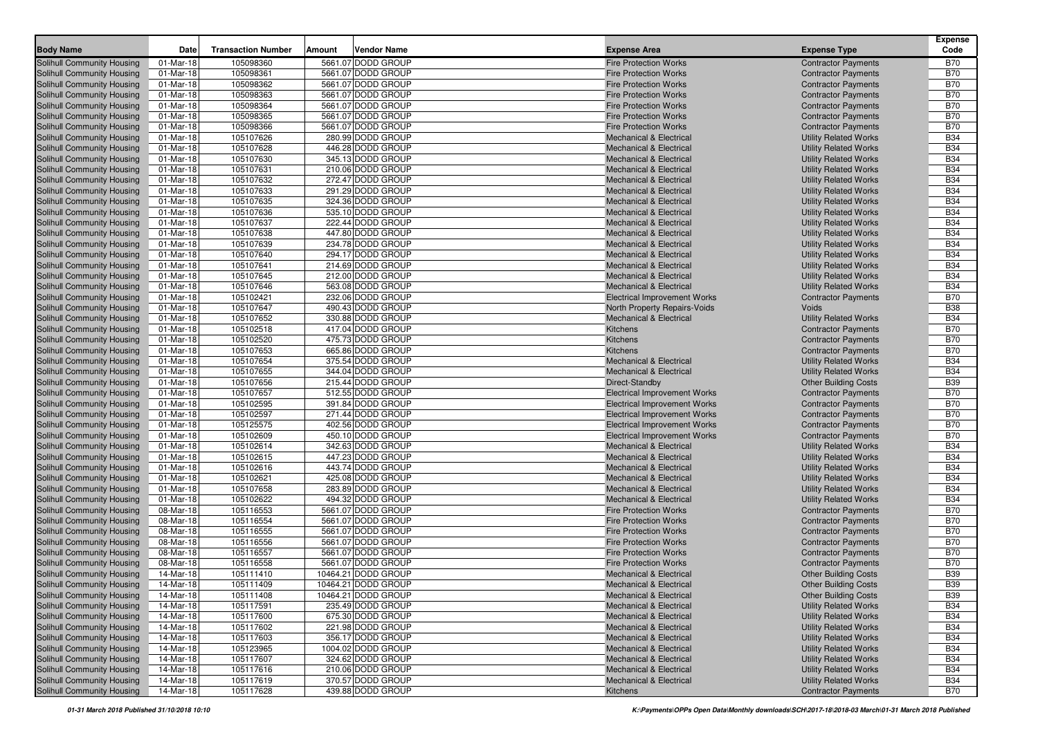| 105098360<br>5661.07 DODD GROUP<br><b>Fire Protection Works</b><br>Solihull Community Housing<br>01-Mar-18<br><b>Contractor Payments</b><br><b>B70</b><br>Solihull Community Housing<br>01-Mar-18<br>105098361<br>5661.07 DODD GROUP<br><b>Fire Protection Works</b><br><b>B70</b><br><b>Contractor Payments</b><br>105098362<br><b>B70</b><br>01-Mar-18<br>5661.07 DODD GROUP<br><b>Contractor Payments</b><br>Solihull Community Housing<br><b>Fire Protection Works</b><br>105098363<br>5661.07 DODD GROUP<br><b>B70</b><br>Solihull Community Housing<br>01-Mar-18<br><b>Contractor Payments</b><br><b>Fire Protection Works</b><br>105098364<br>5661.07 DODD GROUP<br><b>B70</b><br>Solihull Community Housing<br>01-Mar-18<br><b>Fire Protection Works</b><br><b>Contractor Payments</b><br>Solihull Community Housing<br>01-Mar-18<br>105098365<br>5661.07 DODD GROUP<br><b>Contractor Payments</b><br><b>B70</b><br><b>Fire Protection Works</b><br><b>B70</b><br>01-Mar-18<br>105098366<br>5661.07 DODD GROUP<br>Solihull Community Housing<br><b>Fire Protection Works</b><br><b>Contractor Payments</b><br>105107626<br><b>B34</b><br>Solihull Community Housing<br>01-Mar-18<br>280.99 DODD GROUP<br><b>Utility Related Works</b><br><b>Mechanical &amp; Electrical</b><br>446.28 DODD GROUP<br><b>B34</b><br>Solihull Community Housing<br>01-Mar-18<br>105107628<br><b>Utility Related Works</b><br><b>Mechanical &amp; Electrical</b><br>01-Mar-18<br>105107630<br>345.13 DODD GROUP<br><b>Utility Related Works</b><br><b>B34</b><br>Solihull Community Housing<br><b>Mechanical &amp; Electrical</b><br>Solihull Community Housing<br>01-Mar-18<br>105107631<br>210.06 DODD GROUP<br><b>Utility Related Works</b><br><b>B34</b><br><b>Mechanical &amp; Electrical</b><br>105107632<br>Solihull Community Housing<br>01-Mar-18<br>272.47 DODD GROUP<br><b>Utility Related Works</b><br><b>B34</b><br><b>Mechanical &amp; Electrical</b><br>105107633<br>291.29 DODD GROUP<br><b>B34</b><br>Solihull Community Housing<br>01-Mar-18<br><b>Utility Related Works</b><br><b>Mechanical &amp; Electrical</b><br>324.36 DODD GROUP<br><b>B34</b><br>Solihull Community Housing<br>01-Mar-18<br>105107635<br><b>Utility Related Works</b><br><b>Mechanical &amp; Electrical</b><br>Solihull Community Housing<br>01-Mar-18<br>105107636<br>535.10 DODD GROUP<br><b>Utility Related Works</b><br><b>B34</b><br><b>Mechanical &amp; Electrical</b><br><b>B34</b><br>01-Mar-18<br>105107637<br>222.44 DODD GROUP<br>Solihull Community Housing<br><b>Mechanical &amp; Electrical</b><br><b>Utility Related Works</b><br>105107638<br><b>B34</b><br>Solihull Community Housing<br>01-Mar-18<br>447.80 DODD GROUP<br><b>Utility Related Works</b><br><b>Mechanical &amp; Electrical</b><br><b>B34</b><br>Solihull Community Housing<br>01-Mar-18<br>105107639<br>234.78 DODD GROUP<br><b>Utility Related Works</b><br><b>Mechanical &amp; Electrical</b><br>Solihull Community Housing<br>01-Mar-18<br>105107640<br>294.17 DODD GROUP<br><b>Utility Related Works</b><br><b>B34</b><br><b>Mechanical &amp; Electrical</b><br><b>B34</b><br>Solihull Community Housing<br>01-Mar-18<br>105107641<br>214.69 DODD GROUP<br><b>Mechanical &amp; Electrical</b><br><b>Utility Related Works</b><br>105107645<br><b>B34</b><br>Solihull Community Housing<br>01-Mar-18<br>212.00 DODD GROUP<br><b>Utility Related Works</b><br><b>Mechanical &amp; Electrical</b><br><b>B34</b><br>Solihull Community Housing<br>01-Mar-18<br>105107646<br>563.08 DODD GROUP<br><b>Mechanical &amp; Electrical</b><br><b>Utility Related Works</b><br><b>B70</b><br>Solihull Community Housing<br>01-Mar-18<br>105102421<br>232.06 DODD GROUP<br><b>Electrical Improvement Works</b><br><b>Contractor Payments</b><br>105107647<br><b>B38</b><br>Solihull Community Housing<br>01-Mar-18<br>490.43 DODD GROUP<br>North Property Repairs-Voids<br>Voids<br><b>B34</b><br>Solihull Community Housing<br>01-Mar-18<br>105107652<br>330.88 DODD GROUP<br><b>Mechanical &amp; Electrical</b><br><b>Utility Related Works</b><br>105102518<br>417.04 DODD GROUP<br><b>B70</b><br>Solihull Community Housing<br>01-Mar-18<br><b>Contractor Payments</b><br>Kitchens<br>Solihull Community Housing<br>01-Mar-18<br>105102520<br>475.73 DODD GROUP<br><b>B70</b><br>Kitchens<br><b>Contractor Payments</b><br>105107653<br><b>B70</b><br>01-Mar-18<br>665.86 DODD GROUP<br><b>Contractor Payments</b><br>Solihull Community Housing<br>Kitchens<br>105107654<br>375.54 DODD GROUP<br><b>B34</b><br>Solihull Community Housing<br>01-Mar-18<br><b>Utility Related Works</b><br><b>Mechanical &amp; Electrical</b><br>344.04 DODD GROUP<br><b>B34</b><br>Solihull Community Housing<br>01-Mar-18<br>105107655<br><b>Utility Related Works</b><br><b>Mechanical &amp; Electrical</b><br><b>B39</b><br>Solihull Community Housing<br>01-Mar-18<br>105107656<br>215.44 DODD GROUP<br>Direct-Standby<br><b>Other Building Costs</b><br><b>B70</b><br>01-Mar-18<br>105107657<br>512.55 DODD GROUP<br>Solihull Community Housing<br><b>Electrical Improvement Works</b><br><b>Contractor Payments</b><br><b>B70</b><br>Solihull Community Housing<br>01-Mar-18<br>105102595<br>391.84 DODD GROUP<br><b>Contractor Payments</b><br><b>Electrical Improvement Works</b><br>105102597<br><b>B70</b><br>Solihull Community Housing<br>01-Mar-18<br>271.44 DODD GROUP<br><b>Electrical Improvement Works</b><br><b>Contractor Payments</b><br>105125575<br>402.56 DODD GROUP<br>Solihull Community Housing<br>01-Mar-18<br><b>B70</b><br><b>Electrical Improvement Works</b><br><b>Contractor Payments</b><br>Solihull Community Housing<br>01-Mar-18<br>105102609<br>450.10 DODD GROUP<br><b>Contractor Payments</b><br><b>B70</b><br><b>Electrical Improvement Works</b><br><b>B34</b><br>01-Mar-18<br>105102614<br>342.63 DODD GROUP<br><b>Utility Related Works</b><br>Solihull Community Housing<br><b>Mechanical &amp; Electrical</b><br><b>B34</b><br>Solihull Community Housing<br>01-Mar-18<br>105102615<br>447.23 DODD GROUP<br><b>Utility Related Works</b><br><b>Mechanical &amp; Electrical</b><br>443.74 DODD GROUP<br><b>B34</b><br>Solihull Community Housing<br>01-Mar-18<br>105102616<br><b>Utility Related Works</b><br><b>Mechanical &amp; Electrical</b><br>Solihull Community Housing<br>01-Mar-18<br>105102621<br>425.08 DODD GROUP<br><b>Utility Related Works</b><br><b>B34</b><br><b>Mechanical &amp; Electrical</b><br><b>B34</b><br>01-Mar-18<br>105107658<br>283.89 DODD GROUP<br>Solihull Community Housing<br><b>Mechanical &amp; Electrical</b><br><b>Utility Related Works</b><br>105102622<br>494.32 DODD GROUP<br><b>B34</b><br>Solihull Community Housing<br>01-Mar-18<br><b>Utility Related Works</b><br><b>Mechanical &amp; Electrical</b><br>5661.07 DODD GROUP<br><b>B70</b><br>Solihull Community Housing<br>08-Mar-18<br>105116553<br><b>Fire Protection Works</b><br><b>Contractor Payments</b><br>Solihull Community Housing<br>08-Mar-18<br>105116554<br>5661.07 DODD GROUP<br><b>B70</b><br><b>Fire Protection Works</b><br><b>Contractor Payments</b><br><b>B70</b><br>Solihull Community Housing<br>08-Mar-18<br>105116555<br>5661.07 DODD GROUP<br><b>Fire Protection Works</b><br><b>Contractor Payments</b><br><b>B70</b><br>08-Mar-18<br>105116556<br>5661.07 DODD GROUP<br>Solihull Community Housing<br><b>Fire Protection Works</b><br><b>Contractor Payments</b><br><b>B70</b><br>Solihull Community Housing<br>08-Mar-18<br>105116557<br>5661.07 DODD GROUP<br><b>Fire Protection Works</b><br><b>Contractor Payments</b><br><b>B70</b><br>Solihull Community Housing<br>08-Mar-18<br>105116558<br>5661.07 DODD GROUP<br><b>Contractor Payments</b><br><b>Fire Protection Works</b><br><b>B39</b><br>Solihull Community Housing<br>14-Mar-18<br>105111410<br>10464.21 DODD GROUP<br><b>Other Building Costs</b><br><b>Mechanical &amp; Electrical</b><br><b>Solihull Community Housing</b><br>10464.21 DODD GROUP<br><b>B39</b><br>14-Mar-18<br>105111409<br><b>Mechanical &amp; Electrical</b><br>Other Building Costs<br>Solihull Community Housing<br>14-Mar-18<br>10464.21 DODD GROUP<br><b>Other Building Costs</b><br><b>B39</b><br>105111408<br><b>Mechanical &amp; Electrical</b><br>Solihull Community Housing<br>14-Mar-18<br>105117591<br>235.49 DODD GROUP<br><b>Utility Related Works</b><br><b>B34</b><br><b>Mechanical &amp; Electrical</b><br>Solihull Community Housing<br>675.30 DODD GROUP<br><b>Utility Related Works</b><br>14-Mar-18<br>105117600<br><b>Mechanical &amp; Electrical</b><br><b>B34</b><br><b>B34</b><br>Solihull Community Housing<br>14-Mar-18<br>105117602<br>221.98 DODD GROUP<br><b>Utility Related Works</b><br><b>Mechanical &amp; Electrical</b><br>356.17 DODD GROUP<br>Solihull Community Housing<br>14-Mar-18<br>105117603<br><b>Utility Related Works</b><br><b>B34</b><br><b>Mechanical &amp; Electrical</b><br>Solihull Community Housing<br>1004.02 DODD GROUP<br>14-Mar-18<br>105123965<br><b>Mechanical &amp; Electrical</b><br><b>Utility Related Works</b><br><b>B34</b><br>Solihull Community Housing<br>14-Mar-18<br>105117607<br>324.62 DODD GROUP<br><b>Utility Related Works</b><br><b>B34</b><br><b>Mechanical &amp; Electrical</b><br>Solihull Community Housing<br>105117616<br>210.06 DODD GROUP<br><b>Utility Related Works</b><br>14-Mar-18<br><b>Mechanical &amp; Electrical</b><br>B34<br>Solihull Community Housing<br>14-Mar-18<br>105117619<br>370.57 DODD GROUP<br><b>Utility Related Works</b><br><b>B34</b><br><b>Mechanical &amp; Electrical</b><br>Solihull Community Housing<br>105117628<br>439.88 DODD GROUP<br><b>Contractor Payments</b><br><b>B70</b><br>14-Mar-18<br>Kitchens | <b>Body Name</b> | Date | <b>Transaction Number</b> | Amount | <b>Vendor Name</b> | <b>Expense Area</b> | <b>Expense Type</b> | <b>Expense</b><br>Code |
|------------------------------------------------------------------------------------------------------------------------------------------------------------------------------------------------------------------------------------------------------------------------------------------------------------------------------------------------------------------------------------------------------------------------------------------------------------------------------------------------------------------------------------------------------------------------------------------------------------------------------------------------------------------------------------------------------------------------------------------------------------------------------------------------------------------------------------------------------------------------------------------------------------------------------------------------------------------------------------------------------------------------------------------------------------------------------------------------------------------------------------------------------------------------------------------------------------------------------------------------------------------------------------------------------------------------------------------------------------------------------------------------------------------------------------------------------------------------------------------------------------------------------------------------------------------------------------------------------------------------------------------------------------------------------------------------------------------------------------------------------------------------------------------------------------------------------------------------------------------------------------------------------------------------------------------------------------------------------------------------------------------------------------------------------------------------------------------------------------------------------------------------------------------------------------------------------------------------------------------------------------------------------------------------------------------------------------------------------------------------------------------------------------------------------------------------------------------------------------------------------------------------------------------------------------------------------------------------------------------------------------------------------------------------------------------------------------------------------------------------------------------------------------------------------------------------------------------------------------------------------------------------------------------------------------------------------------------------------------------------------------------------------------------------------------------------------------------------------------------------------------------------------------------------------------------------------------------------------------------------------------------------------------------------------------------------------------------------------------------------------------------------------------------------------------------------------------------------------------------------------------------------------------------------------------------------------------------------------------------------------------------------------------------------------------------------------------------------------------------------------------------------------------------------------------------------------------------------------------------------------------------------------------------------------------------------------------------------------------------------------------------------------------------------------------------------------------------------------------------------------------------------------------------------------------------------------------------------------------------------------------------------------------------------------------------------------------------------------------------------------------------------------------------------------------------------------------------------------------------------------------------------------------------------------------------------------------------------------------------------------------------------------------------------------------------------------------------------------------------------------------------------------------------------------------------------------------------------------------------------------------------------------------------------------------------------------------------------------------------------------------------------------------------------------------------------------------------------------------------------------------------------------------------------------------------------------------------------------------------------------------------------------------------------------------------------------------------------------------------------------------------------------------------------------------------------------------------------------------------------------------------------------------------------------------------------------------------------------------------------------------------------------------------------------------------------------------------------------------------------------------------------------------------------------------------------------------------------------------------------------------------------------------------------------------------------------------------------------------------------------------------------------------------------------------------------------------------------------------------------------------------------------------------------------------------------------------------------------------------------------------------------------------------------------------------------------------------------------------------------------------------------------------------------------------------------------------------------------------------------------------------------------------------------------------------------------------------------------------------------------------------------------------------------------------------------------------------------------------------------------------------------------------------------------------------------------------------------------------------------------------------------------------------------------------------------------------------------------------------------------------------------------------------------------------------------------------------------------------------------------------------------------------------------------------------------------------------------------------------------------------------------------------------------------------------------------------------------------------------------------------------------------------------------------------------------------------------------------------------------------------------------------------------------------------------------------------------------------------------------------------------------------------------------------------------------------------------------------------------------------------------------------------------------------------------------------------------------------------------------------------------------------------------------------------------------------------------------------------------------------------------------------------------------------------------------------------------------------------------------------------------------------------------------------------------------------------------------------------------------------------------------------------------------------------------------------------------------------------------------------------------------------------------------------------------------------------------------------------------------------------------------------------------------------------------------------------------------------------------------------------------------------------------------------------------------------------------------------------------------------------------------------------------------------------------------------------------------------------------------------------------------------------------------------------------------------------------------------------------------------------------------------------------------------------------------------------------------------------------------------------------------------------------------------------------------------------------------------------------------------------------------------------------------------------------------------------------------------------------------------------------------------------------------------------------------------------------------------------------------------------------------------------------------------------------------------------------------------------------------------------------------------------------------------------------------------------------------------------------------------------------------------------|------------------|------|---------------------------|--------|--------------------|---------------------|---------------------|------------------------|
|                                                                                                                                                                                                                                                                                                                                                                                                                                                                                                                                                                                                                                                                                                                                                                                                                                                                                                                                                                                                                                                                                                                                                                                                                                                                                                                                                                                                                                                                                                                                                                                                                                                                                                                                                                                                                                                                                                                                                                                                                                                                                                                                                                                                                                                                                                                                                                                                                                                                                                                                                                                                                                                                                                                                                                                                                                                                                                                                                                                                                                                                                                                                                                                                                                                                                                                                                                                                                                                                                                                                                                                                                                                                                                                                                                                                                                                                                                                                                                                                                                                                                                                                                                                                                                                                                                                                                                                                                                                                                                                                                                                                                                                                                                                                                                                                                                                                                                                                                                                                                                                                                                                                                                                                                                                                                                                                                                                                                                                                                                                                                                                                                                                                                                                                                                                                                                                                                                                                                                                                                                                                                                                                                                                                                                                                                                                                                                                                                                                                                                                                                                                                                                                                                                                                                                                                                                                                                                                                                                                                                                                                                                                                                                                                                                                                                                                                                                                                                                                                                                                                                                                                                                                                                                                                                                                                                                                                                                                                                                                                                                                                                                                                                                                                                                                                                                                                                                                                                                                                                                                                                                                                                                                                                                                                                                                                                                                                                                                                                                                                                                                                                                                                                                                                                                                                                                                                                                                                                                                                                                                                                                                                                                                                                                                                                                                    |                  |      |                           |        |                    |                     |                     |                        |
|                                                                                                                                                                                                                                                                                                                                                                                                                                                                                                                                                                                                                                                                                                                                                                                                                                                                                                                                                                                                                                                                                                                                                                                                                                                                                                                                                                                                                                                                                                                                                                                                                                                                                                                                                                                                                                                                                                                                                                                                                                                                                                                                                                                                                                                                                                                                                                                                                                                                                                                                                                                                                                                                                                                                                                                                                                                                                                                                                                                                                                                                                                                                                                                                                                                                                                                                                                                                                                                                                                                                                                                                                                                                                                                                                                                                                                                                                                                                                                                                                                                                                                                                                                                                                                                                                                                                                                                                                                                                                                                                                                                                                                                                                                                                                                                                                                                                                                                                                                                                                                                                                                                                                                                                                                                                                                                                                                                                                                                                                                                                                                                                                                                                                                                                                                                                                                                                                                                                                                                                                                                                                                                                                                                                                                                                                                                                                                                                                                                                                                                                                                                                                                                                                                                                                                                                                                                                                                                                                                                                                                                                                                                                                                                                                                                                                                                                                                                                                                                                                                                                                                                                                                                                                                                                                                                                                                                                                                                                                                                                                                                                                                                                                                                                                                                                                                                                                                                                                                                                                                                                                                                                                                                                                                                                                                                                                                                                                                                                                                                                                                                                                                                                                                                                                                                                                                                                                                                                                                                                                                                                                                                                                                                                                                                                                                                    |                  |      |                           |        |                    |                     |                     |                        |
|                                                                                                                                                                                                                                                                                                                                                                                                                                                                                                                                                                                                                                                                                                                                                                                                                                                                                                                                                                                                                                                                                                                                                                                                                                                                                                                                                                                                                                                                                                                                                                                                                                                                                                                                                                                                                                                                                                                                                                                                                                                                                                                                                                                                                                                                                                                                                                                                                                                                                                                                                                                                                                                                                                                                                                                                                                                                                                                                                                                                                                                                                                                                                                                                                                                                                                                                                                                                                                                                                                                                                                                                                                                                                                                                                                                                                                                                                                                                                                                                                                                                                                                                                                                                                                                                                                                                                                                                                                                                                                                                                                                                                                                                                                                                                                                                                                                                                                                                                                                                                                                                                                                                                                                                                                                                                                                                                                                                                                                                                                                                                                                                                                                                                                                                                                                                                                                                                                                                                                                                                                                                                                                                                                                                                                                                                                                                                                                                                                                                                                                                                                                                                                                                                                                                                                                                                                                                                                                                                                                                                                                                                                                                                                                                                                                                                                                                                                                                                                                                                                                                                                                                                                                                                                                                                                                                                                                                                                                                                                                                                                                                                                                                                                                                                                                                                                                                                                                                                                                                                                                                                                                                                                                                                                                                                                                                                                                                                                                                                                                                                                                                                                                                                                                                                                                                                                                                                                                                                                                                                                                                                                                                                                                                                                                                                                                    |                  |      |                           |        |                    |                     |                     |                        |
|                                                                                                                                                                                                                                                                                                                                                                                                                                                                                                                                                                                                                                                                                                                                                                                                                                                                                                                                                                                                                                                                                                                                                                                                                                                                                                                                                                                                                                                                                                                                                                                                                                                                                                                                                                                                                                                                                                                                                                                                                                                                                                                                                                                                                                                                                                                                                                                                                                                                                                                                                                                                                                                                                                                                                                                                                                                                                                                                                                                                                                                                                                                                                                                                                                                                                                                                                                                                                                                                                                                                                                                                                                                                                                                                                                                                                                                                                                                                                                                                                                                                                                                                                                                                                                                                                                                                                                                                                                                                                                                                                                                                                                                                                                                                                                                                                                                                                                                                                                                                                                                                                                                                                                                                                                                                                                                                                                                                                                                                                                                                                                                                                                                                                                                                                                                                                                                                                                                                                                                                                                                                                                                                                                                                                                                                                                                                                                                                                                                                                                                                                                                                                                                                                                                                                                                                                                                                                                                                                                                                                                                                                                                                                                                                                                                                                                                                                                                                                                                                                                                                                                                                                                                                                                                                                                                                                                                                                                                                                                                                                                                                                                                                                                                                                                                                                                                                                                                                                                                                                                                                                                                                                                                                                                                                                                                                                                                                                                                                                                                                                                                                                                                                                                                                                                                                                                                                                                                                                                                                                                                                                                                                                                                                                                                                                                                    |                  |      |                           |        |                    |                     |                     |                        |
|                                                                                                                                                                                                                                                                                                                                                                                                                                                                                                                                                                                                                                                                                                                                                                                                                                                                                                                                                                                                                                                                                                                                                                                                                                                                                                                                                                                                                                                                                                                                                                                                                                                                                                                                                                                                                                                                                                                                                                                                                                                                                                                                                                                                                                                                                                                                                                                                                                                                                                                                                                                                                                                                                                                                                                                                                                                                                                                                                                                                                                                                                                                                                                                                                                                                                                                                                                                                                                                                                                                                                                                                                                                                                                                                                                                                                                                                                                                                                                                                                                                                                                                                                                                                                                                                                                                                                                                                                                                                                                                                                                                                                                                                                                                                                                                                                                                                                                                                                                                                                                                                                                                                                                                                                                                                                                                                                                                                                                                                                                                                                                                                                                                                                                                                                                                                                                                                                                                                                                                                                                                                                                                                                                                                                                                                                                                                                                                                                                                                                                                                                                                                                                                                                                                                                                                                                                                                                                                                                                                                                                                                                                                                                                                                                                                                                                                                                                                                                                                                                                                                                                                                                                                                                                                                                                                                                                                                                                                                                                                                                                                                                                                                                                                                                                                                                                                                                                                                                                                                                                                                                                                                                                                                                                                                                                                                                                                                                                                                                                                                                                                                                                                                                                                                                                                                                                                                                                                                                                                                                                                                                                                                                                                                                                                                                                                    |                  |      |                           |        |                    |                     |                     |                        |
|                                                                                                                                                                                                                                                                                                                                                                                                                                                                                                                                                                                                                                                                                                                                                                                                                                                                                                                                                                                                                                                                                                                                                                                                                                                                                                                                                                                                                                                                                                                                                                                                                                                                                                                                                                                                                                                                                                                                                                                                                                                                                                                                                                                                                                                                                                                                                                                                                                                                                                                                                                                                                                                                                                                                                                                                                                                                                                                                                                                                                                                                                                                                                                                                                                                                                                                                                                                                                                                                                                                                                                                                                                                                                                                                                                                                                                                                                                                                                                                                                                                                                                                                                                                                                                                                                                                                                                                                                                                                                                                                                                                                                                                                                                                                                                                                                                                                                                                                                                                                                                                                                                                                                                                                                                                                                                                                                                                                                                                                                                                                                                                                                                                                                                                                                                                                                                                                                                                                                                                                                                                                                                                                                                                                                                                                                                                                                                                                                                                                                                                                                                                                                                                                                                                                                                                                                                                                                                                                                                                                                                                                                                                                                                                                                                                                                                                                                                                                                                                                                                                                                                                                                                                                                                                                                                                                                                                                                                                                                                                                                                                                                                                                                                                                                                                                                                                                                                                                                                                                                                                                                                                                                                                                                                                                                                                                                                                                                                                                                                                                                                                                                                                                                                                                                                                                                                                                                                                                                                                                                                                                                                                                                                                                                                                                                                                    |                  |      |                           |        |                    |                     |                     |                        |
|                                                                                                                                                                                                                                                                                                                                                                                                                                                                                                                                                                                                                                                                                                                                                                                                                                                                                                                                                                                                                                                                                                                                                                                                                                                                                                                                                                                                                                                                                                                                                                                                                                                                                                                                                                                                                                                                                                                                                                                                                                                                                                                                                                                                                                                                                                                                                                                                                                                                                                                                                                                                                                                                                                                                                                                                                                                                                                                                                                                                                                                                                                                                                                                                                                                                                                                                                                                                                                                                                                                                                                                                                                                                                                                                                                                                                                                                                                                                                                                                                                                                                                                                                                                                                                                                                                                                                                                                                                                                                                                                                                                                                                                                                                                                                                                                                                                                                                                                                                                                                                                                                                                                                                                                                                                                                                                                                                                                                                                                                                                                                                                                                                                                                                                                                                                                                                                                                                                                                                                                                                                                                                                                                                                                                                                                                                                                                                                                                                                                                                                                                                                                                                                                                                                                                                                                                                                                                                                                                                                                                                                                                                                                                                                                                                                                                                                                                                                                                                                                                                                                                                                                                                                                                                                                                                                                                                                                                                                                                                                                                                                                                                                                                                                                                                                                                                                                                                                                                                                                                                                                                                                                                                                                                                                                                                                                                                                                                                                                                                                                                                                                                                                                                                                                                                                                                                                                                                                                                                                                                                                                                                                                                                                                                                                                                                                    |                  |      |                           |        |                    |                     |                     |                        |
|                                                                                                                                                                                                                                                                                                                                                                                                                                                                                                                                                                                                                                                                                                                                                                                                                                                                                                                                                                                                                                                                                                                                                                                                                                                                                                                                                                                                                                                                                                                                                                                                                                                                                                                                                                                                                                                                                                                                                                                                                                                                                                                                                                                                                                                                                                                                                                                                                                                                                                                                                                                                                                                                                                                                                                                                                                                                                                                                                                                                                                                                                                                                                                                                                                                                                                                                                                                                                                                                                                                                                                                                                                                                                                                                                                                                                                                                                                                                                                                                                                                                                                                                                                                                                                                                                                                                                                                                                                                                                                                                                                                                                                                                                                                                                                                                                                                                                                                                                                                                                                                                                                                                                                                                                                                                                                                                                                                                                                                                                                                                                                                                                                                                                                                                                                                                                                                                                                                                                                                                                                                                                                                                                                                                                                                                                                                                                                                                                                                                                                                                                                                                                                                                                                                                                                                                                                                                                                                                                                                                                                                                                                                                                                                                                                                                                                                                                                                                                                                                                                                                                                                                                                                                                                                                                                                                                                                                                                                                                                                                                                                                                                                                                                                                                                                                                                                                                                                                                                                                                                                                                                                                                                                                                                                                                                                                                                                                                                                                                                                                                                                                                                                                                                                                                                                                                                                                                                                                                                                                                                                                                                                                                                                                                                                                                                                    |                  |      |                           |        |                    |                     |                     |                        |
|                                                                                                                                                                                                                                                                                                                                                                                                                                                                                                                                                                                                                                                                                                                                                                                                                                                                                                                                                                                                                                                                                                                                                                                                                                                                                                                                                                                                                                                                                                                                                                                                                                                                                                                                                                                                                                                                                                                                                                                                                                                                                                                                                                                                                                                                                                                                                                                                                                                                                                                                                                                                                                                                                                                                                                                                                                                                                                                                                                                                                                                                                                                                                                                                                                                                                                                                                                                                                                                                                                                                                                                                                                                                                                                                                                                                                                                                                                                                                                                                                                                                                                                                                                                                                                                                                                                                                                                                                                                                                                                                                                                                                                                                                                                                                                                                                                                                                                                                                                                                                                                                                                                                                                                                                                                                                                                                                                                                                                                                                                                                                                                                                                                                                                                                                                                                                                                                                                                                                                                                                                                                                                                                                                                                                                                                                                                                                                                                                                                                                                                                                                                                                                                                                                                                                                                                                                                                                                                                                                                                                                                                                                                                                                                                                                                                                                                                                                                                                                                                                                                                                                                                                                                                                                                                                                                                                                                                                                                                                                                                                                                                                                                                                                                                                                                                                                                                                                                                                                                                                                                                                                                                                                                                                                                                                                                                                                                                                                                                                                                                                                                                                                                                                                                                                                                                                                                                                                                                                                                                                                                                                                                                                                                                                                                                                                                    |                  |      |                           |        |                    |                     |                     |                        |
|                                                                                                                                                                                                                                                                                                                                                                                                                                                                                                                                                                                                                                                                                                                                                                                                                                                                                                                                                                                                                                                                                                                                                                                                                                                                                                                                                                                                                                                                                                                                                                                                                                                                                                                                                                                                                                                                                                                                                                                                                                                                                                                                                                                                                                                                                                                                                                                                                                                                                                                                                                                                                                                                                                                                                                                                                                                                                                                                                                                                                                                                                                                                                                                                                                                                                                                                                                                                                                                                                                                                                                                                                                                                                                                                                                                                                                                                                                                                                                                                                                                                                                                                                                                                                                                                                                                                                                                                                                                                                                                                                                                                                                                                                                                                                                                                                                                                                                                                                                                                                                                                                                                                                                                                                                                                                                                                                                                                                                                                                                                                                                                                                                                                                                                                                                                                                                                                                                                                                                                                                                                                                                                                                                                                                                                                                                                                                                                                                                                                                                                                                                                                                                                                                                                                                                                                                                                                                                                                                                                                                                                                                                                                                                                                                                                                                                                                                                                                                                                                                                                                                                                                                                                                                                                                                                                                                                                                                                                                                                                                                                                                                                                                                                                                                                                                                                                                                                                                                                                                                                                                                                                                                                                                                                                                                                                                                                                                                                                                                                                                                                                                                                                                                                                                                                                                                                                                                                                                                                                                                                                                                                                                                                                                                                                                                                                    |                  |      |                           |        |                    |                     |                     |                        |
|                                                                                                                                                                                                                                                                                                                                                                                                                                                                                                                                                                                                                                                                                                                                                                                                                                                                                                                                                                                                                                                                                                                                                                                                                                                                                                                                                                                                                                                                                                                                                                                                                                                                                                                                                                                                                                                                                                                                                                                                                                                                                                                                                                                                                                                                                                                                                                                                                                                                                                                                                                                                                                                                                                                                                                                                                                                                                                                                                                                                                                                                                                                                                                                                                                                                                                                                                                                                                                                                                                                                                                                                                                                                                                                                                                                                                                                                                                                                                                                                                                                                                                                                                                                                                                                                                                                                                                                                                                                                                                                                                                                                                                                                                                                                                                                                                                                                                                                                                                                                                                                                                                                                                                                                                                                                                                                                                                                                                                                                                                                                                                                                                                                                                                                                                                                                                                                                                                                                                                                                                                                                                                                                                                                                                                                                                                                                                                                                                                                                                                                                                                                                                                                                                                                                                                                                                                                                                                                                                                                                                                                                                                                                                                                                                                                                                                                                                                                                                                                                                                                                                                                                                                                                                                                                                                                                                                                                                                                                                                                                                                                                                                                                                                                                                                                                                                                                                                                                                                                                                                                                                                                                                                                                                                                                                                                                                                                                                                                                                                                                                                                                                                                                                                                                                                                                                                                                                                                                                                                                                                                                                                                                                                                                                                                                                                                    |                  |      |                           |        |                    |                     |                     |                        |
|                                                                                                                                                                                                                                                                                                                                                                                                                                                                                                                                                                                                                                                                                                                                                                                                                                                                                                                                                                                                                                                                                                                                                                                                                                                                                                                                                                                                                                                                                                                                                                                                                                                                                                                                                                                                                                                                                                                                                                                                                                                                                                                                                                                                                                                                                                                                                                                                                                                                                                                                                                                                                                                                                                                                                                                                                                                                                                                                                                                                                                                                                                                                                                                                                                                                                                                                                                                                                                                                                                                                                                                                                                                                                                                                                                                                                                                                                                                                                                                                                                                                                                                                                                                                                                                                                                                                                                                                                                                                                                                                                                                                                                                                                                                                                                                                                                                                                                                                                                                                                                                                                                                                                                                                                                                                                                                                                                                                                                                                                                                                                                                                                                                                                                                                                                                                                                                                                                                                                                                                                                                                                                                                                                                                                                                                                                                                                                                                                                                                                                                                                                                                                                                                                                                                                                                                                                                                                                                                                                                                                                                                                                                                                                                                                                                                                                                                                                                                                                                                                                                                                                                                                                                                                                                                                                                                                                                                                                                                                                                                                                                                                                                                                                                                                                                                                                                                                                                                                                                                                                                                                                                                                                                                                                                                                                                                                                                                                                                                                                                                                                                                                                                                                                                                                                                                                                                                                                                                                                                                                                                                                                                                                                                                                                                                                                                    |                  |      |                           |        |                    |                     |                     |                        |
|                                                                                                                                                                                                                                                                                                                                                                                                                                                                                                                                                                                                                                                                                                                                                                                                                                                                                                                                                                                                                                                                                                                                                                                                                                                                                                                                                                                                                                                                                                                                                                                                                                                                                                                                                                                                                                                                                                                                                                                                                                                                                                                                                                                                                                                                                                                                                                                                                                                                                                                                                                                                                                                                                                                                                                                                                                                                                                                                                                                                                                                                                                                                                                                                                                                                                                                                                                                                                                                                                                                                                                                                                                                                                                                                                                                                                                                                                                                                                                                                                                                                                                                                                                                                                                                                                                                                                                                                                                                                                                                                                                                                                                                                                                                                                                                                                                                                                                                                                                                                                                                                                                                                                                                                                                                                                                                                                                                                                                                                                                                                                                                                                                                                                                                                                                                                                                                                                                                                                                                                                                                                                                                                                                                                                                                                                                                                                                                                                                                                                                                                                                                                                                                                                                                                                                                                                                                                                                                                                                                                                                                                                                                                                                                                                                                                                                                                                                                                                                                                                                                                                                                                                                                                                                                                                                                                                                                                                                                                                                                                                                                                                                                                                                                                                                                                                                                                                                                                                                                                                                                                                                                                                                                                                                                                                                                                                                                                                                                                                                                                                                                                                                                                                                                                                                                                                                                                                                                                                                                                                                                                                                                                                                                                                                                                                                                    |                  |      |                           |        |                    |                     |                     |                        |
|                                                                                                                                                                                                                                                                                                                                                                                                                                                                                                                                                                                                                                                                                                                                                                                                                                                                                                                                                                                                                                                                                                                                                                                                                                                                                                                                                                                                                                                                                                                                                                                                                                                                                                                                                                                                                                                                                                                                                                                                                                                                                                                                                                                                                                                                                                                                                                                                                                                                                                                                                                                                                                                                                                                                                                                                                                                                                                                                                                                                                                                                                                                                                                                                                                                                                                                                                                                                                                                                                                                                                                                                                                                                                                                                                                                                                                                                                                                                                                                                                                                                                                                                                                                                                                                                                                                                                                                                                                                                                                                                                                                                                                                                                                                                                                                                                                                                                                                                                                                                                                                                                                                                                                                                                                                                                                                                                                                                                                                                                                                                                                                                                                                                                                                                                                                                                                                                                                                                                                                                                                                                                                                                                                                                                                                                                                                                                                                                                                                                                                                                                                                                                                                                                                                                                                                                                                                                                                                                                                                                                                                                                                                                                                                                                                                                                                                                                                                                                                                                                                                                                                                                                                                                                                                                                                                                                                                                                                                                                                                                                                                                                                                                                                                                                                                                                                                                                                                                                                                                                                                                                                                                                                                                                                                                                                                                                                                                                                                                                                                                                                                                                                                                                                                                                                                                                                                                                                                                                                                                                                                                                                                                                                                                                                                                                                                    |                  |      |                           |        |                    |                     |                     |                        |
|                                                                                                                                                                                                                                                                                                                                                                                                                                                                                                                                                                                                                                                                                                                                                                                                                                                                                                                                                                                                                                                                                                                                                                                                                                                                                                                                                                                                                                                                                                                                                                                                                                                                                                                                                                                                                                                                                                                                                                                                                                                                                                                                                                                                                                                                                                                                                                                                                                                                                                                                                                                                                                                                                                                                                                                                                                                                                                                                                                                                                                                                                                                                                                                                                                                                                                                                                                                                                                                                                                                                                                                                                                                                                                                                                                                                                                                                                                                                                                                                                                                                                                                                                                                                                                                                                                                                                                                                                                                                                                                                                                                                                                                                                                                                                                                                                                                                                                                                                                                                                                                                                                                                                                                                                                                                                                                                                                                                                                                                                                                                                                                                                                                                                                                                                                                                                                                                                                                                                                                                                                                                                                                                                                                                                                                                                                                                                                                                                                                                                                                                                                                                                                                                                                                                                                                                                                                                                                                                                                                                                                                                                                                                                                                                                                                                                                                                                                                                                                                                                                                                                                                                                                                                                                                                                                                                                                                                                                                                                                                                                                                                                                                                                                                                                                                                                                                                                                                                                                                                                                                                                                                                                                                                                                                                                                                                                                                                                                                                                                                                                                                                                                                                                                                                                                                                                                                                                                                                                                                                                                                                                                                                                                                                                                                                                                                    |                  |      |                           |        |                    |                     |                     |                        |
|                                                                                                                                                                                                                                                                                                                                                                                                                                                                                                                                                                                                                                                                                                                                                                                                                                                                                                                                                                                                                                                                                                                                                                                                                                                                                                                                                                                                                                                                                                                                                                                                                                                                                                                                                                                                                                                                                                                                                                                                                                                                                                                                                                                                                                                                                                                                                                                                                                                                                                                                                                                                                                                                                                                                                                                                                                                                                                                                                                                                                                                                                                                                                                                                                                                                                                                                                                                                                                                                                                                                                                                                                                                                                                                                                                                                                                                                                                                                                                                                                                                                                                                                                                                                                                                                                                                                                                                                                                                                                                                                                                                                                                                                                                                                                                                                                                                                                                                                                                                                                                                                                                                                                                                                                                                                                                                                                                                                                                                                                                                                                                                                                                                                                                                                                                                                                                                                                                                                                                                                                                                                                                                                                                                                                                                                                                                                                                                                                                                                                                                                                                                                                                                                                                                                                                                                                                                                                                                                                                                                                                                                                                                                                                                                                                                                                                                                                                                                                                                                                                                                                                                                                                                                                                                                                                                                                                                                                                                                                                                                                                                                                                                                                                                                                                                                                                                                                                                                                                                                                                                                                                                                                                                                                                                                                                                                                                                                                                                                                                                                                                                                                                                                                                                                                                                                                                                                                                                                                                                                                                                                                                                                                                                                                                                                                                                    |                  |      |                           |        |                    |                     |                     |                        |
|                                                                                                                                                                                                                                                                                                                                                                                                                                                                                                                                                                                                                                                                                                                                                                                                                                                                                                                                                                                                                                                                                                                                                                                                                                                                                                                                                                                                                                                                                                                                                                                                                                                                                                                                                                                                                                                                                                                                                                                                                                                                                                                                                                                                                                                                                                                                                                                                                                                                                                                                                                                                                                                                                                                                                                                                                                                                                                                                                                                                                                                                                                                                                                                                                                                                                                                                                                                                                                                                                                                                                                                                                                                                                                                                                                                                                                                                                                                                                                                                                                                                                                                                                                                                                                                                                                                                                                                                                                                                                                                                                                                                                                                                                                                                                                                                                                                                                                                                                                                                                                                                                                                                                                                                                                                                                                                                                                                                                                                                                                                                                                                                                                                                                                                                                                                                                                                                                                                                                                                                                                                                                                                                                                                                                                                                                                                                                                                                                                                                                                                                                                                                                                                                                                                                                                                                                                                                                                                                                                                                                                                                                                                                                                                                                                                                                                                                                                                                                                                                                                                                                                                                                                                                                                                                                                                                                                                                                                                                                                                                                                                                                                                                                                                                                                                                                                                                                                                                                                                                                                                                                                                                                                                                                                                                                                                                                                                                                                                                                                                                                                                                                                                                                                                                                                                                                                                                                                                                                                                                                                                                                                                                                                                                                                                                                                                    |                  |      |                           |        |                    |                     |                     |                        |
|                                                                                                                                                                                                                                                                                                                                                                                                                                                                                                                                                                                                                                                                                                                                                                                                                                                                                                                                                                                                                                                                                                                                                                                                                                                                                                                                                                                                                                                                                                                                                                                                                                                                                                                                                                                                                                                                                                                                                                                                                                                                                                                                                                                                                                                                                                                                                                                                                                                                                                                                                                                                                                                                                                                                                                                                                                                                                                                                                                                                                                                                                                                                                                                                                                                                                                                                                                                                                                                                                                                                                                                                                                                                                                                                                                                                                                                                                                                                                                                                                                                                                                                                                                                                                                                                                                                                                                                                                                                                                                                                                                                                                                                                                                                                                                                                                                                                                                                                                                                                                                                                                                                                                                                                                                                                                                                                                                                                                                                                                                                                                                                                                                                                                                                                                                                                                                                                                                                                                                                                                                                                                                                                                                                                                                                                                                                                                                                                                                                                                                                                                                                                                                                                                                                                                                                                                                                                                                                                                                                                                                                                                                                                                                                                                                                                                                                                                                                                                                                                                                                                                                                                                                                                                                                                                                                                                                                                                                                                                                                                                                                                                                                                                                                                                                                                                                                                                                                                                                                                                                                                                                                                                                                                                                                                                                                                                                                                                                                                                                                                                                                                                                                                                                                                                                                                                                                                                                                                                                                                                                                                                                                                                                                                                                                                                                                    |                  |      |                           |        |                    |                     |                     |                        |
|                                                                                                                                                                                                                                                                                                                                                                                                                                                                                                                                                                                                                                                                                                                                                                                                                                                                                                                                                                                                                                                                                                                                                                                                                                                                                                                                                                                                                                                                                                                                                                                                                                                                                                                                                                                                                                                                                                                                                                                                                                                                                                                                                                                                                                                                                                                                                                                                                                                                                                                                                                                                                                                                                                                                                                                                                                                                                                                                                                                                                                                                                                                                                                                                                                                                                                                                                                                                                                                                                                                                                                                                                                                                                                                                                                                                                                                                                                                                                                                                                                                                                                                                                                                                                                                                                                                                                                                                                                                                                                                                                                                                                                                                                                                                                                                                                                                                                                                                                                                                                                                                                                                                                                                                                                                                                                                                                                                                                                                                                                                                                                                                                                                                                                                                                                                                                                                                                                                                                                                                                                                                                                                                                                                                                                                                                                                                                                                                                                                                                                                                                                                                                                                                                                                                                                                                                                                                                                                                                                                                                                                                                                                                                                                                                                                                                                                                                                                                                                                                                                                                                                                                                                                                                                                                                                                                                                                                                                                                                                                                                                                                                                                                                                                                                                                                                                                                                                                                                                                                                                                                                                                                                                                                                                                                                                                                                                                                                                                                                                                                                                                                                                                                                                                                                                                                                                                                                                                                                                                                                                                                                                                                                                                                                                                                                                                    |                  |      |                           |        |                    |                     |                     |                        |
|                                                                                                                                                                                                                                                                                                                                                                                                                                                                                                                                                                                                                                                                                                                                                                                                                                                                                                                                                                                                                                                                                                                                                                                                                                                                                                                                                                                                                                                                                                                                                                                                                                                                                                                                                                                                                                                                                                                                                                                                                                                                                                                                                                                                                                                                                                                                                                                                                                                                                                                                                                                                                                                                                                                                                                                                                                                                                                                                                                                                                                                                                                                                                                                                                                                                                                                                                                                                                                                                                                                                                                                                                                                                                                                                                                                                                                                                                                                                                                                                                                                                                                                                                                                                                                                                                                                                                                                                                                                                                                                                                                                                                                                                                                                                                                                                                                                                                                                                                                                                                                                                                                                                                                                                                                                                                                                                                                                                                                                                                                                                                                                                                                                                                                                                                                                                                                                                                                                                                                                                                                                                                                                                                                                                                                                                                                                                                                                                                                                                                                                                                                                                                                                                                                                                                                                                                                                                                                                                                                                                                                                                                                                                                                                                                                                                                                                                                                                                                                                                                                                                                                                                                                                                                                                                                                                                                                                                                                                                                                                                                                                                                                                                                                                                                                                                                                                                                                                                                                                                                                                                                                                                                                                                                                                                                                                                                                                                                                                                                                                                                                                                                                                                                                                                                                                                                                                                                                                                                                                                                                                                                                                                                                                                                                                                                                                    |                  |      |                           |        |                    |                     |                     |                        |
|                                                                                                                                                                                                                                                                                                                                                                                                                                                                                                                                                                                                                                                                                                                                                                                                                                                                                                                                                                                                                                                                                                                                                                                                                                                                                                                                                                                                                                                                                                                                                                                                                                                                                                                                                                                                                                                                                                                                                                                                                                                                                                                                                                                                                                                                                                                                                                                                                                                                                                                                                                                                                                                                                                                                                                                                                                                                                                                                                                                                                                                                                                                                                                                                                                                                                                                                                                                                                                                                                                                                                                                                                                                                                                                                                                                                                                                                                                                                                                                                                                                                                                                                                                                                                                                                                                                                                                                                                                                                                                                                                                                                                                                                                                                                                                                                                                                                                                                                                                                                                                                                                                                                                                                                                                                                                                                                                                                                                                                                                                                                                                                                                                                                                                                                                                                                                                                                                                                                                                                                                                                                                                                                                                                                                                                                                                                                                                                                                                                                                                                                                                                                                                                                                                                                                                                                                                                                                                                                                                                                                                                                                                                                                                                                                                                                                                                                                                                                                                                                                                                                                                                                                                                                                                                                                                                                                                                                                                                                                                                                                                                                                                                                                                                                                                                                                                                                                                                                                                                                                                                                                                                                                                                                                                                                                                                                                                                                                                                                                                                                                                                                                                                                                                                                                                                                                                                                                                                                                                                                                                                                                                                                                                                                                                                                                                                    |                  |      |                           |        |                    |                     |                     |                        |
|                                                                                                                                                                                                                                                                                                                                                                                                                                                                                                                                                                                                                                                                                                                                                                                                                                                                                                                                                                                                                                                                                                                                                                                                                                                                                                                                                                                                                                                                                                                                                                                                                                                                                                                                                                                                                                                                                                                                                                                                                                                                                                                                                                                                                                                                                                                                                                                                                                                                                                                                                                                                                                                                                                                                                                                                                                                                                                                                                                                                                                                                                                                                                                                                                                                                                                                                                                                                                                                                                                                                                                                                                                                                                                                                                                                                                                                                                                                                                                                                                                                                                                                                                                                                                                                                                                                                                                                                                                                                                                                                                                                                                                                                                                                                                                                                                                                                                                                                                                                                                                                                                                                                                                                                                                                                                                                                                                                                                                                                                                                                                                                                                                                                                                                                                                                                                                                                                                                                                                                                                                                                                                                                                                                                                                                                                                                                                                                                                                                                                                                                                                                                                                                                                                                                                                                                                                                                                                                                                                                                                                                                                                                                                                                                                                                                                                                                                                                                                                                                                                                                                                                                                                                                                                                                                                                                                                                                                                                                                                                                                                                                                                                                                                                                                                                                                                                                                                                                                                                                                                                                                                                                                                                                                                                                                                                                                                                                                                                                                                                                                                                                                                                                                                                                                                                                                                                                                                                                                                                                                                                                                                                                                                                                                                                                                                                    |                  |      |                           |        |                    |                     |                     |                        |
|                                                                                                                                                                                                                                                                                                                                                                                                                                                                                                                                                                                                                                                                                                                                                                                                                                                                                                                                                                                                                                                                                                                                                                                                                                                                                                                                                                                                                                                                                                                                                                                                                                                                                                                                                                                                                                                                                                                                                                                                                                                                                                                                                                                                                                                                                                                                                                                                                                                                                                                                                                                                                                                                                                                                                                                                                                                                                                                                                                                                                                                                                                                                                                                                                                                                                                                                                                                                                                                                                                                                                                                                                                                                                                                                                                                                                                                                                                                                                                                                                                                                                                                                                                                                                                                                                                                                                                                                                                                                                                                                                                                                                                                                                                                                                                                                                                                                                                                                                                                                                                                                                                                                                                                                                                                                                                                                                                                                                                                                                                                                                                                                                                                                                                                                                                                                                                                                                                                                                                                                                                                                                                                                                                                                                                                                                                                                                                                                                                                                                                                                                                                                                                                                                                                                                                                                                                                                                                                                                                                                                                                                                                                                                                                                                                                                                                                                                                                                                                                                                                                                                                                                                                                                                                                                                                                                                                                                                                                                                                                                                                                                                                                                                                                                                                                                                                                                                                                                                                                                                                                                                                                                                                                                                                                                                                                                                                                                                                                                                                                                                                                                                                                                                                                                                                                                                                                                                                                                                                                                                                                                                                                                                                                                                                                                                                                    |                  |      |                           |        |                    |                     |                     |                        |
|                                                                                                                                                                                                                                                                                                                                                                                                                                                                                                                                                                                                                                                                                                                                                                                                                                                                                                                                                                                                                                                                                                                                                                                                                                                                                                                                                                                                                                                                                                                                                                                                                                                                                                                                                                                                                                                                                                                                                                                                                                                                                                                                                                                                                                                                                                                                                                                                                                                                                                                                                                                                                                                                                                                                                                                                                                                                                                                                                                                                                                                                                                                                                                                                                                                                                                                                                                                                                                                                                                                                                                                                                                                                                                                                                                                                                                                                                                                                                                                                                                                                                                                                                                                                                                                                                                                                                                                                                                                                                                                                                                                                                                                                                                                                                                                                                                                                                                                                                                                                                                                                                                                                                                                                                                                                                                                                                                                                                                                                                                                                                                                                                                                                                                                                                                                                                                                                                                                                                                                                                                                                                                                                                                                                                                                                                                                                                                                                                                                                                                                                                                                                                                                                                                                                                                                                                                                                                                                                                                                                                                                                                                                                                                                                                                                                                                                                                                                                                                                                                                                                                                                                                                                                                                                                                                                                                                                                                                                                                                                                                                                                                                                                                                                                                                                                                                                                                                                                                                                                                                                                                                                                                                                                                                                                                                                                                                                                                                                                                                                                                                                                                                                                                                                                                                                                                                                                                                                                                                                                                                                                                                                                                                                                                                                                                                                    |                  |      |                           |        |                    |                     |                     |                        |
|                                                                                                                                                                                                                                                                                                                                                                                                                                                                                                                                                                                                                                                                                                                                                                                                                                                                                                                                                                                                                                                                                                                                                                                                                                                                                                                                                                                                                                                                                                                                                                                                                                                                                                                                                                                                                                                                                                                                                                                                                                                                                                                                                                                                                                                                                                                                                                                                                                                                                                                                                                                                                                                                                                                                                                                                                                                                                                                                                                                                                                                                                                                                                                                                                                                                                                                                                                                                                                                                                                                                                                                                                                                                                                                                                                                                                                                                                                                                                                                                                                                                                                                                                                                                                                                                                                                                                                                                                                                                                                                                                                                                                                                                                                                                                                                                                                                                                                                                                                                                                                                                                                                                                                                                                                                                                                                                                                                                                                                                                                                                                                                                                                                                                                                                                                                                                                                                                                                                                                                                                                                                                                                                                                                                                                                                                                                                                                                                                                                                                                                                                                                                                                                                                                                                                                                                                                                                                                                                                                                                                                                                                                                                                                                                                                                                                                                                                                                                                                                                                                                                                                                                                                                                                                                                                                                                                                                                                                                                                                                                                                                                                                                                                                                                                                                                                                                                                                                                                                                                                                                                                                                                                                                                                                                                                                                                                                                                                                                                                                                                                                                                                                                                                                                                                                                                                                                                                                                                                                                                                                                                                                                                                                                                                                                                                                                    |                  |      |                           |        |                    |                     |                     |                        |
|                                                                                                                                                                                                                                                                                                                                                                                                                                                                                                                                                                                                                                                                                                                                                                                                                                                                                                                                                                                                                                                                                                                                                                                                                                                                                                                                                                                                                                                                                                                                                                                                                                                                                                                                                                                                                                                                                                                                                                                                                                                                                                                                                                                                                                                                                                                                                                                                                                                                                                                                                                                                                                                                                                                                                                                                                                                                                                                                                                                                                                                                                                                                                                                                                                                                                                                                                                                                                                                                                                                                                                                                                                                                                                                                                                                                                                                                                                                                                                                                                                                                                                                                                                                                                                                                                                                                                                                                                                                                                                                                                                                                                                                                                                                                                                                                                                                                                                                                                                                                                                                                                                                                                                                                                                                                                                                                                                                                                                                                                                                                                                                                                                                                                                                                                                                                                                                                                                                                                                                                                                                                                                                                                                                                                                                                                                                                                                                                                                                                                                                                                                                                                                                                                                                                                                                                                                                                                                                                                                                                                                                                                                                                                                                                                                                                                                                                                                                                                                                                                                                                                                                                                                                                                                                                                                                                                                                                                                                                                                                                                                                                                                                                                                                                                                                                                                                                                                                                                                                                                                                                                                                                                                                                                                                                                                                                                                                                                                                                                                                                                                                                                                                                                                                                                                                                                                                                                                                                                                                                                                                                                                                                                                                                                                                                                                                    |                  |      |                           |        |                    |                     |                     |                        |
|                                                                                                                                                                                                                                                                                                                                                                                                                                                                                                                                                                                                                                                                                                                                                                                                                                                                                                                                                                                                                                                                                                                                                                                                                                                                                                                                                                                                                                                                                                                                                                                                                                                                                                                                                                                                                                                                                                                                                                                                                                                                                                                                                                                                                                                                                                                                                                                                                                                                                                                                                                                                                                                                                                                                                                                                                                                                                                                                                                                                                                                                                                                                                                                                                                                                                                                                                                                                                                                                                                                                                                                                                                                                                                                                                                                                                                                                                                                                                                                                                                                                                                                                                                                                                                                                                                                                                                                                                                                                                                                                                                                                                                                                                                                                                                                                                                                                                                                                                                                                                                                                                                                                                                                                                                                                                                                                                                                                                                                                                                                                                                                                                                                                                                                                                                                                                                                                                                                                                                                                                                                                                                                                                                                                                                                                                                                                                                                                                                                                                                                                                                                                                                                                                                                                                                                                                                                                                                                                                                                                                                                                                                                                                                                                                                                                                                                                                                                                                                                                                                                                                                                                                                                                                                                                                                                                                                                                                                                                                                                                                                                                                                                                                                                                                                                                                                                                                                                                                                                                                                                                                                                                                                                                                                                                                                                                                                                                                                                                                                                                                                                                                                                                                                                                                                                                                                                                                                                                                                                                                                                                                                                                                                                                                                                                                                                    |                  |      |                           |        |                    |                     |                     |                        |
|                                                                                                                                                                                                                                                                                                                                                                                                                                                                                                                                                                                                                                                                                                                                                                                                                                                                                                                                                                                                                                                                                                                                                                                                                                                                                                                                                                                                                                                                                                                                                                                                                                                                                                                                                                                                                                                                                                                                                                                                                                                                                                                                                                                                                                                                                                                                                                                                                                                                                                                                                                                                                                                                                                                                                                                                                                                                                                                                                                                                                                                                                                                                                                                                                                                                                                                                                                                                                                                                                                                                                                                                                                                                                                                                                                                                                                                                                                                                                                                                                                                                                                                                                                                                                                                                                                                                                                                                                                                                                                                                                                                                                                                                                                                                                                                                                                                                                                                                                                                                                                                                                                                                                                                                                                                                                                                                                                                                                                                                                                                                                                                                                                                                                                                                                                                                                                                                                                                                                                                                                                                                                                                                                                                                                                                                                                                                                                                                                                                                                                                                                                                                                                                                                                                                                                                                                                                                                                                                                                                                                                                                                                                                                                                                                                                                                                                                                                                                                                                                                                                                                                                                                                                                                                                                                                                                                                                                                                                                                                                                                                                                                                                                                                                                                                                                                                                                                                                                                                                                                                                                                                                                                                                                                                                                                                                                                                                                                                                                                                                                                                                                                                                                                                                                                                                                                                                                                                                                                                                                                                                                                                                                                                                                                                                                                                                    |                  |      |                           |        |                    |                     |                     |                        |
|                                                                                                                                                                                                                                                                                                                                                                                                                                                                                                                                                                                                                                                                                                                                                                                                                                                                                                                                                                                                                                                                                                                                                                                                                                                                                                                                                                                                                                                                                                                                                                                                                                                                                                                                                                                                                                                                                                                                                                                                                                                                                                                                                                                                                                                                                                                                                                                                                                                                                                                                                                                                                                                                                                                                                                                                                                                                                                                                                                                                                                                                                                                                                                                                                                                                                                                                                                                                                                                                                                                                                                                                                                                                                                                                                                                                                                                                                                                                                                                                                                                                                                                                                                                                                                                                                                                                                                                                                                                                                                                                                                                                                                                                                                                                                                                                                                                                                                                                                                                                                                                                                                                                                                                                                                                                                                                                                                                                                                                                                                                                                                                                                                                                                                                                                                                                                                                                                                                                                                                                                                                                                                                                                                                                                                                                                                                                                                                                                                                                                                                                                                                                                                                                                                                                                                                                                                                                                                                                                                                                                                                                                                                                                                                                                                                                                                                                                                                                                                                                                                                                                                                                                                                                                                                                                                                                                                                                                                                                                                                                                                                                                                                                                                                                                                                                                                                                                                                                                                                                                                                                                                                                                                                                                                                                                                                                                                                                                                                                                                                                                                                                                                                                                                                                                                                                                                                                                                                                                                                                                                                                                                                                                                                                                                                                                                                    |                  |      |                           |        |                    |                     |                     |                        |
|                                                                                                                                                                                                                                                                                                                                                                                                                                                                                                                                                                                                                                                                                                                                                                                                                                                                                                                                                                                                                                                                                                                                                                                                                                                                                                                                                                                                                                                                                                                                                                                                                                                                                                                                                                                                                                                                                                                                                                                                                                                                                                                                                                                                                                                                                                                                                                                                                                                                                                                                                                                                                                                                                                                                                                                                                                                                                                                                                                                                                                                                                                                                                                                                                                                                                                                                                                                                                                                                                                                                                                                                                                                                                                                                                                                                                                                                                                                                                                                                                                                                                                                                                                                                                                                                                                                                                                                                                                                                                                                                                                                                                                                                                                                                                                                                                                                                                                                                                                                                                                                                                                                                                                                                                                                                                                                                                                                                                                                                                                                                                                                                                                                                                                                                                                                                                                                                                                                                                                                                                                                                                                                                                                                                                                                                                                                                                                                                                                                                                                                                                                                                                                                                                                                                                                                                                                                                                                                                                                                                                                                                                                                                                                                                                                                                                                                                                                                                                                                                                                                                                                                                                                                                                                                                                                                                                                                                                                                                                                                                                                                                                                                                                                                                                                                                                                                                                                                                                                                                                                                                                                                                                                                                                                                                                                                                                                                                                                                                                                                                                                                                                                                                                                                                                                                                                                                                                                                                                                                                                                                                                                                                                                                                                                                                                                                    |                  |      |                           |        |                    |                     |                     |                        |
|                                                                                                                                                                                                                                                                                                                                                                                                                                                                                                                                                                                                                                                                                                                                                                                                                                                                                                                                                                                                                                                                                                                                                                                                                                                                                                                                                                                                                                                                                                                                                                                                                                                                                                                                                                                                                                                                                                                                                                                                                                                                                                                                                                                                                                                                                                                                                                                                                                                                                                                                                                                                                                                                                                                                                                                                                                                                                                                                                                                                                                                                                                                                                                                                                                                                                                                                                                                                                                                                                                                                                                                                                                                                                                                                                                                                                                                                                                                                                                                                                                                                                                                                                                                                                                                                                                                                                                                                                                                                                                                                                                                                                                                                                                                                                                                                                                                                                                                                                                                                                                                                                                                                                                                                                                                                                                                                                                                                                                                                                                                                                                                                                                                                                                                                                                                                                                                                                                                                                                                                                                                                                                                                                                                                                                                                                                                                                                                                                                                                                                                                                                                                                                                                                                                                                                                                                                                                                                                                                                                                                                                                                                                                                                                                                                                                                                                                                                                                                                                                                                                                                                                                                                                                                                                                                                                                                                                                                                                                                                                                                                                                                                                                                                                                                                                                                                                                                                                                                                                                                                                                                                                                                                                                                                                                                                                                                                                                                                                                                                                                                                                                                                                                                                                                                                                                                                                                                                                                                                                                                                                                                                                                                                                                                                                                                                                    |                  |      |                           |        |                    |                     |                     |                        |
|                                                                                                                                                                                                                                                                                                                                                                                                                                                                                                                                                                                                                                                                                                                                                                                                                                                                                                                                                                                                                                                                                                                                                                                                                                                                                                                                                                                                                                                                                                                                                                                                                                                                                                                                                                                                                                                                                                                                                                                                                                                                                                                                                                                                                                                                                                                                                                                                                                                                                                                                                                                                                                                                                                                                                                                                                                                                                                                                                                                                                                                                                                                                                                                                                                                                                                                                                                                                                                                                                                                                                                                                                                                                                                                                                                                                                                                                                                                                                                                                                                                                                                                                                                                                                                                                                                                                                                                                                                                                                                                                                                                                                                                                                                                                                                                                                                                                                                                                                                                                                                                                                                                                                                                                                                                                                                                                                                                                                                                                                                                                                                                                                                                                                                                                                                                                                                                                                                                                                                                                                                                                                                                                                                                                                                                                                                                                                                                                                                                                                                                                                                                                                                                                                                                                                                                                                                                                                                                                                                                                                                                                                                                                                                                                                                                                                                                                                                                                                                                                                                                                                                                                                                                                                                                                                                                                                                                                                                                                                                                                                                                                                                                                                                                                                                                                                                                                                                                                                                                                                                                                                                                                                                                                                                                                                                                                                                                                                                                                                                                                                                                                                                                                                                                                                                                                                                                                                                                                                                                                                                                                                                                                                                                                                                                                                                                    |                  |      |                           |        |                    |                     |                     |                        |
|                                                                                                                                                                                                                                                                                                                                                                                                                                                                                                                                                                                                                                                                                                                                                                                                                                                                                                                                                                                                                                                                                                                                                                                                                                                                                                                                                                                                                                                                                                                                                                                                                                                                                                                                                                                                                                                                                                                                                                                                                                                                                                                                                                                                                                                                                                                                                                                                                                                                                                                                                                                                                                                                                                                                                                                                                                                                                                                                                                                                                                                                                                                                                                                                                                                                                                                                                                                                                                                                                                                                                                                                                                                                                                                                                                                                                                                                                                                                                                                                                                                                                                                                                                                                                                                                                                                                                                                                                                                                                                                                                                                                                                                                                                                                                                                                                                                                                                                                                                                                                                                                                                                                                                                                                                                                                                                                                                                                                                                                                                                                                                                                                                                                                                                                                                                                                                                                                                                                                                                                                                                                                                                                                                                                                                                                                                                                                                                                                                                                                                                                                                                                                                                                                                                                                                                                                                                                                                                                                                                                                                                                                                                                                                                                                                                                                                                                                                                                                                                                                                                                                                                                                                                                                                                                                                                                                                                                                                                                                                                                                                                                                                                                                                                                                                                                                                                                                                                                                                                                                                                                                                                                                                                                                                                                                                                                                                                                                                                                                                                                                                                                                                                                                                                                                                                                                                                                                                                                                                                                                                                                                                                                                                                                                                                                                                                    |                  |      |                           |        |                    |                     |                     |                        |
|                                                                                                                                                                                                                                                                                                                                                                                                                                                                                                                                                                                                                                                                                                                                                                                                                                                                                                                                                                                                                                                                                                                                                                                                                                                                                                                                                                                                                                                                                                                                                                                                                                                                                                                                                                                                                                                                                                                                                                                                                                                                                                                                                                                                                                                                                                                                                                                                                                                                                                                                                                                                                                                                                                                                                                                                                                                                                                                                                                                                                                                                                                                                                                                                                                                                                                                                                                                                                                                                                                                                                                                                                                                                                                                                                                                                                                                                                                                                                                                                                                                                                                                                                                                                                                                                                                                                                                                                                                                                                                                                                                                                                                                                                                                                                                                                                                                                                                                                                                                                                                                                                                                                                                                                                                                                                                                                                                                                                                                                                                                                                                                                                                                                                                                                                                                                                                                                                                                                                                                                                                                                                                                                                                                                                                                                                                                                                                                                                                                                                                                                                                                                                                                                                                                                                                                                                                                                                                                                                                                                                                                                                                                                                                                                                                                                                                                                                                                                                                                                                                                                                                                                                                                                                                                                                                                                                                                                                                                                                                                                                                                                                                                                                                                                                                                                                                                                                                                                                                                                                                                                                                                                                                                                                                                                                                                                                                                                                                                                                                                                                                                                                                                                                                                                                                                                                                                                                                                                                                                                                                                                                                                                                                                                                                                                                                                    |                  |      |                           |        |                    |                     |                     |                        |
|                                                                                                                                                                                                                                                                                                                                                                                                                                                                                                                                                                                                                                                                                                                                                                                                                                                                                                                                                                                                                                                                                                                                                                                                                                                                                                                                                                                                                                                                                                                                                                                                                                                                                                                                                                                                                                                                                                                                                                                                                                                                                                                                                                                                                                                                                                                                                                                                                                                                                                                                                                                                                                                                                                                                                                                                                                                                                                                                                                                                                                                                                                                                                                                                                                                                                                                                                                                                                                                                                                                                                                                                                                                                                                                                                                                                                                                                                                                                                                                                                                                                                                                                                                                                                                                                                                                                                                                                                                                                                                                                                                                                                                                                                                                                                                                                                                                                                                                                                                                                                                                                                                                                                                                                                                                                                                                                                                                                                                                                                                                                                                                                                                                                                                                                                                                                                                                                                                                                                                                                                                                                                                                                                                                                                                                                                                                                                                                                                                                                                                                                                                                                                                                                                                                                                                                                                                                                                                                                                                                                                                                                                                                                                                                                                                                                                                                                                                                                                                                                                                                                                                                                                                                                                                                                                                                                                                                                                                                                                                                                                                                                                                                                                                                                                                                                                                                                                                                                                                                                                                                                                                                                                                                                                                                                                                                                                                                                                                                                                                                                                                                                                                                                                                                                                                                                                                                                                                                                                                                                                                                                                                                                                                                                                                                                                                                    |                  |      |                           |        |                    |                     |                     |                        |
|                                                                                                                                                                                                                                                                                                                                                                                                                                                                                                                                                                                                                                                                                                                                                                                                                                                                                                                                                                                                                                                                                                                                                                                                                                                                                                                                                                                                                                                                                                                                                                                                                                                                                                                                                                                                                                                                                                                                                                                                                                                                                                                                                                                                                                                                                                                                                                                                                                                                                                                                                                                                                                                                                                                                                                                                                                                                                                                                                                                                                                                                                                                                                                                                                                                                                                                                                                                                                                                                                                                                                                                                                                                                                                                                                                                                                                                                                                                                                                                                                                                                                                                                                                                                                                                                                                                                                                                                                                                                                                                                                                                                                                                                                                                                                                                                                                                                                                                                                                                                                                                                                                                                                                                                                                                                                                                                                                                                                                                                                                                                                                                                                                                                                                                                                                                                                                                                                                                                                                                                                                                                                                                                                                                                                                                                                                                                                                                                                                                                                                                                                                                                                                                                                                                                                                                                                                                                                                                                                                                                                                                                                                                                                                                                                                                                                                                                                                                                                                                                                                                                                                                                                                                                                                                                                                                                                                                                                                                                                                                                                                                                                                                                                                                                                                                                                                                                                                                                                                                                                                                                                                                                                                                                                                                                                                                                                                                                                                                                                                                                                                                                                                                                                                                                                                                                                                                                                                                                                                                                                                                                                                                                                                                                                                                                                                                    |                  |      |                           |        |                    |                     |                     |                        |
|                                                                                                                                                                                                                                                                                                                                                                                                                                                                                                                                                                                                                                                                                                                                                                                                                                                                                                                                                                                                                                                                                                                                                                                                                                                                                                                                                                                                                                                                                                                                                                                                                                                                                                                                                                                                                                                                                                                                                                                                                                                                                                                                                                                                                                                                                                                                                                                                                                                                                                                                                                                                                                                                                                                                                                                                                                                                                                                                                                                                                                                                                                                                                                                                                                                                                                                                                                                                                                                                                                                                                                                                                                                                                                                                                                                                                                                                                                                                                                                                                                                                                                                                                                                                                                                                                                                                                                                                                                                                                                                                                                                                                                                                                                                                                                                                                                                                                                                                                                                                                                                                                                                                                                                                                                                                                                                                                                                                                                                                                                                                                                                                                                                                                                                                                                                                                                                                                                                                                                                                                                                                                                                                                                                                                                                                                                                                                                                                                                                                                                                                                                                                                                                                                                                                                                                                                                                                                                                                                                                                                                                                                                                                                                                                                                                                                                                                                                                                                                                                                                                                                                                                                                                                                                                                                                                                                                                                                                                                                                                                                                                                                                                                                                                                                                                                                                                                                                                                                                                                                                                                                                                                                                                                                                                                                                                                                                                                                                                                                                                                                                                                                                                                                                                                                                                                                                                                                                                                                                                                                                                                                                                                                                                                                                                                                                                    |                  |      |                           |        |                    |                     |                     |                        |
|                                                                                                                                                                                                                                                                                                                                                                                                                                                                                                                                                                                                                                                                                                                                                                                                                                                                                                                                                                                                                                                                                                                                                                                                                                                                                                                                                                                                                                                                                                                                                                                                                                                                                                                                                                                                                                                                                                                                                                                                                                                                                                                                                                                                                                                                                                                                                                                                                                                                                                                                                                                                                                                                                                                                                                                                                                                                                                                                                                                                                                                                                                                                                                                                                                                                                                                                                                                                                                                                                                                                                                                                                                                                                                                                                                                                                                                                                                                                                                                                                                                                                                                                                                                                                                                                                                                                                                                                                                                                                                                                                                                                                                                                                                                                                                                                                                                                                                                                                                                                                                                                                                                                                                                                                                                                                                                                                                                                                                                                                                                                                                                                                                                                                                                                                                                                                                                                                                                                                                                                                                                                                                                                                                                                                                                                                                                                                                                                                                                                                                                                                                                                                                                                                                                                                                                                                                                                                                                                                                                                                                                                                                                                                                                                                                                                                                                                                                                                                                                                                                                                                                                                                                                                                                                                                                                                                                                                                                                                                                                                                                                                                                                                                                                                                                                                                                                                                                                                                                                                                                                                                                                                                                                                                                                                                                                                                                                                                                                                                                                                                                                                                                                                                                                                                                                                                                                                                                                                                                                                                                                                                                                                                                                                                                                                                                                    |                  |      |                           |        |                    |                     |                     |                        |
|                                                                                                                                                                                                                                                                                                                                                                                                                                                                                                                                                                                                                                                                                                                                                                                                                                                                                                                                                                                                                                                                                                                                                                                                                                                                                                                                                                                                                                                                                                                                                                                                                                                                                                                                                                                                                                                                                                                                                                                                                                                                                                                                                                                                                                                                                                                                                                                                                                                                                                                                                                                                                                                                                                                                                                                                                                                                                                                                                                                                                                                                                                                                                                                                                                                                                                                                                                                                                                                                                                                                                                                                                                                                                                                                                                                                                                                                                                                                                                                                                                                                                                                                                                                                                                                                                                                                                                                                                                                                                                                                                                                                                                                                                                                                                                                                                                                                                                                                                                                                                                                                                                                                                                                                                                                                                                                                                                                                                                                                                                                                                                                                                                                                                                                                                                                                                                                                                                                                                                                                                                                                                                                                                                                                                                                                                                                                                                                                                                                                                                                                                                                                                                                                                                                                                                                                                                                                                                                                                                                                                                                                                                                                                                                                                                                                                                                                                                                                                                                                                                                                                                                                                                                                                                                                                                                                                                                                                                                                                                                                                                                                                                                                                                                                                                                                                                                                                                                                                                                                                                                                                                                                                                                                                                                                                                                                                                                                                                                                                                                                                                                                                                                                                                                                                                                                                                                                                                                                                                                                                                                                                                                                                                                                                                                                                                                    |                  |      |                           |        |                    |                     |                     |                        |
|                                                                                                                                                                                                                                                                                                                                                                                                                                                                                                                                                                                                                                                                                                                                                                                                                                                                                                                                                                                                                                                                                                                                                                                                                                                                                                                                                                                                                                                                                                                                                                                                                                                                                                                                                                                                                                                                                                                                                                                                                                                                                                                                                                                                                                                                                                                                                                                                                                                                                                                                                                                                                                                                                                                                                                                                                                                                                                                                                                                                                                                                                                                                                                                                                                                                                                                                                                                                                                                                                                                                                                                                                                                                                                                                                                                                                                                                                                                                                                                                                                                                                                                                                                                                                                                                                                                                                                                                                                                                                                                                                                                                                                                                                                                                                                                                                                                                                                                                                                                                                                                                                                                                                                                                                                                                                                                                                                                                                                                                                                                                                                                                                                                                                                                                                                                                                                                                                                                                                                                                                                                                                                                                                                                                                                                                                                                                                                                                                                                                                                                                                                                                                                                                                                                                                                                                                                                                                                                                                                                                                                                                                                                                                                                                                                                                                                                                                                                                                                                                                                                                                                                                                                                                                                                                                                                                                                                                                                                                                                                                                                                                                                                                                                                                                                                                                                                                                                                                                                                                                                                                                                                                                                                                                                                                                                                                                                                                                                                                                                                                                                                                                                                                                                                                                                                                                                                                                                                                                                                                                                                                                                                                                                                                                                                                                                                    |                  |      |                           |        |                    |                     |                     |                        |
|                                                                                                                                                                                                                                                                                                                                                                                                                                                                                                                                                                                                                                                                                                                                                                                                                                                                                                                                                                                                                                                                                                                                                                                                                                                                                                                                                                                                                                                                                                                                                                                                                                                                                                                                                                                                                                                                                                                                                                                                                                                                                                                                                                                                                                                                                                                                                                                                                                                                                                                                                                                                                                                                                                                                                                                                                                                                                                                                                                                                                                                                                                                                                                                                                                                                                                                                                                                                                                                                                                                                                                                                                                                                                                                                                                                                                                                                                                                                                                                                                                                                                                                                                                                                                                                                                                                                                                                                                                                                                                                                                                                                                                                                                                                                                                                                                                                                                                                                                                                                                                                                                                                                                                                                                                                                                                                                                                                                                                                                                                                                                                                                                                                                                                                                                                                                                                                                                                                                                                                                                                                                                                                                                                                                                                                                                                                                                                                                                                                                                                                                                                                                                                                                                                                                                                                                                                                                                                                                                                                                                                                                                                                                                                                                                                                                                                                                                                                                                                                                                                                                                                                                                                                                                                                                                                                                                                                                                                                                                                                                                                                                                                                                                                                                                                                                                                                                                                                                                                                                                                                                                                                                                                                                                                                                                                                                                                                                                                                                                                                                                                                                                                                                                                                                                                                                                                                                                                                                                                                                                                                                                                                                                                                                                                                                                                                    |                  |      |                           |        |                    |                     |                     |                        |
|                                                                                                                                                                                                                                                                                                                                                                                                                                                                                                                                                                                                                                                                                                                                                                                                                                                                                                                                                                                                                                                                                                                                                                                                                                                                                                                                                                                                                                                                                                                                                                                                                                                                                                                                                                                                                                                                                                                                                                                                                                                                                                                                                                                                                                                                                                                                                                                                                                                                                                                                                                                                                                                                                                                                                                                                                                                                                                                                                                                                                                                                                                                                                                                                                                                                                                                                                                                                                                                                                                                                                                                                                                                                                                                                                                                                                                                                                                                                                                                                                                                                                                                                                                                                                                                                                                                                                                                                                                                                                                                                                                                                                                                                                                                                                                                                                                                                                                                                                                                                                                                                                                                                                                                                                                                                                                                                                                                                                                                                                                                                                                                                                                                                                                                                                                                                                                                                                                                                                                                                                                                                                                                                                                                                                                                                                                                                                                                                                                                                                                                                                                                                                                                                                                                                                                                                                                                                                                                                                                                                                                                                                                                                                                                                                                                                                                                                                                                                                                                                                                                                                                                                                                                                                                                                                                                                                                                                                                                                                                                                                                                                                                                                                                                                                                                                                                                                                                                                                                                                                                                                                                                                                                                                                                                                                                                                                                                                                                                                                                                                                                                                                                                                                                                                                                                                                                                                                                                                                                                                                                                                                                                                                                                                                                                                                                                    |                  |      |                           |        |                    |                     |                     |                        |
|                                                                                                                                                                                                                                                                                                                                                                                                                                                                                                                                                                                                                                                                                                                                                                                                                                                                                                                                                                                                                                                                                                                                                                                                                                                                                                                                                                                                                                                                                                                                                                                                                                                                                                                                                                                                                                                                                                                                                                                                                                                                                                                                                                                                                                                                                                                                                                                                                                                                                                                                                                                                                                                                                                                                                                                                                                                                                                                                                                                                                                                                                                                                                                                                                                                                                                                                                                                                                                                                                                                                                                                                                                                                                                                                                                                                                                                                                                                                                                                                                                                                                                                                                                                                                                                                                                                                                                                                                                                                                                                                                                                                                                                                                                                                                                                                                                                                                                                                                                                                                                                                                                                                                                                                                                                                                                                                                                                                                                                                                                                                                                                                                                                                                                                                                                                                                                                                                                                                                                                                                                                                                                                                                                                                                                                                                                                                                                                                                                                                                                                                                                                                                                                                                                                                                                                                                                                                                                                                                                                                                                                                                                                                                                                                                                                                                                                                                                                                                                                                                                                                                                                                                                                                                                                                                                                                                                                                                                                                                                                                                                                                                                                                                                                                                                                                                                                                                                                                                                                                                                                                                                                                                                                                                                                                                                                                                                                                                                                                                                                                                                                                                                                                                                                                                                                                                                                                                                                                                                                                                                                                                                                                                                                                                                                                                                                    |                  |      |                           |        |                    |                     |                     |                        |
|                                                                                                                                                                                                                                                                                                                                                                                                                                                                                                                                                                                                                                                                                                                                                                                                                                                                                                                                                                                                                                                                                                                                                                                                                                                                                                                                                                                                                                                                                                                                                                                                                                                                                                                                                                                                                                                                                                                                                                                                                                                                                                                                                                                                                                                                                                                                                                                                                                                                                                                                                                                                                                                                                                                                                                                                                                                                                                                                                                                                                                                                                                                                                                                                                                                                                                                                                                                                                                                                                                                                                                                                                                                                                                                                                                                                                                                                                                                                                                                                                                                                                                                                                                                                                                                                                                                                                                                                                                                                                                                                                                                                                                                                                                                                                                                                                                                                                                                                                                                                                                                                                                                                                                                                                                                                                                                                                                                                                                                                                                                                                                                                                                                                                                                                                                                                                                                                                                                                                                                                                                                                                                                                                                                                                                                                                                                                                                                                                                                                                                                                                                                                                                                                                                                                                                                                                                                                                                                                                                                                                                                                                                                                                                                                                                                                                                                                                                                                                                                                                                                                                                                                                                                                                                                                                                                                                                                                                                                                                                                                                                                                                                                                                                                                                                                                                                                                                                                                                                                                                                                                                                                                                                                                                                                                                                                                                                                                                                                                                                                                                                                                                                                                                                                                                                                                                                                                                                                                                                                                                                                                                                                                                                                                                                                                                                                    |                  |      |                           |        |                    |                     |                     |                        |
|                                                                                                                                                                                                                                                                                                                                                                                                                                                                                                                                                                                                                                                                                                                                                                                                                                                                                                                                                                                                                                                                                                                                                                                                                                                                                                                                                                                                                                                                                                                                                                                                                                                                                                                                                                                                                                                                                                                                                                                                                                                                                                                                                                                                                                                                                                                                                                                                                                                                                                                                                                                                                                                                                                                                                                                                                                                                                                                                                                                                                                                                                                                                                                                                                                                                                                                                                                                                                                                                                                                                                                                                                                                                                                                                                                                                                                                                                                                                                                                                                                                                                                                                                                                                                                                                                                                                                                                                                                                                                                                                                                                                                                                                                                                                                                                                                                                                                                                                                                                                                                                                                                                                                                                                                                                                                                                                                                                                                                                                                                                                                                                                                                                                                                                                                                                                                                                                                                                                                                                                                                                                                                                                                                                                                                                                                                                                                                                                                                                                                                                                                                                                                                                                                                                                                                                                                                                                                                                                                                                                                                                                                                                                                                                                                                                                                                                                                                                                                                                                                                                                                                                                                                                                                                                                                                                                                                                                                                                                                                                                                                                                                                                                                                                                                                                                                                                                                                                                                                                                                                                                                                                                                                                                                                                                                                                                                                                                                                                                                                                                                                                                                                                                                                                                                                                                                                                                                                                                                                                                                                                                                                                                                                                                                                                                                                                    |                  |      |                           |        |                    |                     |                     |                        |
|                                                                                                                                                                                                                                                                                                                                                                                                                                                                                                                                                                                                                                                                                                                                                                                                                                                                                                                                                                                                                                                                                                                                                                                                                                                                                                                                                                                                                                                                                                                                                                                                                                                                                                                                                                                                                                                                                                                                                                                                                                                                                                                                                                                                                                                                                                                                                                                                                                                                                                                                                                                                                                                                                                                                                                                                                                                                                                                                                                                                                                                                                                                                                                                                                                                                                                                                                                                                                                                                                                                                                                                                                                                                                                                                                                                                                                                                                                                                                                                                                                                                                                                                                                                                                                                                                                                                                                                                                                                                                                                                                                                                                                                                                                                                                                                                                                                                                                                                                                                                                                                                                                                                                                                                                                                                                                                                                                                                                                                                                                                                                                                                                                                                                                                                                                                                                                                                                                                                                                                                                                                                                                                                                                                                                                                                                                                                                                                                                                                                                                                                                                                                                                                                                                                                                                                                                                                                                                                                                                                                                                                                                                                                                                                                                                                                                                                                                                                                                                                                                                                                                                                                                                                                                                                                                                                                                                                                                                                                                                                                                                                                                                                                                                                                                                                                                                                                                                                                                                                                                                                                                                                                                                                                                                                                                                                                                                                                                                                                                                                                                                                                                                                                                                                                                                                                                                                                                                                                                                                                                                                                                                                                                                                                                                                                                                                    |                  |      |                           |        |                    |                     |                     |                        |
|                                                                                                                                                                                                                                                                                                                                                                                                                                                                                                                                                                                                                                                                                                                                                                                                                                                                                                                                                                                                                                                                                                                                                                                                                                                                                                                                                                                                                                                                                                                                                                                                                                                                                                                                                                                                                                                                                                                                                                                                                                                                                                                                                                                                                                                                                                                                                                                                                                                                                                                                                                                                                                                                                                                                                                                                                                                                                                                                                                                                                                                                                                                                                                                                                                                                                                                                                                                                                                                                                                                                                                                                                                                                                                                                                                                                                                                                                                                                                                                                                                                                                                                                                                                                                                                                                                                                                                                                                                                                                                                                                                                                                                                                                                                                                                                                                                                                                                                                                                                                                                                                                                                                                                                                                                                                                                                                                                                                                                                                                                                                                                                                                                                                                                                                                                                                                                                                                                                                                                                                                                                                                                                                                                                                                                                                                                                                                                                                                                                                                                                                                                                                                                                                                                                                                                                                                                                                                                                                                                                                                                                                                                                                                                                                                                                                                                                                                                                                                                                                                                                                                                                                                                                                                                                                                                                                                                                                                                                                                                                                                                                                                                                                                                                                                                                                                                                                                                                                                                                                                                                                                                                                                                                                                                                                                                                                                                                                                                                                                                                                                                                                                                                                                                                                                                                                                                                                                                                                                                                                                                                                                                                                                                                                                                                                                                                    |                  |      |                           |        |                    |                     |                     |                        |
|                                                                                                                                                                                                                                                                                                                                                                                                                                                                                                                                                                                                                                                                                                                                                                                                                                                                                                                                                                                                                                                                                                                                                                                                                                                                                                                                                                                                                                                                                                                                                                                                                                                                                                                                                                                                                                                                                                                                                                                                                                                                                                                                                                                                                                                                                                                                                                                                                                                                                                                                                                                                                                                                                                                                                                                                                                                                                                                                                                                                                                                                                                                                                                                                                                                                                                                                                                                                                                                                                                                                                                                                                                                                                                                                                                                                                                                                                                                                                                                                                                                                                                                                                                                                                                                                                                                                                                                                                                                                                                                                                                                                                                                                                                                                                                                                                                                                                                                                                                                                                                                                                                                                                                                                                                                                                                                                                                                                                                                                                                                                                                                                                                                                                                                                                                                                                                                                                                                                                                                                                                                                                                                                                                                                                                                                                                                                                                                                                                                                                                                                                                                                                                                                                                                                                                                                                                                                                                                                                                                                                                                                                                                                                                                                                                                                                                                                                                                                                                                                                                                                                                                                                                                                                                                                                                                                                                                                                                                                                                                                                                                                                                                                                                                                                                                                                                                                                                                                                                                                                                                                                                                                                                                                                                                                                                                                                                                                                                                                                                                                                                                                                                                                                                                                                                                                                                                                                                                                                                                                                                                                                                                                                                                                                                                                                                                    |                  |      |                           |        |                    |                     |                     |                        |
|                                                                                                                                                                                                                                                                                                                                                                                                                                                                                                                                                                                                                                                                                                                                                                                                                                                                                                                                                                                                                                                                                                                                                                                                                                                                                                                                                                                                                                                                                                                                                                                                                                                                                                                                                                                                                                                                                                                                                                                                                                                                                                                                                                                                                                                                                                                                                                                                                                                                                                                                                                                                                                                                                                                                                                                                                                                                                                                                                                                                                                                                                                                                                                                                                                                                                                                                                                                                                                                                                                                                                                                                                                                                                                                                                                                                                                                                                                                                                                                                                                                                                                                                                                                                                                                                                                                                                                                                                                                                                                                                                                                                                                                                                                                                                                                                                                                                                                                                                                                                                                                                                                                                                                                                                                                                                                                                                                                                                                                                                                                                                                                                                                                                                                                                                                                                                                                                                                                                                                                                                                                                                                                                                                                                                                                                                                                                                                                                                                                                                                                                                                                                                                                                                                                                                                                                                                                                                                                                                                                                                                                                                                                                                                                                                                                                                                                                                                                                                                                                                                                                                                                                                                                                                                                                                                                                                                                                                                                                                                                                                                                                                                                                                                                                                                                                                                                                                                                                                                                                                                                                                                                                                                                                                                                                                                                                                                                                                                                                                                                                                                                                                                                                                                                                                                                                                                                                                                                                                                                                                                                                                                                                                                                                                                                                                                                    |                  |      |                           |        |                    |                     |                     |                        |
|                                                                                                                                                                                                                                                                                                                                                                                                                                                                                                                                                                                                                                                                                                                                                                                                                                                                                                                                                                                                                                                                                                                                                                                                                                                                                                                                                                                                                                                                                                                                                                                                                                                                                                                                                                                                                                                                                                                                                                                                                                                                                                                                                                                                                                                                                                                                                                                                                                                                                                                                                                                                                                                                                                                                                                                                                                                                                                                                                                                                                                                                                                                                                                                                                                                                                                                                                                                                                                                                                                                                                                                                                                                                                                                                                                                                                                                                                                                                                                                                                                                                                                                                                                                                                                                                                                                                                                                                                                                                                                                                                                                                                                                                                                                                                                                                                                                                                                                                                                                                                                                                                                                                                                                                                                                                                                                                                                                                                                                                                                                                                                                                                                                                                                                                                                                                                                                                                                                                                                                                                                                                                                                                                                                                                                                                                                                                                                                                                                                                                                                                                                                                                                                                                                                                                                                                                                                                                                                                                                                                                                                                                                                                                                                                                                                                                                                                                                                                                                                                                                                                                                                                                                                                                                                                                                                                                                                                                                                                                                                                                                                                                                                                                                                                                                                                                                                                                                                                                                                                                                                                                                                                                                                                                                                                                                                                                                                                                                                                                                                                                                                                                                                                                                                                                                                                                                                                                                                                                                                                                                                                                                                                                                                                                                                                                                                    |                  |      |                           |        |                    |                     |                     |                        |
|                                                                                                                                                                                                                                                                                                                                                                                                                                                                                                                                                                                                                                                                                                                                                                                                                                                                                                                                                                                                                                                                                                                                                                                                                                                                                                                                                                                                                                                                                                                                                                                                                                                                                                                                                                                                                                                                                                                                                                                                                                                                                                                                                                                                                                                                                                                                                                                                                                                                                                                                                                                                                                                                                                                                                                                                                                                                                                                                                                                                                                                                                                                                                                                                                                                                                                                                                                                                                                                                                                                                                                                                                                                                                                                                                                                                                                                                                                                                                                                                                                                                                                                                                                                                                                                                                                                                                                                                                                                                                                                                                                                                                                                                                                                                                                                                                                                                                                                                                                                                                                                                                                                                                                                                                                                                                                                                                                                                                                                                                                                                                                                                                                                                                                                                                                                                                                                                                                                                                                                                                                                                                                                                                                                                                                                                                                                                                                                                                                                                                                                                                                                                                                                                                                                                                                                                                                                                                                                                                                                                                                                                                                                                                                                                                                                                                                                                                                                                                                                                                                                                                                                                                                                                                                                                                                                                                                                                                                                                                                                                                                                                                                                                                                                                                                                                                                                                                                                                                                                                                                                                                                                                                                                                                                                                                                                                                                                                                                                                                                                                                                                                                                                                                                                                                                                                                                                                                                                                                                                                                                                                                                                                                                                                                                                                                                                    |                  |      |                           |        |                    |                     |                     |                        |
|                                                                                                                                                                                                                                                                                                                                                                                                                                                                                                                                                                                                                                                                                                                                                                                                                                                                                                                                                                                                                                                                                                                                                                                                                                                                                                                                                                                                                                                                                                                                                                                                                                                                                                                                                                                                                                                                                                                                                                                                                                                                                                                                                                                                                                                                                                                                                                                                                                                                                                                                                                                                                                                                                                                                                                                                                                                                                                                                                                                                                                                                                                                                                                                                                                                                                                                                                                                                                                                                                                                                                                                                                                                                                                                                                                                                                                                                                                                                                                                                                                                                                                                                                                                                                                                                                                                                                                                                                                                                                                                                                                                                                                                                                                                                                                                                                                                                                                                                                                                                                                                                                                                                                                                                                                                                                                                                                                                                                                                                                                                                                                                                                                                                                                                                                                                                                                                                                                                                                                                                                                                                                                                                                                                                                                                                                                                                                                                                                                                                                                                                                                                                                                                                                                                                                                                                                                                                                                                                                                                                                                                                                                                                                                                                                                                                                                                                                                                                                                                                                                                                                                                                                                                                                                                                                                                                                                                                                                                                                                                                                                                                                                                                                                                                                                                                                                                                                                                                                                                                                                                                                                                                                                                                                                                                                                                                                                                                                                                                                                                                                                                                                                                                                                                                                                                                                                                                                                                                                                                                                                                                                                                                                                                                                                                                                                                    |                  |      |                           |        |                    |                     |                     |                        |
|                                                                                                                                                                                                                                                                                                                                                                                                                                                                                                                                                                                                                                                                                                                                                                                                                                                                                                                                                                                                                                                                                                                                                                                                                                                                                                                                                                                                                                                                                                                                                                                                                                                                                                                                                                                                                                                                                                                                                                                                                                                                                                                                                                                                                                                                                                                                                                                                                                                                                                                                                                                                                                                                                                                                                                                                                                                                                                                                                                                                                                                                                                                                                                                                                                                                                                                                                                                                                                                                                                                                                                                                                                                                                                                                                                                                                                                                                                                                                                                                                                                                                                                                                                                                                                                                                                                                                                                                                                                                                                                                                                                                                                                                                                                                                                                                                                                                                                                                                                                                                                                                                                                                                                                                                                                                                                                                                                                                                                                                                                                                                                                                                                                                                                                                                                                                                                                                                                                                                                                                                                                                                                                                                                                                                                                                                                                                                                                                                                                                                                                                                                                                                                                                                                                                                                                                                                                                                                                                                                                                                                                                                                                                                                                                                                                                                                                                                                                                                                                                                                                                                                                                                                                                                                                                                                                                                                                                                                                                                                                                                                                                                                                                                                                                                                                                                                                                                                                                                                                                                                                                                                                                                                                                                                                                                                                                                                                                                                                                                                                                                                                                                                                                                                                                                                                                                                                                                                                                                                                                                                                                                                                                                                                                                                                                                                                    |                  |      |                           |        |                    |                     |                     |                        |
|                                                                                                                                                                                                                                                                                                                                                                                                                                                                                                                                                                                                                                                                                                                                                                                                                                                                                                                                                                                                                                                                                                                                                                                                                                                                                                                                                                                                                                                                                                                                                                                                                                                                                                                                                                                                                                                                                                                                                                                                                                                                                                                                                                                                                                                                                                                                                                                                                                                                                                                                                                                                                                                                                                                                                                                                                                                                                                                                                                                                                                                                                                                                                                                                                                                                                                                                                                                                                                                                                                                                                                                                                                                                                                                                                                                                                                                                                                                                                                                                                                                                                                                                                                                                                                                                                                                                                                                                                                                                                                                                                                                                                                                                                                                                                                                                                                                                                                                                                                                                                                                                                                                                                                                                                                                                                                                                                                                                                                                                                                                                                                                                                                                                                                                                                                                                                                                                                                                                                                                                                                                                                                                                                                                                                                                                                                                                                                                                                                                                                                                                                                                                                                                                                                                                                                                                                                                                                                                                                                                                                                                                                                                                                                                                                                                                                                                                                                                                                                                                                                                                                                                                                                                                                                                                                                                                                                                                                                                                                                                                                                                                                                                                                                                                                                                                                                                                                                                                                                                                                                                                                                                                                                                                                                                                                                                                                                                                                                                                                                                                                                                                                                                                                                                                                                                                                                                                                                                                                                                                                                                                                                                                                                                                                                                                                                                    |                  |      |                           |        |                    |                     |                     |                        |
|                                                                                                                                                                                                                                                                                                                                                                                                                                                                                                                                                                                                                                                                                                                                                                                                                                                                                                                                                                                                                                                                                                                                                                                                                                                                                                                                                                                                                                                                                                                                                                                                                                                                                                                                                                                                                                                                                                                                                                                                                                                                                                                                                                                                                                                                                                                                                                                                                                                                                                                                                                                                                                                                                                                                                                                                                                                                                                                                                                                                                                                                                                                                                                                                                                                                                                                                                                                                                                                                                                                                                                                                                                                                                                                                                                                                                                                                                                                                                                                                                                                                                                                                                                                                                                                                                                                                                                                                                                                                                                                                                                                                                                                                                                                                                                                                                                                                                                                                                                                                                                                                                                                                                                                                                                                                                                                                                                                                                                                                                                                                                                                                                                                                                                                                                                                                                                                                                                                                                                                                                                                                                                                                                                                                                                                                                                                                                                                                                                                                                                                                                                                                                                                                                                                                                                                                                                                                                                                                                                                                                                                                                                                                                                                                                                                                                                                                                                                                                                                                                                                                                                                                                                                                                                                                                                                                                                                                                                                                                                                                                                                                                                                                                                                                                                                                                                                                                                                                                                                                                                                                                                                                                                                                                                                                                                                                                                                                                                                                                                                                                                                                                                                                                                                                                                                                                                                                                                                                                                                                                                                                                                                                                                                                                                                                                                                    |                  |      |                           |        |                    |                     |                     |                        |
|                                                                                                                                                                                                                                                                                                                                                                                                                                                                                                                                                                                                                                                                                                                                                                                                                                                                                                                                                                                                                                                                                                                                                                                                                                                                                                                                                                                                                                                                                                                                                                                                                                                                                                                                                                                                                                                                                                                                                                                                                                                                                                                                                                                                                                                                                                                                                                                                                                                                                                                                                                                                                                                                                                                                                                                                                                                                                                                                                                                                                                                                                                                                                                                                                                                                                                                                                                                                                                                                                                                                                                                                                                                                                                                                                                                                                                                                                                                                                                                                                                                                                                                                                                                                                                                                                                                                                                                                                                                                                                                                                                                                                                                                                                                                                                                                                                                                                                                                                                                                                                                                                                                                                                                                                                                                                                                                                                                                                                                                                                                                                                                                                                                                                                                                                                                                                                                                                                                                                                                                                                                                                                                                                                                                                                                                                                                                                                                                                                                                                                                                                                                                                                                                                                                                                                                                                                                                                                                                                                                                                                                                                                                                                                                                                                                                                                                                                                                                                                                                                                                                                                                                                                                                                                                                                                                                                                                                                                                                                                                                                                                                                                                                                                                                                                                                                                                                                                                                                                                                                                                                                                                                                                                                                                                                                                                                                                                                                                                                                                                                                                                                                                                                                                                                                                                                                                                                                                                                                                                                                                                                                                                                                                                                                                                                                                                    |                  |      |                           |        |                    |                     |                     |                        |
|                                                                                                                                                                                                                                                                                                                                                                                                                                                                                                                                                                                                                                                                                                                                                                                                                                                                                                                                                                                                                                                                                                                                                                                                                                                                                                                                                                                                                                                                                                                                                                                                                                                                                                                                                                                                                                                                                                                                                                                                                                                                                                                                                                                                                                                                                                                                                                                                                                                                                                                                                                                                                                                                                                                                                                                                                                                                                                                                                                                                                                                                                                                                                                                                                                                                                                                                                                                                                                                                                                                                                                                                                                                                                                                                                                                                                                                                                                                                                                                                                                                                                                                                                                                                                                                                                                                                                                                                                                                                                                                                                                                                                                                                                                                                                                                                                                                                                                                                                                                                                                                                                                                                                                                                                                                                                                                                                                                                                                                                                                                                                                                                                                                                                                                                                                                                                                                                                                                                                                                                                                                                                                                                                                                                                                                                                                                                                                                                                                                                                                                                                                                                                                                                                                                                                                                                                                                                                                                                                                                                                                                                                                                                                                                                                                                                                                                                                                                                                                                                                                                                                                                                                                                                                                                                                                                                                                                                                                                                                                                                                                                                                                                                                                                                                                                                                                                                                                                                                                                                                                                                                                                                                                                                                                                                                                                                                                                                                                                                                                                                                                                                                                                                                                                                                                                                                                                                                                                                                                                                                                                                                                                                                                                                                                                                                                                    |                  |      |                           |        |                    |                     |                     |                        |
|                                                                                                                                                                                                                                                                                                                                                                                                                                                                                                                                                                                                                                                                                                                                                                                                                                                                                                                                                                                                                                                                                                                                                                                                                                                                                                                                                                                                                                                                                                                                                                                                                                                                                                                                                                                                                                                                                                                                                                                                                                                                                                                                                                                                                                                                                                                                                                                                                                                                                                                                                                                                                                                                                                                                                                                                                                                                                                                                                                                                                                                                                                                                                                                                                                                                                                                                                                                                                                                                                                                                                                                                                                                                                                                                                                                                                                                                                                                                                                                                                                                                                                                                                                                                                                                                                                                                                                                                                                                                                                                                                                                                                                                                                                                                                                                                                                                                                                                                                                                                                                                                                                                                                                                                                                                                                                                                                                                                                                                                                                                                                                                                                                                                                                                                                                                                                                                                                                                                                                                                                                                                                                                                                                                                                                                                                                                                                                                                                                                                                                                                                                                                                                                                                                                                                                                                                                                                                                                                                                                                                                                                                                                                                                                                                                                                                                                                                                                                                                                                                                                                                                                                                                                                                                                                                                                                                                                                                                                                                                                                                                                                                                                                                                                                                                                                                                                                                                                                                                                                                                                                                                                                                                                                                                                                                                                                                                                                                                                                                                                                                                                                                                                                                                                                                                                                                                                                                                                                                                                                                                                                                                                                                                                                                                                                                                                    |                  |      |                           |        |                    |                     |                     |                        |
|                                                                                                                                                                                                                                                                                                                                                                                                                                                                                                                                                                                                                                                                                                                                                                                                                                                                                                                                                                                                                                                                                                                                                                                                                                                                                                                                                                                                                                                                                                                                                                                                                                                                                                                                                                                                                                                                                                                                                                                                                                                                                                                                                                                                                                                                                                                                                                                                                                                                                                                                                                                                                                                                                                                                                                                                                                                                                                                                                                                                                                                                                                                                                                                                                                                                                                                                                                                                                                                                                                                                                                                                                                                                                                                                                                                                                                                                                                                                                                                                                                                                                                                                                                                                                                                                                                                                                                                                                                                                                                                                                                                                                                                                                                                                                                                                                                                                                                                                                                                                                                                                                                                                                                                                                                                                                                                                                                                                                                                                                                                                                                                                                                                                                                                                                                                                                                                                                                                                                                                                                                                                                                                                                                                                                                                                                                                                                                                                                                                                                                                                                                                                                                                                                                                                                                                                                                                                                                                                                                                                                                                                                                                                                                                                                                                                                                                                                                                                                                                                                                                                                                                                                                                                                                                                                                                                                                                                                                                                                                                                                                                                                                                                                                                                                                                                                                                                                                                                                                                                                                                                                                                                                                                                                                                                                                                                                                                                                                                                                                                                                                                                                                                                                                                                                                                                                                                                                                                                                                                                                                                                                                                                                                                                                                                                                                                    |                  |      |                           |        |                    |                     |                     |                        |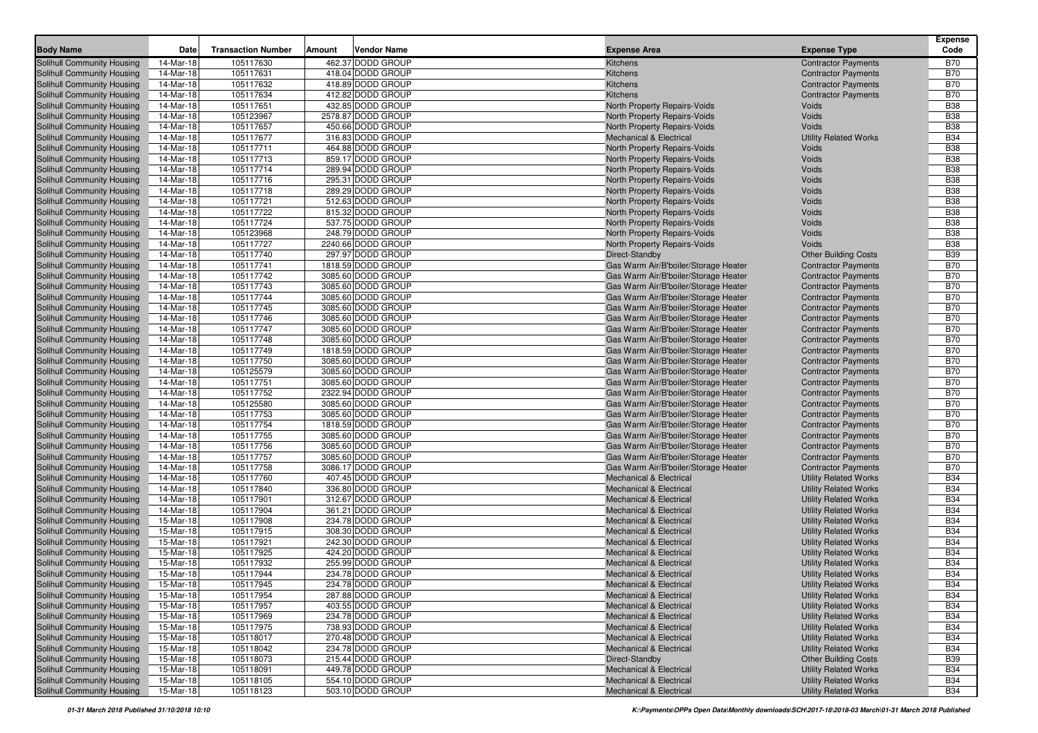|                                                          |                        |                           |                                        |                                                              |                                                           | <b>Expense</b>           |
|----------------------------------------------------------|------------------------|---------------------------|----------------------------------------|--------------------------------------------------------------|-----------------------------------------------------------|--------------------------|
| <b>Body Name</b>                                         | Date                   | <b>Transaction Number</b> | Amount<br><b>Vendor Name</b>           | <b>Expense Area</b>                                          | <b>Expense Type</b>                                       | Code                     |
| Solihull Community Housing                               | 14-Mar-18              | 105117630                 | 462.37 DODD GROUP                      | Kitchens                                                     | <b>Contractor Payments</b>                                | <b>B70</b>               |
| Solihull Community Housing                               | 14-Mar-18              | 105117631                 | 418.04 DODD GROUP                      | Kitchens                                                     | <b>Contractor Payments</b>                                | <b>B70</b>               |
| Solihull Community Housing                               | 14-Mar-18              | 105117632                 | 418.89 DODD GROUP                      | Kitchens                                                     | <b>Contractor Payments</b>                                | <b>B70</b>               |
| Solihull Community Housing                               | 14-Mar-18              | 105117634                 | 412.82 DODD GROUP                      | Kitchens                                                     | <b>Contractor Payments</b>                                | <b>B70</b>               |
| Solihull Community Housing                               | 14-Mar-18              | 105117651                 | 432.85 DODD GROUP                      | North Property Repairs-Voids                                 | Voids                                                     | <b>B38</b>               |
| Solihull Community Housing                               | 14-Mar-18              | 105123967                 | 2578.87 DODD GROUP                     | North Property Repairs-Voids                                 | Voids                                                     | <b>B38</b>               |
| Solihull Community Housing                               | 14-Mar-18              | 105117657                 | 450.66 DODD GROUP                      | North Property Repairs-Voids                                 | <b>Voids</b>                                              | <b>B38</b>               |
| Solihull Community Housing                               | 14-Mar-18              | 105117677                 | 316.83 DODD GROUP                      | <b>Mechanical &amp; Electrical</b>                           | <b>Utility Related Works</b>                              | <b>B34</b>               |
| Solihull Community Housing                               | 14-Mar-18              | 105117711                 | 464.88 DODD GROUP                      | North Property Repairs-Voids                                 | Voids                                                     | <b>B38</b>               |
| Solihull Community Housing                               | 14-Mar-18              | 105117713                 | 859.17 DODD GROUP                      | North Property Repairs-Voids                                 | Voids                                                     | <b>B38</b>               |
| Solihull Community Housing                               | 14-Mar-18              | 105117714                 | 289.94 DODD GROUP                      | North Property Repairs-Voids                                 | Voids                                                     | <b>B38</b>               |
| Solihull Community Housing                               | 14-Mar-18              | 105117716<br>105117718    | 295.31 DODD GROUP                      | North Property Repairs-Voids                                 | Voids                                                     | <b>B38</b><br><b>B38</b> |
| Solihull Community Housing                               | 14-Mar-18              | 105117721                 | 289.29 DODD GROUP                      | North Property Repairs-Voids                                 | Voids                                                     | <b>B38</b>               |
| Solihull Community Housing                               | 14-Mar-18              |                           | 512.63 DODD GROUP<br>815.32 DODD GROUP | North Property Repairs-Voids                                 | Voids<br>Voids                                            | <b>B38</b>               |
| Solihull Community Housing<br>Solihull Community Housing | 14-Mar-18<br>14-Mar-18 | 105117722<br>105117724    | 537.75 DODD GROUP                      | North Property Repairs-Voids                                 | Voids                                                     | <b>B38</b>               |
| Solihull Community Housing                               | 14-Mar-18              | 105123968                 | 248.79 DODD GROUP                      | North Property Repairs-Voids                                 | Voids                                                     | <b>B38</b>               |
| Solihull Community Housing                               | 14-Mar-18              | 105117727                 | 2240.66 DODD GROUP                     | North Property Repairs-Voids<br>North Property Repairs-Voids | Voids                                                     | <b>B38</b>               |
| Solihull Community Housing                               | 14-Mar-18              | 105117740                 | 297.97 DODD GROUP                      | Direct-Standby                                               |                                                           | <b>B39</b>               |
| Solihull Community Housing                               | 14-Mar-18              | 105117741                 | 1818.59 DODD GROUP                     | Gas Warm Air/B'boiler/Storage Heater                         | <b>Other Building Costs</b><br><b>Contractor Payments</b> | <b>B70</b>               |
| Solihull Community Housing                               | 14-Mar-18              | 105117742                 | 3085.60 DODD GROUP                     | Gas Warm Air/B'boiler/Storage Heater                         | <b>Contractor Payments</b>                                | <b>B70</b>               |
| Solihull Community Housing                               | 14-Mar-18              | 105117743                 | 3085.60 DODD GROUP                     | Gas Warm Air/B'boiler/Storage Heater                         | <b>Contractor Payments</b>                                | <b>B70</b>               |
| Solihull Community Housing                               | 14-Mar-18              | 105117744                 | 3085.60 DODD GROUP                     | Gas Warm Air/B'boiler/Storage Heater                         | <b>Contractor Payments</b>                                | <b>B70</b>               |
| Solihull Community Housing                               | 14-Mar-18              | 105117745                 | 3085.60 DODD GROUP                     | Gas Warm Air/B'boiler/Storage Heater                         | <b>Contractor Payments</b>                                | <b>B70</b>               |
| Solihull Community Housing                               | 14-Mar-18              | 105117746                 | 3085.60 DODD GROUP                     | Gas Warm Air/B'boiler/Storage Heater                         | <b>Contractor Payments</b>                                | <b>B70</b>               |
| Solihull Community Housing                               | 14-Mar-18              | 105117747                 | 3085.60 DODD GROUP                     | Gas Warm Air/B'boiler/Storage Heater                         | <b>Contractor Payments</b>                                | <b>B70</b>               |
| Solihull Community Housing                               | 14-Mar-18              | 105117748                 | 3085.60 DODD GROUP                     | Gas Warm Air/B'boiler/Storage Heater                         | <b>Contractor Payments</b>                                | <b>B70</b>               |
| Solihull Community Housing                               | 14-Mar-18              | 105117749                 | 1818.59 DODD GROUP                     | Gas Warm Air/B'boiler/Storage Heater                         | <b>Contractor Payments</b>                                | <b>B70</b>               |
| Solihull Community Housing                               | 14-Mar-18              | 105117750                 | 3085.60 DODD GROUP                     | Gas Warm Air/B'boiler/Storage Heater                         | <b>Contractor Payments</b>                                | <b>B70</b>               |
| Solihull Community Housing                               | 14-Mar-18              | 105125579                 | 3085.60 DODD GROUP                     | Gas Warm Air/B'boiler/Storage Heater                         | <b>Contractor Payments</b>                                | <b>B70</b>               |
| Solihull Community Housing                               | 14-Mar-18              | 105117751                 | 3085.60 DODD GROUP                     | Gas Warm Air/B'boiler/Storage Heater                         | <b>Contractor Payments</b>                                | <b>B70</b>               |
| Solihull Community Housing                               | 14-Mar-18              | 105117752                 | 2322.94 DODD GROUP                     | Gas Warm Air/B'boiler/Storage Heater                         | <b>Contractor Payments</b>                                | <b>B70</b>               |
| Solihull Community Housing                               | 14-Mar-18              | 105125580                 | 3085.60 DODD GROUP                     | Gas Warm Air/B'boiler/Storage Heater                         | <b>Contractor Payments</b>                                | <b>B70</b>               |
| Solihull Community Housing                               | 14-Mar-18              | 105117753                 | 3085.60 DODD GROUP                     | Gas Warm Air/B'boiler/Storage Heater                         | <b>Contractor Payments</b>                                | <b>B70</b>               |
| Solihull Community Housing                               | 14-Mar-18              | 105117754                 | 1818.59 DODD GROUP                     | Gas Warm Air/B'boiler/Storage Heater                         | <b>Contractor Payments</b>                                | <b>B70</b>               |
| Solihull Community Housing                               | 14-Mar-18              | 105117755                 | 3085.60 DODD GROUP                     | Gas Warm Air/B'boiler/Storage Heater                         | <b>Contractor Payments</b>                                | <b>B70</b>               |
| Solihull Community Housing                               | 14-Mar-18              | 105117756                 | 3085.60 DODD GROUP                     | Gas Warm Air/B'boiler/Storage Heater                         | <b>Contractor Payments</b>                                | <b>B70</b>               |
| Solihull Community Housing                               | 14-Mar-18              | 105117757                 | 3085.60 DODD GROUP                     | Gas Warm Air/B'boiler/Storage Heater                         | <b>Contractor Payments</b>                                | <b>B70</b>               |
| Solihull Community Housing                               | 14-Mar-18              | 105117758                 | 3086.17 DODD GROUP                     | Gas Warm Air/B'boiler/Storage Heater                         | <b>Contractor Payments</b>                                | <b>B70</b>               |
| Solihull Community Housing                               | 14-Mar-18              | 105117760                 | 407.45 DODD GROUP                      | <b>Mechanical &amp; Electrical</b>                           | <b>Utility Related Works</b>                              | <b>B34</b>               |
| Solihull Community Housing                               | 14-Mar-18              | 105117840                 | 336.80 DODD GROUP                      | <b>Mechanical &amp; Electrical</b>                           | <b>Utility Related Works</b>                              | <b>B34</b>               |
| Solihull Community Housing                               | 14-Mar-18              | 105117901                 | 312.67 DODD GROUP                      | <b>Mechanical &amp; Electrical</b>                           | <b>Utility Related Works</b>                              | <b>B34</b>               |
| Solihull Community Housing                               | 14-Mar-18              | 105117904                 | 361.21 DODD GROUP                      | <b>Mechanical &amp; Electrical</b>                           | <b>Utility Related Works</b>                              | <b>B34</b>               |
| Solihull Community Housing                               | 15-Mar-18              | 105117908                 | 234.78 DODD GROUP                      | <b>Mechanical &amp; Electrical</b>                           | <b>Utility Related Works</b>                              | <b>B34</b>               |
| Solihull Community Housing                               | 15-Mar-18              | 105117915                 | 308.30 DODD GROUP                      | <b>Mechanical &amp; Electrical</b>                           | <b>Utility Related Works</b>                              | <b>B34</b>               |
| Solihull Community Housing                               | 15-Mar-18              | 105117921                 | 242.30 DODD GROUP                      | <b>Mechanical &amp; Electrical</b>                           | <b>Utility Related Works</b>                              | <b>B34</b>               |
| Solihull Community Housing                               | 15-Mar-18              | 105117925                 | 424.20 DODD GROUP                      | <b>Mechanical &amp; Electrical</b>                           | <b>Utility Related Works</b>                              | <b>B34</b>               |
| Solihull Community Housing                               | 15-Mar-18              | 105117932                 | 255.99 DODD GROUP                      | <b>Mechanical &amp; Electrical</b>                           | <b>Utility Related Works</b>                              | <b>B34</b>               |
| Solihull Community Housing                               | 15-Mar-18              | 105117944                 | 234.78 DODD GROUP                      | <b>Mechanical &amp; Electrical</b>                           | <b>Utility Related Works</b>                              | <b>B34</b>               |
| Solihull Community Housing                               | 15-Mar-18              | 105117945                 | 234.78 DODD GROUP                      | <b>Mechanical &amp; Electrical</b>                           | <b>Utility Related Works</b>                              | <b>B34</b>               |
| Solihull Community Housing                               | 15-Mar-18              | 105117954                 | 287.88 DODD GROUP                      | <b>Mechanical &amp; Electrical</b>                           | <b>Utility Related Works</b>                              | <b>B34</b>               |
| Solihull Community Housing                               | 15-Mar-18              | 105117957                 | 403.55 DODD GROUP                      | <b>Mechanical &amp; Electrical</b>                           | <b>Utility Related Works</b>                              | <b>B34</b>               |
| Solihull Community Housing                               | 15-Mar-18              | 105117969                 | 234.78 DODD GROUP                      | <b>Mechanical &amp; Electrical</b>                           | <b>Utility Related Works</b>                              | B34                      |
| Solihull Community Housing                               | 15-Mar-18              | 105117975                 | 738.93 DODD GROUP                      | <b>Mechanical &amp; Electrical</b>                           | <b>Utility Related Works</b>                              | B34                      |
| Solihull Community Housing                               | 15-Mar-18              | 105118017                 | 270.48 DODD GROUP                      | Mechanical & Electrical                                      | <b>Utility Related Works</b>                              | <b>B34</b>               |
| Solihull Community Housing                               | 15-Mar-18              | 105118042                 | 234.78 DODD GROUP                      | Mechanical & Electrical                                      | <b>Utility Related Works</b>                              | <b>B34</b>               |
| Solihull Community Housing                               | 15-Mar-18              | 105118073                 | 215.44 DODD GROUP                      | Direct-Standby                                               | <b>Other Building Costs</b>                               | <b>B39</b>               |
| Solihull Community Housing                               | 15-Mar-18              | 105118091                 | 449.78 DODD GROUP                      | <b>Mechanical &amp; Electrical</b>                           | <b>Utility Related Works</b>                              | B34                      |
| Solihull Community Housing                               | 15-Mar-18              | 105118105                 | 554.10 DODD GROUP                      | <b>Mechanical &amp; Electrical</b>                           | <b>Utility Related Works</b>                              | <b>B34</b>               |
| Solihull Community Housing                               | 15-Mar-18              | 105118123                 | 503.10 DODD GROUP                      | <b>Mechanical &amp; Electrical</b>                           | <b>Utility Related Works</b>                              | B34                      |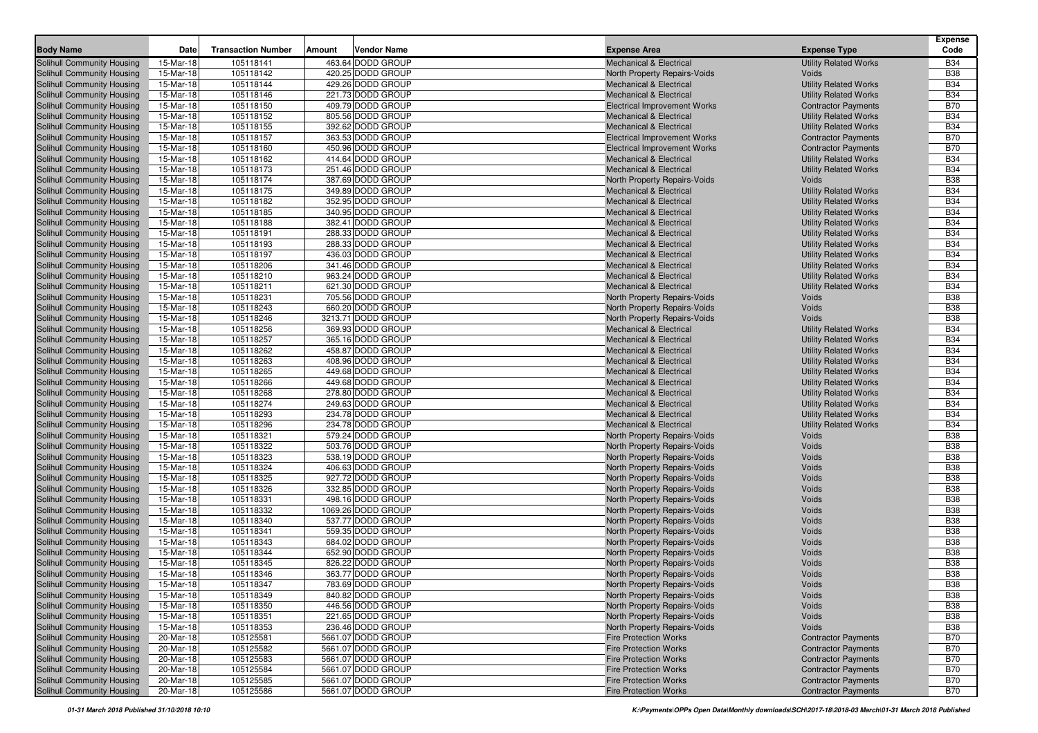| 463.64 DODD GROUP<br><b>Mechanical &amp; Electrical</b><br><b>Utility Related Works</b><br>Solihull Community Housing<br>15-Mar-18<br>105118141<br><b>B34</b><br><b>B38</b><br>Solihull Community Housing<br>15-Mar-18<br>105118142<br>420.25 DODD GROUP<br>North Property Repairs-Voids<br>Voids<br>105118144<br>429.26 DODD GROUP<br><b>B34</b><br>15-Mar-18<br><b>Utility Related Works</b><br>Solihull Community Housing<br><b>Mechanical &amp; Electrical</b><br>221.73 DODD GROUP<br><b>B34</b><br>15-Mar-18<br>105118146<br><b>Utility Related Works</b><br>Solihull Community Housing<br><b>Mechanical &amp; Electrical</b><br>409.79 DODD GROUP<br><b>B70</b><br>Solihull Community Housing<br>15-Mar-18<br>105118150<br><b>Contractor Payments</b><br><b>Electrical Improvement Works</b><br><b>B34</b><br>Solihull Community Housing<br>15-Mar-18<br>105118152<br>805.56 DODD GROUP<br><b>Utility Related Works</b><br><b>Mechanical &amp; Electrical</b><br><b>B34</b><br>15-Mar-18<br>105118155<br>392.62 DODD GROUP<br><b>Mechanical &amp; Electrical</b><br>Solihull Community Housing<br><b>Utility Related Works</b><br>105118157<br><b>B70</b><br>Solihull Community Housing<br>15-Mar-18<br>363.53 DODD GROUP<br><b>Electrical Improvement Works</b><br><b>Contractor Payments</b><br><b>B70</b><br>Solihull Community Housing<br>15-Mar-18<br>105118160<br>450.96 DODD GROUP<br><b>Electrical Improvement Works</b><br><b>Contractor Payments</b><br><b>B34</b><br>15-Mar-18<br>105118162<br>414.64 DODD GROUP<br><b>Mechanical &amp; Electrical</b><br><b>Utility Related Works</b><br><b>Solihull Community Housing</b><br>251.46 DODD GROUP<br><b>B34</b><br>Solihull Community Housing<br>15-Mar-18<br>105118173<br><b>Mechanical &amp; Electrical</b><br><b>Utility Related Works</b><br>387.69 DODD GROUP<br>Solihull Community Housing<br>15-Mar-18<br>105118174<br>Voids<br><b>B38</b><br>North Property Repairs-Voids<br>349.89 DODD GROUP<br><b>B34</b><br>Solihull Community Housing<br>15-Mar-18<br>105118175<br><b>Utility Related Works</b><br><b>Mechanical &amp; Electrical</b><br>15-Mar-18<br>105118182<br>352.95 DODD GROUP<br><b>B34</b><br>Solihull Community Housing<br><b>Mechanical &amp; Electrical</b><br><b>Utility Related Works</b><br><b>B34</b><br>Solihull Community Housing<br>15-Mar-18<br>105118185<br>340.95 DODD GROUP<br><b>Utility Related Works</b><br><b>Mechanical &amp; Electrical</b><br><b>B34</b><br>15-Mar-18<br>105118188<br>382.41 DODD GROUP<br>Solihull Community Housing<br><b>Mechanical &amp; Electrical</b><br><b>Utility Related Works</b><br><b>B34</b><br>Solihull Community Housing<br>15-Mar-18<br>105118191<br>288.33 DODD GROUP<br><b>Utility Related Works</b><br><b>Mechanical &amp; Electrical</b><br>288.33 DODD GROUP<br><b>B34</b><br>Solihull Community Housing<br>15-Mar-18<br>105118193<br><b>Utility Related Works</b><br><b>Mechanical &amp; Electrical</b><br><b>B34</b><br>Solihull Community Housing<br>15-Mar-18<br>105118197<br>436.03 DODD GROUP<br><b>Utility Related Works</b><br><b>Mechanical &amp; Electrical</b><br><b>B34</b><br>Solihull Community Housing<br>15-Mar-18<br>105118206<br>341.46 DODD GROUP<br><b>Utility Related Works</b><br><b>Mechanical &amp; Electrical</b><br>963.24 DODD GROUP<br><b>B34</b><br>15-Mar-18<br>105118210<br><b>Utility Related Works</b><br>Solihull Community Housing<br><b>Mechanical &amp; Electrical</b><br><b>B34</b><br>Solihull Community Housing<br>15-Mar-18<br>105118211<br>621.30 DODD GROUP<br><b>Utility Related Works</b><br><b>Mechanical &amp; Electrical</b><br><b>B38</b><br>Solihull Community Housing<br>15-Mar-18<br>105118231<br>705.56 DODD GROUP<br>Voids<br>North Property Repairs-Voids<br>105118243<br><b>B38</b><br>Solihull Community Housing<br>15-Mar-18<br>660.20 DODD GROUP<br>Voids<br>North Property Repairs-Voids<br>3213.71 DODD GROUP<br><b>B38</b><br>Solihull Community Housing<br>15-Mar-18<br>105118246<br>Voids<br>North Property Repairs-Voids<br>105118256<br>369.93 DODD GROUP<br><b>B34</b><br>Solihull Community Housing<br>15-Mar-18<br><b>Mechanical &amp; Electrical</b><br><b>Utility Related Works</b><br><b>B34</b><br>Solihull Community Housing<br>15-Mar-18<br>105118257<br>365.16 DODD GROUP<br><b>Utility Related Works</b><br><b>Mechanical &amp; Electrical</b><br>105118262<br>458.87 DODD GROUP<br><b>B34</b><br>15-Mar-18<br><b>Utility Related Works</b><br>Solihull Community Housing<br><b>Mechanical &amp; Electrical</b><br>105118263<br>408.96 DODD GROUP<br><b>B34</b><br>15-Mar-18<br><b>Utility Related Works</b><br>Solihull Community Housing<br><b>Mechanical &amp; Electrical</b><br>105118265<br>449.68 DODD GROUP<br><b>B34</b><br>Solihull Community Housing<br>15-Mar-18<br><b>Utility Related Works</b><br><b>Mechanical &amp; Electrical</b><br><b>B34</b><br>Solihull Community Housing<br>15-Mar-18<br>105118266<br>449.68 DODD GROUP<br><b>Utility Related Works</b><br><b>Mechanical &amp; Electrical</b><br><b>B34</b><br>15-Mar-18<br>105118268<br>278.80 DODD GROUP<br>Solihull Community Housing<br><b>Mechanical &amp; Electrical</b><br><b>Utility Related Works</b><br>105118274<br><b>B34</b><br>Solihull Community Housing<br>15-Mar-18<br>249.63 DODD GROUP<br><b>Utility Related Works</b><br><b>Mechanical &amp; Electrical</b><br><b>B34</b><br>Solihull Community Housing<br>15-Mar-18<br>105118293<br>234.78 DODD GROUP<br><b>Utility Related Works</b><br><b>Mechanical &amp; Electrical</b><br>234.78 DODD GROUP<br>Solihull Community Housing<br>15-Mar-18<br>105118296<br><b>Utility Related Works</b><br><b>B34</b><br><b>Mechanical &amp; Electrical</b><br><b>B38</b><br>Solihull Community Housing<br>15-Mar-18<br>105118321<br>579.24 DODD GROUP<br>Voids<br>North Property Repairs-Voids<br>503.76 DODD GROUP<br><b>B38</b><br>15-Mar-18<br>105118322<br>Voids<br>Solihull Community Housing<br>North Property Repairs-Voids<br>105118323<br><b>B38</b><br>Solihull Community Housing<br>15-Mar-18<br>538.19 DODD GROUP<br>North Property Repairs-Voids<br>Voids<br>105118324<br>406.63 DODD GROUP<br><b>B38</b><br>Solihull Community Housing<br>15-Mar-18<br>Voids<br>North Property Repairs-Voids<br><b>B38</b><br>Solihull Community Housing<br>15-Mar-18<br>105118325<br>927.72 DODD GROUP<br>Voids<br>North Property Repairs-Voids<br><b>B38</b><br>15-Mar-18<br>105118326<br>332.85 DODD GROUP<br>Voids<br>Solihull Community Housing<br>North Property Repairs-Voids<br><b>B38</b><br>Solihull Community Housing<br>15-Mar-18<br>105118331<br>498.16 DODD GROUP<br>Voids<br>North Property Repairs-Voids<br>1069.26 DODD GROUP<br><b>B38</b><br>Solihull Community Housing<br>15-Mar-18<br>105118332<br>Voids<br>North Property Repairs-Voids<br><b>B38</b><br>Solihull Community Housing<br>15-Mar-18<br>105118340<br>537.77 DODD GROUP<br>Voids<br>North Property Repairs-Voids<br><b>B38</b><br>Solihull Community Housing<br>15-Mar-18<br>105118341<br>559.35 DODD GROUP<br>Voids<br>North Property Repairs-Voids<br>684.02 DODD GROUP<br><b>B38</b><br>Solihull Community Housing<br>15-Mar-18<br>105118343<br>North Property Repairs-Voids<br>Voids<br>652.90 DODD GROUP<br><b>B38</b><br>Solihull Community Housing<br>15-Mar-18<br>105118344<br>Voids<br>North Property Repairs-Voids<br><b>B38</b><br>Solihull Community Housing<br>15-Mar-18<br>105118345<br>826.22 DODD GROUP<br>Voids<br>North Property Repairs-Voids<br><b>B38</b><br>Solihull Community Housing<br>15-Mar-18<br>105118346<br>363.77 DODD GROUP<br>Voids<br>North Property Repairs-Voids<br><b>Solihull Community Housing</b><br>105118347<br>783.69 DODD GROUP<br><b>B38</b><br>15-Mar-18<br>North Property Repairs-Voids<br>Voids<br>840.82 DODD GROUP<br>Solihull Community Housing<br>15-Mar-18<br>105118349<br>North Property Repairs-Voids<br>Voids<br><b>B38</b><br>446.56 DODD GROUP<br>Solihull Community Housing<br>15-Mar-18<br>105118350<br>North Property Repairs-Voids<br><b>B38</b><br>Voids<br>Solihull Community Housing<br>105118351<br>221.65 DODD GROUP<br>North Property Repairs-Voids<br><b>B38</b><br>15-Mar-18<br>Voids<br>236.46 DODD GROUP<br><b>B38</b><br>15-Mar-18<br>105118353<br>North Property Repairs-Voids<br>Voids<br>105125581<br>5661.07 DODD GROUP<br>Solihull Community Housing<br>20-Mar-18<br><b>Fire Protection Works</b><br><b>Contractor Payments</b><br><b>B70</b><br>Solihull Community Housing<br>105125582<br>5661.07 DODD GROUP<br>20-Mar-18<br><b>Fire Protection Works</b><br><b>Contractor Payments</b><br><b>B70</b><br>105125583<br>5661.07 DODD GROUP<br><b>B70</b><br>20-Mar-18<br><b>Fire Protection Works</b><br><b>Contractor Payments</b><br>Solihull Community Housing<br>20-Mar-18<br>105125584<br>5661.07 DODD GROUP<br><b>Contractor Payments</b><br><b>B70</b><br><b>Fire Protection Works</b><br>Solihull Community Housing<br>105125585<br>5661.07 DODD GROUP<br><b>B70</b><br>20-Mar-18<br><b>Fire Protection Works</b><br><b>Contractor Payments</b><br>5661.07 DODD GROUP<br>20-Mar-18<br>105125586<br><b>Fire Protection Works</b><br><b>Contractor Payments</b><br>B70 | <b>Body Name</b>           | Date | <b>Transaction Number</b> | Amount | <b>Vendor Name</b> | <b>Expense Area</b> | <b>Expense Type</b> | <b>Expense</b><br>Code |
|----------------------------------------------------------------------------------------------------------------------------------------------------------------------------------------------------------------------------------------------------------------------------------------------------------------------------------------------------------------------------------------------------------------------------------------------------------------------------------------------------------------------------------------------------------------------------------------------------------------------------------------------------------------------------------------------------------------------------------------------------------------------------------------------------------------------------------------------------------------------------------------------------------------------------------------------------------------------------------------------------------------------------------------------------------------------------------------------------------------------------------------------------------------------------------------------------------------------------------------------------------------------------------------------------------------------------------------------------------------------------------------------------------------------------------------------------------------------------------------------------------------------------------------------------------------------------------------------------------------------------------------------------------------------------------------------------------------------------------------------------------------------------------------------------------------------------------------------------------------------------------------------------------------------------------------------------------------------------------------------------------------------------------------------------------------------------------------------------------------------------------------------------------------------------------------------------------------------------------------------------------------------------------------------------------------------------------------------------------------------------------------------------------------------------------------------------------------------------------------------------------------------------------------------------------------------------------------------------------------------------------------------------------------------------------------------------------------------------------------------------------------------------------------------------------------------------------------------------------------------------------------------------------------------------------------------------------------------------------------------------------------------------------------------------------------------------------------------------------------------------------------------------------------------------------------------------------------------------------------------------------------------------------------------------------------------------------------------------------------------------------------------------------------------------------------------------------------------------------------------------------------------------------------------------------------------------------------------------------------------------------------------------------------------------------------------------------------------------------------------------------------------------------------------------------------------------------------------------------------------------------------------------------------------------------------------------------------------------------------------------------------------------------------------------------------------------------------------------------------------------------------------------------------------------------------------------------------------------------------------------------------------------------------------------------------------------------------------------------------------------------------------------------------------------------------------------------------------------------------------------------------------------------------------------------------------------------------------------------------------------------------------------------------------------------------------------------------------------------------------------------------------------------------------------------------------------------------------------------------------------------------------------------------------------------------------------------------------------------------------------------------------------------------------------------------------------------------------------------------------------------------------------------------------------------------------------------------------------------------------------------------------------------------------------------------------------------------------------------------------------------------------------------------------------------------------------------------------------------------------------------------------------------------------------------------------------------------------------------------------------------------------------------------------------------------------------------------------------------------------------------------------------------------------------------------------------------------------------------------------------------------------------------------------------------------------------------------------------------------------------------------------------------------------------------------------------------------------------------------------------------------------------------------------------------------------------------------------------------------------------------------------------------------------------------------------------------------------------------------------------------------------------------------------------------------------------------------------------------------------------------------------------------------------------------------------------------------------------------------------------------------------------------------------------------------------------------------------------------------------------------------------------------------------------------------------------------------------------------------------------------------------------------------------------------------------------------------------------------------------------------------------------------------------------------------------------------------------------------------------------------------------------------------------------------------------------------------------------------------------------------------------------------------------------------------------------------------------------------------------------------------------------------------------------------------------------------------------------------------------------------------------------------------------------------------------------------------------------------------------------------------------------------------------------------------------------------------------------------------------------------------------------------------------------------------------------------------------------------------------------------------------------------------------------------------------------------------------------------------------------------------------------------------------------------------------------------------------------------------------------------------------------------------------------------------------------------------------------------------------------------------------------------------------------------------------------------------------------------------------------------------------------------------------------------------------------------------------------------------------------------------------------------------------------------------------------------------------------------------------------------------------------------------------------------------------------------------------------------------------------------------------------------------------------------------------------------------------------------------------------------------------------------------------------------------------------------------------------------------------------------------------------------------------------------------------------------------------------------------------------------------------------------------------------------------------------|----------------------------|------|---------------------------|--------|--------------------|---------------------|---------------------|------------------------|
|                                                                                                                                                                                                                                                                                                                                                                                                                                                                                                                                                                                                                                                                                                                                                                                                                                                                                                                                                                                                                                                                                                                                                                                                                                                                                                                                                                                                                                                                                                                                                                                                                                                                                                                                                                                                                                                                                                                                                                                                                                                                                                                                                                                                                                                                                                                                                                                                                                                                                                                                                                                                                                                                                                                                                                                                                                                                                                                                                                                                                                                                                                                                                                                                                                                                                                                                                                                                                                                                                                                                                                                                                                                                                                                                                                                                                                                                                                                                                                                                                                                                                                                                                                                                                                                                                                                                                                                                                                                                                                                                                                                                                                                                                                                                                                                                                                                                                                                                                                                                                                                                                                                                                                                                                                                                                                                                                                                                                                                                                                                                                                                                                                                                                                                                                                                                                                                                                                                                                                                                                                                                                                                                                                                                                                                                                                                                                                                                                                                                                                                                                                                                                                                                                                                                                                                                                                                                                                                                                                                                                                                                                                                                                                                                                                                                                                                                                                                                                                                                                                                                                                                                                                                                                                                                                                                                                                                                                                                                                                                                                                                                                                                                                                                                                                                                                                                                                                                                                                                                                                                                                                                                                                                                                                                                                                                                                                                                                                                                                                                                                                                                                                                                                                                                    |                            |      |                           |        |                    |                     |                     |                        |
|                                                                                                                                                                                                                                                                                                                                                                                                                                                                                                                                                                                                                                                                                                                                                                                                                                                                                                                                                                                                                                                                                                                                                                                                                                                                                                                                                                                                                                                                                                                                                                                                                                                                                                                                                                                                                                                                                                                                                                                                                                                                                                                                                                                                                                                                                                                                                                                                                                                                                                                                                                                                                                                                                                                                                                                                                                                                                                                                                                                                                                                                                                                                                                                                                                                                                                                                                                                                                                                                                                                                                                                                                                                                                                                                                                                                                                                                                                                                                                                                                                                                                                                                                                                                                                                                                                                                                                                                                                                                                                                                                                                                                                                                                                                                                                                                                                                                                                                                                                                                                                                                                                                                                                                                                                                                                                                                                                                                                                                                                                                                                                                                                                                                                                                                                                                                                                                                                                                                                                                                                                                                                                                                                                                                                                                                                                                                                                                                                                                                                                                                                                                                                                                                                                                                                                                                                                                                                                                                                                                                                                                                                                                                                                                                                                                                                                                                                                                                                                                                                                                                                                                                                                                                                                                                                                                                                                                                                                                                                                                                                                                                                                                                                                                                                                                                                                                                                                                                                                                                                                                                                                                                                                                                                                                                                                                                                                                                                                                                                                                                                                                                                                                                                                                                    |                            |      |                           |        |                    |                     |                     |                        |
|                                                                                                                                                                                                                                                                                                                                                                                                                                                                                                                                                                                                                                                                                                                                                                                                                                                                                                                                                                                                                                                                                                                                                                                                                                                                                                                                                                                                                                                                                                                                                                                                                                                                                                                                                                                                                                                                                                                                                                                                                                                                                                                                                                                                                                                                                                                                                                                                                                                                                                                                                                                                                                                                                                                                                                                                                                                                                                                                                                                                                                                                                                                                                                                                                                                                                                                                                                                                                                                                                                                                                                                                                                                                                                                                                                                                                                                                                                                                                                                                                                                                                                                                                                                                                                                                                                                                                                                                                                                                                                                                                                                                                                                                                                                                                                                                                                                                                                                                                                                                                                                                                                                                                                                                                                                                                                                                                                                                                                                                                                                                                                                                                                                                                                                                                                                                                                                                                                                                                                                                                                                                                                                                                                                                                                                                                                                                                                                                                                                                                                                                                                                                                                                                                                                                                                                                                                                                                                                                                                                                                                                                                                                                                                                                                                                                                                                                                                                                                                                                                                                                                                                                                                                                                                                                                                                                                                                                                                                                                                                                                                                                                                                                                                                                                                                                                                                                                                                                                                                                                                                                                                                                                                                                                                                                                                                                                                                                                                                                                                                                                                                                                                                                                                                                    |                            |      |                           |        |                    |                     |                     |                        |
|                                                                                                                                                                                                                                                                                                                                                                                                                                                                                                                                                                                                                                                                                                                                                                                                                                                                                                                                                                                                                                                                                                                                                                                                                                                                                                                                                                                                                                                                                                                                                                                                                                                                                                                                                                                                                                                                                                                                                                                                                                                                                                                                                                                                                                                                                                                                                                                                                                                                                                                                                                                                                                                                                                                                                                                                                                                                                                                                                                                                                                                                                                                                                                                                                                                                                                                                                                                                                                                                                                                                                                                                                                                                                                                                                                                                                                                                                                                                                                                                                                                                                                                                                                                                                                                                                                                                                                                                                                                                                                                                                                                                                                                                                                                                                                                                                                                                                                                                                                                                                                                                                                                                                                                                                                                                                                                                                                                                                                                                                                                                                                                                                                                                                                                                                                                                                                                                                                                                                                                                                                                                                                                                                                                                                                                                                                                                                                                                                                                                                                                                                                                                                                                                                                                                                                                                                                                                                                                                                                                                                                                                                                                                                                                                                                                                                                                                                                                                                                                                                                                                                                                                                                                                                                                                                                                                                                                                                                                                                                                                                                                                                                                                                                                                                                                                                                                                                                                                                                                                                                                                                                                                                                                                                                                                                                                                                                                                                                                                                                                                                                                                                                                                                                                                    |                            |      |                           |        |                    |                     |                     |                        |
|                                                                                                                                                                                                                                                                                                                                                                                                                                                                                                                                                                                                                                                                                                                                                                                                                                                                                                                                                                                                                                                                                                                                                                                                                                                                                                                                                                                                                                                                                                                                                                                                                                                                                                                                                                                                                                                                                                                                                                                                                                                                                                                                                                                                                                                                                                                                                                                                                                                                                                                                                                                                                                                                                                                                                                                                                                                                                                                                                                                                                                                                                                                                                                                                                                                                                                                                                                                                                                                                                                                                                                                                                                                                                                                                                                                                                                                                                                                                                                                                                                                                                                                                                                                                                                                                                                                                                                                                                                                                                                                                                                                                                                                                                                                                                                                                                                                                                                                                                                                                                                                                                                                                                                                                                                                                                                                                                                                                                                                                                                                                                                                                                                                                                                                                                                                                                                                                                                                                                                                                                                                                                                                                                                                                                                                                                                                                                                                                                                                                                                                                                                                                                                                                                                                                                                                                                                                                                                                                                                                                                                                                                                                                                                                                                                                                                                                                                                                                                                                                                                                                                                                                                                                                                                                                                                                                                                                                                                                                                                                                                                                                                                                                                                                                                                                                                                                                                                                                                                                                                                                                                                                                                                                                                                                                                                                                                                                                                                                                                                                                                                                                                                                                                                                                    |                            |      |                           |        |                    |                     |                     |                        |
|                                                                                                                                                                                                                                                                                                                                                                                                                                                                                                                                                                                                                                                                                                                                                                                                                                                                                                                                                                                                                                                                                                                                                                                                                                                                                                                                                                                                                                                                                                                                                                                                                                                                                                                                                                                                                                                                                                                                                                                                                                                                                                                                                                                                                                                                                                                                                                                                                                                                                                                                                                                                                                                                                                                                                                                                                                                                                                                                                                                                                                                                                                                                                                                                                                                                                                                                                                                                                                                                                                                                                                                                                                                                                                                                                                                                                                                                                                                                                                                                                                                                                                                                                                                                                                                                                                                                                                                                                                                                                                                                                                                                                                                                                                                                                                                                                                                                                                                                                                                                                                                                                                                                                                                                                                                                                                                                                                                                                                                                                                                                                                                                                                                                                                                                                                                                                                                                                                                                                                                                                                                                                                                                                                                                                                                                                                                                                                                                                                                                                                                                                                                                                                                                                                                                                                                                                                                                                                                                                                                                                                                                                                                                                                                                                                                                                                                                                                                                                                                                                                                                                                                                                                                                                                                                                                                                                                                                                                                                                                                                                                                                                                                                                                                                                                                                                                                                                                                                                                                                                                                                                                                                                                                                                                                                                                                                                                                                                                                                                                                                                                                                                                                                                                                                    |                            |      |                           |        |                    |                     |                     |                        |
|                                                                                                                                                                                                                                                                                                                                                                                                                                                                                                                                                                                                                                                                                                                                                                                                                                                                                                                                                                                                                                                                                                                                                                                                                                                                                                                                                                                                                                                                                                                                                                                                                                                                                                                                                                                                                                                                                                                                                                                                                                                                                                                                                                                                                                                                                                                                                                                                                                                                                                                                                                                                                                                                                                                                                                                                                                                                                                                                                                                                                                                                                                                                                                                                                                                                                                                                                                                                                                                                                                                                                                                                                                                                                                                                                                                                                                                                                                                                                                                                                                                                                                                                                                                                                                                                                                                                                                                                                                                                                                                                                                                                                                                                                                                                                                                                                                                                                                                                                                                                                                                                                                                                                                                                                                                                                                                                                                                                                                                                                                                                                                                                                                                                                                                                                                                                                                                                                                                                                                                                                                                                                                                                                                                                                                                                                                                                                                                                                                                                                                                                                                                                                                                                                                                                                                                                                                                                                                                                                                                                                                                                                                                                                                                                                                                                                                                                                                                                                                                                                                                                                                                                                                                                                                                                                                                                                                                                                                                                                                                                                                                                                                                                                                                                                                                                                                                                                                                                                                                                                                                                                                                                                                                                                                                                                                                                                                                                                                                                                                                                                                                                                                                                                                                                    |                            |      |                           |        |                    |                     |                     |                        |
|                                                                                                                                                                                                                                                                                                                                                                                                                                                                                                                                                                                                                                                                                                                                                                                                                                                                                                                                                                                                                                                                                                                                                                                                                                                                                                                                                                                                                                                                                                                                                                                                                                                                                                                                                                                                                                                                                                                                                                                                                                                                                                                                                                                                                                                                                                                                                                                                                                                                                                                                                                                                                                                                                                                                                                                                                                                                                                                                                                                                                                                                                                                                                                                                                                                                                                                                                                                                                                                                                                                                                                                                                                                                                                                                                                                                                                                                                                                                                                                                                                                                                                                                                                                                                                                                                                                                                                                                                                                                                                                                                                                                                                                                                                                                                                                                                                                                                                                                                                                                                                                                                                                                                                                                                                                                                                                                                                                                                                                                                                                                                                                                                                                                                                                                                                                                                                                                                                                                                                                                                                                                                                                                                                                                                                                                                                                                                                                                                                                                                                                                                                                                                                                                                                                                                                                                                                                                                                                                                                                                                                                                                                                                                                                                                                                                                                                                                                                                                                                                                                                                                                                                                                                                                                                                                                                                                                                                                                                                                                                                                                                                                                                                                                                                                                                                                                                                                                                                                                                                                                                                                                                                                                                                                                                                                                                                                                                                                                                                                                                                                                                                                                                                                                                                    |                            |      |                           |        |                    |                     |                     |                        |
|                                                                                                                                                                                                                                                                                                                                                                                                                                                                                                                                                                                                                                                                                                                                                                                                                                                                                                                                                                                                                                                                                                                                                                                                                                                                                                                                                                                                                                                                                                                                                                                                                                                                                                                                                                                                                                                                                                                                                                                                                                                                                                                                                                                                                                                                                                                                                                                                                                                                                                                                                                                                                                                                                                                                                                                                                                                                                                                                                                                                                                                                                                                                                                                                                                                                                                                                                                                                                                                                                                                                                                                                                                                                                                                                                                                                                                                                                                                                                                                                                                                                                                                                                                                                                                                                                                                                                                                                                                                                                                                                                                                                                                                                                                                                                                                                                                                                                                                                                                                                                                                                                                                                                                                                                                                                                                                                                                                                                                                                                                                                                                                                                                                                                                                                                                                                                                                                                                                                                                                                                                                                                                                                                                                                                                                                                                                                                                                                                                                                                                                                                                                                                                                                                                                                                                                                                                                                                                                                                                                                                                                                                                                                                                                                                                                                                                                                                                                                                                                                                                                                                                                                                                                                                                                                                                                                                                                                                                                                                                                                                                                                                                                                                                                                                                                                                                                                                                                                                                                                                                                                                                                                                                                                                                                                                                                                                                                                                                                                                                                                                                                                                                                                                                                                    |                            |      |                           |        |                    |                     |                     |                        |
|                                                                                                                                                                                                                                                                                                                                                                                                                                                                                                                                                                                                                                                                                                                                                                                                                                                                                                                                                                                                                                                                                                                                                                                                                                                                                                                                                                                                                                                                                                                                                                                                                                                                                                                                                                                                                                                                                                                                                                                                                                                                                                                                                                                                                                                                                                                                                                                                                                                                                                                                                                                                                                                                                                                                                                                                                                                                                                                                                                                                                                                                                                                                                                                                                                                                                                                                                                                                                                                                                                                                                                                                                                                                                                                                                                                                                                                                                                                                                                                                                                                                                                                                                                                                                                                                                                                                                                                                                                                                                                                                                                                                                                                                                                                                                                                                                                                                                                                                                                                                                                                                                                                                                                                                                                                                                                                                                                                                                                                                                                                                                                                                                                                                                                                                                                                                                                                                                                                                                                                                                                                                                                                                                                                                                                                                                                                                                                                                                                                                                                                                                                                                                                                                                                                                                                                                                                                                                                                                                                                                                                                                                                                                                                                                                                                                                                                                                                                                                                                                                                                                                                                                                                                                                                                                                                                                                                                                                                                                                                                                                                                                                                                                                                                                                                                                                                                                                                                                                                                                                                                                                                                                                                                                                                                                                                                                                                                                                                                                                                                                                                                                                                                                                                                                    |                            |      |                           |        |                    |                     |                     |                        |
|                                                                                                                                                                                                                                                                                                                                                                                                                                                                                                                                                                                                                                                                                                                                                                                                                                                                                                                                                                                                                                                                                                                                                                                                                                                                                                                                                                                                                                                                                                                                                                                                                                                                                                                                                                                                                                                                                                                                                                                                                                                                                                                                                                                                                                                                                                                                                                                                                                                                                                                                                                                                                                                                                                                                                                                                                                                                                                                                                                                                                                                                                                                                                                                                                                                                                                                                                                                                                                                                                                                                                                                                                                                                                                                                                                                                                                                                                                                                                                                                                                                                                                                                                                                                                                                                                                                                                                                                                                                                                                                                                                                                                                                                                                                                                                                                                                                                                                                                                                                                                                                                                                                                                                                                                                                                                                                                                                                                                                                                                                                                                                                                                                                                                                                                                                                                                                                                                                                                                                                                                                                                                                                                                                                                                                                                                                                                                                                                                                                                                                                                                                                                                                                                                                                                                                                                                                                                                                                                                                                                                                                                                                                                                                                                                                                                                                                                                                                                                                                                                                                                                                                                                                                                                                                                                                                                                                                                                                                                                                                                                                                                                                                                                                                                                                                                                                                                                                                                                                                                                                                                                                                                                                                                                                                                                                                                                                                                                                                                                                                                                                                                                                                                                                                                    |                            |      |                           |        |                    |                     |                     |                        |
|                                                                                                                                                                                                                                                                                                                                                                                                                                                                                                                                                                                                                                                                                                                                                                                                                                                                                                                                                                                                                                                                                                                                                                                                                                                                                                                                                                                                                                                                                                                                                                                                                                                                                                                                                                                                                                                                                                                                                                                                                                                                                                                                                                                                                                                                                                                                                                                                                                                                                                                                                                                                                                                                                                                                                                                                                                                                                                                                                                                                                                                                                                                                                                                                                                                                                                                                                                                                                                                                                                                                                                                                                                                                                                                                                                                                                                                                                                                                                                                                                                                                                                                                                                                                                                                                                                                                                                                                                                                                                                                                                                                                                                                                                                                                                                                                                                                                                                                                                                                                                                                                                                                                                                                                                                                                                                                                                                                                                                                                                                                                                                                                                                                                                                                                                                                                                                                                                                                                                                                                                                                                                                                                                                                                                                                                                                                                                                                                                                                                                                                                                                                                                                                                                                                                                                                                                                                                                                                                                                                                                                                                                                                                                                                                                                                                                                                                                                                                                                                                                                                                                                                                                                                                                                                                                                                                                                                                                                                                                                                                                                                                                                                                                                                                                                                                                                                                                                                                                                                                                                                                                                                                                                                                                                                                                                                                                                                                                                                                                                                                                                                                                                                                                                                                    |                            |      |                           |        |                    |                     |                     |                        |
|                                                                                                                                                                                                                                                                                                                                                                                                                                                                                                                                                                                                                                                                                                                                                                                                                                                                                                                                                                                                                                                                                                                                                                                                                                                                                                                                                                                                                                                                                                                                                                                                                                                                                                                                                                                                                                                                                                                                                                                                                                                                                                                                                                                                                                                                                                                                                                                                                                                                                                                                                                                                                                                                                                                                                                                                                                                                                                                                                                                                                                                                                                                                                                                                                                                                                                                                                                                                                                                                                                                                                                                                                                                                                                                                                                                                                                                                                                                                                                                                                                                                                                                                                                                                                                                                                                                                                                                                                                                                                                                                                                                                                                                                                                                                                                                                                                                                                                                                                                                                                                                                                                                                                                                                                                                                                                                                                                                                                                                                                                                                                                                                                                                                                                                                                                                                                                                                                                                                                                                                                                                                                                                                                                                                                                                                                                                                                                                                                                                                                                                                                                                                                                                                                                                                                                                                                                                                                                                                                                                                                                                                                                                                                                                                                                                                                                                                                                                                                                                                                                                                                                                                                                                                                                                                                                                                                                                                                                                                                                                                                                                                                                                                                                                                                                                                                                                                                                                                                                                                                                                                                                                                                                                                                                                                                                                                                                                                                                                                                                                                                                                                                                                                                                                                    |                            |      |                           |        |                    |                     |                     |                        |
|                                                                                                                                                                                                                                                                                                                                                                                                                                                                                                                                                                                                                                                                                                                                                                                                                                                                                                                                                                                                                                                                                                                                                                                                                                                                                                                                                                                                                                                                                                                                                                                                                                                                                                                                                                                                                                                                                                                                                                                                                                                                                                                                                                                                                                                                                                                                                                                                                                                                                                                                                                                                                                                                                                                                                                                                                                                                                                                                                                                                                                                                                                                                                                                                                                                                                                                                                                                                                                                                                                                                                                                                                                                                                                                                                                                                                                                                                                                                                                                                                                                                                                                                                                                                                                                                                                                                                                                                                                                                                                                                                                                                                                                                                                                                                                                                                                                                                                                                                                                                                                                                                                                                                                                                                                                                                                                                                                                                                                                                                                                                                                                                                                                                                                                                                                                                                                                                                                                                                                                                                                                                                                                                                                                                                                                                                                                                                                                                                                                                                                                                                                                                                                                                                                                                                                                                                                                                                                                                                                                                                                                                                                                                                                                                                                                                                                                                                                                                                                                                                                                                                                                                                                                                                                                                                                                                                                                                                                                                                                                                                                                                                                                                                                                                                                                                                                                                                                                                                                                                                                                                                                                                                                                                                                                                                                                                                                                                                                                                                                                                                                                                                                                                                                                                    |                            |      |                           |        |                    |                     |                     |                        |
|                                                                                                                                                                                                                                                                                                                                                                                                                                                                                                                                                                                                                                                                                                                                                                                                                                                                                                                                                                                                                                                                                                                                                                                                                                                                                                                                                                                                                                                                                                                                                                                                                                                                                                                                                                                                                                                                                                                                                                                                                                                                                                                                                                                                                                                                                                                                                                                                                                                                                                                                                                                                                                                                                                                                                                                                                                                                                                                                                                                                                                                                                                                                                                                                                                                                                                                                                                                                                                                                                                                                                                                                                                                                                                                                                                                                                                                                                                                                                                                                                                                                                                                                                                                                                                                                                                                                                                                                                                                                                                                                                                                                                                                                                                                                                                                                                                                                                                                                                                                                                                                                                                                                                                                                                                                                                                                                                                                                                                                                                                                                                                                                                                                                                                                                                                                                                                                                                                                                                                                                                                                                                                                                                                                                                                                                                                                                                                                                                                                                                                                                                                                                                                                                                                                                                                                                                                                                                                                                                                                                                                                                                                                                                                                                                                                                                                                                                                                                                                                                                                                                                                                                                                                                                                                                                                                                                                                                                                                                                                                                                                                                                                                                                                                                                                                                                                                                                                                                                                                                                                                                                                                                                                                                                                                                                                                                                                                                                                                                                                                                                                                                                                                                                                                                    |                            |      |                           |        |                    |                     |                     |                        |
|                                                                                                                                                                                                                                                                                                                                                                                                                                                                                                                                                                                                                                                                                                                                                                                                                                                                                                                                                                                                                                                                                                                                                                                                                                                                                                                                                                                                                                                                                                                                                                                                                                                                                                                                                                                                                                                                                                                                                                                                                                                                                                                                                                                                                                                                                                                                                                                                                                                                                                                                                                                                                                                                                                                                                                                                                                                                                                                                                                                                                                                                                                                                                                                                                                                                                                                                                                                                                                                                                                                                                                                                                                                                                                                                                                                                                                                                                                                                                                                                                                                                                                                                                                                                                                                                                                                                                                                                                                                                                                                                                                                                                                                                                                                                                                                                                                                                                                                                                                                                                                                                                                                                                                                                                                                                                                                                                                                                                                                                                                                                                                                                                                                                                                                                                                                                                                                                                                                                                                                                                                                                                                                                                                                                                                                                                                                                                                                                                                                                                                                                                                                                                                                                                                                                                                                                                                                                                                                                                                                                                                                                                                                                                                                                                                                                                                                                                                                                                                                                                                                                                                                                                                                                                                                                                                                                                                                                                                                                                                                                                                                                                                                                                                                                                                                                                                                                                                                                                                                                                                                                                                                                                                                                                                                                                                                                                                                                                                                                                                                                                                                                                                                                                                                                    |                            |      |                           |        |                    |                     |                     |                        |
|                                                                                                                                                                                                                                                                                                                                                                                                                                                                                                                                                                                                                                                                                                                                                                                                                                                                                                                                                                                                                                                                                                                                                                                                                                                                                                                                                                                                                                                                                                                                                                                                                                                                                                                                                                                                                                                                                                                                                                                                                                                                                                                                                                                                                                                                                                                                                                                                                                                                                                                                                                                                                                                                                                                                                                                                                                                                                                                                                                                                                                                                                                                                                                                                                                                                                                                                                                                                                                                                                                                                                                                                                                                                                                                                                                                                                                                                                                                                                                                                                                                                                                                                                                                                                                                                                                                                                                                                                                                                                                                                                                                                                                                                                                                                                                                                                                                                                                                                                                                                                                                                                                                                                                                                                                                                                                                                                                                                                                                                                                                                                                                                                                                                                                                                                                                                                                                                                                                                                                                                                                                                                                                                                                                                                                                                                                                                                                                                                                                                                                                                                                                                                                                                                                                                                                                                                                                                                                                                                                                                                                                                                                                                                                                                                                                                                                                                                                                                                                                                                                                                                                                                                                                                                                                                                                                                                                                                                                                                                                                                                                                                                                                                                                                                                                                                                                                                                                                                                                                                                                                                                                                                                                                                                                                                                                                                                                                                                                                                                                                                                                                                                                                                                                                                    |                            |      |                           |        |                    |                     |                     |                        |
|                                                                                                                                                                                                                                                                                                                                                                                                                                                                                                                                                                                                                                                                                                                                                                                                                                                                                                                                                                                                                                                                                                                                                                                                                                                                                                                                                                                                                                                                                                                                                                                                                                                                                                                                                                                                                                                                                                                                                                                                                                                                                                                                                                                                                                                                                                                                                                                                                                                                                                                                                                                                                                                                                                                                                                                                                                                                                                                                                                                                                                                                                                                                                                                                                                                                                                                                                                                                                                                                                                                                                                                                                                                                                                                                                                                                                                                                                                                                                                                                                                                                                                                                                                                                                                                                                                                                                                                                                                                                                                                                                                                                                                                                                                                                                                                                                                                                                                                                                                                                                                                                                                                                                                                                                                                                                                                                                                                                                                                                                                                                                                                                                                                                                                                                                                                                                                                                                                                                                                                                                                                                                                                                                                                                                                                                                                                                                                                                                                                                                                                                                                                                                                                                                                                                                                                                                                                                                                                                                                                                                                                                                                                                                                                                                                                                                                                                                                                                                                                                                                                                                                                                                                                                                                                                                                                                                                                                                                                                                                                                                                                                                                                                                                                                                                                                                                                                                                                                                                                                                                                                                                                                                                                                                                                                                                                                                                                                                                                                                                                                                                                                                                                                                                                                    |                            |      |                           |        |                    |                     |                     |                        |
|                                                                                                                                                                                                                                                                                                                                                                                                                                                                                                                                                                                                                                                                                                                                                                                                                                                                                                                                                                                                                                                                                                                                                                                                                                                                                                                                                                                                                                                                                                                                                                                                                                                                                                                                                                                                                                                                                                                                                                                                                                                                                                                                                                                                                                                                                                                                                                                                                                                                                                                                                                                                                                                                                                                                                                                                                                                                                                                                                                                                                                                                                                                                                                                                                                                                                                                                                                                                                                                                                                                                                                                                                                                                                                                                                                                                                                                                                                                                                                                                                                                                                                                                                                                                                                                                                                                                                                                                                                                                                                                                                                                                                                                                                                                                                                                                                                                                                                                                                                                                                                                                                                                                                                                                                                                                                                                                                                                                                                                                                                                                                                                                                                                                                                                                                                                                                                                                                                                                                                                                                                                                                                                                                                                                                                                                                                                                                                                                                                                                                                                                                                                                                                                                                                                                                                                                                                                                                                                                                                                                                                                                                                                                                                                                                                                                                                                                                                                                                                                                                                                                                                                                                                                                                                                                                                                                                                                                                                                                                                                                                                                                                                                                                                                                                                                                                                                                                                                                                                                                                                                                                                                                                                                                                                                                                                                                                                                                                                                                                                                                                                                                                                                                                                                                    |                            |      |                           |        |                    |                     |                     |                        |
|                                                                                                                                                                                                                                                                                                                                                                                                                                                                                                                                                                                                                                                                                                                                                                                                                                                                                                                                                                                                                                                                                                                                                                                                                                                                                                                                                                                                                                                                                                                                                                                                                                                                                                                                                                                                                                                                                                                                                                                                                                                                                                                                                                                                                                                                                                                                                                                                                                                                                                                                                                                                                                                                                                                                                                                                                                                                                                                                                                                                                                                                                                                                                                                                                                                                                                                                                                                                                                                                                                                                                                                                                                                                                                                                                                                                                                                                                                                                                                                                                                                                                                                                                                                                                                                                                                                                                                                                                                                                                                                                                                                                                                                                                                                                                                                                                                                                                                                                                                                                                                                                                                                                                                                                                                                                                                                                                                                                                                                                                                                                                                                                                                                                                                                                                                                                                                                                                                                                                                                                                                                                                                                                                                                                                                                                                                                                                                                                                                                                                                                                                                                                                                                                                                                                                                                                                                                                                                                                                                                                                                                                                                                                                                                                                                                                                                                                                                                                                                                                                                                                                                                                                                                                                                                                                                                                                                                                                                                                                                                                                                                                                                                                                                                                                                                                                                                                                                                                                                                                                                                                                                                                                                                                                                                                                                                                                                                                                                                                                                                                                                                                                                                                                                                                    |                            |      |                           |        |                    |                     |                     |                        |
|                                                                                                                                                                                                                                                                                                                                                                                                                                                                                                                                                                                                                                                                                                                                                                                                                                                                                                                                                                                                                                                                                                                                                                                                                                                                                                                                                                                                                                                                                                                                                                                                                                                                                                                                                                                                                                                                                                                                                                                                                                                                                                                                                                                                                                                                                                                                                                                                                                                                                                                                                                                                                                                                                                                                                                                                                                                                                                                                                                                                                                                                                                                                                                                                                                                                                                                                                                                                                                                                                                                                                                                                                                                                                                                                                                                                                                                                                                                                                                                                                                                                                                                                                                                                                                                                                                                                                                                                                                                                                                                                                                                                                                                                                                                                                                                                                                                                                                                                                                                                                                                                                                                                                                                                                                                                                                                                                                                                                                                                                                                                                                                                                                                                                                                                                                                                                                                                                                                                                                                                                                                                                                                                                                                                                                                                                                                                                                                                                                                                                                                                                                                                                                                                                                                                                                                                                                                                                                                                                                                                                                                                                                                                                                                                                                                                                                                                                                                                                                                                                                                                                                                                                                                                                                                                                                                                                                                                                                                                                                                                                                                                                                                                                                                                                                                                                                                                                                                                                                                                                                                                                                                                                                                                                                                                                                                                                                                                                                                                                                                                                                                                                                                                                                                                    |                            |      |                           |        |                    |                     |                     |                        |
|                                                                                                                                                                                                                                                                                                                                                                                                                                                                                                                                                                                                                                                                                                                                                                                                                                                                                                                                                                                                                                                                                                                                                                                                                                                                                                                                                                                                                                                                                                                                                                                                                                                                                                                                                                                                                                                                                                                                                                                                                                                                                                                                                                                                                                                                                                                                                                                                                                                                                                                                                                                                                                                                                                                                                                                                                                                                                                                                                                                                                                                                                                                                                                                                                                                                                                                                                                                                                                                                                                                                                                                                                                                                                                                                                                                                                                                                                                                                                                                                                                                                                                                                                                                                                                                                                                                                                                                                                                                                                                                                                                                                                                                                                                                                                                                                                                                                                                                                                                                                                                                                                                                                                                                                                                                                                                                                                                                                                                                                                                                                                                                                                                                                                                                                                                                                                                                                                                                                                                                                                                                                                                                                                                                                                                                                                                                                                                                                                                                                                                                                                                                                                                                                                                                                                                                                                                                                                                                                                                                                                                                                                                                                                                                                                                                                                                                                                                                                                                                                                                                                                                                                                                                                                                                                                                                                                                                                                                                                                                                                                                                                                                                                                                                                                                                                                                                                                                                                                                                                                                                                                                                                                                                                                                                                                                                                                                                                                                                                                                                                                                                                                                                                                                                                    |                            |      |                           |        |                    |                     |                     |                        |
|                                                                                                                                                                                                                                                                                                                                                                                                                                                                                                                                                                                                                                                                                                                                                                                                                                                                                                                                                                                                                                                                                                                                                                                                                                                                                                                                                                                                                                                                                                                                                                                                                                                                                                                                                                                                                                                                                                                                                                                                                                                                                                                                                                                                                                                                                                                                                                                                                                                                                                                                                                                                                                                                                                                                                                                                                                                                                                                                                                                                                                                                                                                                                                                                                                                                                                                                                                                                                                                                                                                                                                                                                                                                                                                                                                                                                                                                                                                                                                                                                                                                                                                                                                                                                                                                                                                                                                                                                                                                                                                                                                                                                                                                                                                                                                                                                                                                                                                                                                                                                                                                                                                                                                                                                                                                                                                                                                                                                                                                                                                                                                                                                                                                                                                                                                                                                                                                                                                                                                                                                                                                                                                                                                                                                                                                                                                                                                                                                                                                                                                                                                                                                                                                                                                                                                                                                                                                                                                                                                                                                                                                                                                                                                                                                                                                                                                                                                                                                                                                                                                                                                                                                                                                                                                                                                                                                                                                                                                                                                                                                                                                                                                                                                                                                                                                                                                                                                                                                                                                                                                                                                                                                                                                                                                                                                                                                                                                                                                                                                                                                                                                                                                                                                                                    |                            |      |                           |        |                    |                     |                     |                        |
|                                                                                                                                                                                                                                                                                                                                                                                                                                                                                                                                                                                                                                                                                                                                                                                                                                                                                                                                                                                                                                                                                                                                                                                                                                                                                                                                                                                                                                                                                                                                                                                                                                                                                                                                                                                                                                                                                                                                                                                                                                                                                                                                                                                                                                                                                                                                                                                                                                                                                                                                                                                                                                                                                                                                                                                                                                                                                                                                                                                                                                                                                                                                                                                                                                                                                                                                                                                                                                                                                                                                                                                                                                                                                                                                                                                                                                                                                                                                                                                                                                                                                                                                                                                                                                                                                                                                                                                                                                                                                                                                                                                                                                                                                                                                                                                                                                                                                                                                                                                                                                                                                                                                                                                                                                                                                                                                                                                                                                                                                                                                                                                                                                                                                                                                                                                                                                                                                                                                                                                                                                                                                                                                                                                                                                                                                                                                                                                                                                                                                                                                                                                                                                                                                                                                                                                                                                                                                                                                                                                                                                                                                                                                                                                                                                                                                                                                                                                                                                                                                                                                                                                                                                                                                                                                                                                                                                                                                                                                                                                                                                                                                                                                                                                                                                                                                                                                                                                                                                                                                                                                                                                                                                                                                                                                                                                                                                                                                                                                                                                                                                                                                                                                                                                                    |                            |      |                           |        |                    |                     |                     |                        |
|                                                                                                                                                                                                                                                                                                                                                                                                                                                                                                                                                                                                                                                                                                                                                                                                                                                                                                                                                                                                                                                                                                                                                                                                                                                                                                                                                                                                                                                                                                                                                                                                                                                                                                                                                                                                                                                                                                                                                                                                                                                                                                                                                                                                                                                                                                                                                                                                                                                                                                                                                                                                                                                                                                                                                                                                                                                                                                                                                                                                                                                                                                                                                                                                                                                                                                                                                                                                                                                                                                                                                                                                                                                                                                                                                                                                                                                                                                                                                                                                                                                                                                                                                                                                                                                                                                                                                                                                                                                                                                                                                                                                                                                                                                                                                                                                                                                                                                                                                                                                                                                                                                                                                                                                                                                                                                                                                                                                                                                                                                                                                                                                                                                                                                                                                                                                                                                                                                                                                                                                                                                                                                                                                                                                                                                                                                                                                                                                                                                                                                                                                                                                                                                                                                                                                                                                                                                                                                                                                                                                                                                                                                                                                                                                                                                                                                                                                                                                                                                                                                                                                                                                                                                                                                                                                                                                                                                                                                                                                                                                                                                                                                                                                                                                                                                                                                                                                                                                                                                                                                                                                                                                                                                                                                                                                                                                                                                                                                                                                                                                                                                                                                                                                                                                    |                            |      |                           |        |                    |                     |                     |                        |
|                                                                                                                                                                                                                                                                                                                                                                                                                                                                                                                                                                                                                                                                                                                                                                                                                                                                                                                                                                                                                                                                                                                                                                                                                                                                                                                                                                                                                                                                                                                                                                                                                                                                                                                                                                                                                                                                                                                                                                                                                                                                                                                                                                                                                                                                                                                                                                                                                                                                                                                                                                                                                                                                                                                                                                                                                                                                                                                                                                                                                                                                                                                                                                                                                                                                                                                                                                                                                                                                                                                                                                                                                                                                                                                                                                                                                                                                                                                                                                                                                                                                                                                                                                                                                                                                                                                                                                                                                                                                                                                                                                                                                                                                                                                                                                                                                                                                                                                                                                                                                                                                                                                                                                                                                                                                                                                                                                                                                                                                                                                                                                                                                                                                                                                                                                                                                                                                                                                                                                                                                                                                                                                                                                                                                                                                                                                                                                                                                                                                                                                                                                                                                                                                                                                                                                                                                                                                                                                                                                                                                                                                                                                                                                                                                                                                                                                                                                                                                                                                                                                                                                                                                                                                                                                                                                                                                                                                                                                                                                                                                                                                                                                                                                                                                                                                                                                                                                                                                                                                                                                                                                                                                                                                                                                                                                                                                                                                                                                                                                                                                                                                                                                                                                                                    |                            |      |                           |        |                    |                     |                     |                        |
|                                                                                                                                                                                                                                                                                                                                                                                                                                                                                                                                                                                                                                                                                                                                                                                                                                                                                                                                                                                                                                                                                                                                                                                                                                                                                                                                                                                                                                                                                                                                                                                                                                                                                                                                                                                                                                                                                                                                                                                                                                                                                                                                                                                                                                                                                                                                                                                                                                                                                                                                                                                                                                                                                                                                                                                                                                                                                                                                                                                                                                                                                                                                                                                                                                                                                                                                                                                                                                                                                                                                                                                                                                                                                                                                                                                                                                                                                                                                                                                                                                                                                                                                                                                                                                                                                                                                                                                                                                                                                                                                                                                                                                                                                                                                                                                                                                                                                                                                                                                                                                                                                                                                                                                                                                                                                                                                                                                                                                                                                                                                                                                                                                                                                                                                                                                                                                                                                                                                                                                                                                                                                                                                                                                                                                                                                                                                                                                                                                                                                                                                                                                                                                                                                                                                                                                                                                                                                                                                                                                                                                                                                                                                                                                                                                                                                                                                                                                                                                                                                                                                                                                                                                                                                                                                                                                                                                                                                                                                                                                                                                                                                                                                                                                                                                                                                                                                                                                                                                                                                                                                                                                                                                                                                                                                                                                                                                                                                                                                                                                                                                                                                                                                                                                                    |                            |      |                           |        |                    |                     |                     |                        |
|                                                                                                                                                                                                                                                                                                                                                                                                                                                                                                                                                                                                                                                                                                                                                                                                                                                                                                                                                                                                                                                                                                                                                                                                                                                                                                                                                                                                                                                                                                                                                                                                                                                                                                                                                                                                                                                                                                                                                                                                                                                                                                                                                                                                                                                                                                                                                                                                                                                                                                                                                                                                                                                                                                                                                                                                                                                                                                                                                                                                                                                                                                                                                                                                                                                                                                                                                                                                                                                                                                                                                                                                                                                                                                                                                                                                                                                                                                                                                                                                                                                                                                                                                                                                                                                                                                                                                                                                                                                                                                                                                                                                                                                                                                                                                                                                                                                                                                                                                                                                                                                                                                                                                                                                                                                                                                                                                                                                                                                                                                                                                                                                                                                                                                                                                                                                                                                                                                                                                                                                                                                                                                                                                                                                                                                                                                                                                                                                                                                                                                                                                                                                                                                                                                                                                                                                                                                                                                                                                                                                                                                                                                                                                                                                                                                                                                                                                                                                                                                                                                                                                                                                                                                                                                                                                                                                                                                                                                                                                                                                                                                                                                                                                                                                                                                                                                                                                                                                                                                                                                                                                                                                                                                                                                                                                                                                                                                                                                                                                                                                                                                                                                                                                                                                    |                            |      |                           |        |                    |                     |                     |                        |
|                                                                                                                                                                                                                                                                                                                                                                                                                                                                                                                                                                                                                                                                                                                                                                                                                                                                                                                                                                                                                                                                                                                                                                                                                                                                                                                                                                                                                                                                                                                                                                                                                                                                                                                                                                                                                                                                                                                                                                                                                                                                                                                                                                                                                                                                                                                                                                                                                                                                                                                                                                                                                                                                                                                                                                                                                                                                                                                                                                                                                                                                                                                                                                                                                                                                                                                                                                                                                                                                                                                                                                                                                                                                                                                                                                                                                                                                                                                                                                                                                                                                                                                                                                                                                                                                                                                                                                                                                                                                                                                                                                                                                                                                                                                                                                                                                                                                                                                                                                                                                                                                                                                                                                                                                                                                                                                                                                                                                                                                                                                                                                                                                                                                                                                                                                                                                                                                                                                                                                                                                                                                                                                                                                                                                                                                                                                                                                                                                                                                                                                                                                                                                                                                                                                                                                                                                                                                                                                                                                                                                                                                                                                                                                                                                                                                                                                                                                                                                                                                                                                                                                                                                                                                                                                                                                                                                                                                                                                                                                                                                                                                                                                                                                                                                                                                                                                                                                                                                                                                                                                                                                                                                                                                                                                                                                                                                                                                                                                                                                                                                                                                                                                                                                                                    |                            |      |                           |        |                    |                     |                     |                        |
|                                                                                                                                                                                                                                                                                                                                                                                                                                                                                                                                                                                                                                                                                                                                                                                                                                                                                                                                                                                                                                                                                                                                                                                                                                                                                                                                                                                                                                                                                                                                                                                                                                                                                                                                                                                                                                                                                                                                                                                                                                                                                                                                                                                                                                                                                                                                                                                                                                                                                                                                                                                                                                                                                                                                                                                                                                                                                                                                                                                                                                                                                                                                                                                                                                                                                                                                                                                                                                                                                                                                                                                                                                                                                                                                                                                                                                                                                                                                                                                                                                                                                                                                                                                                                                                                                                                                                                                                                                                                                                                                                                                                                                                                                                                                                                                                                                                                                                                                                                                                                                                                                                                                                                                                                                                                                                                                                                                                                                                                                                                                                                                                                                                                                                                                                                                                                                                                                                                                                                                                                                                                                                                                                                                                                                                                                                                                                                                                                                                                                                                                                                                                                                                                                                                                                                                                                                                                                                                                                                                                                                                                                                                                                                                                                                                                                                                                                                                                                                                                                                                                                                                                                                                                                                                                                                                                                                                                                                                                                                                                                                                                                                                                                                                                                                                                                                                                                                                                                                                                                                                                                                                                                                                                                                                                                                                                                                                                                                                                                                                                                                                                                                                                                                                                    |                            |      |                           |        |                    |                     |                     |                        |
|                                                                                                                                                                                                                                                                                                                                                                                                                                                                                                                                                                                                                                                                                                                                                                                                                                                                                                                                                                                                                                                                                                                                                                                                                                                                                                                                                                                                                                                                                                                                                                                                                                                                                                                                                                                                                                                                                                                                                                                                                                                                                                                                                                                                                                                                                                                                                                                                                                                                                                                                                                                                                                                                                                                                                                                                                                                                                                                                                                                                                                                                                                                                                                                                                                                                                                                                                                                                                                                                                                                                                                                                                                                                                                                                                                                                                                                                                                                                                                                                                                                                                                                                                                                                                                                                                                                                                                                                                                                                                                                                                                                                                                                                                                                                                                                                                                                                                                                                                                                                                                                                                                                                                                                                                                                                                                                                                                                                                                                                                                                                                                                                                                                                                                                                                                                                                                                                                                                                                                                                                                                                                                                                                                                                                                                                                                                                                                                                                                                                                                                                                                                                                                                                                                                                                                                                                                                                                                                                                                                                                                                                                                                                                                                                                                                                                                                                                                                                                                                                                                                                                                                                                                                                                                                                                                                                                                                                                                                                                                                                                                                                                                                                                                                                                                                                                                                                                                                                                                                                                                                                                                                                                                                                                                                                                                                                                                                                                                                                                                                                                                                                                                                                                                                                    |                            |      |                           |        |                    |                     |                     |                        |
|                                                                                                                                                                                                                                                                                                                                                                                                                                                                                                                                                                                                                                                                                                                                                                                                                                                                                                                                                                                                                                                                                                                                                                                                                                                                                                                                                                                                                                                                                                                                                                                                                                                                                                                                                                                                                                                                                                                                                                                                                                                                                                                                                                                                                                                                                                                                                                                                                                                                                                                                                                                                                                                                                                                                                                                                                                                                                                                                                                                                                                                                                                                                                                                                                                                                                                                                                                                                                                                                                                                                                                                                                                                                                                                                                                                                                                                                                                                                                                                                                                                                                                                                                                                                                                                                                                                                                                                                                                                                                                                                                                                                                                                                                                                                                                                                                                                                                                                                                                                                                                                                                                                                                                                                                                                                                                                                                                                                                                                                                                                                                                                                                                                                                                                                                                                                                                                                                                                                                                                                                                                                                                                                                                                                                                                                                                                                                                                                                                                                                                                                                                                                                                                                                                                                                                                                                                                                                                                                                                                                                                                                                                                                                                                                                                                                                                                                                                                                                                                                                                                                                                                                                                                                                                                                                                                                                                                                                                                                                                                                                                                                                                                                                                                                                                                                                                                                                                                                                                                                                                                                                                                                                                                                                                                                                                                                                                                                                                                                                                                                                                                                                                                                                                                                    |                            |      |                           |        |                    |                     |                     |                        |
|                                                                                                                                                                                                                                                                                                                                                                                                                                                                                                                                                                                                                                                                                                                                                                                                                                                                                                                                                                                                                                                                                                                                                                                                                                                                                                                                                                                                                                                                                                                                                                                                                                                                                                                                                                                                                                                                                                                                                                                                                                                                                                                                                                                                                                                                                                                                                                                                                                                                                                                                                                                                                                                                                                                                                                                                                                                                                                                                                                                                                                                                                                                                                                                                                                                                                                                                                                                                                                                                                                                                                                                                                                                                                                                                                                                                                                                                                                                                                                                                                                                                                                                                                                                                                                                                                                                                                                                                                                                                                                                                                                                                                                                                                                                                                                                                                                                                                                                                                                                                                                                                                                                                                                                                                                                                                                                                                                                                                                                                                                                                                                                                                                                                                                                                                                                                                                                                                                                                                                                                                                                                                                                                                                                                                                                                                                                                                                                                                                                                                                                                                                                                                                                                                                                                                                                                                                                                                                                                                                                                                                                                                                                                                                                                                                                                                                                                                                                                                                                                                                                                                                                                                                                                                                                                                                                                                                                                                                                                                                                                                                                                                                                                                                                                                                                                                                                                                                                                                                                                                                                                                                                                                                                                                                                                                                                                                                                                                                                                                                                                                                                                                                                                                                                                    |                            |      |                           |        |                    |                     |                     |                        |
|                                                                                                                                                                                                                                                                                                                                                                                                                                                                                                                                                                                                                                                                                                                                                                                                                                                                                                                                                                                                                                                                                                                                                                                                                                                                                                                                                                                                                                                                                                                                                                                                                                                                                                                                                                                                                                                                                                                                                                                                                                                                                                                                                                                                                                                                                                                                                                                                                                                                                                                                                                                                                                                                                                                                                                                                                                                                                                                                                                                                                                                                                                                                                                                                                                                                                                                                                                                                                                                                                                                                                                                                                                                                                                                                                                                                                                                                                                                                                                                                                                                                                                                                                                                                                                                                                                                                                                                                                                                                                                                                                                                                                                                                                                                                                                                                                                                                                                                                                                                                                                                                                                                                                                                                                                                                                                                                                                                                                                                                                                                                                                                                                                                                                                                                                                                                                                                                                                                                                                                                                                                                                                                                                                                                                                                                                                                                                                                                                                                                                                                                                                                                                                                                                                                                                                                                                                                                                                                                                                                                                                                                                                                                                                                                                                                                                                                                                                                                                                                                                                                                                                                                                                                                                                                                                                                                                                                                                                                                                                                                                                                                                                                                                                                                                                                                                                                                                                                                                                                                                                                                                                                                                                                                                                                                                                                                                                                                                                                                                                                                                                                                                                                                                                                                    |                            |      |                           |        |                    |                     |                     |                        |
|                                                                                                                                                                                                                                                                                                                                                                                                                                                                                                                                                                                                                                                                                                                                                                                                                                                                                                                                                                                                                                                                                                                                                                                                                                                                                                                                                                                                                                                                                                                                                                                                                                                                                                                                                                                                                                                                                                                                                                                                                                                                                                                                                                                                                                                                                                                                                                                                                                                                                                                                                                                                                                                                                                                                                                                                                                                                                                                                                                                                                                                                                                                                                                                                                                                                                                                                                                                                                                                                                                                                                                                                                                                                                                                                                                                                                                                                                                                                                                                                                                                                                                                                                                                                                                                                                                                                                                                                                                                                                                                                                                                                                                                                                                                                                                                                                                                                                                                                                                                                                                                                                                                                                                                                                                                                                                                                                                                                                                                                                                                                                                                                                                                                                                                                                                                                                                                                                                                                                                                                                                                                                                                                                                                                                                                                                                                                                                                                                                                                                                                                                                                                                                                                                                                                                                                                                                                                                                                                                                                                                                                                                                                                                                                                                                                                                                                                                                                                                                                                                                                                                                                                                                                                                                                                                                                                                                                                                                                                                                                                                                                                                                                                                                                                                                                                                                                                                                                                                                                                                                                                                                                                                                                                                                                                                                                                                                                                                                                                                                                                                                                                                                                                                                                                    |                            |      |                           |        |                    |                     |                     |                        |
|                                                                                                                                                                                                                                                                                                                                                                                                                                                                                                                                                                                                                                                                                                                                                                                                                                                                                                                                                                                                                                                                                                                                                                                                                                                                                                                                                                                                                                                                                                                                                                                                                                                                                                                                                                                                                                                                                                                                                                                                                                                                                                                                                                                                                                                                                                                                                                                                                                                                                                                                                                                                                                                                                                                                                                                                                                                                                                                                                                                                                                                                                                                                                                                                                                                                                                                                                                                                                                                                                                                                                                                                                                                                                                                                                                                                                                                                                                                                                                                                                                                                                                                                                                                                                                                                                                                                                                                                                                                                                                                                                                                                                                                                                                                                                                                                                                                                                                                                                                                                                                                                                                                                                                                                                                                                                                                                                                                                                                                                                                                                                                                                                                                                                                                                                                                                                                                                                                                                                                                                                                                                                                                                                                                                                                                                                                                                                                                                                                                                                                                                                                                                                                                                                                                                                                                                                                                                                                                                                                                                                                                                                                                                                                                                                                                                                                                                                                                                                                                                                                                                                                                                                                                                                                                                                                                                                                                                                                                                                                                                                                                                                                                                                                                                                                                                                                                                                                                                                                                                                                                                                                                                                                                                                                                                                                                                                                                                                                                                                                                                                                                                                                                                                                                                    |                            |      |                           |        |                    |                     |                     |                        |
|                                                                                                                                                                                                                                                                                                                                                                                                                                                                                                                                                                                                                                                                                                                                                                                                                                                                                                                                                                                                                                                                                                                                                                                                                                                                                                                                                                                                                                                                                                                                                                                                                                                                                                                                                                                                                                                                                                                                                                                                                                                                                                                                                                                                                                                                                                                                                                                                                                                                                                                                                                                                                                                                                                                                                                                                                                                                                                                                                                                                                                                                                                                                                                                                                                                                                                                                                                                                                                                                                                                                                                                                                                                                                                                                                                                                                                                                                                                                                                                                                                                                                                                                                                                                                                                                                                                                                                                                                                                                                                                                                                                                                                                                                                                                                                                                                                                                                                                                                                                                                                                                                                                                                                                                                                                                                                                                                                                                                                                                                                                                                                                                                                                                                                                                                                                                                                                                                                                                                                                                                                                                                                                                                                                                                                                                                                                                                                                                                                                                                                                                                                                                                                                                                                                                                                                                                                                                                                                                                                                                                                                                                                                                                                                                                                                                                                                                                                                                                                                                                                                                                                                                                                                                                                                                                                                                                                                                                                                                                                                                                                                                                                                                                                                                                                                                                                                                                                                                                                                                                                                                                                                                                                                                                                                                                                                                                                                                                                                                                                                                                                                                                                                                                                                                    |                            |      |                           |        |                    |                     |                     |                        |
|                                                                                                                                                                                                                                                                                                                                                                                                                                                                                                                                                                                                                                                                                                                                                                                                                                                                                                                                                                                                                                                                                                                                                                                                                                                                                                                                                                                                                                                                                                                                                                                                                                                                                                                                                                                                                                                                                                                                                                                                                                                                                                                                                                                                                                                                                                                                                                                                                                                                                                                                                                                                                                                                                                                                                                                                                                                                                                                                                                                                                                                                                                                                                                                                                                                                                                                                                                                                                                                                                                                                                                                                                                                                                                                                                                                                                                                                                                                                                                                                                                                                                                                                                                                                                                                                                                                                                                                                                                                                                                                                                                                                                                                                                                                                                                                                                                                                                                                                                                                                                                                                                                                                                                                                                                                                                                                                                                                                                                                                                                                                                                                                                                                                                                                                                                                                                                                                                                                                                                                                                                                                                                                                                                                                                                                                                                                                                                                                                                                                                                                                                                                                                                                                                                                                                                                                                                                                                                                                                                                                                                                                                                                                                                                                                                                                                                                                                                                                                                                                                                                                                                                                                                                                                                                                                                                                                                                                                                                                                                                                                                                                                                                                                                                                                                                                                                                                                                                                                                                                                                                                                                                                                                                                                                                                                                                                                                                                                                                                                                                                                                                                                                                                                                                                    |                            |      |                           |        |                    |                     |                     |                        |
|                                                                                                                                                                                                                                                                                                                                                                                                                                                                                                                                                                                                                                                                                                                                                                                                                                                                                                                                                                                                                                                                                                                                                                                                                                                                                                                                                                                                                                                                                                                                                                                                                                                                                                                                                                                                                                                                                                                                                                                                                                                                                                                                                                                                                                                                                                                                                                                                                                                                                                                                                                                                                                                                                                                                                                                                                                                                                                                                                                                                                                                                                                                                                                                                                                                                                                                                                                                                                                                                                                                                                                                                                                                                                                                                                                                                                                                                                                                                                                                                                                                                                                                                                                                                                                                                                                                                                                                                                                                                                                                                                                                                                                                                                                                                                                                                                                                                                                                                                                                                                                                                                                                                                                                                                                                                                                                                                                                                                                                                                                                                                                                                                                                                                                                                                                                                                                                                                                                                                                                                                                                                                                                                                                                                                                                                                                                                                                                                                                                                                                                                                                                                                                                                                                                                                                                                                                                                                                                                                                                                                                                                                                                                                                                                                                                                                                                                                                                                                                                                                                                                                                                                                                                                                                                                                                                                                                                                                                                                                                                                                                                                                                                                                                                                                                                                                                                                                                                                                                                                                                                                                                                                                                                                                                                                                                                                                                                                                                                                                                                                                                                                                                                                                                                                    |                            |      |                           |        |                    |                     |                     |                        |
|                                                                                                                                                                                                                                                                                                                                                                                                                                                                                                                                                                                                                                                                                                                                                                                                                                                                                                                                                                                                                                                                                                                                                                                                                                                                                                                                                                                                                                                                                                                                                                                                                                                                                                                                                                                                                                                                                                                                                                                                                                                                                                                                                                                                                                                                                                                                                                                                                                                                                                                                                                                                                                                                                                                                                                                                                                                                                                                                                                                                                                                                                                                                                                                                                                                                                                                                                                                                                                                                                                                                                                                                                                                                                                                                                                                                                                                                                                                                                                                                                                                                                                                                                                                                                                                                                                                                                                                                                                                                                                                                                                                                                                                                                                                                                                                                                                                                                                                                                                                                                                                                                                                                                                                                                                                                                                                                                                                                                                                                                                                                                                                                                                                                                                                                                                                                                                                                                                                                                                                                                                                                                                                                                                                                                                                                                                                                                                                                                                                                                                                                                                                                                                                                                                                                                                                                                                                                                                                                                                                                                                                                                                                                                                                                                                                                                                                                                                                                                                                                                                                                                                                                                                                                                                                                                                                                                                                                                                                                                                                                                                                                                                                                                                                                                                                                                                                                                                                                                                                                                                                                                                                                                                                                                                                                                                                                                                                                                                                                                                                                                                                                                                                                                                                                    |                            |      |                           |        |                    |                     |                     |                        |
|                                                                                                                                                                                                                                                                                                                                                                                                                                                                                                                                                                                                                                                                                                                                                                                                                                                                                                                                                                                                                                                                                                                                                                                                                                                                                                                                                                                                                                                                                                                                                                                                                                                                                                                                                                                                                                                                                                                                                                                                                                                                                                                                                                                                                                                                                                                                                                                                                                                                                                                                                                                                                                                                                                                                                                                                                                                                                                                                                                                                                                                                                                                                                                                                                                                                                                                                                                                                                                                                                                                                                                                                                                                                                                                                                                                                                                                                                                                                                                                                                                                                                                                                                                                                                                                                                                                                                                                                                                                                                                                                                                                                                                                                                                                                                                                                                                                                                                                                                                                                                                                                                                                                                                                                                                                                                                                                                                                                                                                                                                                                                                                                                                                                                                                                                                                                                                                                                                                                                                                                                                                                                                                                                                                                                                                                                                                                                                                                                                                                                                                                                                                                                                                                                                                                                                                                                                                                                                                                                                                                                                                                                                                                                                                                                                                                                                                                                                                                                                                                                                                                                                                                                                                                                                                                                                                                                                                                                                                                                                                                                                                                                                                                                                                                                                                                                                                                                                                                                                                                                                                                                                                                                                                                                                                                                                                                                                                                                                                                                                                                                                                                                                                                                                                                    |                            |      |                           |        |                    |                     |                     |                        |
|                                                                                                                                                                                                                                                                                                                                                                                                                                                                                                                                                                                                                                                                                                                                                                                                                                                                                                                                                                                                                                                                                                                                                                                                                                                                                                                                                                                                                                                                                                                                                                                                                                                                                                                                                                                                                                                                                                                                                                                                                                                                                                                                                                                                                                                                                                                                                                                                                                                                                                                                                                                                                                                                                                                                                                                                                                                                                                                                                                                                                                                                                                                                                                                                                                                                                                                                                                                                                                                                                                                                                                                                                                                                                                                                                                                                                                                                                                                                                                                                                                                                                                                                                                                                                                                                                                                                                                                                                                                                                                                                                                                                                                                                                                                                                                                                                                                                                                                                                                                                                                                                                                                                                                                                                                                                                                                                                                                                                                                                                                                                                                                                                                                                                                                                                                                                                                                                                                                                                                                                                                                                                                                                                                                                                                                                                                                                                                                                                                                                                                                                                                                                                                                                                                                                                                                                                                                                                                                                                                                                                                                                                                                                                                                                                                                                                                                                                                                                                                                                                                                                                                                                                                                                                                                                                                                                                                                                                                                                                                                                                                                                                                                                                                                                                                                                                                                                                                                                                                                                                                                                                                                                                                                                                                                                                                                                                                                                                                                                                                                                                                                                                                                                                                                                    |                            |      |                           |        |                    |                     |                     |                        |
|                                                                                                                                                                                                                                                                                                                                                                                                                                                                                                                                                                                                                                                                                                                                                                                                                                                                                                                                                                                                                                                                                                                                                                                                                                                                                                                                                                                                                                                                                                                                                                                                                                                                                                                                                                                                                                                                                                                                                                                                                                                                                                                                                                                                                                                                                                                                                                                                                                                                                                                                                                                                                                                                                                                                                                                                                                                                                                                                                                                                                                                                                                                                                                                                                                                                                                                                                                                                                                                                                                                                                                                                                                                                                                                                                                                                                                                                                                                                                                                                                                                                                                                                                                                                                                                                                                                                                                                                                                                                                                                                                                                                                                                                                                                                                                                                                                                                                                                                                                                                                                                                                                                                                                                                                                                                                                                                                                                                                                                                                                                                                                                                                                                                                                                                                                                                                                                                                                                                                                                                                                                                                                                                                                                                                                                                                                                                                                                                                                                                                                                                                                                                                                                                                                                                                                                                                                                                                                                                                                                                                                                                                                                                                                                                                                                                                                                                                                                                                                                                                                                                                                                                                                                                                                                                                                                                                                                                                                                                                                                                                                                                                                                                                                                                                                                                                                                                                                                                                                                                                                                                                                                                                                                                                                                                                                                                                                                                                                                                                                                                                                                                                                                                                                                                    |                            |      |                           |        |                    |                     |                     |                        |
|                                                                                                                                                                                                                                                                                                                                                                                                                                                                                                                                                                                                                                                                                                                                                                                                                                                                                                                                                                                                                                                                                                                                                                                                                                                                                                                                                                                                                                                                                                                                                                                                                                                                                                                                                                                                                                                                                                                                                                                                                                                                                                                                                                                                                                                                                                                                                                                                                                                                                                                                                                                                                                                                                                                                                                                                                                                                                                                                                                                                                                                                                                                                                                                                                                                                                                                                                                                                                                                                                                                                                                                                                                                                                                                                                                                                                                                                                                                                                                                                                                                                                                                                                                                                                                                                                                                                                                                                                                                                                                                                                                                                                                                                                                                                                                                                                                                                                                                                                                                                                                                                                                                                                                                                                                                                                                                                                                                                                                                                                                                                                                                                                                                                                                                                                                                                                                                                                                                                                                                                                                                                                                                                                                                                                                                                                                                                                                                                                                                                                                                                                                                                                                                                                                                                                                                                                                                                                                                                                                                                                                                                                                                                                                                                                                                                                                                                                                                                                                                                                                                                                                                                                                                                                                                                                                                                                                                                                                                                                                                                                                                                                                                                                                                                                                                                                                                                                                                                                                                                                                                                                                                                                                                                                                                                                                                                                                                                                                                                                                                                                                                                                                                                                                                                    |                            |      |                           |        |                    |                     |                     |                        |
|                                                                                                                                                                                                                                                                                                                                                                                                                                                                                                                                                                                                                                                                                                                                                                                                                                                                                                                                                                                                                                                                                                                                                                                                                                                                                                                                                                                                                                                                                                                                                                                                                                                                                                                                                                                                                                                                                                                                                                                                                                                                                                                                                                                                                                                                                                                                                                                                                                                                                                                                                                                                                                                                                                                                                                                                                                                                                                                                                                                                                                                                                                                                                                                                                                                                                                                                                                                                                                                                                                                                                                                                                                                                                                                                                                                                                                                                                                                                                                                                                                                                                                                                                                                                                                                                                                                                                                                                                                                                                                                                                                                                                                                                                                                                                                                                                                                                                                                                                                                                                                                                                                                                                                                                                                                                                                                                                                                                                                                                                                                                                                                                                                                                                                                                                                                                                                                                                                                                                                                                                                                                                                                                                                                                                                                                                                                                                                                                                                                                                                                                                                                                                                                                                                                                                                                                                                                                                                                                                                                                                                                                                                                                                                                                                                                                                                                                                                                                                                                                                                                                                                                                                                                                                                                                                                                                                                                                                                                                                                                                                                                                                                                                                                                                                                                                                                                                                                                                                                                                                                                                                                                                                                                                                                                                                                                                                                                                                                                                                                                                                                                                                                                                                                                                    |                            |      |                           |        |                    |                     |                     |                        |
|                                                                                                                                                                                                                                                                                                                                                                                                                                                                                                                                                                                                                                                                                                                                                                                                                                                                                                                                                                                                                                                                                                                                                                                                                                                                                                                                                                                                                                                                                                                                                                                                                                                                                                                                                                                                                                                                                                                                                                                                                                                                                                                                                                                                                                                                                                                                                                                                                                                                                                                                                                                                                                                                                                                                                                                                                                                                                                                                                                                                                                                                                                                                                                                                                                                                                                                                                                                                                                                                                                                                                                                                                                                                                                                                                                                                                                                                                                                                                                                                                                                                                                                                                                                                                                                                                                                                                                                                                                                                                                                                                                                                                                                                                                                                                                                                                                                                                                                                                                                                                                                                                                                                                                                                                                                                                                                                                                                                                                                                                                                                                                                                                                                                                                                                                                                                                                                                                                                                                                                                                                                                                                                                                                                                                                                                                                                                                                                                                                                                                                                                                                                                                                                                                                                                                                                                                                                                                                                                                                                                                                                                                                                                                                                                                                                                                                                                                                                                                                                                                                                                                                                                                                                                                                                                                                                                                                                                                                                                                                                                                                                                                                                                                                                                                                                                                                                                                                                                                                                                                                                                                                                                                                                                                                                                                                                                                                                                                                                                                                                                                                                                                                                                                                                                    |                            |      |                           |        |                    |                     |                     |                        |
|                                                                                                                                                                                                                                                                                                                                                                                                                                                                                                                                                                                                                                                                                                                                                                                                                                                                                                                                                                                                                                                                                                                                                                                                                                                                                                                                                                                                                                                                                                                                                                                                                                                                                                                                                                                                                                                                                                                                                                                                                                                                                                                                                                                                                                                                                                                                                                                                                                                                                                                                                                                                                                                                                                                                                                                                                                                                                                                                                                                                                                                                                                                                                                                                                                                                                                                                                                                                                                                                                                                                                                                                                                                                                                                                                                                                                                                                                                                                                                                                                                                                                                                                                                                                                                                                                                                                                                                                                                                                                                                                                                                                                                                                                                                                                                                                                                                                                                                                                                                                                                                                                                                                                                                                                                                                                                                                                                                                                                                                                                                                                                                                                                                                                                                                                                                                                                                                                                                                                                                                                                                                                                                                                                                                                                                                                                                                                                                                                                                                                                                                                                                                                                                                                                                                                                                                                                                                                                                                                                                                                                                                                                                                                                                                                                                                                                                                                                                                                                                                                                                                                                                                                                                                                                                                                                                                                                                                                                                                                                                                                                                                                                                                                                                                                                                                                                                                                                                                                                                                                                                                                                                                                                                                                                                                                                                                                                                                                                                                                                                                                                                                                                                                                                                                    |                            |      |                           |        |                    |                     |                     |                        |
|                                                                                                                                                                                                                                                                                                                                                                                                                                                                                                                                                                                                                                                                                                                                                                                                                                                                                                                                                                                                                                                                                                                                                                                                                                                                                                                                                                                                                                                                                                                                                                                                                                                                                                                                                                                                                                                                                                                                                                                                                                                                                                                                                                                                                                                                                                                                                                                                                                                                                                                                                                                                                                                                                                                                                                                                                                                                                                                                                                                                                                                                                                                                                                                                                                                                                                                                                                                                                                                                                                                                                                                                                                                                                                                                                                                                                                                                                                                                                                                                                                                                                                                                                                                                                                                                                                                                                                                                                                                                                                                                                                                                                                                                                                                                                                                                                                                                                                                                                                                                                                                                                                                                                                                                                                                                                                                                                                                                                                                                                                                                                                                                                                                                                                                                                                                                                                                                                                                                                                                                                                                                                                                                                                                                                                                                                                                                                                                                                                                                                                                                                                                                                                                                                                                                                                                                                                                                                                                                                                                                                                                                                                                                                                                                                                                                                                                                                                                                                                                                                                                                                                                                                                                                                                                                                                                                                                                                                                                                                                                                                                                                                                                                                                                                                                                                                                                                                                                                                                                                                                                                                                                                                                                                                                                                                                                                                                                                                                                                                                                                                                                                                                                                                                                                    |                            |      |                           |        |                    |                     |                     |                        |
|                                                                                                                                                                                                                                                                                                                                                                                                                                                                                                                                                                                                                                                                                                                                                                                                                                                                                                                                                                                                                                                                                                                                                                                                                                                                                                                                                                                                                                                                                                                                                                                                                                                                                                                                                                                                                                                                                                                                                                                                                                                                                                                                                                                                                                                                                                                                                                                                                                                                                                                                                                                                                                                                                                                                                                                                                                                                                                                                                                                                                                                                                                                                                                                                                                                                                                                                                                                                                                                                                                                                                                                                                                                                                                                                                                                                                                                                                                                                                                                                                                                                                                                                                                                                                                                                                                                                                                                                                                                                                                                                                                                                                                                                                                                                                                                                                                                                                                                                                                                                                                                                                                                                                                                                                                                                                                                                                                                                                                                                                                                                                                                                                                                                                                                                                                                                                                                                                                                                                                                                                                                                                                                                                                                                                                                                                                                                                                                                                                                                                                                                                                                                                                                                                                                                                                                                                                                                                                                                                                                                                                                                                                                                                                                                                                                                                                                                                                                                                                                                                                                                                                                                                                                                                                                                                                                                                                                                                                                                                                                                                                                                                                                                                                                                                                                                                                                                                                                                                                                                                                                                                                                                                                                                                                                                                                                                                                                                                                                                                                                                                                                                                                                                                                                                    |                            |      |                           |        |                    |                     |                     |                        |
|                                                                                                                                                                                                                                                                                                                                                                                                                                                                                                                                                                                                                                                                                                                                                                                                                                                                                                                                                                                                                                                                                                                                                                                                                                                                                                                                                                                                                                                                                                                                                                                                                                                                                                                                                                                                                                                                                                                                                                                                                                                                                                                                                                                                                                                                                                                                                                                                                                                                                                                                                                                                                                                                                                                                                                                                                                                                                                                                                                                                                                                                                                                                                                                                                                                                                                                                                                                                                                                                                                                                                                                                                                                                                                                                                                                                                                                                                                                                                                                                                                                                                                                                                                                                                                                                                                                                                                                                                                                                                                                                                                                                                                                                                                                                                                                                                                                                                                                                                                                                                                                                                                                                                                                                                                                                                                                                                                                                                                                                                                                                                                                                                                                                                                                                                                                                                                                                                                                                                                                                                                                                                                                                                                                                                                                                                                                                                                                                                                                                                                                                                                                                                                                                                                                                                                                                                                                                                                                                                                                                                                                                                                                                                                                                                                                                                                                                                                                                                                                                                                                                                                                                                                                                                                                                                                                                                                                                                                                                                                                                                                                                                                                                                                                                                                                                                                                                                                                                                                                                                                                                                                                                                                                                                                                                                                                                                                                                                                                                                                                                                                                                                                                                                                                                    |                            |      |                           |        |                    |                     |                     |                        |
|                                                                                                                                                                                                                                                                                                                                                                                                                                                                                                                                                                                                                                                                                                                                                                                                                                                                                                                                                                                                                                                                                                                                                                                                                                                                                                                                                                                                                                                                                                                                                                                                                                                                                                                                                                                                                                                                                                                                                                                                                                                                                                                                                                                                                                                                                                                                                                                                                                                                                                                                                                                                                                                                                                                                                                                                                                                                                                                                                                                                                                                                                                                                                                                                                                                                                                                                                                                                                                                                                                                                                                                                                                                                                                                                                                                                                                                                                                                                                                                                                                                                                                                                                                                                                                                                                                                                                                                                                                                                                                                                                                                                                                                                                                                                                                                                                                                                                                                                                                                                                                                                                                                                                                                                                                                                                                                                                                                                                                                                                                                                                                                                                                                                                                                                                                                                                                                                                                                                                                                                                                                                                                                                                                                                                                                                                                                                                                                                                                                                                                                                                                                                                                                                                                                                                                                                                                                                                                                                                                                                                                                                                                                                                                                                                                                                                                                                                                                                                                                                                                                                                                                                                                                                                                                                                                                                                                                                                                                                                                                                                                                                                                                                                                                                                                                                                                                                                                                                                                                                                                                                                                                                                                                                                                                                                                                                                                                                                                                                                                                                                                                                                                                                                                                                    |                            |      |                           |        |                    |                     |                     |                        |
|                                                                                                                                                                                                                                                                                                                                                                                                                                                                                                                                                                                                                                                                                                                                                                                                                                                                                                                                                                                                                                                                                                                                                                                                                                                                                                                                                                                                                                                                                                                                                                                                                                                                                                                                                                                                                                                                                                                                                                                                                                                                                                                                                                                                                                                                                                                                                                                                                                                                                                                                                                                                                                                                                                                                                                                                                                                                                                                                                                                                                                                                                                                                                                                                                                                                                                                                                                                                                                                                                                                                                                                                                                                                                                                                                                                                                                                                                                                                                                                                                                                                                                                                                                                                                                                                                                                                                                                                                                                                                                                                                                                                                                                                                                                                                                                                                                                                                                                                                                                                                                                                                                                                                                                                                                                                                                                                                                                                                                                                                                                                                                                                                                                                                                                                                                                                                                                                                                                                                                                                                                                                                                                                                                                                                                                                                                                                                                                                                                                                                                                                                                                                                                                                                                                                                                                                                                                                                                                                                                                                                                                                                                                                                                                                                                                                                                                                                                                                                                                                                                                                                                                                                                                                                                                                                                                                                                                                                                                                                                                                                                                                                                                                                                                                                                                                                                                                                                                                                                                                                                                                                                                                                                                                                                                                                                                                                                                                                                                                                                                                                                                                                                                                                                                                    |                            |      |                           |        |                    |                     |                     |                        |
|                                                                                                                                                                                                                                                                                                                                                                                                                                                                                                                                                                                                                                                                                                                                                                                                                                                                                                                                                                                                                                                                                                                                                                                                                                                                                                                                                                                                                                                                                                                                                                                                                                                                                                                                                                                                                                                                                                                                                                                                                                                                                                                                                                                                                                                                                                                                                                                                                                                                                                                                                                                                                                                                                                                                                                                                                                                                                                                                                                                                                                                                                                                                                                                                                                                                                                                                                                                                                                                                                                                                                                                                                                                                                                                                                                                                                                                                                                                                                                                                                                                                                                                                                                                                                                                                                                                                                                                                                                                                                                                                                                                                                                                                                                                                                                                                                                                                                                                                                                                                                                                                                                                                                                                                                                                                                                                                                                                                                                                                                                                                                                                                                                                                                                                                                                                                                                                                                                                                                                                                                                                                                                                                                                                                                                                                                                                                                                                                                                                                                                                                                                                                                                                                                                                                                                                                                                                                                                                                                                                                                                                                                                                                                                                                                                                                                                                                                                                                                                                                                                                                                                                                                                                                                                                                                                                                                                                                                                                                                                                                                                                                                                                                                                                                                                                                                                                                                                                                                                                                                                                                                                                                                                                                                                                                                                                                                                                                                                                                                                                                                                                                                                                                                                                                    |                            |      |                           |        |                    |                     |                     |                        |
|                                                                                                                                                                                                                                                                                                                                                                                                                                                                                                                                                                                                                                                                                                                                                                                                                                                                                                                                                                                                                                                                                                                                                                                                                                                                                                                                                                                                                                                                                                                                                                                                                                                                                                                                                                                                                                                                                                                                                                                                                                                                                                                                                                                                                                                                                                                                                                                                                                                                                                                                                                                                                                                                                                                                                                                                                                                                                                                                                                                                                                                                                                                                                                                                                                                                                                                                                                                                                                                                                                                                                                                                                                                                                                                                                                                                                                                                                                                                                                                                                                                                                                                                                                                                                                                                                                                                                                                                                                                                                                                                                                                                                                                                                                                                                                                                                                                                                                                                                                                                                                                                                                                                                                                                                                                                                                                                                                                                                                                                                                                                                                                                                                                                                                                                                                                                                                                                                                                                                                                                                                                                                                                                                                                                                                                                                                                                                                                                                                                                                                                                                                                                                                                                                                                                                                                                                                                                                                                                                                                                                                                                                                                                                                                                                                                                                                                                                                                                                                                                                                                                                                                                                                                                                                                                                                                                                                                                                                                                                                                                                                                                                                                                                                                                                                                                                                                                                                                                                                                                                                                                                                                                                                                                                                                                                                                                                                                                                                                                                                                                                                                                                                                                                                                                    | Solihull Community Housing |      |                           |        |                    |                     |                     |                        |
|                                                                                                                                                                                                                                                                                                                                                                                                                                                                                                                                                                                                                                                                                                                                                                                                                                                                                                                                                                                                                                                                                                                                                                                                                                                                                                                                                                                                                                                                                                                                                                                                                                                                                                                                                                                                                                                                                                                                                                                                                                                                                                                                                                                                                                                                                                                                                                                                                                                                                                                                                                                                                                                                                                                                                                                                                                                                                                                                                                                                                                                                                                                                                                                                                                                                                                                                                                                                                                                                                                                                                                                                                                                                                                                                                                                                                                                                                                                                                                                                                                                                                                                                                                                                                                                                                                                                                                                                                                                                                                                                                                                                                                                                                                                                                                                                                                                                                                                                                                                                                                                                                                                                                                                                                                                                                                                                                                                                                                                                                                                                                                                                                                                                                                                                                                                                                                                                                                                                                                                                                                                                                                                                                                                                                                                                                                                                                                                                                                                                                                                                                                                                                                                                                                                                                                                                                                                                                                                                                                                                                                                                                                                                                                                                                                                                                                                                                                                                                                                                                                                                                                                                                                                                                                                                                                                                                                                                                                                                                                                                                                                                                                                                                                                                                                                                                                                                                                                                                                                                                                                                                                                                                                                                                                                                                                                                                                                                                                                                                                                                                                                                                                                                                                                                    |                            |      |                           |        |                    |                     |                     |                        |
|                                                                                                                                                                                                                                                                                                                                                                                                                                                                                                                                                                                                                                                                                                                                                                                                                                                                                                                                                                                                                                                                                                                                                                                                                                                                                                                                                                                                                                                                                                                                                                                                                                                                                                                                                                                                                                                                                                                                                                                                                                                                                                                                                                                                                                                                                                                                                                                                                                                                                                                                                                                                                                                                                                                                                                                                                                                                                                                                                                                                                                                                                                                                                                                                                                                                                                                                                                                                                                                                                                                                                                                                                                                                                                                                                                                                                                                                                                                                                                                                                                                                                                                                                                                                                                                                                                                                                                                                                                                                                                                                                                                                                                                                                                                                                                                                                                                                                                                                                                                                                                                                                                                                                                                                                                                                                                                                                                                                                                                                                                                                                                                                                                                                                                                                                                                                                                                                                                                                                                                                                                                                                                                                                                                                                                                                                                                                                                                                                                                                                                                                                                                                                                                                                                                                                                                                                                                                                                                                                                                                                                                                                                                                                                                                                                                                                                                                                                                                                                                                                                                                                                                                                                                                                                                                                                                                                                                                                                                                                                                                                                                                                                                                                                                                                                                                                                                                                                                                                                                                                                                                                                                                                                                                                                                                                                                                                                                                                                                                                                                                                                                                                                                                                                                                    |                            |      |                           |        |                    |                     |                     |                        |
|                                                                                                                                                                                                                                                                                                                                                                                                                                                                                                                                                                                                                                                                                                                                                                                                                                                                                                                                                                                                                                                                                                                                                                                                                                                                                                                                                                                                                                                                                                                                                                                                                                                                                                                                                                                                                                                                                                                                                                                                                                                                                                                                                                                                                                                                                                                                                                                                                                                                                                                                                                                                                                                                                                                                                                                                                                                                                                                                                                                                                                                                                                                                                                                                                                                                                                                                                                                                                                                                                                                                                                                                                                                                                                                                                                                                                                                                                                                                                                                                                                                                                                                                                                                                                                                                                                                                                                                                                                                                                                                                                                                                                                                                                                                                                                                                                                                                                                                                                                                                                                                                                                                                                                                                                                                                                                                                                                                                                                                                                                                                                                                                                                                                                                                                                                                                                                                                                                                                                                                                                                                                                                                                                                                                                                                                                                                                                                                                                                                                                                                                                                                                                                                                                                                                                                                                                                                                                                                                                                                                                                                                                                                                                                                                                                                                                                                                                                                                                                                                                                                                                                                                                                                                                                                                                                                                                                                                                                                                                                                                                                                                                                                                                                                                                                                                                                                                                                                                                                                                                                                                                                                                                                                                                                                                                                                                                                                                                                                                                                                                                                                                                                                                                                                                    | Solihull Community Housing |      |                           |        |                    |                     |                     |                        |
|                                                                                                                                                                                                                                                                                                                                                                                                                                                                                                                                                                                                                                                                                                                                                                                                                                                                                                                                                                                                                                                                                                                                                                                                                                                                                                                                                                                                                                                                                                                                                                                                                                                                                                                                                                                                                                                                                                                                                                                                                                                                                                                                                                                                                                                                                                                                                                                                                                                                                                                                                                                                                                                                                                                                                                                                                                                                                                                                                                                                                                                                                                                                                                                                                                                                                                                                                                                                                                                                                                                                                                                                                                                                                                                                                                                                                                                                                                                                                                                                                                                                                                                                                                                                                                                                                                                                                                                                                                                                                                                                                                                                                                                                                                                                                                                                                                                                                                                                                                                                                                                                                                                                                                                                                                                                                                                                                                                                                                                                                                                                                                                                                                                                                                                                                                                                                                                                                                                                                                                                                                                                                                                                                                                                                                                                                                                                                                                                                                                                                                                                                                                                                                                                                                                                                                                                                                                                                                                                                                                                                                                                                                                                                                                                                                                                                                                                                                                                                                                                                                                                                                                                                                                                                                                                                                                                                                                                                                                                                                                                                                                                                                                                                                                                                                                                                                                                                                                                                                                                                                                                                                                                                                                                                                                                                                                                                                                                                                                                                                                                                                                                                                                                                                                                    |                            |      |                           |        |                    |                     |                     |                        |
|                                                                                                                                                                                                                                                                                                                                                                                                                                                                                                                                                                                                                                                                                                                                                                                                                                                                                                                                                                                                                                                                                                                                                                                                                                                                                                                                                                                                                                                                                                                                                                                                                                                                                                                                                                                                                                                                                                                                                                                                                                                                                                                                                                                                                                                                                                                                                                                                                                                                                                                                                                                                                                                                                                                                                                                                                                                                                                                                                                                                                                                                                                                                                                                                                                                                                                                                                                                                                                                                                                                                                                                                                                                                                                                                                                                                                                                                                                                                                                                                                                                                                                                                                                                                                                                                                                                                                                                                                                                                                                                                                                                                                                                                                                                                                                                                                                                                                                                                                                                                                                                                                                                                                                                                                                                                                                                                                                                                                                                                                                                                                                                                                                                                                                                                                                                                                                                                                                                                                                                                                                                                                                                                                                                                                                                                                                                                                                                                                                                                                                                                                                                                                                                                                                                                                                                                                                                                                                                                                                                                                                                                                                                                                                                                                                                                                                                                                                                                                                                                                                                                                                                                                                                                                                                                                                                                                                                                                                                                                                                                                                                                                                                                                                                                                                                                                                                                                                                                                                                                                                                                                                                                                                                                                                                                                                                                                                                                                                                                                                                                                                                                                                                                                                                                    |                            |      |                           |        |                    |                     |                     |                        |
|                                                                                                                                                                                                                                                                                                                                                                                                                                                                                                                                                                                                                                                                                                                                                                                                                                                                                                                                                                                                                                                                                                                                                                                                                                                                                                                                                                                                                                                                                                                                                                                                                                                                                                                                                                                                                                                                                                                                                                                                                                                                                                                                                                                                                                                                                                                                                                                                                                                                                                                                                                                                                                                                                                                                                                                                                                                                                                                                                                                                                                                                                                                                                                                                                                                                                                                                                                                                                                                                                                                                                                                                                                                                                                                                                                                                                                                                                                                                                                                                                                                                                                                                                                                                                                                                                                                                                                                                                                                                                                                                                                                                                                                                                                                                                                                                                                                                                                                                                                                                                                                                                                                                                                                                                                                                                                                                                                                                                                                                                                                                                                                                                                                                                                                                                                                                                                                                                                                                                                                                                                                                                                                                                                                                                                                                                                                                                                                                                                                                                                                                                                                                                                                                                                                                                                                                                                                                                                                                                                                                                                                                                                                                                                                                                                                                                                                                                                                                                                                                                                                                                                                                                                                                                                                                                                                                                                                                                                                                                                                                                                                                                                                                                                                                                                                                                                                                                                                                                                                                                                                                                                                                                                                                                                                                                                                                                                                                                                                                                                                                                                                                                                                                                                                                    | Solihull Community Housing |      |                           |        |                    |                     |                     |                        |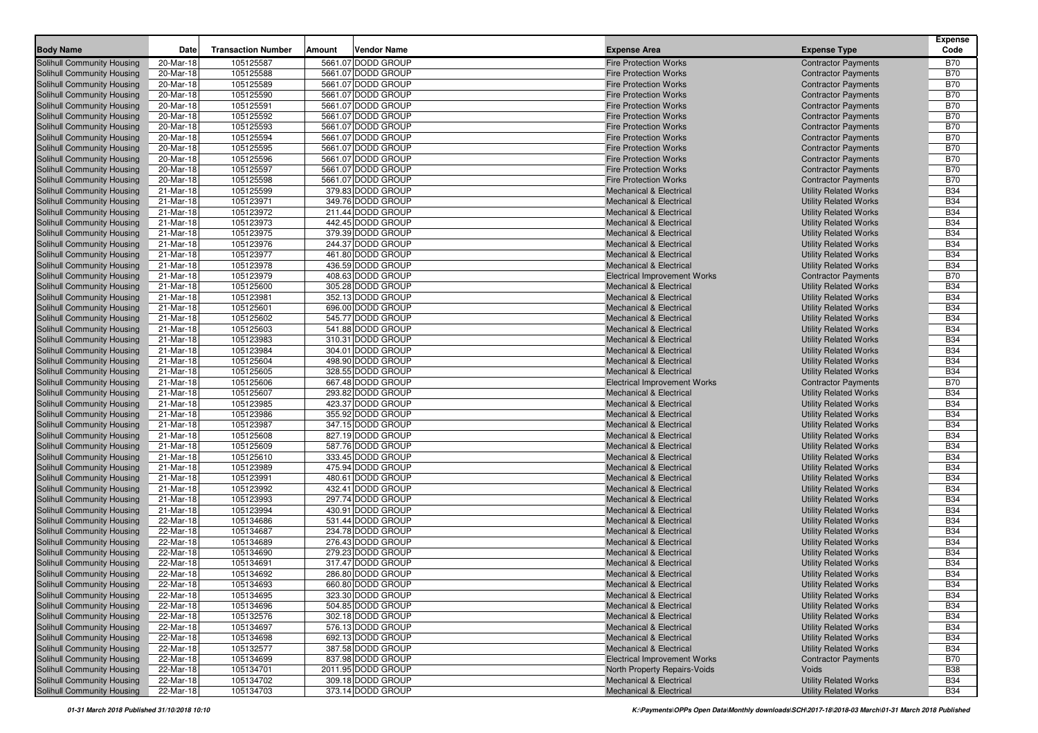| <b>Body Name</b>           | Date      | <b>Transaction Number</b> | Amount | <b>Vendor Name</b> | <b>Expense Area</b>                 | <b>Expense Type</b>          | <b>Expense</b><br>Code |
|----------------------------|-----------|---------------------------|--------|--------------------|-------------------------------------|------------------------------|------------------------|
| Solihull Community Housing | 20-Mar-18 | 105125587                 |        | 5661.07 DODD GROUP | <b>Fire Protection Works</b>        | <b>Contractor Payments</b>   | B70                    |
| Solihull Community Housing | 20-Mar-18 | 105125588                 |        | 5661.07 DODD GROUP | <b>Fire Protection Works</b>        | <b>Contractor Payments</b>   | <b>B70</b>             |
| Solihull Community Housing | 20-Mar-18 | 105125589                 |        | 5661.07 DODD GROUP | <b>Fire Protection Works</b>        | <b>Contractor Payments</b>   | <b>B70</b>             |
| Solihull Community Housing | 20-Mar-18 | 105125590                 |        | 5661.07 DODD GROUP | <b>Fire Protection Works</b>        | <b>Contractor Payments</b>   | <b>B70</b>             |
| Solihull Community Housing | 20-Mar-18 | 105125591                 |        | 5661.07 DODD GROUP | <b>Fire Protection Works</b>        | <b>Contractor Payments</b>   | <b>B70</b>             |
| Solihull Community Housing | 20-Mar-18 | 105125592                 |        | 5661.07 DODD GROUP | <b>Fire Protection Works</b>        | <b>Contractor Payments</b>   | <b>B70</b>             |
| Solihull Community Housing | 20-Mar-18 | 105125593                 |        | 5661.07 DODD GROUP | <b>Fire Protection Works</b>        | <b>Contractor Payments</b>   | <b>B70</b>             |
| Solihull Community Housing | 20-Mar-18 | 105125594                 |        | 5661.07 DODD GROUP | <b>Fire Protection Works</b>        | <b>Contractor Payments</b>   | <b>B70</b>             |
| Solihull Community Housing | 20-Mar-18 | 105125595                 |        | 5661.07 DODD GROUP | <b>Fire Protection Works</b>        | <b>Contractor Payments</b>   | <b>B70</b>             |
| Solihull Community Housing | 20-Mar-18 | 105125596                 |        | 5661.07 DODD GROUP | <b>Fire Protection Works</b>        | <b>Contractor Payments</b>   | <b>B70</b>             |
| Solihull Community Housing | 20-Mar-18 | 105125597                 |        | 5661.07 DODD GROUP | <b>Fire Protection Works</b>        | <b>Contractor Payments</b>   | <b>B70</b>             |
| Solihull Community Housing | 20-Mar-18 | 105125598                 |        | 5661.07 DODD GROUP | <b>Fire Protection Works</b>        | <b>Contractor Payments</b>   | <b>B70</b>             |
| Solihull Community Housing | 21-Mar-18 | 105125599                 |        | 379.83 DODD GROUP  | <b>Mechanical &amp; Electrical</b>  | <b>Utility Related Works</b> | <b>B34</b>             |
| Solihull Community Housing | 21-Mar-18 | 105123971                 |        | 349.76 DODD GROUP  | <b>Mechanical &amp; Electrical</b>  | <b>Utility Related Works</b> | <b>B34</b>             |
| Solihull Community Housing | 21-Mar-18 | 105123972                 |        | 211.44 DODD GROUP  | <b>Mechanical &amp; Electrical</b>  | <b>Utility Related Works</b> | <b>B34</b>             |
| Solihull Community Housing | 21-Mar-18 | 105123973                 |        | 442.45 DODD GROUP  | <b>Mechanical &amp; Electrical</b>  | <b>Utility Related Works</b> | <b>B34</b>             |
| Solihull Community Housing | 21-Mar-18 | 105123975                 |        | 379.39 DODD GROUP  | <b>Mechanical &amp; Electrical</b>  | <b>Utility Related Works</b> | <b>B34</b>             |
| Solihull Community Housing | 21-Mar-18 | 105123976                 |        | 244.37 DODD GROUP  | <b>Mechanical &amp; Electrical</b>  | <b>Utility Related Works</b> | <b>B34</b>             |
| Solihull Community Housing | 21-Mar-18 | 105123977                 |        | 461.80 DODD GROUP  | <b>Mechanical &amp; Electrical</b>  | <b>Utility Related Works</b> | <b>B34</b>             |
| Solihull Community Housing | 21-Mar-18 | 105123978                 |        | 436.59 DODD GROUP  | <b>Mechanical &amp; Electrical</b>  | <b>Utility Related Works</b> | <b>B34</b>             |
| Solihull Community Housing | 21-Mar-18 | 105123979                 |        | 408.63 DODD GROUP  | <b>Electrical Improvement Works</b> | <b>Contractor Payments</b>   | <b>B70</b>             |
| Solihull Community Housing | 21-Mar-18 | 105125600                 |        | 305.28 DODD GROUP  | <b>Mechanical &amp; Electrical</b>  | <b>Utility Related Works</b> | <b>B34</b>             |
| Solihull Community Housing | 21-Mar-18 | 105123981                 |        | 352.13 DODD GROUP  | <b>Mechanical &amp; Electrical</b>  | <b>Utility Related Works</b> | <b>B34</b>             |
| Solihull Community Housing | 21-Mar-18 | 105125601                 |        | 696.00 DODD GROUP  | <b>Mechanical &amp; Electrical</b>  | <b>Utility Related Works</b> | <b>B34</b>             |
| Solihull Community Housing | 21-Mar-18 | 105125602                 |        | 545.77 DODD GROUP  | <b>Mechanical &amp; Electrical</b>  | <b>Utility Related Works</b> | <b>B34</b>             |
| Solihull Community Housing | 21-Mar-18 | 105125603                 |        | 541.88 DODD GROUP  | <b>Mechanical &amp; Electrical</b>  | <b>Utility Related Works</b> | <b>B34</b>             |
| Solihull Community Housing | 21-Mar-18 | 105123983                 |        | 310.31 DODD GROUP  | <b>Mechanical &amp; Electrical</b>  | <b>Utility Related Works</b> | <b>B34</b>             |
| Solihull Community Housing | 21-Mar-18 | 105123984                 |        | 304.01 DODD GROUP  | <b>Mechanical &amp; Electrical</b>  | <b>Utility Related Works</b> | <b>B34</b>             |
| Solihull Community Housing | 21-Mar-18 | 105125604                 |        | 498.90 DODD GROUP  | <b>Mechanical &amp; Electrical</b>  | <b>Utility Related Works</b> | <b>B34</b>             |
| Solihull Community Housing | 21-Mar-18 | 105125605                 |        | 328.55 DODD GROUP  | <b>Mechanical &amp; Electrical</b>  | <b>Utility Related Works</b> | <b>B34</b>             |
| Solihull Community Housing | 21-Mar-18 | 105125606                 |        | 667.48 DODD GROUP  | <b>Electrical Improvement Works</b> | <b>Contractor Payments</b>   | <b>B70</b>             |
| Solihull Community Housing | 21-Mar-18 | 105125607                 |        | 293.82 DODD GROUP  | <b>Mechanical &amp; Electrical</b>  | <b>Utility Related Works</b> | <b>B34</b>             |
| Solihull Community Housing | 21-Mar-18 | 105123985                 |        | 423.37 DODD GROUP  | <b>Mechanical &amp; Electrical</b>  | <b>Utility Related Works</b> | <b>B34</b>             |
| Solihull Community Housing | 21-Mar-18 | 105123986                 |        | 355.92 DODD GROUP  | <b>Mechanical &amp; Electrical</b>  | <b>Utility Related Works</b> | <b>B34</b>             |
| Solihull Community Housing | 21-Mar-18 | 105123987                 |        | 347.15 DODD GROUP  | <b>Mechanical &amp; Electrical</b>  | <b>Utility Related Works</b> | <b>B34</b>             |
| Solihull Community Housing | 21-Mar-18 | 105125608                 |        | 827.19 DODD GROUP  | <b>Mechanical &amp; Electrical</b>  | <b>Utility Related Works</b> | <b>B34</b>             |
| Solihull Community Housing | 21-Mar-18 | 105125609                 |        | 587.76 DODD GROUP  | <b>Mechanical &amp; Electrical</b>  | <b>Utility Related Works</b> | <b>B34</b>             |
| Solihull Community Housing | 21-Mar-18 | 105125610                 |        | 333.45 DODD GROUP  | <b>Mechanical &amp; Electrical</b>  | <b>Utility Related Works</b> | <b>B34</b>             |
| Solihull Community Housing | 21-Mar-18 | 105123989                 |        | 475.94 DODD GROUP  | <b>Mechanical &amp; Electrical</b>  | <b>Utility Related Works</b> | <b>B34</b>             |
| Solihull Community Housing | 21-Mar-18 | 105123991                 |        | 480.61 DODD GROUP  | <b>Mechanical &amp; Electrical</b>  | <b>Utility Related Works</b> | <b>B34</b>             |
| Solihull Community Housing | 21-Mar-18 | 105123992                 |        | 432.41 DODD GROUP  | <b>Mechanical &amp; Electrical</b>  | <b>Utility Related Works</b> | <b>B34</b>             |
| Solihull Community Housing | 21-Mar-18 | 105123993                 |        | 297.74 DODD GROUP  | <b>Mechanical &amp; Electrical</b>  | <b>Utility Related Works</b> | <b>B34</b>             |
| Solihull Community Housing | 21-Mar-18 | 105123994                 |        | 430.91 DODD GROUP  | <b>Mechanical &amp; Electrical</b>  | <b>Utility Related Works</b> | <b>B34</b>             |
| Solihull Community Housing | 22-Mar-18 | 105134686                 |        | 531.44 DODD GROUP  | <b>Mechanical &amp; Electrical</b>  | <b>Utility Related Works</b> | <b>B34</b>             |
| Solihull Community Housing | 22-Mar-18 | 105134687                 |        | 234.78 DODD GROUP  | <b>Mechanical &amp; Electrical</b>  | <b>Utility Related Works</b> | <b>B34</b>             |
| Solihull Community Housing | 22-Mar-18 | 105134689                 |        | 276.43 DODD GROUP  | <b>Mechanical &amp; Electrical</b>  | <b>Utility Related Works</b> | <b>B34</b>             |
| Solihull Community Housing | 22-Mar-18 | 105134690                 |        | 279.23 DODD GROUP  | <b>Mechanical &amp; Electrical</b>  | <b>Utility Related Works</b> | <b>B34</b>             |
| Solihull Community Housing | 22-Mar-18 | 105134691                 |        | 317.47 DODD GROUP  | <b>Mechanical &amp; Electrical</b>  | <b>Utility Related Works</b> | <b>B34</b>             |
| Solihull Community Housing | 22-Mar-18 | 105134692                 |        | 286.80 DODD GROUP  | <b>Mechanical &amp; Electrical</b>  | <b>Utility Related Works</b> | <b>B34</b>             |
| Solihull Community Housing | 22-Mar-18 | 105134693                 |        | 660.80 DODD GROUP  | <b>Mechanical &amp; Electrical</b>  | <b>Utility Related Works</b> | <b>B34</b>             |
| Solihull Community Housing | 22-Mar-18 | 105134695                 |        | 323.30 DODD GROUP  | <b>Mechanical &amp; Electrical</b>  | <b>Utility Related Works</b> | <b>B34</b>             |
| Solihull Community Housing | 22-Mar-18 | 105134696                 |        | 504.85 DODD GROUP  | <b>Mechanical &amp; Electrical</b>  | <b>Utility Related Works</b> | <b>B34</b>             |
| Solihull Community Housing | 22-Mar-18 | 105132576                 |        | 302.18 DODD GROUP  | <b>Mechanical &amp; Electrical</b>  | <b>Utility Related Works</b> | <b>B34</b>             |
| Solihull Community Housing | 22-Mar-18 | 105134697                 |        | 576.13 DODD GROUP  | <b>Mechanical &amp; Electrical</b>  | <b>Utility Related Works</b> | <b>B34</b>             |
| Solihull Community Housing | 22-Mar-18 | 105134698                 |        | 692.13 DODD GROUP  | <b>Mechanical &amp; Electrical</b>  | <b>Utility Related Works</b> | <b>B34</b>             |
| Solihull Community Housing | 22-Mar-18 | 105132577                 |        | 387.58 DODD GROUP  | <b>Mechanical &amp; Electrical</b>  | <b>Utility Related Works</b> | <b>B34</b>             |
| Solihull Community Housing | 22-Mar-18 | 105134699                 |        | 837.98 DODD GROUP  | <b>Electrical Improvement Works</b> | <b>Contractor Payments</b>   | <b>B70</b>             |
| Solihull Community Housing | 22-Mar-18 | 105134701                 |        | 2011.95 DODD GROUP | North Property Repairs-Voids        | Voids                        | <b>B38</b>             |
| Solihull Community Housing | 22-Mar-18 | 105134702                 |        | 309.18 DODD GROUP  | <b>Mechanical &amp; Electrical</b>  | <b>Utility Related Works</b> | <b>B34</b>             |
| Solihull Community Housing | 22-Mar-18 | 105134703                 |        | 373.14 DODD GROUP  | <b>Mechanical &amp; Electrical</b>  | <b>Utility Related Works</b> | <b>B34</b>             |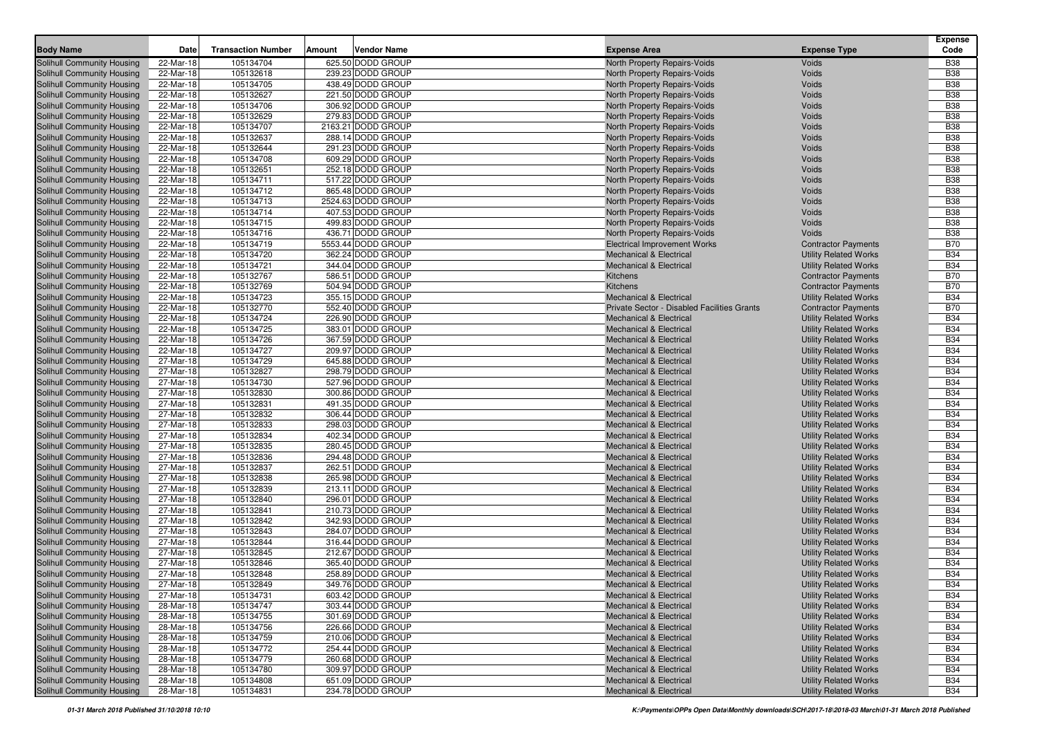| <b>Body Name</b>                                         | Date                   | <b>Transaction Number</b> | Amount | <b>Vendor Name</b>                     | <b>Expense Area</b>                                                      | <b>Expense Type</b>                                          | <b>Expense</b><br>Code   |
|----------------------------------------------------------|------------------------|---------------------------|--------|----------------------------------------|--------------------------------------------------------------------------|--------------------------------------------------------------|--------------------------|
| Solihull Community Housing                               | 22-Mar-18              | 105134704                 |        | 625.50 DODD GROUP                      | North Property Repairs-Voids                                             | Voids                                                        | <b>B38</b>               |
| Solihull Community Housing                               | 22-Mar-18              | 105132618                 |        | 239.23 DODD GROUP                      | North Property Repairs-Voids                                             | Voids                                                        | <b>B38</b>               |
| Solihull Community Housing                               | 22-Mar-18              | 105134705                 |        | 438.49 DODD GROUP                      | North Property Repairs-Voids                                             | Voids                                                        | <b>B38</b>               |
| Solihull Community Housing                               | 22-Mar-18              | 105132627                 |        | 221.50 DODD GROUP                      | North Property Repairs-Voids                                             | Voids                                                        | <b>B38</b>               |
| Solihull Community Housing                               | 22-Mar-18              | 105134706                 |        | 306.92 DODD GROUP                      | North Property Repairs-Voids                                             | Voids                                                        | <b>B38</b>               |
| Solihull Community Housing                               | 22-Mar-18              | 105132629                 |        | 279.83 DODD GROUP                      | North Property Repairs-Voids                                             | Voids                                                        | <b>B38</b>               |
| Solihull Community Housing                               | 22-Mar-18              | 105134707                 |        | 2163.21 DODD GROUP                     | North Property Repairs-Voids                                             | Voids                                                        | <b>B38</b>               |
| Solihull Community Housing                               | 22-Mar-18              | 105132637                 |        | 288.14 DODD GROUP                      | North Property Repairs-Voids                                             | Voids                                                        | <b>B38</b>               |
| Solihull Community Housing                               | 22-Mar-18              | 105132644                 |        | 291.23 DODD GROUP                      | North Property Repairs-Voids                                             | Voids                                                        | <b>B38</b>               |
| Solihull Community Housing                               | 22-Mar-18              | 105134708                 |        | 609.29 DODD GROUP                      | North Property Repairs-Voids                                             | Voids                                                        | <b>B38</b>               |
| Solihull Community Housing                               | 22-Mar-18              | 105132651                 |        | 252.18 DODD GROUP                      | North Property Repairs-Voids                                             | Voids                                                        | <b>B38</b>               |
| Solihull Community Housing                               | 22-Mar-18              | 105134711                 |        | 517.22 DODD GROUP                      | North Property Repairs-Voids                                             | Voids                                                        | <b>B38</b>               |
| Solihull Community Housing                               | 22-Mar-18              | 105134712                 |        | 865.48 DODD GROUP                      | North Property Repairs-Voids                                             | Voids                                                        | <b>B38</b>               |
| Solihull Community Housing                               | 22-Mar-18              | 105134713                 |        | 2524.63 DODD GROUP                     | North Property Repairs-Voids                                             | Voids                                                        | <b>B38</b>               |
| Solihull Community Housing                               | 22-Mar-18              | 105134714                 |        | 407.53 DODD GROUP                      | North Property Repairs-Voids                                             | Voids                                                        | <b>B38</b>               |
| Solihull Community Housing                               | 22-Mar-18              | 105134715                 |        | 499.83 DODD GROUP                      | North Property Repairs-Voids                                             | Voids                                                        | <b>B38</b>               |
| Solihull Community Housing                               | 22-Mar-18              | 105134716                 |        | 436.71 DODD GROUP                      | North Property Repairs-Voids                                             | Voids                                                        | <b>B38</b>               |
| Solihull Community Housing                               | 22-Mar-18              | 105134719                 |        | 5553.44 DODD GROUP                     | <b>Electrical Improvement Works</b>                                      | <b>Contractor Payments</b>                                   | <b>B70</b>               |
| Solihull Community Housing                               | 22-Mar-18              | 105134720                 |        | 362.24 DODD GROUP                      | <b>Mechanical &amp; Electrical</b>                                       | <b>Utility Related Works</b>                                 | <b>B34</b>               |
| Solihull Community Housing                               | 22-Mar-18              | 105134721                 |        | 344.04 DODD GROUP                      | <b>Mechanical &amp; Electrical</b>                                       | <b>Utility Related Works</b>                                 | <b>B34</b>               |
| Solihull Community Housing                               | 22-Mar-18              | 105132767                 |        | 586.51 DODD GROUP                      | Kitchens                                                                 | <b>Contractor Payments</b>                                   | <b>B70</b>               |
| Solihull Community Housing                               | 22-Mar-18              | 105132769                 |        | 504.94 DODD GROUP                      | Kitchens                                                                 | <b>Contractor Payments</b>                                   | <b>B70</b>               |
| Solihull Community Housing                               | 22-Mar-18              | 105134723                 |        | 355.15 DODD GROUP                      | <b>Mechanical &amp; Electrical</b>                                       | <b>Utility Related Works</b>                                 | <b>B34</b>               |
| Solihull Community Housing                               | 22-Mar-18              | 105132770                 |        | 552.40 DODD GROUP                      | Private Sector - Disabled Facilities Grants                              | <b>Contractor Payments</b>                                   | <b>B70</b>               |
| Solihull Community Housing                               | 22-Mar-18              | 105134724                 |        | 226.90 DODD GROUP                      | <b>Mechanical &amp; Electrical</b>                                       | <b>Utility Related Works</b>                                 | <b>B34</b>               |
| Solihull Community Housing                               | 22-Mar-18              | 105134725                 |        | 383.01 DODD GROUP                      | <b>Mechanical &amp; Electrical</b>                                       | <b>Utility Related Works</b>                                 | <b>B34</b>               |
| Solihull Community Housing                               | 22-Mar-18              | 105134726                 |        | 367.59 DODD GROUP                      | <b>Mechanical &amp; Electrical</b>                                       | <b>Utility Related Works</b>                                 | <b>B34</b>               |
| Solihull Community Housing                               | 22-Mar-18              | 105134727                 |        | 209.97 DODD GROUP                      | <b>Mechanical &amp; Electrical</b>                                       | <b>Utility Related Works</b>                                 | <b>B34</b>               |
| Solihull Community Housing                               | 27-Mar-18              | 105134729                 |        | 645.88 DODD GROUP                      | <b>Mechanical &amp; Electrical</b>                                       | <b>Utility Related Works</b>                                 | <b>B34</b><br><b>B34</b> |
| Solihull Community Housing<br>Solihull Community Housing | 27-Mar-18              | 105132827                 |        | 298.79 DODD GROUP<br>527.96 DODD GROUP | <b>Mechanical &amp; Electrical</b>                                       | <b>Utility Related Works</b>                                 | <b>B34</b>               |
| Solihull Community Housing                               | 27-Mar-18<br>27-Mar-18 | 105134730<br>105132830    |        | 300.86 DODD GROUP                      | <b>Mechanical &amp; Electrical</b>                                       | <b>Utility Related Works</b>                                 | <b>B34</b>               |
| Solihull Community Housing                               | 27-Mar-18              | 105132831                 |        | 491.35 DODD GROUP                      | <b>Mechanical &amp; Electrical</b>                                       | <b>Utility Related Works</b><br><b>Utility Related Works</b> | <b>B34</b>               |
| Solihull Community Housing                               | 27-Mar-18              | 105132832                 |        | 306.44 DODD GROUP                      | <b>Mechanical &amp; Electrical</b><br><b>Mechanical &amp; Electrical</b> | <b>Utility Related Works</b>                                 | <b>B34</b>               |
| Solihull Community Housing                               | 27-Mar-18              | 105132833                 |        | 298.03 DODD GROUP                      | <b>Mechanical &amp; Electrical</b>                                       | <b>Utility Related Works</b>                                 | <b>B34</b>               |
| Solihull Community Housing                               | 27-Mar-18              | 105132834                 |        | 402.34 DODD GROUP                      | <b>Mechanical &amp; Electrical</b>                                       | <b>Utility Related Works</b>                                 | <b>B34</b>               |
| Solihull Community Housing                               | 27-Mar-18              | 105132835                 |        | 280.45 DODD GROUP                      | <b>Mechanical &amp; Electrical</b>                                       | <b>Utility Related Works</b>                                 | <b>B34</b>               |
| Solihull Community Housing                               | 27-Mar-18              | 105132836                 |        | 294.48 DODD GROUP                      | <b>Mechanical &amp; Electrical</b>                                       | <b>Utility Related Works</b>                                 | <b>B34</b>               |
| Solihull Community Housing                               | 27-Mar-18              | 105132837                 |        | 262.51 DODD GROUP                      | <b>Mechanical &amp; Electrical</b>                                       | <b>Utility Related Works</b>                                 | <b>B34</b>               |
| Solihull Community Housing                               | 27-Mar-18              | 105132838                 |        | 265.98 DODD GROUP                      | <b>Mechanical &amp; Electrical</b>                                       | <b>Utility Related Works</b>                                 | <b>B34</b>               |
| Solihull Community Housing                               | 27-Mar-18              | 105132839                 |        | 213.11 DODD GROUP                      | <b>Mechanical &amp; Electrical</b>                                       | <b>Utility Related Works</b>                                 | <b>B34</b>               |
| Solihull Community Housing                               | 27-Mar-18              | 105132840                 |        | 296.01 DODD GROUP                      | <b>Mechanical &amp; Electrical</b>                                       | <b>Utility Related Works</b>                                 | <b>B34</b>               |
| Solihull Community Housing                               | 27-Mar-18              | 105132841                 |        | 210.73 DODD GROUP                      | <b>Mechanical &amp; Electrical</b>                                       | <b>Utility Related Works</b>                                 | <b>B34</b>               |
| Solihull Community Housing                               | 27-Mar-18              | 105132842                 |        | 342.93 DODD GROUP                      | <b>Mechanical &amp; Electrical</b>                                       | <b>Utility Related Works</b>                                 | <b>B34</b>               |
| Solihull Community Housing                               | 27-Mar-18              | 105132843                 |        | 284.07 DODD GROUP                      | <b>Mechanical &amp; Electrical</b>                                       | <b>Utility Related Works</b>                                 | <b>B34</b>               |
| Solihull Community Housing                               | 27-Mar-18              | 105132844                 |        | 316.44 DODD GROUP                      | <b>Mechanical &amp; Electrical</b>                                       | <b>Utility Related Works</b>                                 | <b>B34</b>               |
| Solihull Community Housing                               | 27-Mar-18              | 105132845                 |        | 212.67 DODD GROUP                      | <b>Mechanical &amp; Electrical</b>                                       | <b>Utility Related Works</b>                                 | <b>B34</b>               |
| Solihull Community Housing                               | 27-Mar-18              | 105132846                 |        | 365.40 DODD GROUP                      | <b>Mechanical &amp; Electrical</b>                                       | <b>Utility Related Works</b>                                 | <b>B34</b>               |
| Solihull Community Housing                               | 27-Mar-18              | 105132848                 |        | 258.89 DODD GROUP                      | <b>Mechanical &amp; Electrical</b>                                       | <b>Utility Related Works</b>                                 | <b>B34</b>               |
| Solihull Community Housing                               | 27-Mar-18              | 105132849                 |        | 349.76 DODD GROUP                      | <b>Mechanical &amp; Electrical</b>                                       | <b>Utility Related Works</b>                                 | <b>B34</b>               |
| Solihull Community Housing                               | 27-Mar-18              | 105134731                 |        | 603.42 DODD GROUP                      | <b>Mechanical &amp; Electrical</b>                                       | <b>Utility Related Works</b>                                 | <b>B34</b>               |
| Solihull Community Housing                               | 28-Mar-18              | 105134747                 |        | 303.44 DODD GROUP                      | <b>Mechanical &amp; Electrical</b>                                       | <b>Utility Related Works</b>                                 | <b>B34</b>               |
| Solihull Community Housing                               | 28-Mar-18              | 105134755                 |        | 301.69 DODD GROUP                      | <b>Mechanical &amp; Electrical</b>                                       | <b>Utility Related Works</b>                                 | <b>B34</b>               |
| Solihull Community Housing                               | 28-Mar-18              | 105134756                 |        | 226.66 DODD GROUP                      | <b>Mechanical &amp; Electrical</b>                                       | <b>Utility Related Works</b>                                 | <b>B34</b>               |
| Solihull Community Housing                               | 28-Mar-18              | 105134759                 |        | 210.06 DODD GROUP                      | <b>Mechanical &amp; Electrical</b>                                       | <b>Utility Related Works</b>                                 | <b>B34</b>               |
| Solihull Community Housing                               | 28-Mar-18              | 105134772                 |        | 254.44 DODD GROUP                      | <b>Mechanical &amp; Electrical</b>                                       | <b>Utility Related Works</b>                                 | <b>B34</b>               |
| Solihull Community Housing                               | 28-Mar-18              | 105134779                 |        | 260.68 DODD GROUP                      | <b>Mechanical &amp; Electrical</b>                                       | <b>Utility Related Works</b>                                 | <b>B34</b>               |
| Solihull Community Housing                               | 28-Mar-18              | 105134780                 |        | 309.97 DODD GROUP                      | <b>Mechanical &amp; Electrical</b>                                       | <b>Utility Related Works</b>                                 | <b>B34</b>               |
| Solihull Community Housing                               | 28-Mar-18              | 105134808                 |        | 651.09 DODD GROUP                      | <b>Mechanical &amp; Electrical</b>                                       | <b>Utility Related Works</b>                                 | <b>B34</b>               |
| Solihull Community Housing                               | 28-Mar-18              | 105134831                 |        | 234.78 DODD GROUP                      | <b>Mechanical &amp; Electrical</b>                                       | <b>Utility Related Works</b>                                 | <b>B34</b>               |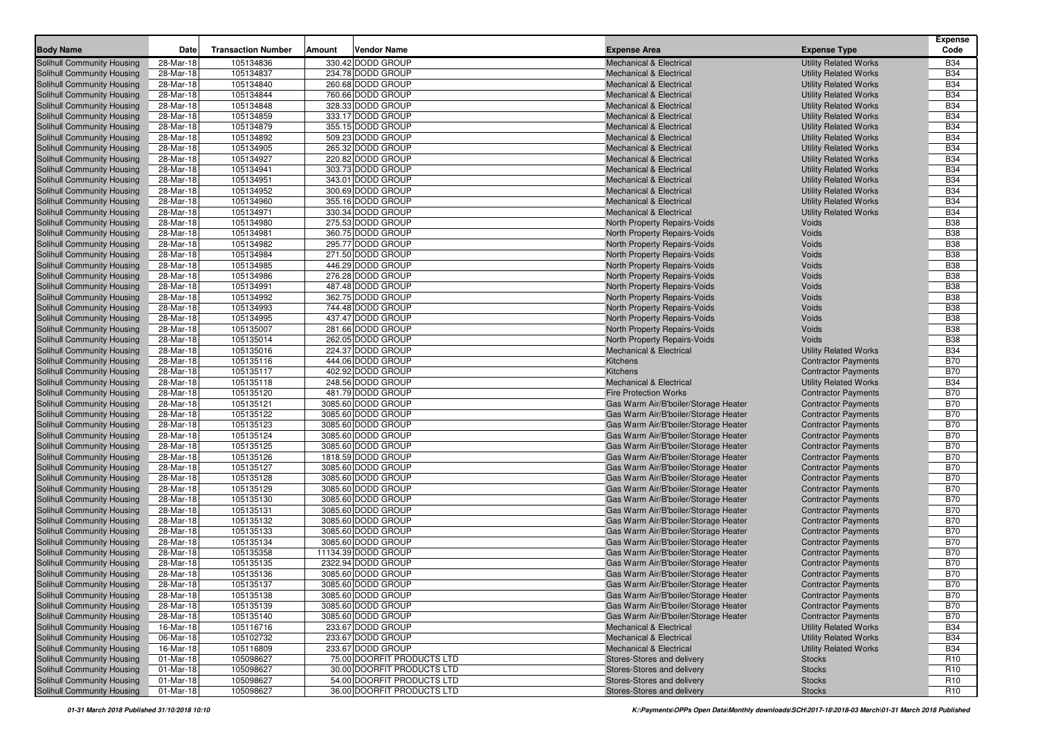| <b>Body Name</b><br><b>Transaction Number</b><br><b>Vendor Name</b><br><b>Expense Area</b><br><b>Expense Type</b><br>Date<br>Amount<br>105134836<br>330.42 DODD GROUP<br>Solihull Community Housing<br>28-Mar-18<br><b>Mechanical &amp; Electrical</b><br><b>Utility Related Works</b><br>Solihull Community Housing<br>28-Mar-18<br>105134837<br>234.78 DODD GROUP<br><b>Mechanical &amp; Electrical</b><br><b>Utility Related Works</b><br>Solihull Community Housing<br>28-Mar-18<br>105134840<br>260.68 DODD GROUP<br><b>Utility Related Works</b><br><b>Mechanical &amp; Electrical</b><br>105134844<br>Solihull Community Housing<br>28-Mar-18<br>760.66 DODD GROUP<br><b>Mechanical &amp; Electrical</b><br><b>Utility Related Works</b><br>28-Mar-18<br>105134848<br>328.33 DODD GROUP<br>Solihull Community Housing<br><b>Mechanical &amp; Electrical</b><br><b>Utility Related Works</b><br>Solihull Community Housing<br>28-Mar-18<br>105134859<br>333.17 DODD GROUP<br><b>Utility Related Works</b><br><b>Mechanical &amp; Electrical</b><br>Solihull Community Housing<br>28-Mar-18<br>105134879<br>355.15 DODD GROUP<br><b>Mechanical &amp; Electrical</b><br><b>Utility Related Works</b><br>105134892<br>Solihull Community Housing<br>28-Mar-18<br>509.23 DODD GROUP<br><b>Mechanical &amp; Electrical</b><br><b>Utility Related Works</b><br>28-Mar-18<br>105134905<br>265.32 DODD GROUP<br>Solihull Community Housing<br><b>Mechanical &amp; Electrical</b><br><b>Utility Related Works</b><br>105134927<br>28-Mar-18<br>220.82 DODD GROUP<br>Solihull Community Housing<br><b>Mechanical &amp; Electrical</b><br><b>Utility Related Works</b> | Code<br><b>B34</b><br><b>B34</b><br><b>B34</b><br><b>B34</b><br><b>B34</b><br><b>B34</b><br><b>B34</b><br><b>B34</b><br><b>B34</b><br><b>B34</b><br><b>B34</b><br><b>B34</b><br><b>B34</b><br><b>B34</b><br><b>B34</b><br><b>B38</b><br><b>B38</b><br><b>B38</b> |
|-------------------------------------------------------------------------------------------------------------------------------------------------------------------------------------------------------------------------------------------------------------------------------------------------------------------------------------------------------------------------------------------------------------------------------------------------------------------------------------------------------------------------------------------------------------------------------------------------------------------------------------------------------------------------------------------------------------------------------------------------------------------------------------------------------------------------------------------------------------------------------------------------------------------------------------------------------------------------------------------------------------------------------------------------------------------------------------------------------------------------------------------------------------------------------------------------------------------------------------------------------------------------------------------------------------------------------------------------------------------------------------------------------------------------------------------------------------------------------------------------------------------------------------------------------------------------------------------------------------------------------------------------------------------|------------------------------------------------------------------------------------------------------------------------------------------------------------------------------------------------------------------------------------------------------------------|
|                                                                                                                                                                                                                                                                                                                                                                                                                                                                                                                                                                                                                                                                                                                                                                                                                                                                                                                                                                                                                                                                                                                                                                                                                                                                                                                                                                                                                                                                                                                                                                                                                                                                   |                                                                                                                                                                                                                                                                  |
|                                                                                                                                                                                                                                                                                                                                                                                                                                                                                                                                                                                                                                                                                                                                                                                                                                                                                                                                                                                                                                                                                                                                                                                                                                                                                                                                                                                                                                                                                                                                                                                                                                                                   |                                                                                                                                                                                                                                                                  |
|                                                                                                                                                                                                                                                                                                                                                                                                                                                                                                                                                                                                                                                                                                                                                                                                                                                                                                                                                                                                                                                                                                                                                                                                                                                                                                                                                                                                                                                                                                                                                                                                                                                                   |                                                                                                                                                                                                                                                                  |
|                                                                                                                                                                                                                                                                                                                                                                                                                                                                                                                                                                                                                                                                                                                                                                                                                                                                                                                                                                                                                                                                                                                                                                                                                                                                                                                                                                                                                                                                                                                                                                                                                                                                   |                                                                                                                                                                                                                                                                  |
|                                                                                                                                                                                                                                                                                                                                                                                                                                                                                                                                                                                                                                                                                                                                                                                                                                                                                                                                                                                                                                                                                                                                                                                                                                                                                                                                                                                                                                                                                                                                                                                                                                                                   |                                                                                                                                                                                                                                                                  |
|                                                                                                                                                                                                                                                                                                                                                                                                                                                                                                                                                                                                                                                                                                                                                                                                                                                                                                                                                                                                                                                                                                                                                                                                                                                                                                                                                                                                                                                                                                                                                                                                                                                                   |                                                                                                                                                                                                                                                                  |
|                                                                                                                                                                                                                                                                                                                                                                                                                                                                                                                                                                                                                                                                                                                                                                                                                                                                                                                                                                                                                                                                                                                                                                                                                                                                                                                                                                                                                                                                                                                                                                                                                                                                   |                                                                                                                                                                                                                                                                  |
|                                                                                                                                                                                                                                                                                                                                                                                                                                                                                                                                                                                                                                                                                                                                                                                                                                                                                                                                                                                                                                                                                                                                                                                                                                                                                                                                                                                                                                                                                                                                                                                                                                                                   |                                                                                                                                                                                                                                                                  |
|                                                                                                                                                                                                                                                                                                                                                                                                                                                                                                                                                                                                                                                                                                                                                                                                                                                                                                                                                                                                                                                                                                                                                                                                                                                                                                                                                                                                                                                                                                                                                                                                                                                                   |                                                                                                                                                                                                                                                                  |
|                                                                                                                                                                                                                                                                                                                                                                                                                                                                                                                                                                                                                                                                                                                                                                                                                                                                                                                                                                                                                                                                                                                                                                                                                                                                                                                                                                                                                                                                                                                                                                                                                                                                   |                                                                                                                                                                                                                                                                  |
| 303.73 DODD GROUP<br>Solihull Community Housing<br>28-Mar-18<br>105134941<br><b>Mechanical &amp; Electrical</b><br><b>Utility Related Works</b>                                                                                                                                                                                                                                                                                                                                                                                                                                                                                                                                                                                                                                                                                                                                                                                                                                                                                                                                                                                                                                                                                                                                                                                                                                                                                                                                                                                                                                                                                                                   |                                                                                                                                                                                                                                                                  |
| 343.01 DODD GROUP<br>Solihull Community Housing<br>28-Mar-18<br>105134951<br><b>Utility Related Works</b><br><b>Mechanical &amp; Electrical</b>                                                                                                                                                                                                                                                                                                                                                                                                                                                                                                                                                                                                                                                                                                                                                                                                                                                                                                                                                                                                                                                                                                                                                                                                                                                                                                                                                                                                                                                                                                                   |                                                                                                                                                                                                                                                                  |
| Solihull Community Housing<br>28-Mar-18<br>105134952<br>300.69 DODD GROUP<br><b>Mechanical &amp; Electrical</b><br><b>Utility Related Works</b>                                                                                                                                                                                                                                                                                                                                                                                                                                                                                                                                                                                                                                                                                                                                                                                                                                                                                                                                                                                                                                                                                                                                                                                                                                                                                                                                                                                                                                                                                                                   |                                                                                                                                                                                                                                                                  |
| 355.16 DODD GROUP<br>28-Mar-18<br>105134960<br><b>Utility Related Works</b><br>Solihull Community Housing<br><b>Mechanical &amp; Electrical</b>                                                                                                                                                                                                                                                                                                                                                                                                                                                                                                                                                                                                                                                                                                                                                                                                                                                                                                                                                                                                                                                                                                                                                                                                                                                                                                                                                                                                                                                                                                                   |                                                                                                                                                                                                                                                                  |
| Solihull Community Housing<br>28-Mar-18<br>105134971<br>330.34 DODD GROUP<br><b>Mechanical &amp; Electrical</b><br><b>Utility Related Works</b>                                                                                                                                                                                                                                                                                                                                                                                                                                                                                                                                                                                                                                                                                                                                                                                                                                                                                                                                                                                                                                                                                                                                                                                                                                                                                                                                                                                                                                                                                                                   |                                                                                                                                                                                                                                                                  |
| Solihull Community Housing<br>28-Mar-18<br>105134980<br>275.53 DODD GROUP<br>Voids<br>North Property Repairs-Voids                                                                                                                                                                                                                                                                                                                                                                                                                                                                                                                                                                                                                                                                                                                                                                                                                                                                                                                                                                                                                                                                                                                                                                                                                                                                                                                                                                                                                                                                                                                                                |                                                                                                                                                                                                                                                                  |
| Solihull Community Housing<br>28-Mar-18<br>105134981<br>360.75 DODD GROUP<br>Voids<br>North Property Repairs-Voids                                                                                                                                                                                                                                                                                                                                                                                                                                                                                                                                                                                                                                                                                                                                                                                                                                                                                                                                                                                                                                                                                                                                                                                                                                                                                                                                                                                                                                                                                                                                                |                                                                                                                                                                                                                                                                  |
| Solihull Community Housing<br>28-Mar-18<br>105134982<br>295.77 DODD GROUP<br>Voids<br>North Property Repairs-Voids                                                                                                                                                                                                                                                                                                                                                                                                                                                                                                                                                                                                                                                                                                                                                                                                                                                                                                                                                                                                                                                                                                                                                                                                                                                                                                                                                                                                                                                                                                                                                |                                                                                                                                                                                                                                                                  |
| Solihull Community Housing<br>28-Mar-18<br>105134984<br>271.50 DODD GROUP<br>Voids<br>North Property Repairs-Voids                                                                                                                                                                                                                                                                                                                                                                                                                                                                                                                                                                                                                                                                                                                                                                                                                                                                                                                                                                                                                                                                                                                                                                                                                                                                                                                                                                                                                                                                                                                                                | <b>B38</b>                                                                                                                                                                                                                                                       |
| Solihull Community Housing<br>28-Mar-18<br>105134985<br>446.29 DODD GROUP<br>Voids<br>North Property Repairs-Voids                                                                                                                                                                                                                                                                                                                                                                                                                                                                                                                                                                                                                                                                                                                                                                                                                                                                                                                                                                                                                                                                                                                                                                                                                                                                                                                                                                                                                                                                                                                                                | <b>B38</b>                                                                                                                                                                                                                                                       |
| 105134986<br>28-Mar-18<br>276.28 DODD GROUP<br>Voids<br>Solihull Community Housing<br>North Property Repairs-Voids                                                                                                                                                                                                                                                                                                                                                                                                                                                                                                                                                                                                                                                                                                                                                                                                                                                                                                                                                                                                                                                                                                                                                                                                                                                                                                                                                                                                                                                                                                                                                | <b>B38</b>                                                                                                                                                                                                                                                       |
| 105134991<br>487.48 DODD GROUP<br>28-Mar-18<br>Voids<br>Solihull Community Housing<br>North Property Repairs-Voids                                                                                                                                                                                                                                                                                                                                                                                                                                                                                                                                                                                                                                                                                                                                                                                                                                                                                                                                                                                                                                                                                                                                                                                                                                                                                                                                                                                                                                                                                                                                                | <b>B38</b>                                                                                                                                                                                                                                                       |
| 105134992<br>Solihull Community Housing<br>28-Mar-18<br>362.75 DODD GROUP<br>Voids<br>North Property Repairs-Voids                                                                                                                                                                                                                                                                                                                                                                                                                                                                                                                                                                                                                                                                                                                                                                                                                                                                                                                                                                                                                                                                                                                                                                                                                                                                                                                                                                                                                                                                                                                                                | <b>B38</b>                                                                                                                                                                                                                                                       |
| Solihull Community Housing<br>28-Mar-18<br>105134993<br>744.48 DODD GROUP<br>Voids<br>North Property Repairs-Voids                                                                                                                                                                                                                                                                                                                                                                                                                                                                                                                                                                                                                                                                                                                                                                                                                                                                                                                                                                                                                                                                                                                                                                                                                                                                                                                                                                                                                                                                                                                                                | <b>B38</b>                                                                                                                                                                                                                                                       |
| 28-Mar-18<br>105134995<br>437.47 DODD GROUP<br>Voids<br>Solihull Community Housing<br>North Property Repairs-Voids                                                                                                                                                                                                                                                                                                                                                                                                                                                                                                                                                                                                                                                                                                                                                                                                                                                                                                                                                                                                                                                                                                                                                                                                                                                                                                                                                                                                                                                                                                                                                | <b>B38</b>                                                                                                                                                                                                                                                       |
| 105135007<br>Solihull Community Housing<br>28-Mar-18<br>281.66 DODD GROUP<br>Voids<br>North Property Repairs-Voids                                                                                                                                                                                                                                                                                                                                                                                                                                                                                                                                                                                                                                                                                                                                                                                                                                                                                                                                                                                                                                                                                                                                                                                                                                                                                                                                                                                                                                                                                                                                                | <b>B38</b>                                                                                                                                                                                                                                                       |
| Solihull Community Housing<br>28-Mar-18<br>105135014<br>262.05 DODD GROUP<br>North Property Repairs-Voids<br><b>Voids</b>                                                                                                                                                                                                                                                                                                                                                                                                                                                                                                                                                                                                                                                                                                                                                                                                                                                                                                                                                                                                                                                                                                                                                                                                                                                                                                                                                                                                                                                                                                                                         | <b>B38</b>                                                                                                                                                                                                                                                       |
| 105135016<br>28-Mar-18<br>224.37 DODD GROUP<br>Solihull Community Housing<br><b>Mechanical &amp; Electrical</b><br><b>Utility Related Works</b>                                                                                                                                                                                                                                                                                                                                                                                                                                                                                                                                                                                                                                                                                                                                                                                                                                                                                                                                                                                                                                                                                                                                                                                                                                                                                                                                                                                                                                                                                                                   | <b>B34</b>                                                                                                                                                                                                                                                       |
| 28-Mar-18<br>105135116<br>444.06 DODD GROUP<br>Solihull Community Housing<br>Kitchens<br><b>Contractor Payments</b>                                                                                                                                                                                                                                                                                                                                                                                                                                                                                                                                                                                                                                                                                                                                                                                                                                                                                                                                                                                                                                                                                                                                                                                                                                                                                                                                                                                                                                                                                                                                               | <b>B70</b>                                                                                                                                                                                                                                                       |
| 105135117<br>28-Mar-18<br>402.92 DODD GROUP<br>Solihull Community Housing<br>Kitchens<br><b>Contractor Payments</b>                                                                                                                                                                                                                                                                                                                                                                                                                                                                                                                                                                                                                                                                                                                                                                                                                                                                                                                                                                                                                                                                                                                                                                                                                                                                                                                                                                                                                                                                                                                                               | <b>B70</b>                                                                                                                                                                                                                                                       |
| Solihull Community Housing<br>28-Mar-18<br>105135118<br>248.56 DODD GROUP<br><b>Utility Related Works</b><br><b>Mechanical &amp; Electrical</b>                                                                                                                                                                                                                                                                                                                                                                                                                                                                                                                                                                                                                                                                                                                                                                                                                                                                                                                                                                                                                                                                                                                                                                                                                                                                                                                                                                                                                                                                                                                   | <b>B34</b>                                                                                                                                                                                                                                                       |
| Solihull Community Housing<br>28-Mar-18<br>105135120<br>481.79 DODD GROUP<br><b>Fire Protection Works</b><br><b>Contractor Payments</b>                                                                                                                                                                                                                                                                                                                                                                                                                                                                                                                                                                                                                                                                                                                                                                                                                                                                                                                                                                                                                                                                                                                                                                                                                                                                                                                                                                                                                                                                                                                           | <b>B70</b>                                                                                                                                                                                                                                                       |
| Solihull Community Housing<br>28-Mar-18<br>105135121<br>3085.60 DODD GROUP<br>Gas Warm Air/B'boiler/Storage Heater<br><b>Contractor Payments</b>                                                                                                                                                                                                                                                                                                                                                                                                                                                                                                                                                                                                                                                                                                                                                                                                                                                                                                                                                                                                                                                                                                                                                                                                                                                                                                                                                                                                                                                                                                                  | <b>B70</b>                                                                                                                                                                                                                                                       |
| Solihull Community Housing<br>28-Mar-18<br>105135122<br>3085.60 DODD GROUP<br>Gas Warm Air/B'boiler/Storage Heater<br><b>Contractor Payments</b>                                                                                                                                                                                                                                                                                                                                                                                                                                                                                                                                                                                                                                                                                                                                                                                                                                                                                                                                                                                                                                                                                                                                                                                                                                                                                                                                                                                                                                                                                                                  | <b>B70</b>                                                                                                                                                                                                                                                       |
| Solihull Community Housing<br>28-Mar-18<br>105135123<br>3085.60 DODD GROUP<br>Gas Warm Air/B'boiler/Storage Heater<br><b>Contractor Payments</b><br>3085.60 DODD GROUP                                                                                                                                                                                                                                                                                                                                                                                                                                                                                                                                                                                                                                                                                                                                                                                                                                                                                                                                                                                                                                                                                                                                                                                                                                                                                                                                                                                                                                                                                            | <b>B70</b><br><b>B70</b>                                                                                                                                                                                                                                         |
| Solihull Community Housing<br>28-Mar-18<br>105135124<br>Gas Warm Air/B'boiler/Storage Heater<br><b>Contractor Payments</b><br>Solihull Community Housing<br>28-Mar-18<br>105135125<br>3085.60 DODD GROUP<br>Gas Warm Air/B'boiler/Storage Heater                                                                                                                                                                                                                                                                                                                                                                                                                                                                                                                                                                                                                                                                                                                                                                                                                                                                                                                                                                                                                                                                                                                                                                                                                                                                                                                                                                                                                  | <b>B70</b>                                                                                                                                                                                                                                                       |
| <b>Contractor Payments</b><br>Solihull Community Housing<br>28-Mar-18<br>105135126<br>1818.59 DODD GROUP                                                                                                                                                                                                                                                                                                                                                                                                                                                                                                                                                                                                                                                                                                                                                                                                                                                                                                                                                                                                                                                                                                                                                                                                                                                                                                                                                                                                                                                                                                                                                          | <b>B70</b>                                                                                                                                                                                                                                                       |
| Gas Warm Air/B'boiler/Storage Heater<br><b>Contractor Payments</b><br>105135127<br>28-Mar-18<br>3085.60 DODD GROUP<br>Solihull Community Housing<br>Gas Warm Air/B'boiler/Storage Heater<br><b>Contractor Payments</b>                                                                                                                                                                                                                                                                                                                                                                                                                                                                                                                                                                                                                                                                                                                                                                                                                                                                                                                                                                                                                                                                                                                                                                                                                                                                                                                                                                                                                                            | <b>B70</b>                                                                                                                                                                                                                                                       |
| Solihull Community Housing<br>28-Mar-18<br>105135128<br>3085.60 DODD GROUP<br>Gas Warm Air/B'boiler/Storage Heater<br><b>Contractor Payments</b>                                                                                                                                                                                                                                                                                                                                                                                                                                                                                                                                                                                                                                                                                                                                                                                                                                                                                                                                                                                                                                                                                                                                                                                                                                                                                                                                                                                                                                                                                                                  | <b>B70</b>                                                                                                                                                                                                                                                       |
| Solihull Community Housing<br>28-Mar-18<br>105135129<br>3085.60 DODD GROUP<br>Gas Warm Air/B'boiler/Storage Heater<br><b>Contractor Payments</b>                                                                                                                                                                                                                                                                                                                                                                                                                                                                                                                                                                                                                                                                                                                                                                                                                                                                                                                                                                                                                                                                                                                                                                                                                                                                                                                                                                                                                                                                                                                  | <b>B70</b>                                                                                                                                                                                                                                                       |
| 105135130<br>Solihull Community Housing<br>28-Mar-18<br>3085.60 DODD GROUP<br>Gas Warm Air/B'boiler/Storage Heater<br><b>Contractor Payments</b>                                                                                                                                                                                                                                                                                                                                                                                                                                                                                                                                                                                                                                                                                                                                                                                                                                                                                                                                                                                                                                                                                                                                                                                                                                                                                                                                                                                                                                                                                                                  | <b>B70</b>                                                                                                                                                                                                                                                       |
| Solihull Community Housing<br>28-Mar-18<br>105135131<br>3085.60 DODD GROUP<br>Gas Warm Air/B'boiler/Storage Heater<br><b>Contractor Payments</b>                                                                                                                                                                                                                                                                                                                                                                                                                                                                                                                                                                                                                                                                                                                                                                                                                                                                                                                                                                                                                                                                                                                                                                                                                                                                                                                                                                                                                                                                                                                  | <b>B70</b>                                                                                                                                                                                                                                                       |
| 105135132<br>Solihull Community Housing<br>28-Mar-18<br>3085.60 DODD GROUP<br>Gas Warm Air/B'boiler/Storage Heater<br><b>Contractor Payments</b>                                                                                                                                                                                                                                                                                                                                                                                                                                                                                                                                                                                                                                                                                                                                                                                                                                                                                                                                                                                                                                                                                                                                                                                                                                                                                                                                                                                                                                                                                                                  | <b>B70</b>                                                                                                                                                                                                                                                       |
| Solihull Community Housing<br>28-Mar-18<br>105135133<br>3085.60 DODD GROUP<br>Gas Warm Air/B'boiler/Storage Heater<br><b>Contractor Payments</b>                                                                                                                                                                                                                                                                                                                                                                                                                                                                                                                                                                                                                                                                                                                                                                                                                                                                                                                                                                                                                                                                                                                                                                                                                                                                                                                                                                                                                                                                                                                  | <b>B70</b>                                                                                                                                                                                                                                                       |
| 105135134<br>28-Mar-18<br>3085.60 DODD GROUP<br>Solihull Community Housing<br>Gas Warm Air/B'boiler/Storage Heater<br><b>Contractor Payments</b>                                                                                                                                                                                                                                                                                                                                                                                                                                                                                                                                                                                                                                                                                                                                                                                                                                                                                                                                                                                                                                                                                                                                                                                                                                                                                                                                                                                                                                                                                                                  | <b>B70</b>                                                                                                                                                                                                                                                       |
| 11134.39 DODD GROUP<br>Solihull Community Housing<br>28-Mar-18<br>105135358<br>Gas Warm Air/B'boiler/Storage Heater<br><b>Contractor Payments</b>                                                                                                                                                                                                                                                                                                                                                                                                                                                                                                                                                                                                                                                                                                                                                                                                                                                                                                                                                                                                                                                                                                                                                                                                                                                                                                                                                                                                                                                                                                                 | <b>B70</b>                                                                                                                                                                                                                                                       |
| 105135135<br>2322.94 DODD GROUP<br>Solihull Community Housing<br>28-Mar-18<br>Gas Warm Air/B'boiler/Storage Heater<br><b>Contractor Payments</b>                                                                                                                                                                                                                                                                                                                                                                                                                                                                                                                                                                                                                                                                                                                                                                                                                                                                                                                                                                                                                                                                                                                                                                                                                                                                                                                                                                                                                                                                                                                  | <b>B70</b>                                                                                                                                                                                                                                                       |
| Solihull Community Housing<br>28-Mar-18<br>105135136<br>3085.60 DODD GROUP<br>Gas Warm Air/B'boiler/Storage Heater<br><b>Contractor Payments</b>                                                                                                                                                                                                                                                                                                                                                                                                                                                                                                                                                                                                                                                                                                                                                                                                                                                                                                                                                                                                                                                                                                                                                                                                                                                                                                                                                                                                                                                                                                                  | <b>B70</b>                                                                                                                                                                                                                                                       |
| Solihull Community Housing<br>28-Mar-18<br>105135137<br>3085.60 DODD GROUP<br>Gas Warm Air/B'boiler/Storage Heater<br><b>Contractor Payments</b>                                                                                                                                                                                                                                                                                                                                                                                                                                                                                                                                                                                                                                                                                                                                                                                                                                                                                                                                                                                                                                                                                                                                                                                                                                                                                                                                                                                                                                                                                                                  | <b>B70</b>                                                                                                                                                                                                                                                       |
| 3085.60 DODD GROUP<br>Solihull Community Housing<br>28-Mar-18<br>105135138<br>Gas Warm Air/B'boiler/Storage Heater<br><b>Contractor Payments</b>                                                                                                                                                                                                                                                                                                                                                                                                                                                                                                                                                                                                                                                                                                                                                                                                                                                                                                                                                                                                                                                                                                                                                                                                                                                                                                                                                                                                                                                                                                                  | <b>B70</b>                                                                                                                                                                                                                                                       |
| <b>Solihull Community Housing</b><br>28-Mar-18<br>105135139<br>3085.60 DODD GROUP<br>Gas Warm Air/B'boiler/Storage Heater<br><b>Contractor Payments</b>                                                                                                                                                                                                                                                                                                                                                                                                                                                                                                                                                                                                                                                                                                                                                                                                                                                                                                                                                                                                                                                                                                                                                                                                                                                                                                                                                                                                                                                                                                           | <b>B70</b>                                                                                                                                                                                                                                                       |
| Solihull Community Housing<br>28-Mar-18<br>105135140<br>3085.60 DODD GROUP<br>Gas Warm Air/B'boiler/Storage Heater<br><b>Contractor Payments</b>                                                                                                                                                                                                                                                                                                                                                                                                                                                                                                                                                                                                                                                                                                                                                                                                                                                                                                                                                                                                                                                                                                                                                                                                                                                                                                                                                                                                                                                                                                                  | <b>B70</b>                                                                                                                                                                                                                                                       |
| 233.67 DODD GROUP<br><b>Utility Related Works</b><br>Solihull Community Housing<br>16-Mar-18<br>105116716<br>Mechanical & Electrical                                                                                                                                                                                                                                                                                                                                                                                                                                                                                                                                                                                                                                                                                                                                                                                                                                                                                                                                                                                                                                                                                                                                                                                                                                                                                                                                                                                                                                                                                                                              | <b>B34</b>                                                                                                                                                                                                                                                       |
| 105102732<br>233.67 DODD GROUP<br>Solihull Community Housing<br>06-Mar-18<br><b>Mechanical &amp; Electrical</b><br><b>Utility Related Works</b>                                                                                                                                                                                                                                                                                                                                                                                                                                                                                                                                                                                                                                                                                                                                                                                                                                                                                                                                                                                                                                                                                                                                                                                                                                                                                                                                                                                                                                                                                                                   | B34                                                                                                                                                                                                                                                              |
| Solihull Community Housing<br>233.67 DODD GROUP<br>16-Mar-18<br>105116809<br><b>Mechanical &amp; Electrical</b><br><b>Utility Related Works</b>                                                                                                                                                                                                                                                                                                                                                                                                                                                                                                                                                                                                                                                                                                                                                                                                                                                                                                                                                                                                                                                                                                                                                                                                                                                                                                                                                                                                                                                                                                                   | B34                                                                                                                                                                                                                                                              |
| 105098627<br>Solihull Community Housing<br>01-Mar-18<br>75.00 DOORFIT PRODUCTS LTD<br>Stores-Stores and delivery<br><b>Stocks</b>                                                                                                                                                                                                                                                                                                                                                                                                                                                                                                                                                                                                                                                                                                                                                                                                                                                                                                                                                                                                                                                                                                                                                                                                                                                                                                                                                                                                                                                                                                                                 | R <sub>10</sub>                                                                                                                                                                                                                                                  |
| Solihull Community Housing<br>30.00 DOORFIT PRODUCTS LTD<br>01-Mar-18<br>105098627<br>Stores-Stores and delivery<br><b>Stocks</b>                                                                                                                                                                                                                                                                                                                                                                                                                                                                                                                                                                                                                                                                                                                                                                                                                                                                                                                                                                                                                                                                                                                                                                                                                                                                                                                                                                                                                                                                                                                                 | R <sub>10</sub>                                                                                                                                                                                                                                                  |
| 54.00 DOORFIT PRODUCTS LTD<br>Solihull Community Housing<br>01-Mar-18<br>105098627<br>Stores-Stores and delivery<br><b>Stocks</b>                                                                                                                                                                                                                                                                                                                                                                                                                                                                                                                                                                                                                                                                                                                                                                                                                                                                                                                                                                                                                                                                                                                                                                                                                                                                                                                                                                                                                                                                                                                                 | R <sub>10</sub>                                                                                                                                                                                                                                                  |
| 36.00 DOORFIT PRODUCTS LTD<br>Solihull Community Housing<br>105098627<br>Stores-Stores and delivery<br>01-Mar-18<br><b>Stocks</b>                                                                                                                                                                                                                                                                                                                                                                                                                                                                                                                                                                                                                                                                                                                                                                                                                                                                                                                                                                                                                                                                                                                                                                                                                                                                                                                                                                                                                                                                                                                                 | R <sub>10</sub>                                                                                                                                                                                                                                                  |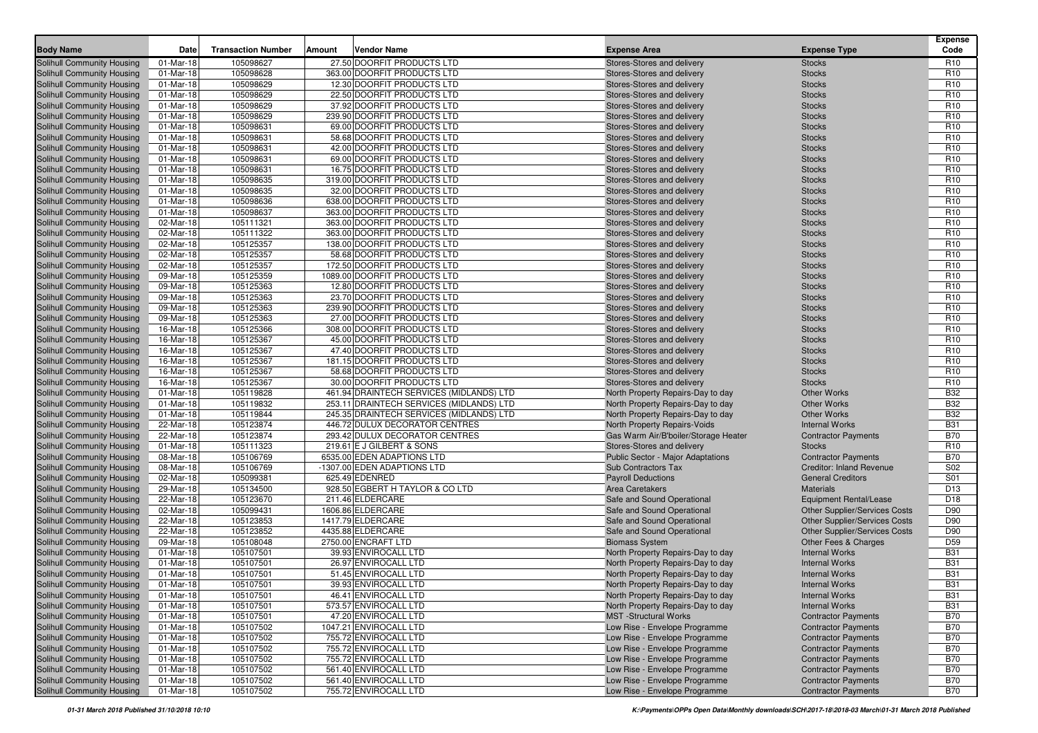| <b>Body Name</b>                  | Date      | <b>Transaction Number</b> | Amount | Vendor Name                              | <b>Expense Area</b>                  | <b>Expense Type</b>                  | <b>Expense</b><br>Code |
|-----------------------------------|-----------|---------------------------|--------|------------------------------------------|--------------------------------------|--------------------------------------|------------------------|
| Solihull Community Housing        | 01-Mar-18 | 105098627                 |        | 27.50 DOORFIT PRODUCTS LTD               | Stores-Stores and delivery           | <b>Stocks</b>                        | R <sub>10</sub>        |
| Solihull Community Housing        | 01-Mar-18 | 105098628                 |        | 363.00 DOORFIT PRODUCTS LTD              | Stores-Stores and delivery           | <b>Stocks</b>                        | R <sub>10</sub>        |
| Solihull Community Housing        | 01-Mar-18 | 105098629                 |        | 12.30 DOORFIT PRODUCTS LTD               | Stores-Stores and delivery           | <b>Stocks</b>                        | R <sub>10</sub>        |
| Solihull Community Housing        | 01-Mar-18 | 105098629                 |        | 22.50 DOORFIT PRODUCTS LTD               | Stores-Stores and delivery           | <b>Stocks</b>                        | R <sub>10</sub>        |
| Solihull Community Housing        | 01-Mar-18 | 105098629                 |        | 37.92 DOORFIT PRODUCTS LTD               | Stores-Stores and delivery           | <b>Stocks</b>                        | R <sub>10</sub>        |
| Solihull Community Housing        | 01-Mar-18 | 105098629                 |        | 239.90 DOORFIT PRODUCTS LTD              | Stores-Stores and delivery           | <b>Stocks</b>                        | R <sub>10</sub>        |
| Solihull Community Housing        | 01-Mar-18 | 105098631                 |        | 69.00 DOORFIT PRODUCTS LTD               | Stores-Stores and delivery           | <b>Stocks</b>                        | R <sub>10</sub>        |
| Solihull Community Housing        | 01-Mar-18 | 105098631                 |        | 58.68 DOORFIT PRODUCTS LTD               | Stores-Stores and delivery           | <b>Stocks</b>                        | R <sub>10</sub>        |
| Solihull Community Housing        | 01-Mar-18 | 105098631                 |        | 42.00 DOORFIT PRODUCTS LTD               | Stores-Stores and delivery           | <b>Stocks</b>                        | R <sub>10</sub>        |
| <b>Solihull Community Housing</b> | 01-Mar-18 | 105098631                 |        | 69.00 DOORFIT PRODUCTS LTD               | Stores-Stores and delivery           | <b>Stocks</b>                        | R <sub>10</sub>        |
| Solihull Community Housing        | 01-Mar-18 | 105098631                 |        | 16.75 DOORFIT PRODUCTS LTD               | Stores-Stores and delivery           | <b>Stocks</b>                        | R <sub>10</sub>        |
| Solihull Community Housing        | 01-Mar-18 | 105098635                 |        | 319.00 DOORFIT PRODUCTS LTD              | Stores-Stores and delivery           | <b>Stocks</b>                        | R <sub>10</sub>        |
| Solihull Community Housing        | 01-Mar-18 | 105098635                 |        | 32.00 DOORFIT PRODUCTS LTD               | Stores-Stores and delivery           | <b>Stocks</b>                        | R <sub>10</sub>        |
| Solihull Community Housing        | 01-Mar-18 | 105098636                 |        | 638.00 DOORFIT PRODUCTS LTD              | Stores-Stores and delivery           | <b>Stocks</b>                        | R <sub>10</sub>        |
| Solihull Community Housing        | 01-Mar-18 | 105098637                 |        | 363.00 DOORFIT PRODUCTS LTD              | Stores-Stores and delivery           | <b>Stocks</b>                        | R <sub>10</sub>        |
| Solihull Community Housing        | 02-Mar-18 | 105111321                 |        | 363.00 DOORFIT PRODUCTS LTD              | Stores-Stores and delivery           | <b>Stocks</b>                        | R <sub>10</sub>        |
| Solihull Community Housing        | 02-Mar-18 | 105111322                 |        | 363.00 DOORFIT PRODUCTS LTD              | Stores-Stores and delivery           | <b>Stocks</b>                        | R <sub>10</sub>        |
| Solihull Community Housing        | 02-Mar-18 | 105125357                 |        | 138.00 DOORFIT PRODUCTS LTD              | Stores-Stores and delivery           | <b>Stocks</b>                        | R <sub>10</sub>        |
| Solihull Community Housing        | 02-Mar-18 | 105125357                 |        | 58.68 DOORFIT PRODUCTS LTD               | Stores-Stores and delivery           | <b>Stocks</b>                        | R <sub>10</sub>        |
| Solihull Community Housing        | 02-Mar-18 | 105125357                 |        | 172.50 DOORFIT PRODUCTS LTD              | Stores-Stores and delivery           | <b>Stocks</b>                        | R <sub>10</sub>        |
| Solihull Community Housing        | 09-Mar-18 | 105125359                 |        | 1089.00 DOORFIT PRODUCTS LTD             | Stores-Stores and delivery           | <b>Stocks</b>                        | R <sub>10</sub>        |
| Solihull Community Housing        | 09-Mar-18 | 105125363                 |        | 12.80 DOORFIT PRODUCTS LTD               | Stores-Stores and delivery           | <b>Stocks</b>                        | R <sub>10</sub>        |
| Solihull Community Housing        | 09-Mar-18 | 105125363                 |        | 23.70 DOORFIT PRODUCTS LTD               | Stores-Stores and delivery           | <b>Stocks</b>                        | R <sub>10</sub>        |
| Solihull Community Housing        | 09-Mar-18 | 105125363                 |        | 239.90 DOORFIT PRODUCTS LTD              | Stores-Stores and delivery           | <b>Stocks</b>                        | R <sub>10</sub>        |
| Solihull Community Housing        | 09-Mar-18 | 105125363                 |        | 27.00 DOORFIT PRODUCTS LTD               | Stores-Stores and delivery           | <b>Stocks</b>                        | R <sub>10</sub>        |
| Solihull Community Housing        | 16-Mar-18 | 105125366                 |        | 308.00 DOORFIT PRODUCTS LTD              | Stores-Stores and delivery           | <b>Stocks</b>                        | R <sub>10</sub>        |
| Solihull Community Housing        | 16-Mar-18 | 105125367                 |        | 45.00 DOORFIT PRODUCTS LTD               | Stores-Stores and delivery           | <b>Stocks</b>                        | R <sub>10</sub>        |
| Solihull Community Housing        | 16-Mar-18 | 105125367                 |        | 47.40 DOORFIT PRODUCTS LTD               | Stores-Stores and delivery           | <b>Stocks</b>                        | R <sub>10</sub>        |
| Solihull Community Housing        | 16-Mar-18 | 105125367                 |        | 181.15 DOORFIT PRODUCTS LTD              | Stores-Stores and delivery           | <b>Stocks</b>                        | R <sub>10</sub>        |
| Solihull Community Housing        | 16-Mar-18 | 105125367                 |        | 58.68 DOORFIT PRODUCTS LTD               | Stores-Stores and delivery           | <b>Stocks</b>                        | R <sub>10</sub>        |
| Solihull Community Housing        | 16-Mar-18 | 105125367                 |        | 30.00 DOORFIT PRODUCTS LTD               | Stores-Stores and delivery           | <b>Stocks</b>                        | R <sub>10</sub>        |
| <b>Solihull Community Housing</b> | 01-Mar-18 | 105119828                 |        | 461.94 DRAINTECH SERVICES (MIDLANDS) LTD | North Property Repairs-Day to day    | <b>Other Works</b>                   | <b>B32</b>             |
| Solihull Community Housing        | 01-Mar-18 | 105119832                 |        | 253.11 DRAINTECH SERVICES (MIDLANDS) LTD | North Property Repairs-Day to day    | <b>Other Works</b>                   | <b>B32</b>             |
| Solihull Community Housing        | 01-Mar-18 | 105119844                 |        | 245.35 DRAINTECH SERVICES (MIDLANDS) LTD | North Property Repairs-Day to day    | <b>Other Works</b>                   | <b>B32</b>             |
| Solihull Community Housing        | 22-Mar-18 | 105123874                 |        | 446.72 DULUX DECORATOR CENTRES           | North Property Repairs-Voids         | <b>Internal Works</b>                | <b>B31</b>             |
| Solihull Community Housing        | 22-Mar-18 | 105123874                 |        | 293.42 DULUX DECORATOR CENTRES           | Gas Warm Air/B'boiler/Storage Heater | <b>Contractor Payments</b>           | <b>B70</b>             |
| Solihull Community Housing        | 01-Mar-18 | 105111323                 |        | 219.61 E J GILBERT & SONS                | Stores-Stores and delivery           | <b>Stocks</b>                        | R <sub>10</sub>        |
| Solihull Community Housing        | 08-Mar-18 | 105106769                 |        | 6535.00 EDEN ADAPTIONS LTD               | Public Sector - Major Adaptations    | <b>Contractor Payments</b>           | <b>B70</b>             |
| Solihull Community Housing        | 08-Mar-18 | 105106769                 |        | -1307.00 EDEN ADAPTIONS LTD              | Sub Contractors Tax                  | <b>Creditor: Inland Revenue</b>      | S <sub>02</sub>        |
| Solihull Community Housing        | 02-Mar-18 | 105099381                 |        | 625.49 EDENRED                           | <b>Payroll Deductions</b>            | <b>General Creditors</b>             | S01                    |
| Solihull Community Housing        | 29-Mar-18 | 105134500                 |        | 928.50 EGBERT H TAYLOR & CO LTD          | Area Caretakers                      | <b>Materials</b>                     | D <sub>13</sub>        |
| Solihull Community Housing        | 22-Mar-18 | 105123670                 |        | 211.46 ELDERCARE                         | Safe and Sound Operational           | Equipment Rental/Lease               | D <sub>18</sub>        |
| Solihull Community Housing        | 02-Mar-18 | 105099431                 |        | 1606.86 ELDERCARE                        | Safe and Sound Operational           | <b>Other Supplier/Services Costs</b> | D90                    |
| Solihull Community Housing        | 22-Mar-18 | 105123853                 |        | 1417.79 ELDERCARE                        | Safe and Sound Operational           | <b>Other Supplier/Services Costs</b> | D90                    |
| Solihull Community Housing        | 22-Mar-18 | 105123852                 |        | 4435.88 ELDERCARE                        | Safe and Sound Operational           | Other Supplier/Services Costs        | D90                    |
| Solihull Community Housing        | 09-Mar-18 | 105108048                 |        | 2750.00 ENCRAFT LTD                      | <b>Biomass System</b>                | Other Fees & Charges                 | D <sub>59</sub>        |
| Solihull Community Housing        | 01-Mar-18 | 105107501                 |        | 39.93 ENVIROCALL LTD                     | North Property Repairs-Day to day    | <b>Internal Works</b>                | <b>B31</b>             |
| Solihull Community Housing        | 01-Mar-18 | 105107501                 |        | 26.97 ENVIROCALL LTD                     | North Property Repairs-Day to day    | <b>Internal Works</b>                | <b>B31</b>             |
| Solihull Community Housing        | 01-Mar-18 | 105107501                 |        | 51.45 ENVIROCALL LTD                     | North Property Repairs-Day to day    | <b>Internal Works</b>                | <b>B31</b>             |
| <b>Solihull Community Housing</b> | 01-Mar-18 | 105107501                 |        | 39.93 ENVIROCALL LTD                     | North Property Repairs-Day to day    | <b>Internal Works</b>                | <b>B31</b>             |
| Solihull Community Housing        | 01-Mar-18 | 105107501                 |        | 46.41 ENVIROCALL LTD                     | North Property Repairs-Day to day    | <b>Internal Works</b>                | <b>B31</b>             |
| <b>Solihull Community Housing</b> | 01-Mar-18 | 105107501                 |        | 573.57 ENVIROCALL LTD                    | North Property Repairs-Day to day    | <b>Internal Works</b>                | <b>B31</b>             |
| Solihull Community Housing        | 01-Mar-18 | 105107501                 |        | 47.20 ENVIROCALL LTD                     | <b>MST</b> -Structural Works         | <b>Contractor Payments</b>           | <b>B70</b>             |
| Solihull Community Housing        | 01-Mar-18 | 105107502                 |        | 1047.21 ENVIROCALL LTD                   | Low Rise - Envelope Programme        | <b>Contractor Payments</b>           | <b>B70</b>             |
| Solihull Community Housing        | 01-Mar-18 | 105107502                 |        | 755.72 ENVIROCALL LTD                    | Low Rise - Envelope Programme        | <b>Contractor Payments</b>           | <b>B70</b>             |
| Solihull Community Housing        | 01-Mar-18 | 105107502                 |        | 755.72 ENVIROCALL LTD                    | Low Rise - Envelope Programme        | <b>Contractor Payments</b>           | <b>B70</b>             |
| <b>Solihull Community Housing</b> | 01-Mar-18 | 105107502                 |        | 755.72 ENVIROCALL LTD                    | Low Rise - Envelope Programme        | <b>Contractor Payments</b>           | <b>B70</b>             |
| Solihull Community Housing        | 01-Mar-18 | 105107502                 |        | 561.40 ENVIROCALL LTD                    | Low Rise - Envelope Programme        | <b>Contractor Payments</b>           | <b>B70</b>             |
| Solihull Community Housing        | 01-Mar-18 | 105107502                 |        | 561.40 ENVIROCALL LTD                    | Low Rise - Envelope Programme        | <b>Contractor Payments</b>           | <b>B70</b>             |
| Solihull Community Housing        | 01-Mar-18 | 105107502                 |        | 755.72 ENVIROCALL LTD                    | Low Rise - Envelope Programme        | <b>Contractor Payments</b>           | <b>B70</b>             |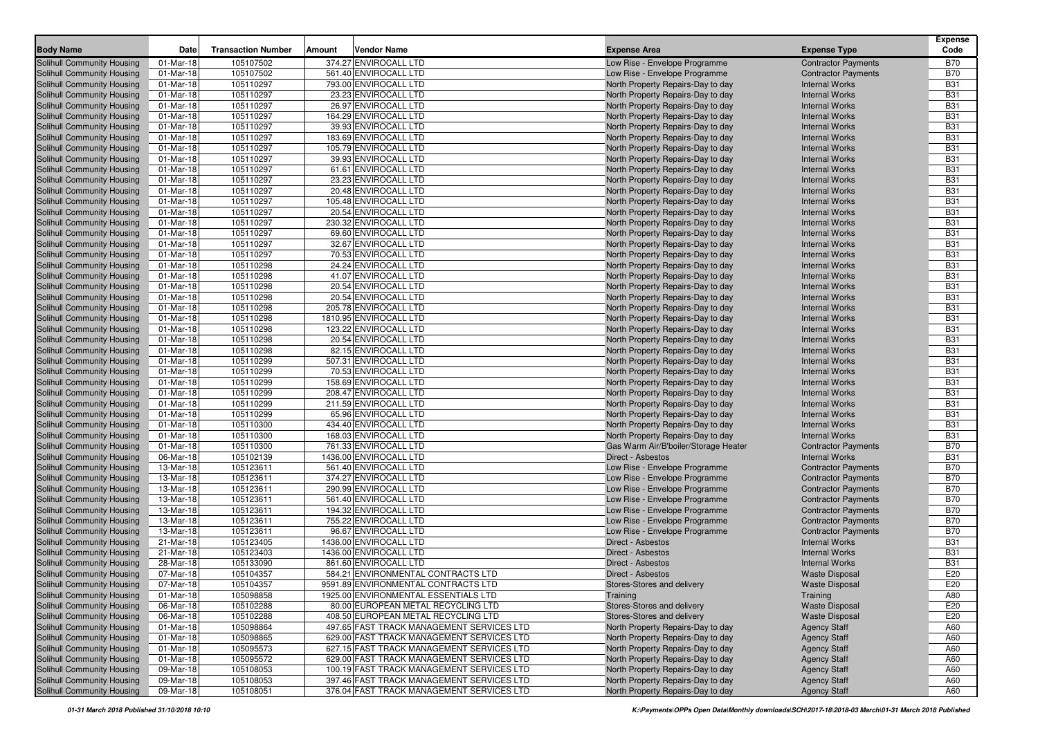| 01-Mar-18<br>105107502<br>374.27 ENVIROCALL LTD<br>Solihull Community Housing<br>Low Rise - Envelope Programme<br><b>Contractor Payments</b><br>B70<br>01-Mar-18<br>105107502<br>561.40 ENVIROCALL LTD<br><b>B70</b><br>Solihull Community Housing<br>Low Rise - Envelope Programme<br><b>Contractor Payments</b><br><b>B31</b><br>Solihull Community Housing<br>01-Mar-18<br>105110297<br>793.00 ENVIROCALL LTD<br>North Property Repairs-Day to day<br><b>Internal Works</b><br>105110297<br>23.23 ENVIROCALL LTD<br><b>B31</b><br>Solihull Community Housing<br>01-Mar-18<br>North Property Repairs-Day to day<br><b>Internal Works</b><br>26.97 ENVIROCALL LTD<br><b>B31</b><br>Solihull Community Housing<br>01-Mar-18<br>105110297<br>North Property Repairs-Day to day<br><b>Internal Works</b><br>105110297<br>164.29 ENVIROCALL LTD<br><b>B31</b><br>Solihull Community Housing<br>01-Mar-18<br>North Property Repairs-Day to day<br><b>Internal Works</b><br><b>B31</b><br>Solihull Community Housing<br>01-Mar-18<br>105110297<br>39.93 ENVIROCALL LTD<br>North Property Repairs-Day to day<br><b>Internal Works</b><br>105110297<br><b>B31</b><br>Solihull Community Housing<br>01-Mar-18<br>183.69 ENVIROCALL LTD<br>North Property Repairs-Day to day<br><b>Internal Works</b><br><b>B31</b><br>Solihull Community Housing<br>01-Mar-18<br>105110297<br>105.79 ENVIROCALL LTD<br><b>Internal Works</b><br>North Property Repairs-Day to day<br>105110297<br>39.93 ENVIROCALL LTD<br><b>B31</b><br>Solihull Community Housing<br>01-Mar-18<br><b>Internal Works</b><br>North Property Repairs-Day to day<br>61.61 ENVIROCALL LTD<br><b>B31</b><br>Solihull Community Housing<br>01-Mar-18<br>105110297<br>North Property Repairs-Day to day<br><b>Internal Works</b><br>105110297<br>23.23 ENVIROCALL LTD<br><b>B31</b><br>Solihull Community Housing<br>01-Mar-18<br>North Property Repairs-Day to day<br><b>Internal Works</b><br>20.48 ENVIROCALL LTD<br><b>B31</b><br>Solihull Community Housing<br>01-Mar-18<br>105110297<br>North Property Repairs-Day to day<br><b>Internal Works</b><br>105110297<br>105.48 ENVIROCALL LTD<br><b>B31</b><br>Solihull Community Housing<br>01-Mar-18<br>North Property Repairs-Day to day<br><b>Internal Works</b><br>20.54 ENVIROCALL LTD<br><b>B31</b><br>Solihull Community Housing<br>01-Mar-18<br>105110297<br>North Property Repairs-Day to day<br><b>Internal Works</b><br><b>B31</b><br>Solihull Community Housing<br>01-Mar-18<br>105110297<br>230.32 ENVIROCALL LTD<br>North Property Repairs-Day to day<br><b>Internal Works</b><br>105110297<br><b>B31</b><br>Solihull Community Housing<br>01-Mar-18<br>69.60 ENVIROCALL LTD<br>North Property Repairs-Day to day<br><b>Internal Works</b><br>32.67 ENVIROCALL LTD<br><b>B31</b><br>Solihull Community Housing<br>01-Mar-18<br>105110297<br><b>Internal Works</b><br>North Property Repairs-Day to day<br>105110297<br>70.53 ENVIROCALL LTD<br><b>B31</b><br>Solihull Community Housing<br>01-Mar-18<br>North Property Repairs-Day to day<br><b>Internal Works</b><br>105110298<br>24.24 ENVIROCALL LTD<br><b>B31</b><br>Solihull Community Housing<br>01-Mar-18<br>North Property Repairs-Day to day<br><b>Internal Works</b><br>105110298<br>41.07 ENVIROCALL LTD<br><b>B31</b><br>Solihull Community Housing<br>01-Mar-18<br>North Property Repairs-Day to day<br><b>Internal Works</b><br>105110298<br>20.54 ENVIROCALL LTD<br><b>B31</b><br>Solihull Community Housing<br>01-Mar-18<br>North Property Repairs-Day to day<br><b>Internal Works</b><br>20.54 ENVIROCALL LTD<br><b>B31</b><br>Solihull Community Housing<br>01-Mar-18<br>105110298<br>North Property Repairs-Day to day<br><b>Internal Works</b><br><b>B31</b><br>105110298<br>Solihull Community Housing<br>01-Mar-18<br>205.78 ENVIROCALL LTD<br>North Property Repairs-Day to day<br><b>Internal Works</b><br>1810.95 ENVIROCALL LTD<br><b>B31</b><br>Solihull Community Housing<br>01-Mar-18<br>105110298<br>North Property Repairs-Day to day<br><b>Internal Works</b><br>105110298<br>123.22 ENVIROCALL LTD<br><b>B31</b><br>Solihull Community Housing<br>01-Mar-18<br>North Property Repairs-Day to day<br><b>Internal Works</b><br>20.54 ENVIROCALL LTD<br><b>B31</b><br>Solihull Community Housing<br>01-Mar-18<br>105110298<br>North Property Repairs-Day to day<br><b>Internal Works</b><br>105110298<br>82.15 ENVIROCALL LTD<br><b>B31</b><br>Solihull Community Housing<br>01-Mar-18<br>North Property Repairs-Day to day<br><b>Internal Works</b><br>507.31 ENVIROCALL LTD<br><b>B31</b><br>Solihull Community Housing<br>01-Mar-18<br>105110299<br>North Property Repairs-Day to day<br><b>Internal Works</b><br>105110299<br>70.53 ENVIROCALL LTD<br><b>B31</b><br>Solihull Community Housing<br>01-Mar-18<br>North Property Repairs-Day to day<br><b>Internal Works</b><br><b>B31</b><br>Solihull Community Housing<br>01-Mar-18<br>105110299<br>158.69 ENVIROCALL LTD<br>North Property Repairs-Day to day<br><b>Internal Works</b><br><b>B31</b><br>Solihull Community Housing<br>01-Mar-18<br>105110299<br>208.47 ENVIROCALL LTD<br><b>Internal Works</b><br>North Property Repairs-Day to day<br>211.59 ENVIROCALL LTD<br><b>B31</b><br>Solihull Community Housing<br>01-Mar-18<br>105110299<br>North Property Repairs-Day to day<br><b>Internal Works</b><br><b>B31</b><br>Solihull Community Housing<br>01-Mar-18<br>105110299<br>65.96 ENVIROCALL LTD<br>North Property Repairs-Day to day<br><b>Internal Works</b><br>434.40 ENVIROCALL LTD<br><b>B31</b><br>Solihull Community Housing<br>01-Mar-18<br>105110300<br>North Property Repairs-Day to day<br><b>Internal Works</b><br><b>B31</b><br>Solihull Community Housing<br>01-Mar-18<br>105110300<br>168.03 ENVIROCALL LTD<br><b>Internal Works</b><br>North Property Repairs-Day to day<br>Solihull Community Housing<br>01-Mar-18<br>105110300<br>761.33 ENVIROCALL LTD<br>Gas Warm Air/B'boiler/Storage Heater<br><b>B70</b><br><b>Contractor Payments</b><br>1436.00 ENVIROCALL LTD<br><b>B31</b><br>Solihull Community Housing<br>06-Mar-18<br>105102139<br>Direct - Asbestos<br><b>Internal Works</b><br>105123611<br>561.40 ENVIROCALL LTD<br><b>B70</b><br>Solihull Community Housing<br>13-Mar-18<br>Low Rise - Envelope Programme<br><b>Contractor Payments</b><br>374.27 ENVIROCALL LTD<br><b>B70</b><br>Solihull Community Housing<br>13-Mar-18<br>105123611<br>Low Rise - Envelope Programme<br><b>Contractor Payments</b><br><b>B70</b><br>Solihull Community Housing<br>13-Mar-18<br>105123611<br>290.99 ENVIROCALL LTD<br>Low Rise - Envelope Programme<br><b>Contractor Payments</b><br><b>B70</b><br>105123611<br>Solihull Community Housing<br>13-Mar-18<br>561.40 ENVIROCALL LTD<br>Low Rise - Envelope Programme<br><b>Contractor Payments</b><br>105123611<br><b>B70</b><br>Solihull Community Housing<br>13-Mar-18<br>194.32 ENVIROCALL LTD<br>Low Rise - Envelope Programme<br><b>Contractor Payments</b><br>105123611<br>755.22 ENVIROCALL LTD<br><b>B70</b><br>Solihull Community Housing<br>13-Mar-18<br>Low Rise - Envelope Programme<br><b>Contractor Payments</b><br><b>B70</b><br>Solihull Community Housing<br>13-Mar-18<br>105123611<br>96.67 ENVIROCALL LTD<br>Low Rise - Envelope Programme<br><b>Contractor Payments</b><br>105123405<br>1436.00 ENVIROCALL LTD<br><b>B31</b><br>Solihull Community Housing<br>21-Mar-18<br>Direct - Asbestos<br><b>Internal Works</b><br>105123403<br>1436.00 ENVIROCALL LTD<br>Solihull Community Housing<br>21-Mar-18<br>Direct - Asbestos<br><b>Internal Works</b><br><b>B31</b><br>105133090<br><b>B31</b><br>Solihull Community Housing<br>28-Mar-18<br>861.60 ENVIROCALL LTD<br>Direct - Asbestos<br><b>Internal Works</b><br>E20<br>Solihull Community Housing<br>07-Mar-18<br>105104357<br>584.21 ENVIRONMENTAL CONTRACTS LTD<br>Direct - Asbestos<br><b>Waste Disposal</b><br>E20<br>Solihull Community Housing<br>07-Mar-18<br>105104357<br>9591.89 ENVIRONMENTAL CONTRACTS LTD<br><b>Waste Disposal</b><br>Stores-Stores and delivery<br>Solihull Community Housing<br>105098858<br>1925.00 ENVIRONMENTAL ESSENTIALS LTD<br>A80<br>01-Mar-18<br>Training<br>Training<br>Solihull Community Housing<br>06-Mar-18<br>105102288<br>80.00 EUROPEAN METAL RECYCLING LTD<br>Stores-Stores and delivery<br><b>Waste Disposal</b><br>E20<br>Solihull Community Housing<br>06-Mar-18<br>105102288<br>408.50 EUROPEAN METAL RECYCLING LTD<br>Stores-Stores and delivery<br><b>Waste Disposal</b><br>E20<br>Solihull Community Housing<br>01-Mar-18<br>105098864<br>497.65 FAST TRACK MANAGEMENT SERVICES LTD<br>North Property Repairs-Day to day<br><b>Agency Staff</b><br>A60<br>105098865<br>Solihull Community Housing<br>01-Mar-18<br>629.00 FAST TRACK MANAGEMENT SERVICES LTD<br>North Property Repairs-Day to day<br><b>Agency Staff</b><br>A60<br>Solihull Community Housing<br>105095573<br>627.15 FAST TRACK MANAGEMENT SERVICES LTD<br>01-Mar-18<br>North Property Repairs-Day to day<br><b>Agency Staff</b><br>A60<br>Solihull Community Housing<br>01-Mar-18<br>105095572<br>629.00 FAST TRACK MANAGEMENT SERVICES LTD<br>North Property Repairs-Day to day<br>A60<br><b>Agency Staff</b><br>Solihull Community Housing<br>09-Mar-18<br>105108053<br>100.19 FAST TRACK MANAGEMENT SERVICES LTD<br>North Property Repairs-Day to day<br><b>Agency Staff</b><br>A60<br>Solihull Community Housing<br>09-Mar-18<br>105108053<br>397.46 FAST TRACK MANAGEMENT SERVICES LTD<br>North Property Repairs-Day to day<br>A60<br><b>Agency Staff</b><br>376.04 FAST TRACK MANAGEMENT SERVICES LTD | <b>Body Name</b>           | Date      | <b>Transaction Number</b> | Amount | <b>Vendor Name</b> | <b>Expense Area</b>               | <b>Expense Type</b> | <b>Expense</b><br>Code |
|---------------------------------------------------------------------------------------------------------------------------------------------------------------------------------------------------------------------------------------------------------------------------------------------------------------------------------------------------------------------------------------------------------------------------------------------------------------------------------------------------------------------------------------------------------------------------------------------------------------------------------------------------------------------------------------------------------------------------------------------------------------------------------------------------------------------------------------------------------------------------------------------------------------------------------------------------------------------------------------------------------------------------------------------------------------------------------------------------------------------------------------------------------------------------------------------------------------------------------------------------------------------------------------------------------------------------------------------------------------------------------------------------------------------------------------------------------------------------------------------------------------------------------------------------------------------------------------------------------------------------------------------------------------------------------------------------------------------------------------------------------------------------------------------------------------------------------------------------------------------------------------------------------------------------------------------------------------------------------------------------------------------------------------------------------------------------------------------------------------------------------------------------------------------------------------------------------------------------------------------------------------------------------------------------------------------------------------------------------------------------------------------------------------------------------------------------------------------------------------------------------------------------------------------------------------------------------------------------------------------------------------------------------------------------------------------------------------------------------------------------------------------------------------------------------------------------------------------------------------------------------------------------------------------------------------------------------------------------------------------------------------------------------------------------------------------------------------------------------------------------------------------------------------------------------------------------------------------------------------------------------------------------------------------------------------------------------------------------------------------------------------------------------------------------------------------------------------------------------------------------------------------------------------------------------------------------------------------------------------------------------------------------------------------------------------------------------------------------------------------------------------------------------------------------------------------------------------------------------------------------------------------------------------------------------------------------------------------------------------------------------------------------------------------------------------------------------------------------------------------------------------------------------------------------------------------------------------------------------------------------------------------------------------------------------------------------------------------------------------------------------------------------------------------------------------------------------------------------------------------------------------------------------------------------------------------------------------------------------------------------------------------------------------------------------------------------------------------------------------------------------------------------------------------------------------------------------------------------------------------------------------------------------------------------------------------------------------------------------------------------------------------------------------------------------------------------------------------------------------------------------------------------------------------------------------------------------------------------------------------------------------------------------------------------------------------------------------------------------------------------------------------------------------------------------------------------------------------------------------------------------------------------------------------------------------------------------------------------------------------------------------------------------------------------------------------------------------------------------------------------------------------------------------------------------------------------------------------------------------------------------------------------------------------------------------------------------------------------------------------------------------------------------------------------------------------------------------------------------------------------------------------------------------------------------------------------------------------------------------------------------------------------------------------------------------------------------------------------------------------------------------------------------------------------------------------------------------------------------------------------------------------------------------------------------------------------------------------------------------------------------------------------------------------------------------------------------------------------------------------------------------------------------------------------------------------------------------------------------------------------------------------------------------------------------------------------------------------------------------------------------------------------------------------------------------------------------------------------------------------------------------------------------------------------------------------------------------------------------------------------------------------------------------------------------------------------------------------------------------------------------------------------------------------------------------------------------------------------------------------------------------------------------------------------------------------------------------------------------------------------------------------------------------------------------------------------------------------------------------------------------------------------------------------------------------------------------------------------------------------------------------------------------------------------------------------------------------------------------------------------------------------------------------------------------------------------------------------------------------------------------------------------------------------------------------------------------------------------------------------------------------------------------------------------------------------------------------------------------------------------------------------------------------------------------------------------------------------------------------------------------------------------------------------------------------------------------------------------------------------------------------------------------------------------------------------------------------------------------------------------------------------------------------------------------------------------------------------------------------------------------------------------------------------------------------------------------------------------------------------------------------------------------------------------------------------------------------------------------------------------------------------------------------------------------------------------------------------------------------------------------------------------------------------------------------------------------------------------------------------------------------------------------------------------------------------------------------------------------------------------------------------------------------------------------------------------------------------------------------------------------------------|----------------------------|-----------|---------------------------|--------|--------------------|-----------------------------------|---------------------|------------------------|
|                                                                                                                                                                                                                                                                                                                                                                                                                                                                                                                                                                                                                                                                                                                                                                                                                                                                                                                                                                                                                                                                                                                                                                                                                                                                                                                                                                                                                                                                                                                                                                                                                                                                                                                                                                                                                                                                                                                                                                                                                                                                                                                                                                                                                                                                                                                                                                                                                                                                                                                                                                                                                                                                                                                                                                                                                                                                                                                                                                                                                                                                                                                                                                                                                                                                                                                                                                                                                                                                                                                                                                                                                                                                                                                                                                                                                                                                                                                                                                                                                                                                                                                                                                                                                                                                                                                                                                                                                                                                                                                                                                                                                                                                                                                                                                                                                                                                                                                                                                                                                                                                                                                                                                                                                                                                                                                                                                                                                                                                                                                                                                                                                                                                                                                                                                                                                                                                                                                                                                                                                                                                                                                                                                                                                                                                                                                                                                                                                                                                                                                                                                                                                                                                                                                                                                                                                                                                                                                                                                                                                                                                                                                                                                                                                                                                                                                                                                                                                                                                                                                                                                                                                                                                                                                                                                                                                                                                                                                                                                                                                                                                                                                                                                                                                                                                                                                                                                                                                                                                                                                                                                                                                                                                                                                                                                                                                                                                                                                                                                                                                                                                                                                                                                                                                                                                                                                                                                                                                                                                                                                                                                                                                                             |                            |           |                           |        |                    |                                   |                     |                        |
|                                                                                                                                                                                                                                                                                                                                                                                                                                                                                                                                                                                                                                                                                                                                                                                                                                                                                                                                                                                                                                                                                                                                                                                                                                                                                                                                                                                                                                                                                                                                                                                                                                                                                                                                                                                                                                                                                                                                                                                                                                                                                                                                                                                                                                                                                                                                                                                                                                                                                                                                                                                                                                                                                                                                                                                                                                                                                                                                                                                                                                                                                                                                                                                                                                                                                                                                                                                                                                                                                                                                                                                                                                                                                                                                                                                                                                                                                                                                                                                                                                                                                                                                                                                                                                                                                                                                                                                                                                                                                                                                                                                                                                                                                                                                                                                                                                                                                                                                                                                                                                                                                                                                                                                                                                                                                                                                                                                                                                                                                                                                                                                                                                                                                                                                                                                                                                                                                                                                                                                                                                                                                                                                                                                                                                                                                                                                                                                                                                                                                                                                                                                                                                                                                                                                                                                                                                                                                                                                                                                                                                                                                                                                                                                                                                                                                                                                                                                                                                                                                                                                                                                                                                                                                                                                                                                                                                                                                                                                                                                                                                                                                                                                                                                                                                                                                                                                                                                                                                                                                                                                                                                                                                                                                                                                                                                                                                                                                                                                                                                                                                                                                                                                                                                                                                                                                                                                                                                                                                                                                                                                                                                                                                             |                            |           |                           |        |                    |                                   |                     |                        |
|                                                                                                                                                                                                                                                                                                                                                                                                                                                                                                                                                                                                                                                                                                                                                                                                                                                                                                                                                                                                                                                                                                                                                                                                                                                                                                                                                                                                                                                                                                                                                                                                                                                                                                                                                                                                                                                                                                                                                                                                                                                                                                                                                                                                                                                                                                                                                                                                                                                                                                                                                                                                                                                                                                                                                                                                                                                                                                                                                                                                                                                                                                                                                                                                                                                                                                                                                                                                                                                                                                                                                                                                                                                                                                                                                                                                                                                                                                                                                                                                                                                                                                                                                                                                                                                                                                                                                                                                                                                                                                                                                                                                                                                                                                                                                                                                                                                                                                                                                                                                                                                                                                                                                                                                                                                                                                                                                                                                                                                                                                                                                                                                                                                                                                                                                                                                                                                                                                                                                                                                                                                                                                                                                                                                                                                                                                                                                                                                                                                                                                                                                                                                                                                                                                                                                                                                                                                                                                                                                                                                                                                                                                                                                                                                                                                                                                                                                                                                                                                                                                                                                                                                                                                                                                                                                                                                                                                                                                                                                                                                                                                                                                                                                                                                                                                                                                                                                                                                                                                                                                                                                                                                                                                                                                                                                                                                                                                                                                                                                                                                                                                                                                                                                                                                                                                                                                                                                                                                                                                                                                                                                                                                                                             |                            |           |                           |        |                    |                                   |                     |                        |
|                                                                                                                                                                                                                                                                                                                                                                                                                                                                                                                                                                                                                                                                                                                                                                                                                                                                                                                                                                                                                                                                                                                                                                                                                                                                                                                                                                                                                                                                                                                                                                                                                                                                                                                                                                                                                                                                                                                                                                                                                                                                                                                                                                                                                                                                                                                                                                                                                                                                                                                                                                                                                                                                                                                                                                                                                                                                                                                                                                                                                                                                                                                                                                                                                                                                                                                                                                                                                                                                                                                                                                                                                                                                                                                                                                                                                                                                                                                                                                                                                                                                                                                                                                                                                                                                                                                                                                                                                                                                                                                                                                                                                                                                                                                                                                                                                                                                                                                                                                                                                                                                                                                                                                                                                                                                                                                                                                                                                                                                                                                                                                                                                                                                                                                                                                                                                                                                                                                                                                                                                                                                                                                                                                                                                                                                                                                                                                                                                                                                                                                                                                                                                                                                                                                                                                                                                                                                                                                                                                                                                                                                                                                                                                                                                                                                                                                                                                                                                                                                                                                                                                                                                                                                                                                                                                                                                                                                                                                                                                                                                                                                                                                                                                                                                                                                                                                                                                                                                                                                                                                                                                                                                                                                                                                                                                                                                                                                                                                                                                                                                                                                                                                                                                                                                                                                                                                                                                                                                                                                                                                                                                                                                                             |                            |           |                           |        |                    |                                   |                     |                        |
|                                                                                                                                                                                                                                                                                                                                                                                                                                                                                                                                                                                                                                                                                                                                                                                                                                                                                                                                                                                                                                                                                                                                                                                                                                                                                                                                                                                                                                                                                                                                                                                                                                                                                                                                                                                                                                                                                                                                                                                                                                                                                                                                                                                                                                                                                                                                                                                                                                                                                                                                                                                                                                                                                                                                                                                                                                                                                                                                                                                                                                                                                                                                                                                                                                                                                                                                                                                                                                                                                                                                                                                                                                                                                                                                                                                                                                                                                                                                                                                                                                                                                                                                                                                                                                                                                                                                                                                                                                                                                                                                                                                                                                                                                                                                                                                                                                                                                                                                                                                                                                                                                                                                                                                                                                                                                                                                                                                                                                                                                                                                                                                                                                                                                                                                                                                                                                                                                                                                                                                                                                                                                                                                                                                                                                                                                                                                                                                                                                                                                                                                                                                                                                                                                                                                                                                                                                                                                                                                                                                                                                                                                                                                                                                                                                                                                                                                                                                                                                                                                                                                                                                                                                                                                                                                                                                                                                                                                                                                                                                                                                                                                                                                                                                                                                                                                                                                                                                                                                                                                                                                                                                                                                                                                                                                                                                                                                                                                                                                                                                                                                                                                                                                                                                                                                                                                                                                                                                                                                                                                                                                                                                                                                             |                            |           |                           |        |                    |                                   |                     |                        |
|                                                                                                                                                                                                                                                                                                                                                                                                                                                                                                                                                                                                                                                                                                                                                                                                                                                                                                                                                                                                                                                                                                                                                                                                                                                                                                                                                                                                                                                                                                                                                                                                                                                                                                                                                                                                                                                                                                                                                                                                                                                                                                                                                                                                                                                                                                                                                                                                                                                                                                                                                                                                                                                                                                                                                                                                                                                                                                                                                                                                                                                                                                                                                                                                                                                                                                                                                                                                                                                                                                                                                                                                                                                                                                                                                                                                                                                                                                                                                                                                                                                                                                                                                                                                                                                                                                                                                                                                                                                                                                                                                                                                                                                                                                                                                                                                                                                                                                                                                                                                                                                                                                                                                                                                                                                                                                                                                                                                                                                                                                                                                                                                                                                                                                                                                                                                                                                                                                                                                                                                                                                                                                                                                                                                                                                                                                                                                                                                                                                                                                                                                                                                                                                                                                                                                                                                                                                                                                                                                                                                                                                                                                                                                                                                                                                                                                                                                                                                                                                                                                                                                                                                                                                                                                                                                                                                                                                                                                                                                                                                                                                                                                                                                                                                                                                                                                                                                                                                                                                                                                                                                                                                                                                                                                                                                                                                                                                                                                                                                                                                                                                                                                                                                                                                                                                                                                                                                                                                                                                                                                                                                                                                                                             |                            |           |                           |        |                    |                                   |                     |                        |
|                                                                                                                                                                                                                                                                                                                                                                                                                                                                                                                                                                                                                                                                                                                                                                                                                                                                                                                                                                                                                                                                                                                                                                                                                                                                                                                                                                                                                                                                                                                                                                                                                                                                                                                                                                                                                                                                                                                                                                                                                                                                                                                                                                                                                                                                                                                                                                                                                                                                                                                                                                                                                                                                                                                                                                                                                                                                                                                                                                                                                                                                                                                                                                                                                                                                                                                                                                                                                                                                                                                                                                                                                                                                                                                                                                                                                                                                                                                                                                                                                                                                                                                                                                                                                                                                                                                                                                                                                                                                                                                                                                                                                                                                                                                                                                                                                                                                                                                                                                                                                                                                                                                                                                                                                                                                                                                                                                                                                                                                                                                                                                                                                                                                                                                                                                                                                                                                                                                                                                                                                                                                                                                                                                                                                                                                                                                                                                                                                                                                                                                                                                                                                                                                                                                                                                                                                                                                                                                                                                                                                                                                                                                                                                                                                                                                                                                                                                                                                                                                                                                                                                                                                                                                                                                                                                                                                                                                                                                                                                                                                                                                                                                                                                                                                                                                                                                                                                                                                                                                                                                                                                                                                                                                                                                                                                                                                                                                                                                                                                                                                                                                                                                                                                                                                                                                                                                                                                                                                                                                                                                                                                                                                                             |                            |           |                           |        |                    |                                   |                     |                        |
|                                                                                                                                                                                                                                                                                                                                                                                                                                                                                                                                                                                                                                                                                                                                                                                                                                                                                                                                                                                                                                                                                                                                                                                                                                                                                                                                                                                                                                                                                                                                                                                                                                                                                                                                                                                                                                                                                                                                                                                                                                                                                                                                                                                                                                                                                                                                                                                                                                                                                                                                                                                                                                                                                                                                                                                                                                                                                                                                                                                                                                                                                                                                                                                                                                                                                                                                                                                                                                                                                                                                                                                                                                                                                                                                                                                                                                                                                                                                                                                                                                                                                                                                                                                                                                                                                                                                                                                                                                                                                                                                                                                                                                                                                                                                                                                                                                                                                                                                                                                                                                                                                                                                                                                                                                                                                                                                                                                                                                                                                                                                                                                                                                                                                                                                                                                                                                                                                                                                                                                                                                                                                                                                                                                                                                                                                                                                                                                                                                                                                                                                                                                                                                                                                                                                                                                                                                                                                                                                                                                                                                                                                                                                                                                                                                                                                                                                                                                                                                                                                                                                                                                                                                                                                                                                                                                                                                                                                                                                                                                                                                                                                                                                                                                                                                                                                                                                                                                                                                                                                                                                                                                                                                                                                                                                                                                                                                                                                                                                                                                                                                                                                                                                                                                                                                                                                                                                                                                                                                                                                                                                                                                                                                             |                            |           |                           |        |                    |                                   |                     |                        |
|                                                                                                                                                                                                                                                                                                                                                                                                                                                                                                                                                                                                                                                                                                                                                                                                                                                                                                                                                                                                                                                                                                                                                                                                                                                                                                                                                                                                                                                                                                                                                                                                                                                                                                                                                                                                                                                                                                                                                                                                                                                                                                                                                                                                                                                                                                                                                                                                                                                                                                                                                                                                                                                                                                                                                                                                                                                                                                                                                                                                                                                                                                                                                                                                                                                                                                                                                                                                                                                                                                                                                                                                                                                                                                                                                                                                                                                                                                                                                                                                                                                                                                                                                                                                                                                                                                                                                                                                                                                                                                                                                                                                                                                                                                                                                                                                                                                                                                                                                                                                                                                                                                                                                                                                                                                                                                                                                                                                                                                                                                                                                                                                                                                                                                                                                                                                                                                                                                                                                                                                                                                                                                                                                                                                                                                                                                                                                                                                                                                                                                                                                                                                                                                                                                                                                                                                                                                                                                                                                                                                                                                                                                                                                                                                                                                                                                                                                                                                                                                                                                                                                                                                                                                                                                                                                                                                                                                                                                                                                                                                                                                                                                                                                                                                                                                                                                                                                                                                                                                                                                                                                                                                                                                                                                                                                                                                                                                                                                                                                                                                                                                                                                                                                                                                                                                                                                                                                                                                                                                                                                                                                                                                                                             |                            |           |                           |        |                    |                                   |                     |                        |
|                                                                                                                                                                                                                                                                                                                                                                                                                                                                                                                                                                                                                                                                                                                                                                                                                                                                                                                                                                                                                                                                                                                                                                                                                                                                                                                                                                                                                                                                                                                                                                                                                                                                                                                                                                                                                                                                                                                                                                                                                                                                                                                                                                                                                                                                                                                                                                                                                                                                                                                                                                                                                                                                                                                                                                                                                                                                                                                                                                                                                                                                                                                                                                                                                                                                                                                                                                                                                                                                                                                                                                                                                                                                                                                                                                                                                                                                                                                                                                                                                                                                                                                                                                                                                                                                                                                                                                                                                                                                                                                                                                                                                                                                                                                                                                                                                                                                                                                                                                                                                                                                                                                                                                                                                                                                                                                                                                                                                                                                                                                                                                                                                                                                                                                                                                                                                                                                                                                                                                                                                                                                                                                                                                                                                                                                                                                                                                                                                                                                                                                                                                                                                                                                                                                                                                                                                                                                                                                                                                                                                                                                                                                                                                                                                                                                                                                                                                                                                                                                                                                                                                                                                                                                                                                                                                                                                                                                                                                                                                                                                                                                                                                                                                                                                                                                                                                                                                                                                                                                                                                                                                                                                                                                                                                                                                                                                                                                                                                                                                                                                                                                                                                                                                                                                                                                                                                                                                                                                                                                                                                                                                                                                                             |                            |           |                           |        |                    |                                   |                     |                        |
|                                                                                                                                                                                                                                                                                                                                                                                                                                                                                                                                                                                                                                                                                                                                                                                                                                                                                                                                                                                                                                                                                                                                                                                                                                                                                                                                                                                                                                                                                                                                                                                                                                                                                                                                                                                                                                                                                                                                                                                                                                                                                                                                                                                                                                                                                                                                                                                                                                                                                                                                                                                                                                                                                                                                                                                                                                                                                                                                                                                                                                                                                                                                                                                                                                                                                                                                                                                                                                                                                                                                                                                                                                                                                                                                                                                                                                                                                                                                                                                                                                                                                                                                                                                                                                                                                                                                                                                                                                                                                                                                                                                                                                                                                                                                                                                                                                                                                                                                                                                                                                                                                                                                                                                                                                                                                                                                                                                                                                                                                                                                                                                                                                                                                                                                                                                                                                                                                                                                                                                                                                                                                                                                                                                                                                                                                                                                                                                                                                                                                                                                                                                                                                                                                                                                                                                                                                                                                                                                                                                                                                                                                                                                                                                                                                                                                                                                                                                                                                                                                                                                                                                                                                                                                                                                                                                                                                                                                                                                                                                                                                                                                                                                                                                                                                                                                                                                                                                                                                                                                                                                                                                                                                                                                                                                                                                                                                                                                                                                                                                                                                                                                                                                                                                                                                                                                                                                                                                                                                                                                                                                                                                                                                             |                            |           |                           |        |                    |                                   |                     |                        |
|                                                                                                                                                                                                                                                                                                                                                                                                                                                                                                                                                                                                                                                                                                                                                                                                                                                                                                                                                                                                                                                                                                                                                                                                                                                                                                                                                                                                                                                                                                                                                                                                                                                                                                                                                                                                                                                                                                                                                                                                                                                                                                                                                                                                                                                                                                                                                                                                                                                                                                                                                                                                                                                                                                                                                                                                                                                                                                                                                                                                                                                                                                                                                                                                                                                                                                                                                                                                                                                                                                                                                                                                                                                                                                                                                                                                                                                                                                                                                                                                                                                                                                                                                                                                                                                                                                                                                                                                                                                                                                                                                                                                                                                                                                                                                                                                                                                                                                                                                                                                                                                                                                                                                                                                                                                                                                                                                                                                                                                                                                                                                                                                                                                                                                                                                                                                                                                                                                                                                                                                                                                                                                                                                                                                                                                                                                                                                                                                                                                                                                                                                                                                                                                                                                                                                                                                                                                                                                                                                                                                                                                                                                                                                                                                                                                                                                                                                                                                                                                                                                                                                                                                                                                                                                                                                                                                                                                                                                                                                                                                                                                                                                                                                                                                                                                                                                                                                                                                                                                                                                                                                                                                                                                                                                                                                                                                                                                                                                                                                                                                                                                                                                                                                                                                                                                                                                                                                                                                                                                                                                                                                                                                                                             |                            |           |                           |        |                    |                                   |                     |                        |
|                                                                                                                                                                                                                                                                                                                                                                                                                                                                                                                                                                                                                                                                                                                                                                                                                                                                                                                                                                                                                                                                                                                                                                                                                                                                                                                                                                                                                                                                                                                                                                                                                                                                                                                                                                                                                                                                                                                                                                                                                                                                                                                                                                                                                                                                                                                                                                                                                                                                                                                                                                                                                                                                                                                                                                                                                                                                                                                                                                                                                                                                                                                                                                                                                                                                                                                                                                                                                                                                                                                                                                                                                                                                                                                                                                                                                                                                                                                                                                                                                                                                                                                                                                                                                                                                                                                                                                                                                                                                                                                                                                                                                                                                                                                                                                                                                                                                                                                                                                                                                                                                                                                                                                                                                                                                                                                                                                                                                                                                                                                                                                                                                                                                                                                                                                                                                                                                                                                                                                                                                                                                                                                                                                                                                                                                                                                                                                                                                                                                                                                                                                                                                                                                                                                                                                                                                                                                                                                                                                                                                                                                                                                                                                                                                                                                                                                                                                                                                                                                                                                                                                                                                                                                                                                                                                                                                                                                                                                                                                                                                                                                                                                                                                                                                                                                                                                                                                                                                                                                                                                                                                                                                                                                                                                                                                                                                                                                                                                                                                                                                                                                                                                                                                                                                                                                                                                                                                                                                                                                                                                                                                                                                                             |                            |           |                           |        |                    |                                   |                     |                        |
|                                                                                                                                                                                                                                                                                                                                                                                                                                                                                                                                                                                                                                                                                                                                                                                                                                                                                                                                                                                                                                                                                                                                                                                                                                                                                                                                                                                                                                                                                                                                                                                                                                                                                                                                                                                                                                                                                                                                                                                                                                                                                                                                                                                                                                                                                                                                                                                                                                                                                                                                                                                                                                                                                                                                                                                                                                                                                                                                                                                                                                                                                                                                                                                                                                                                                                                                                                                                                                                                                                                                                                                                                                                                                                                                                                                                                                                                                                                                                                                                                                                                                                                                                                                                                                                                                                                                                                                                                                                                                                                                                                                                                                                                                                                                                                                                                                                                                                                                                                                                                                                                                                                                                                                                                                                                                                                                                                                                                                                                                                                                                                                                                                                                                                                                                                                                                                                                                                                                                                                                                                                                                                                                                                                                                                                                                                                                                                                                                                                                                                                                                                                                                                                                                                                                                                                                                                                                                                                                                                                                                                                                                                                                                                                                                                                                                                                                                                                                                                                                                                                                                                                                                                                                                                                                                                                                                                                                                                                                                                                                                                                                                                                                                                                                                                                                                                                                                                                                                                                                                                                                                                                                                                                                                                                                                                                                                                                                                                                                                                                                                                                                                                                                                                                                                                                                                                                                                                                                                                                                                                                                                                                                                                             |                            |           |                           |        |                    |                                   |                     |                        |
|                                                                                                                                                                                                                                                                                                                                                                                                                                                                                                                                                                                                                                                                                                                                                                                                                                                                                                                                                                                                                                                                                                                                                                                                                                                                                                                                                                                                                                                                                                                                                                                                                                                                                                                                                                                                                                                                                                                                                                                                                                                                                                                                                                                                                                                                                                                                                                                                                                                                                                                                                                                                                                                                                                                                                                                                                                                                                                                                                                                                                                                                                                                                                                                                                                                                                                                                                                                                                                                                                                                                                                                                                                                                                                                                                                                                                                                                                                                                                                                                                                                                                                                                                                                                                                                                                                                                                                                                                                                                                                                                                                                                                                                                                                                                                                                                                                                                                                                                                                                                                                                                                                                                                                                                                                                                                                                                                                                                                                                                                                                                                                                                                                                                                                                                                                                                                                                                                                                                                                                                                                                                                                                                                                                                                                                                                                                                                                                                                                                                                                                                                                                                                                                                                                                                                                                                                                                                                                                                                                                                                                                                                                                                                                                                                                                                                                                                                                                                                                                                                                                                                                                                                                                                                                                                                                                                                                                                                                                                                                                                                                                                                                                                                                                                                                                                                                                                                                                                                                                                                                                                                                                                                                                                                                                                                                                                                                                                                                                                                                                                                                                                                                                                                                                                                                                                                                                                                                                                                                                                                                                                                                                                                                             |                            |           |                           |        |                    |                                   |                     |                        |
|                                                                                                                                                                                                                                                                                                                                                                                                                                                                                                                                                                                                                                                                                                                                                                                                                                                                                                                                                                                                                                                                                                                                                                                                                                                                                                                                                                                                                                                                                                                                                                                                                                                                                                                                                                                                                                                                                                                                                                                                                                                                                                                                                                                                                                                                                                                                                                                                                                                                                                                                                                                                                                                                                                                                                                                                                                                                                                                                                                                                                                                                                                                                                                                                                                                                                                                                                                                                                                                                                                                                                                                                                                                                                                                                                                                                                                                                                                                                                                                                                                                                                                                                                                                                                                                                                                                                                                                                                                                                                                                                                                                                                                                                                                                                                                                                                                                                                                                                                                                                                                                                                                                                                                                                                                                                                                                                                                                                                                                                                                                                                                                                                                                                                                                                                                                                                                                                                                                                                                                                                                                                                                                                                                                                                                                                                                                                                                                                                                                                                                                                                                                                                                                                                                                                                                                                                                                                                                                                                                                                                                                                                                                                                                                                                                                                                                                                                                                                                                                                                                                                                                                                                                                                                                                                                                                                                                                                                                                                                                                                                                                                                                                                                                                                                                                                                                                                                                                                                                                                                                                                                                                                                                                                                                                                                                                                                                                                                                                                                                                                                                                                                                                                                                                                                                                                                                                                                                                                                                                                                                                                                                                                                                             |                            |           |                           |        |                    |                                   |                     |                        |
|                                                                                                                                                                                                                                                                                                                                                                                                                                                                                                                                                                                                                                                                                                                                                                                                                                                                                                                                                                                                                                                                                                                                                                                                                                                                                                                                                                                                                                                                                                                                                                                                                                                                                                                                                                                                                                                                                                                                                                                                                                                                                                                                                                                                                                                                                                                                                                                                                                                                                                                                                                                                                                                                                                                                                                                                                                                                                                                                                                                                                                                                                                                                                                                                                                                                                                                                                                                                                                                                                                                                                                                                                                                                                                                                                                                                                                                                                                                                                                                                                                                                                                                                                                                                                                                                                                                                                                                                                                                                                                                                                                                                                                                                                                                                                                                                                                                                                                                                                                                                                                                                                                                                                                                                                                                                                                                                                                                                                                                                                                                                                                                                                                                                                                                                                                                                                                                                                                                                                                                                                                                                                                                                                                                                                                                                                                                                                                                                                                                                                                                                                                                                                                                                                                                                                                                                                                                                                                                                                                                                                                                                                                                                                                                                                                                                                                                                                                                                                                                                                                                                                                                                                                                                                                                                                                                                                                                                                                                                                                                                                                                                                                                                                                                                                                                                                                                                                                                                                                                                                                                                                                                                                                                                                                                                                                                                                                                                                                                                                                                                                                                                                                                                                                                                                                                                                                                                                                                                                                                                                                                                                                                                                                             |                            |           |                           |        |                    |                                   |                     |                        |
|                                                                                                                                                                                                                                                                                                                                                                                                                                                                                                                                                                                                                                                                                                                                                                                                                                                                                                                                                                                                                                                                                                                                                                                                                                                                                                                                                                                                                                                                                                                                                                                                                                                                                                                                                                                                                                                                                                                                                                                                                                                                                                                                                                                                                                                                                                                                                                                                                                                                                                                                                                                                                                                                                                                                                                                                                                                                                                                                                                                                                                                                                                                                                                                                                                                                                                                                                                                                                                                                                                                                                                                                                                                                                                                                                                                                                                                                                                                                                                                                                                                                                                                                                                                                                                                                                                                                                                                                                                                                                                                                                                                                                                                                                                                                                                                                                                                                                                                                                                                                                                                                                                                                                                                                                                                                                                                                                                                                                                                                                                                                                                                                                                                                                                                                                                                                                                                                                                                                                                                                                                                                                                                                                                                                                                                                                                                                                                                                                                                                                                                                                                                                                                                                                                                                                                                                                                                                                                                                                                                                                                                                                                                                                                                                                                                                                                                                                                                                                                                                                                                                                                                                                                                                                                                                                                                                                                                                                                                                                                                                                                                                                                                                                                                                                                                                                                                                                                                                                                                                                                                                                                                                                                                                                                                                                                                                                                                                                                                                                                                                                                                                                                                                                                                                                                                                                                                                                                                                                                                                                                                                                                                                                                             |                            |           |                           |        |                    |                                   |                     |                        |
|                                                                                                                                                                                                                                                                                                                                                                                                                                                                                                                                                                                                                                                                                                                                                                                                                                                                                                                                                                                                                                                                                                                                                                                                                                                                                                                                                                                                                                                                                                                                                                                                                                                                                                                                                                                                                                                                                                                                                                                                                                                                                                                                                                                                                                                                                                                                                                                                                                                                                                                                                                                                                                                                                                                                                                                                                                                                                                                                                                                                                                                                                                                                                                                                                                                                                                                                                                                                                                                                                                                                                                                                                                                                                                                                                                                                                                                                                                                                                                                                                                                                                                                                                                                                                                                                                                                                                                                                                                                                                                                                                                                                                                                                                                                                                                                                                                                                                                                                                                                                                                                                                                                                                                                                                                                                                                                                                                                                                                                                                                                                                                                                                                                                                                                                                                                                                                                                                                                                                                                                                                                                                                                                                                                                                                                                                                                                                                                                                                                                                                                                                                                                                                                                                                                                                                                                                                                                                                                                                                                                                                                                                                                                                                                                                                                                                                                                                                                                                                                                                                                                                                                                                                                                                                                                                                                                                                                                                                                                                                                                                                                                                                                                                                                                                                                                                                                                                                                                                                                                                                                                                                                                                                                                                                                                                                                                                                                                                                                                                                                                                                                                                                                                                                                                                                                                                                                                                                                                                                                                                                                                                                                                                                             |                            |           |                           |        |                    |                                   |                     |                        |
|                                                                                                                                                                                                                                                                                                                                                                                                                                                                                                                                                                                                                                                                                                                                                                                                                                                                                                                                                                                                                                                                                                                                                                                                                                                                                                                                                                                                                                                                                                                                                                                                                                                                                                                                                                                                                                                                                                                                                                                                                                                                                                                                                                                                                                                                                                                                                                                                                                                                                                                                                                                                                                                                                                                                                                                                                                                                                                                                                                                                                                                                                                                                                                                                                                                                                                                                                                                                                                                                                                                                                                                                                                                                                                                                                                                                                                                                                                                                                                                                                                                                                                                                                                                                                                                                                                                                                                                                                                                                                                                                                                                                                                                                                                                                                                                                                                                                                                                                                                                                                                                                                                                                                                                                                                                                                                                                                                                                                                                                                                                                                                                                                                                                                                                                                                                                                                                                                                                                                                                                                                                                                                                                                                                                                                                                                                                                                                                                                                                                                                                                                                                                                                                                                                                                                                                                                                                                                                                                                                                                                                                                                                                                                                                                                                                                                                                                                                                                                                                                                                                                                                                                                                                                                                                                                                                                                                                                                                                                                                                                                                                                                                                                                                                                                                                                                                                                                                                                                                                                                                                                                                                                                                                                                                                                                                                                                                                                                                                                                                                                                                                                                                                                                                                                                                                                                                                                                                                                                                                                                                                                                                                                                                             |                            |           |                           |        |                    |                                   |                     |                        |
|                                                                                                                                                                                                                                                                                                                                                                                                                                                                                                                                                                                                                                                                                                                                                                                                                                                                                                                                                                                                                                                                                                                                                                                                                                                                                                                                                                                                                                                                                                                                                                                                                                                                                                                                                                                                                                                                                                                                                                                                                                                                                                                                                                                                                                                                                                                                                                                                                                                                                                                                                                                                                                                                                                                                                                                                                                                                                                                                                                                                                                                                                                                                                                                                                                                                                                                                                                                                                                                                                                                                                                                                                                                                                                                                                                                                                                                                                                                                                                                                                                                                                                                                                                                                                                                                                                                                                                                                                                                                                                                                                                                                                                                                                                                                                                                                                                                                                                                                                                                                                                                                                                                                                                                                                                                                                                                                                                                                                                                                                                                                                                                                                                                                                                                                                                                                                                                                                                                                                                                                                                                                                                                                                                                                                                                                                                                                                                                                                                                                                                                                                                                                                                                                                                                                                                                                                                                                                                                                                                                                                                                                                                                                                                                                                                                                                                                                                                                                                                                                                                                                                                                                                                                                                                                                                                                                                                                                                                                                                                                                                                                                                                                                                                                                                                                                                                                                                                                                                                                                                                                                                                                                                                                                                                                                                                                                                                                                                                                                                                                                                                                                                                                                                                                                                                                                                                                                                                                                                                                                                                                                                                                                                                             |                            |           |                           |        |                    |                                   |                     |                        |
|                                                                                                                                                                                                                                                                                                                                                                                                                                                                                                                                                                                                                                                                                                                                                                                                                                                                                                                                                                                                                                                                                                                                                                                                                                                                                                                                                                                                                                                                                                                                                                                                                                                                                                                                                                                                                                                                                                                                                                                                                                                                                                                                                                                                                                                                                                                                                                                                                                                                                                                                                                                                                                                                                                                                                                                                                                                                                                                                                                                                                                                                                                                                                                                                                                                                                                                                                                                                                                                                                                                                                                                                                                                                                                                                                                                                                                                                                                                                                                                                                                                                                                                                                                                                                                                                                                                                                                                                                                                                                                                                                                                                                                                                                                                                                                                                                                                                                                                                                                                                                                                                                                                                                                                                                                                                                                                                                                                                                                                                                                                                                                                                                                                                                                                                                                                                                                                                                                                                                                                                                                                                                                                                                                                                                                                                                                                                                                                                                                                                                                                                                                                                                                                                                                                                                                                                                                                                                                                                                                                                                                                                                                                                                                                                                                                                                                                                                                                                                                                                                                                                                                                                                                                                                                                                                                                                                                                                                                                                                                                                                                                                                                                                                                                                                                                                                                                                                                                                                                                                                                                                                                                                                                                                                                                                                                                                                                                                                                                                                                                                                                                                                                                                                                                                                                                                                                                                                                                                                                                                                                                                                                                                                                             |                            |           |                           |        |                    |                                   |                     |                        |
|                                                                                                                                                                                                                                                                                                                                                                                                                                                                                                                                                                                                                                                                                                                                                                                                                                                                                                                                                                                                                                                                                                                                                                                                                                                                                                                                                                                                                                                                                                                                                                                                                                                                                                                                                                                                                                                                                                                                                                                                                                                                                                                                                                                                                                                                                                                                                                                                                                                                                                                                                                                                                                                                                                                                                                                                                                                                                                                                                                                                                                                                                                                                                                                                                                                                                                                                                                                                                                                                                                                                                                                                                                                                                                                                                                                                                                                                                                                                                                                                                                                                                                                                                                                                                                                                                                                                                                                                                                                                                                                                                                                                                                                                                                                                                                                                                                                                                                                                                                                                                                                                                                                                                                                                                                                                                                                                                                                                                                                                                                                                                                                                                                                                                                                                                                                                                                                                                                                                                                                                                                                                                                                                                                                                                                                                                                                                                                                                                                                                                                                                                                                                                                                                                                                                                                                                                                                                                                                                                                                                                                                                                                                                                                                                                                                                                                                                                                                                                                                                                                                                                                                                                                                                                                                                                                                                                                                                                                                                                                                                                                                                                                                                                                                                                                                                                                                                                                                                                                                                                                                                                                                                                                                                                                                                                                                                                                                                                                                                                                                                                                                                                                                                                                                                                                                                                                                                                                                                                                                                                                                                                                                                                                             |                            |           |                           |        |                    |                                   |                     |                        |
|                                                                                                                                                                                                                                                                                                                                                                                                                                                                                                                                                                                                                                                                                                                                                                                                                                                                                                                                                                                                                                                                                                                                                                                                                                                                                                                                                                                                                                                                                                                                                                                                                                                                                                                                                                                                                                                                                                                                                                                                                                                                                                                                                                                                                                                                                                                                                                                                                                                                                                                                                                                                                                                                                                                                                                                                                                                                                                                                                                                                                                                                                                                                                                                                                                                                                                                                                                                                                                                                                                                                                                                                                                                                                                                                                                                                                                                                                                                                                                                                                                                                                                                                                                                                                                                                                                                                                                                                                                                                                                                                                                                                                                                                                                                                                                                                                                                                                                                                                                                                                                                                                                                                                                                                                                                                                                                                                                                                                                                                                                                                                                                                                                                                                                                                                                                                                                                                                                                                                                                                                                                                                                                                                                                                                                                                                                                                                                                                                                                                                                                                                                                                                                                                                                                                                                                                                                                                                                                                                                                                                                                                                                                                                                                                                                                                                                                                                                                                                                                                                                                                                                                                                                                                                                                                                                                                                                                                                                                                                                                                                                                                                                                                                                                                                                                                                                                                                                                                                                                                                                                                                                                                                                                                                                                                                                                                                                                                                                                                                                                                                                                                                                                                                                                                                                                                                                                                                                                                                                                                                                                                                                                                                                             |                            |           |                           |        |                    |                                   |                     |                        |
|                                                                                                                                                                                                                                                                                                                                                                                                                                                                                                                                                                                                                                                                                                                                                                                                                                                                                                                                                                                                                                                                                                                                                                                                                                                                                                                                                                                                                                                                                                                                                                                                                                                                                                                                                                                                                                                                                                                                                                                                                                                                                                                                                                                                                                                                                                                                                                                                                                                                                                                                                                                                                                                                                                                                                                                                                                                                                                                                                                                                                                                                                                                                                                                                                                                                                                                                                                                                                                                                                                                                                                                                                                                                                                                                                                                                                                                                                                                                                                                                                                                                                                                                                                                                                                                                                                                                                                                                                                                                                                                                                                                                                                                                                                                                                                                                                                                                                                                                                                                                                                                                                                                                                                                                                                                                                                                                                                                                                                                                                                                                                                                                                                                                                                                                                                                                                                                                                                                                                                                                                                                                                                                                                                                                                                                                                                                                                                                                                                                                                                                                                                                                                                                                                                                                                                                                                                                                                                                                                                                                                                                                                                                                                                                                                                                                                                                                                                                                                                                                                                                                                                                                                                                                                                                                                                                                                                                                                                                                                                                                                                                                                                                                                                                                                                                                                                                                                                                                                                                                                                                                                                                                                                                                                                                                                                                                                                                                                                                                                                                                                                                                                                                                                                                                                                                                                                                                                                                                                                                                                                                                                                                                                                             |                            |           |                           |        |                    |                                   |                     |                        |
|                                                                                                                                                                                                                                                                                                                                                                                                                                                                                                                                                                                                                                                                                                                                                                                                                                                                                                                                                                                                                                                                                                                                                                                                                                                                                                                                                                                                                                                                                                                                                                                                                                                                                                                                                                                                                                                                                                                                                                                                                                                                                                                                                                                                                                                                                                                                                                                                                                                                                                                                                                                                                                                                                                                                                                                                                                                                                                                                                                                                                                                                                                                                                                                                                                                                                                                                                                                                                                                                                                                                                                                                                                                                                                                                                                                                                                                                                                                                                                                                                                                                                                                                                                                                                                                                                                                                                                                                                                                                                                                                                                                                                                                                                                                                                                                                                                                                                                                                                                                                                                                                                                                                                                                                                                                                                                                                                                                                                                                                                                                                                                                                                                                                                                                                                                                                                                                                                                                                                                                                                                                                                                                                                                                                                                                                                                                                                                                                                                                                                                                                                                                                                                                                                                                                                                                                                                                                                                                                                                                                                                                                                                                                                                                                                                                                                                                                                                                                                                                                                                                                                                                                                                                                                                                                                                                                                                                                                                                                                                                                                                                                                                                                                                                                                                                                                                                                                                                                                                                                                                                                                                                                                                                                                                                                                                                                                                                                                                                                                                                                                                                                                                                                                                                                                                                                                                                                                                                                                                                                                                                                                                                                                                             |                            |           |                           |        |                    |                                   |                     |                        |
|                                                                                                                                                                                                                                                                                                                                                                                                                                                                                                                                                                                                                                                                                                                                                                                                                                                                                                                                                                                                                                                                                                                                                                                                                                                                                                                                                                                                                                                                                                                                                                                                                                                                                                                                                                                                                                                                                                                                                                                                                                                                                                                                                                                                                                                                                                                                                                                                                                                                                                                                                                                                                                                                                                                                                                                                                                                                                                                                                                                                                                                                                                                                                                                                                                                                                                                                                                                                                                                                                                                                                                                                                                                                                                                                                                                                                                                                                                                                                                                                                                                                                                                                                                                                                                                                                                                                                                                                                                                                                                                                                                                                                                                                                                                                                                                                                                                                                                                                                                                                                                                                                                                                                                                                                                                                                                                                                                                                                                                                                                                                                                                                                                                                                                                                                                                                                                                                                                                                                                                                                                                                                                                                                                                                                                                                                                                                                                                                                                                                                                                                                                                                                                                                                                                                                                                                                                                                                                                                                                                                                                                                                                                                                                                                                                                                                                                                                                                                                                                                                                                                                                                                                                                                                                                                                                                                                                                                                                                                                                                                                                                                                                                                                                                                                                                                                                                                                                                                                                                                                                                                                                                                                                                                                                                                                                                                                                                                                                                                                                                                                                                                                                                                                                                                                                                                                                                                                                                                                                                                                                                                                                                                                                             |                            |           |                           |        |                    |                                   |                     |                        |
|                                                                                                                                                                                                                                                                                                                                                                                                                                                                                                                                                                                                                                                                                                                                                                                                                                                                                                                                                                                                                                                                                                                                                                                                                                                                                                                                                                                                                                                                                                                                                                                                                                                                                                                                                                                                                                                                                                                                                                                                                                                                                                                                                                                                                                                                                                                                                                                                                                                                                                                                                                                                                                                                                                                                                                                                                                                                                                                                                                                                                                                                                                                                                                                                                                                                                                                                                                                                                                                                                                                                                                                                                                                                                                                                                                                                                                                                                                                                                                                                                                                                                                                                                                                                                                                                                                                                                                                                                                                                                                                                                                                                                                                                                                                                                                                                                                                                                                                                                                                                                                                                                                                                                                                                                                                                                                                                                                                                                                                                                                                                                                                                                                                                                                                                                                                                                                                                                                                                                                                                                                                                                                                                                                                                                                                                                                                                                                                                                                                                                                                                                                                                                                                                                                                                                                                                                                                                                                                                                                                                                                                                                                                                                                                                                                                                                                                                                                                                                                                                                                                                                                                                                                                                                                                                                                                                                                                                                                                                                                                                                                                                                                                                                                                                                                                                                                                                                                                                                                                                                                                                                                                                                                                                                                                                                                                                                                                                                                                                                                                                                                                                                                                                                                                                                                                                                                                                                                                                                                                                                                                                                                                                                                             |                            |           |                           |        |                    |                                   |                     |                        |
|                                                                                                                                                                                                                                                                                                                                                                                                                                                                                                                                                                                                                                                                                                                                                                                                                                                                                                                                                                                                                                                                                                                                                                                                                                                                                                                                                                                                                                                                                                                                                                                                                                                                                                                                                                                                                                                                                                                                                                                                                                                                                                                                                                                                                                                                                                                                                                                                                                                                                                                                                                                                                                                                                                                                                                                                                                                                                                                                                                                                                                                                                                                                                                                                                                                                                                                                                                                                                                                                                                                                                                                                                                                                                                                                                                                                                                                                                                                                                                                                                                                                                                                                                                                                                                                                                                                                                                                                                                                                                                                                                                                                                                                                                                                                                                                                                                                                                                                                                                                                                                                                                                                                                                                                                                                                                                                                                                                                                                                                                                                                                                                                                                                                                                                                                                                                                                                                                                                                                                                                                                                                                                                                                                                                                                                                                                                                                                                                                                                                                                                                                                                                                                                                                                                                                                                                                                                                                                                                                                                                                                                                                                                                                                                                                                                                                                                                                                                                                                                                                                                                                                                                                                                                                                                                                                                                                                                                                                                                                                                                                                                                                                                                                                                                                                                                                                                                                                                                                                                                                                                                                                                                                                                                                                                                                                                                                                                                                                                                                                                                                                                                                                                                                                                                                                                                                                                                                                                                                                                                                                                                                                                                                                             |                            |           |                           |        |                    |                                   |                     |                        |
|                                                                                                                                                                                                                                                                                                                                                                                                                                                                                                                                                                                                                                                                                                                                                                                                                                                                                                                                                                                                                                                                                                                                                                                                                                                                                                                                                                                                                                                                                                                                                                                                                                                                                                                                                                                                                                                                                                                                                                                                                                                                                                                                                                                                                                                                                                                                                                                                                                                                                                                                                                                                                                                                                                                                                                                                                                                                                                                                                                                                                                                                                                                                                                                                                                                                                                                                                                                                                                                                                                                                                                                                                                                                                                                                                                                                                                                                                                                                                                                                                                                                                                                                                                                                                                                                                                                                                                                                                                                                                                                                                                                                                                                                                                                                                                                                                                                                                                                                                                                                                                                                                                                                                                                                                                                                                                                                                                                                                                                                                                                                                                                                                                                                                                                                                                                                                                                                                                                                                                                                                                                                                                                                                                                                                                                                                                                                                                                                                                                                                                                                                                                                                                                                                                                                                                                                                                                                                                                                                                                                                                                                                                                                                                                                                                                                                                                                                                                                                                                                                                                                                                                                                                                                                                                                                                                                                                                                                                                                                                                                                                                                                                                                                                                                                                                                                                                                                                                                                                                                                                                                                                                                                                                                                                                                                                                                                                                                                                                                                                                                                                                                                                                                                                                                                                                                                                                                                                                                                                                                                                                                                                                                                                             |                            |           |                           |        |                    |                                   |                     |                        |
|                                                                                                                                                                                                                                                                                                                                                                                                                                                                                                                                                                                                                                                                                                                                                                                                                                                                                                                                                                                                                                                                                                                                                                                                                                                                                                                                                                                                                                                                                                                                                                                                                                                                                                                                                                                                                                                                                                                                                                                                                                                                                                                                                                                                                                                                                                                                                                                                                                                                                                                                                                                                                                                                                                                                                                                                                                                                                                                                                                                                                                                                                                                                                                                                                                                                                                                                                                                                                                                                                                                                                                                                                                                                                                                                                                                                                                                                                                                                                                                                                                                                                                                                                                                                                                                                                                                                                                                                                                                                                                                                                                                                                                                                                                                                                                                                                                                                                                                                                                                                                                                                                                                                                                                                                                                                                                                                                                                                                                                                                                                                                                                                                                                                                                                                                                                                                                                                                                                                                                                                                                                                                                                                                                                                                                                                                                                                                                                                                                                                                                                                                                                                                                                                                                                                                                                                                                                                                                                                                                                                                                                                                                                                                                                                                                                                                                                                                                                                                                                                                                                                                                                                                                                                                                                                                                                                                                                                                                                                                                                                                                                                                                                                                                                                                                                                                                                                                                                                                                                                                                                                                                                                                                                                                                                                                                                                                                                                                                                                                                                                                                                                                                                                                                                                                                                                                                                                                                                                                                                                                                                                                                                                                                             |                            |           |                           |        |                    |                                   |                     |                        |
|                                                                                                                                                                                                                                                                                                                                                                                                                                                                                                                                                                                                                                                                                                                                                                                                                                                                                                                                                                                                                                                                                                                                                                                                                                                                                                                                                                                                                                                                                                                                                                                                                                                                                                                                                                                                                                                                                                                                                                                                                                                                                                                                                                                                                                                                                                                                                                                                                                                                                                                                                                                                                                                                                                                                                                                                                                                                                                                                                                                                                                                                                                                                                                                                                                                                                                                                                                                                                                                                                                                                                                                                                                                                                                                                                                                                                                                                                                                                                                                                                                                                                                                                                                                                                                                                                                                                                                                                                                                                                                                                                                                                                                                                                                                                                                                                                                                                                                                                                                                                                                                                                                                                                                                                                                                                                                                                                                                                                                                                                                                                                                                                                                                                                                                                                                                                                                                                                                                                                                                                                                                                                                                                                                                                                                                                                                                                                                                                                                                                                                                                                                                                                                                                                                                                                                                                                                                                                                                                                                                                                                                                                                                                                                                                                                                                                                                                                                                                                                                                                                                                                                                                                                                                                                                                                                                                                                                                                                                                                                                                                                                                                                                                                                                                                                                                                                                                                                                                                                                                                                                                                                                                                                                                                                                                                                                                                                                                                                                                                                                                                                                                                                                                                                                                                                                                                                                                                                                                                                                                                                                                                                                                                                             |                            |           |                           |        |                    |                                   |                     |                        |
|                                                                                                                                                                                                                                                                                                                                                                                                                                                                                                                                                                                                                                                                                                                                                                                                                                                                                                                                                                                                                                                                                                                                                                                                                                                                                                                                                                                                                                                                                                                                                                                                                                                                                                                                                                                                                                                                                                                                                                                                                                                                                                                                                                                                                                                                                                                                                                                                                                                                                                                                                                                                                                                                                                                                                                                                                                                                                                                                                                                                                                                                                                                                                                                                                                                                                                                                                                                                                                                                                                                                                                                                                                                                                                                                                                                                                                                                                                                                                                                                                                                                                                                                                                                                                                                                                                                                                                                                                                                                                                                                                                                                                                                                                                                                                                                                                                                                                                                                                                                                                                                                                                                                                                                                                                                                                                                                                                                                                                                                                                                                                                                                                                                                                                                                                                                                                                                                                                                                                                                                                                                                                                                                                                                                                                                                                                                                                                                                                                                                                                                                                                                                                                                                                                                                                                                                                                                                                                                                                                                                                                                                                                                                                                                                                                                                                                                                                                                                                                                                                                                                                                                                                                                                                                                                                                                                                                                                                                                                                                                                                                                                                                                                                                                                                                                                                                                                                                                                                                                                                                                                                                                                                                                                                                                                                                                                                                                                                                                                                                                                                                                                                                                                                                                                                                                                                                                                                                                                                                                                                                                                                                                                                                             |                            |           |                           |        |                    |                                   |                     |                        |
|                                                                                                                                                                                                                                                                                                                                                                                                                                                                                                                                                                                                                                                                                                                                                                                                                                                                                                                                                                                                                                                                                                                                                                                                                                                                                                                                                                                                                                                                                                                                                                                                                                                                                                                                                                                                                                                                                                                                                                                                                                                                                                                                                                                                                                                                                                                                                                                                                                                                                                                                                                                                                                                                                                                                                                                                                                                                                                                                                                                                                                                                                                                                                                                                                                                                                                                                                                                                                                                                                                                                                                                                                                                                                                                                                                                                                                                                                                                                                                                                                                                                                                                                                                                                                                                                                                                                                                                                                                                                                                                                                                                                                                                                                                                                                                                                                                                                                                                                                                                                                                                                                                                                                                                                                                                                                                                                                                                                                                                                                                                                                                                                                                                                                                                                                                                                                                                                                                                                                                                                                                                                                                                                                                                                                                                                                                                                                                                                                                                                                                                                                                                                                                                                                                                                                                                                                                                                                                                                                                                                                                                                                                                                                                                                                                                                                                                                                                                                                                                                                                                                                                                                                                                                                                                                                                                                                                                                                                                                                                                                                                                                                                                                                                                                                                                                                                                                                                                                                                                                                                                                                                                                                                                                                                                                                                                                                                                                                                                                                                                                                                                                                                                                                                                                                                                                                                                                                                                                                                                                                                                                                                                                                                             |                            |           |                           |        |                    |                                   |                     |                        |
|                                                                                                                                                                                                                                                                                                                                                                                                                                                                                                                                                                                                                                                                                                                                                                                                                                                                                                                                                                                                                                                                                                                                                                                                                                                                                                                                                                                                                                                                                                                                                                                                                                                                                                                                                                                                                                                                                                                                                                                                                                                                                                                                                                                                                                                                                                                                                                                                                                                                                                                                                                                                                                                                                                                                                                                                                                                                                                                                                                                                                                                                                                                                                                                                                                                                                                                                                                                                                                                                                                                                                                                                                                                                                                                                                                                                                                                                                                                                                                                                                                                                                                                                                                                                                                                                                                                                                                                                                                                                                                                                                                                                                                                                                                                                                                                                                                                                                                                                                                                                                                                                                                                                                                                                                                                                                                                                                                                                                                                                                                                                                                                                                                                                                                                                                                                                                                                                                                                                                                                                                                                                                                                                                                                                                                                                                                                                                                                                                                                                                                                                                                                                                                                                                                                                                                                                                                                                                                                                                                                                                                                                                                                                                                                                                                                                                                                                                                                                                                                                                                                                                                                                                                                                                                                                                                                                                                                                                                                                                                                                                                                                                                                                                                                                                                                                                                                                                                                                                                                                                                                                                                                                                                                                                                                                                                                                                                                                                                                                                                                                                                                                                                                                                                                                                                                                                                                                                                                                                                                                                                                                                                                                                                             |                            |           |                           |        |                    |                                   |                     |                        |
|                                                                                                                                                                                                                                                                                                                                                                                                                                                                                                                                                                                                                                                                                                                                                                                                                                                                                                                                                                                                                                                                                                                                                                                                                                                                                                                                                                                                                                                                                                                                                                                                                                                                                                                                                                                                                                                                                                                                                                                                                                                                                                                                                                                                                                                                                                                                                                                                                                                                                                                                                                                                                                                                                                                                                                                                                                                                                                                                                                                                                                                                                                                                                                                                                                                                                                                                                                                                                                                                                                                                                                                                                                                                                                                                                                                                                                                                                                                                                                                                                                                                                                                                                                                                                                                                                                                                                                                                                                                                                                                                                                                                                                                                                                                                                                                                                                                                                                                                                                                                                                                                                                                                                                                                                                                                                                                                                                                                                                                                                                                                                                                                                                                                                                                                                                                                                                                                                                                                                                                                                                                                                                                                                                                                                                                                                                                                                                                                                                                                                                                                                                                                                                                                                                                                                                                                                                                                                                                                                                                                                                                                                                                                                                                                                                                                                                                                                                                                                                                                                                                                                                                                                                                                                                                                                                                                                                                                                                                                                                                                                                                                                                                                                                                                                                                                                                                                                                                                                                                                                                                                                                                                                                                                                                                                                                                                                                                                                                                                                                                                                                                                                                                                                                                                                                                                                                                                                                                                                                                                                                                                                                                                                                             |                            |           |                           |        |                    |                                   |                     |                        |
|                                                                                                                                                                                                                                                                                                                                                                                                                                                                                                                                                                                                                                                                                                                                                                                                                                                                                                                                                                                                                                                                                                                                                                                                                                                                                                                                                                                                                                                                                                                                                                                                                                                                                                                                                                                                                                                                                                                                                                                                                                                                                                                                                                                                                                                                                                                                                                                                                                                                                                                                                                                                                                                                                                                                                                                                                                                                                                                                                                                                                                                                                                                                                                                                                                                                                                                                                                                                                                                                                                                                                                                                                                                                                                                                                                                                                                                                                                                                                                                                                                                                                                                                                                                                                                                                                                                                                                                                                                                                                                                                                                                                                                                                                                                                                                                                                                                                                                                                                                                                                                                                                                                                                                                                                                                                                                                                                                                                                                                                                                                                                                                                                                                                                                                                                                                                                                                                                                                                                                                                                                                                                                                                                                                                                                                                                                                                                                                                                                                                                                                                                                                                                                                                                                                                                                                                                                                                                                                                                                                                                                                                                                                                                                                                                                                                                                                                                                                                                                                                                                                                                                                                                                                                                                                                                                                                                                                                                                                                                                                                                                                                                                                                                                                                                                                                                                                                                                                                                                                                                                                                                                                                                                                                                                                                                                                                                                                                                                                                                                                                                                                                                                                                                                                                                                                                                                                                                                                                                                                                                                                                                                                                                                             |                            |           |                           |        |                    |                                   |                     |                        |
|                                                                                                                                                                                                                                                                                                                                                                                                                                                                                                                                                                                                                                                                                                                                                                                                                                                                                                                                                                                                                                                                                                                                                                                                                                                                                                                                                                                                                                                                                                                                                                                                                                                                                                                                                                                                                                                                                                                                                                                                                                                                                                                                                                                                                                                                                                                                                                                                                                                                                                                                                                                                                                                                                                                                                                                                                                                                                                                                                                                                                                                                                                                                                                                                                                                                                                                                                                                                                                                                                                                                                                                                                                                                                                                                                                                                                                                                                                                                                                                                                                                                                                                                                                                                                                                                                                                                                                                                                                                                                                                                                                                                                                                                                                                                                                                                                                                                                                                                                                                                                                                                                                                                                                                                                                                                                                                                                                                                                                                                                                                                                                                                                                                                                                                                                                                                                                                                                                                                                                                                                                                                                                                                                                                                                                                                                                                                                                                                                                                                                                                                                                                                                                                                                                                                                                                                                                                                                                                                                                                                                                                                                                                                                                                                                                                                                                                                                                                                                                                                                                                                                                                                                                                                                                                                                                                                                                                                                                                                                                                                                                                                                                                                                                                                                                                                                                                                                                                                                                                                                                                                                                                                                                                                                                                                                                                                                                                                                                                                                                                                                                                                                                                                                                                                                                                                                                                                                                                                                                                                                                                                                                                                                                             |                            |           |                           |        |                    |                                   |                     |                        |
|                                                                                                                                                                                                                                                                                                                                                                                                                                                                                                                                                                                                                                                                                                                                                                                                                                                                                                                                                                                                                                                                                                                                                                                                                                                                                                                                                                                                                                                                                                                                                                                                                                                                                                                                                                                                                                                                                                                                                                                                                                                                                                                                                                                                                                                                                                                                                                                                                                                                                                                                                                                                                                                                                                                                                                                                                                                                                                                                                                                                                                                                                                                                                                                                                                                                                                                                                                                                                                                                                                                                                                                                                                                                                                                                                                                                                                                                                                                                                                                                                                                                                                                                                                                                                                                                                                                                                                                                                                                                                                                                                                                                                                                                                                                                                                                                                                                                                                                                                                                                                                                                                                                                                                                                                                                                                                                                                                                                                                                                                                                                                                                                                                                                                                                                                                                                                                                                                                                                                                                                                                                                                                                                                                                                                                                                                                                                                                                                                                                                                                                                                                                                                                                                                                                                                                                                                                                                                                                                                                                                                                                                                                                                                                                                                                                                                                                                                                                                                                                                                                                                                                                                                                                                                                                                                                                                                                                                                                                                                                                                                                                                                                                                                                                                                                                                                                                                                                                                                                                                                                                                                                                                                                                                                                                                                                                                                                                                                                                                                                                                                                                                                                                                                                                                                                                                                                                                                                                                                                                                                                                                                                                                                                             |                            |           |                           |        |                    |                                   |                     |                        |
|                                                                                                                                                                                                                                                                                                                                                                                                                                                                                                                                                                                                                                                                                                                                                                                                                                                                                                                                                                                                                                                                                                                                                                                                                                                                                                                                                                                                                                                                                                                                                                                                                                                                                                                                                                                                                                                                                                                                                                                                                                                                                                                                                                                                                                                                                                                                                                                                                                                                                                                                                                                                                                                                                                                                                                                                                                                                                                                                                                                                                                                                                                                                                                                                                                                                                                                                                                                                                                                                                                                                                                                                                                                                                                                                                                                                                                                                                                                                                                                                                                                                                                                                                                                                                                                                                                                                                                                                                                                                                                                                                                                                                                                                                                                                                                                                                                                                                                                                                                                                                                                                                                                                                                                                                                                                                                                                                                                                                                                                                                                                                                                                                                                                                                                                                                                                                                                                                                                                                                                                                                                                                                                                                                                                                                                                                                                                                                                                                                                                                                                                                                                                                                                                                                                                                                                                                                                                                                                                                                                                                                                                                                                                                                                                                                                                                                                                                                                                                                                                                                                                                                                                                                                                                                                                                                                                                                                                                                                                                                                                                                                                                                                                                                                                                                                                                                                                                                                                                                                                                                                                                                                                                                                                                                                                                                                                                                                                                                                                                                                                                                                                                                                                                                                                                                                                                                                                                                                                                                                                                                                                                                                                                                             |                            |           |                           |        |                    |                                   |                     |                        |
|                                                                                                                                                                                                                                                                                                                                                                                                                                                                                                                                                                                                                                                                                                                                                                                                                                                                                                                                                                                                                                                                                                                                                                                                                                                                                                                                                                                                                                                                                                                                                                                                                                                                                                                                                                                                                                                                                                                                                                                                                                                                                                                                                                                                                                                                                                                                                                                                                                                                                                                                                                                                                                                                                                                                                                                                                                                                                                                                                                                                                                                                                                                                                                                                                                                                                                                                                                                                                                                                                                                                                                                                                                                                                                                                                                                                                                                                                                                                                                                                                                                                                                                                                                                                                                                                                                                                                                                                                                                                                                                                                                                                                                                                                                                                                                                                                                                                                                                                                                                                                                                                                                                                                                                                                                                                                                                                                                                                                                                                                                                                                                                                                                                                                                                                                                                                                                                                                                                                                                                                                                                                                                                                                                                                                                                                                                                                                                                                                                                                                                                                                                                                                                                                                                                                                                                                                                                                                                                                                                                                                                                                                                                                                                                                                                                                                                                                                                                                                                                                                                                                                                                                                                                                                                                                                                                                                                                                                                                                                                                                                                                                                                                                                                                                                                                                                                                                                                                                                                                                                                                                                                                                                                                                                                                                                                                                                                                                                                                                                                                                                                                                                                                                                                                                                                                                                                                                                                                                                                                                                                                                                                                                                                             |                            |           |                           |        |                    |                                   |                     |                        |
|                                                                                                                                                                                                                                                                                                                                                                                                                                                                                                                                                                                                                                                                                                                                                                                                                                                                                                                                                                                                                                                                                                                                                                                                                                                                                                                                                                                                                                                                                                                                                                                                                                                                                                                                                                                                                                                                                                                                                                                                                                                                                                                                                                                                                                                                                                                                                                                                                                                                                                                                                                                                                                                                                                                                                                                                                                                                                                                                                                                                                                                                                                                                                                                                                                                                                                                                                                                                                                                                                                                                                                                                                                                                                                                                                                                                                                                                                                                                                                                                                                                                                                                                                                                                                                                                                                                                                                                                                                                                                                                                                                                                                                                                                                                                                                                                                                                                                                                                                                                                                                                                                                                                                                                                                                                                                                                                                                                                                                                                                                                                                                                                                                                                                                                                                                                                                                                                                                                                                                                                                                                                                                                                                                                                                                                                                                                                                                                                                                                                                                                                                                                                                                                                                                                                                                                                                                                                                                                                                                                                                                                                                                                                                                                                                                                                                                                                                                                                                                                                                                                                                                                                                                                                                                                                                                                                                                                                                                                                                                                                                                                                                                                                                                                                                                                                                                                                                                                                                                                                                                                                                                                                                                                                                                                                                                                                                                                                                                                                                                                                                                                                                                                                                                                                                                                                                                                                                                                                                                                                                                                                                                                                                                             |                            |           |                           |        |                    |                                   |                     |                        |
|                                                                                                                                                                                                                                                                                                                                                                                                                                                                                                                                                                                                                                                                                                                                                                                                                                                                                                                                                                                                                                                                                                                                                                                                                                                                                                                                                                                                                                                                                                                                                                                                                                                                                                                                                                                                                                                                                                                                                                                                                                                                                                                                                                                                                                                                                                                                                                                                                                                                                                                                                                                                                                                                                                                                                                                                                                                                                                                                                                                                                                                                                                                                                                                                                                                                                                                                                                                                                                                                                                                                                                                                                                                                                                                                                                                                                                                                                                                                                                                                                                                                                                                                                                                                                                                                                                                                                                                                                                                                                                                                                                                                                                                                                                                                                                                                                                                                                                                                                                                                                                                                                                                                                                                                                                                                                                                                                                                                                                                                                                                                                                                                                                                                                                                                                                                                                                                                                                                                                                                                                                                                                                                                                                                                                                                                                                                                                                                                                                                                                                                                                                                                                                                                                                                                                                                                                                                                                                                                                                                                                                                                                                                                                                                                                                                                                                                                                                                                                                                                                                                                                                                                                                                                                                                                                                                                                                                                                                                                                                                                                                                                                                                                                                                                                                                                                                                                                                                                                                                                                                                                                                                                                                                                                                                                                                                                                                                                                                                                                                                                                                                                                                                                                                                                                                                                                                                                                                                                                                                                                                                                                                                                                                             |                            |           |                           |        |                    |                                   |                     |                        |
|                                                                                                                                                                                                                                                                                                                                                                                                                                                                                                                                                                                                                                                                                                                                                                                                                                                                                                                                                                                                                                                                                                                                                                                                                                                                                                                                                                                                                                                                                                                                                                                                                                                                                                                                                                                                                                                                                                                                                                                                                                                                                                                                                                                                                                                                                                                                                                                                                                                                                                                                                                                                                                                                                                                                                                                                                                                                                                                                                                                                                                                                                                                                                                                                                                                                                                                                                                                                                                                                                                                                                                                                                                                                                                                                                                                                                                                                                                                                                                                                                                                                                                                                                                                                                                                                                                                                                                                                                                                                                                                                                                                                                                                                                                                                                                                                                                                                                                                                                                                                                                                                                                                                                                                                                                                                                                                                                                                                                                                                                                                                                                                                                                                                                                                                                                                                                                                                                                                                                                                                                                                                                                                                                                                                                                                                                                                                                                                                                                                                                                                                                                                                                                                                                                                                                                                                                                                                                                                                                                                                                                                                                                                                                                                                                                                                                                                                                                                                                                                                                                                                                                                                                                                                                                                                                                                                                                                                                                                                                                                                                                                                                                                                                                                                                                                                                                                                                                                                                                                                                                                                                                                                                                                                                                                                                                                                                                                                                                                                                                                                                                                                                                                                                                                                                                                                                                                                                                                                                                                                                                                                                                                                                                             |                            |           |                           |        |                    |                                   |                     |                        |
|                                                                                                                                                                                                                                                                                                                                                                                                                                                                                                                                                                                                                                                                                                                                                                                                                                                                                                                                                                                                                                                                                                                                                                                                                                                                                                                                                                                                                                                                                                                                                                                                                                                                                                                                                                                                                                                                                                                                                                                                                                                                                                                                                                                                                                                                                                                                                                                                                                                                                                                                                                                                                                                                                                                                                                                                                                                                                                                                                                                                                                                                                                                                                                                                                                                                                                                                                                                                                                                                                                                                                                                                                                                                                                                                                                                                                                                                                                                                                                                                                                                                                                                                                                                                                                                                                                                                                                                                                                                                                                                                                                                                                                                                                                                                                                                                                                                                                                                                                                                                                                                                                                                                                                                                                                                                                                                                                                                                                                                                                                                                                                                                                                                                                                                                                                                                                                                                                                                                                                                                                                                                                                                                                                                                                                                                                                                                                                                                                                                                                                                                                                                                                                                                                                                                                                                                                                                                                                                                                                                                                                                                                                                                                                                                                                                                                                                                                                                                                                                                                                                                                                                                                                                                                                                                                                                                                                                                                                                                                                                                                                                                                                                                                                                                                                                                                                                                                                                                                                                                                                                                                                                                                                                                                                                                                                                                                                                                                                                                                                                                                                                                                                                                                                                                                                                                                                                                                                                                                                                                                                                                                                                                                                             |                            |           |                           |        |                    |                                   |                     |                        |
|                                                                                                                                                                                                                                                                                                                                                                                                                                                                                                                                                                                                                                                                                                                                                                                                                                                                                                                                                                                                                                                                                                                                                                                                                                                                                                                                                                                                                                                                                                                                                                                                                                                                                                                                                                                                                                                                                                                                                                                                                                                                                                                                                                                                                                                                                                                                                                                                                                                                                                                                                                                                                                                                                                                                                                                                                                                                                                                                                                                                                                                                                                                                                                                                                                                                                                                                                                                                                                                                                                                                                                                                                                                                                                                                                                                                                                                                                                                                                                                                                                                                                                                                                                                                                                                                                                                                                                                                                                                                                                                                                                                                                                                                                                                                                                                                                                                                                                                                                                                                                                                                                                                                                                                                                                                                                                                                                                                                                                                                                                                                                                                                                                                                                                                                                                                                                                                                                                                                                                                                                                                                                                                                                                                                                                                                                                                                                                                                                                                                                                                                                                                                                                                                                                                                                                                                                                                                                                                                                                                                                                                                                                                                                                                                                                                                                                                                                                                                                                                                                                                                                                                                                                                                                                                                                                                                                                                                                                                                                                                                                                                                                                                                                                                                                                                                                                                                                                                                                                                                                                                                                                                                                                                                                                                                                                                                                                                                                                                                                                                                                                                                                                                                                                                                                                                                                                                                                                                                                                                                                                                                                                                                                                             |                            |           |                           |        |                    |                                   |                     |                        |
|                                                                                                                                                                                                                                                                                                                                                                                                                                                                                                                                                                                                                                                                                                                                                                                                                                                                                                                                                                                                                                                                                                                                                                                                                                                                                                                                                                                                                                                                                                                                                                                                                                                                                                                                                                                                                                                                                                                                                                                                                                                                                                                                                                                                                                                                                                                                                                                                                                                                                                                                                                                                                                                                                                                                                                                                                                                                                                                                                                                                                                                                                                                                                                                                                                                                                                                                                                                                                                                                                                                                                                                                                                                                                                                                                                                                                                                                                                                                                                                                                                                                                                                                                                                                                                                                                                                                                                                                                                                                                                                                                                                                                                                                                                                                                                                                                                                                                                                                                                                                                                                                                                                                                                                                                                                                                                                                                                                                                                                                                                                                                                                                                                                                                                                                                                                                                                                                                                                                                                                                                                                                                                                                                                                                                                                                                                                                                                                                                                                                                                                                                                                                                                                                                                                                                                                                                                                                                                                                                                                                                                                                                                                                                                                                                                                                                                                                                                                                                                                                                                                                                                                                                                                                                                                                                                                                                                                                                                                                                                                                                                                                                                                                                                                                                                                                                                                                                                                                                                                                                                                                                                                                                                                                                                                                                                                                                                                                                                                                                                                                                                                                                                                                                                                                                                                                                                                                                                                                                                                                                                                                                                                                                                             |                            |           |                           |        |                    |                                   |                     |                        |
|                                                                                                                                                                                                                                                                                                                                                                                                                                                                                                                                                                                                                                                                                                                                                                                                                                                                                                                                                                                                                                                                                                                                                                                                                                                                                                                                                                                                                                                                                                                                                                                                                                                                                                                                                                                                                                                                                                                                                                                                                                                                                                                                                                                                                                                                                                                                                                                                                                                                                                                                                                                                                                                                                                                                                                                                                                                                                                                                                                                                                                                                                                                                                                                                                                                                                                                                                                                                                                                                                                                                                                                                                                                                                                                                                                                                                                                                                                                                                                                                                                                                                                                                                                                                                                                                                                                                                                                                                                                                                                                                                                                                                                                                                                                                                                                                                                                                                                                                                                                                                                                                                                                                                                                                                                                                                                                                                                                                                                                                                                                                                                                                                                                                                                                                                                                                                                                                                                                                                                                                                                                                                                                                                                                                                                                                                                                                                                                                                                                                                                                                                                                                                                                                                                                                                                                                                                                                                                                                                                                                                                                                                                                                                                                                                                                                                                                                                                                                                                                                                                                                                                                                                                                                                                                                                                                                                                                                                                                                                                                                                                                                                                                                                                                                                                                                                                                                                                                                                                                                                                                                                                                                                                                                                                                                                                                                                                                                                                                                                                                                                                                                                                                                                                                                                                                                                                                                                                                                                                                                                                                                                                                                                                             |                            |           |                           |        |                    |                                   |                     |                        |
|                                                                                                                                                                                                                                                                                                                                                                                                                                                                                                                                                                                                                                                                                                                                                                                                                                                                                                                                                                                                                                                                                                                                                                                                                                                                                                                                                                                                                                                                                                                                                                                                                                                                                                                                                                                                                                                                                                                                                                                                                                                                                                                                                                                                                                                                                                                                                                                                                                                                                                                                                                                                                                                                                                                                                                                                                                                                                                                                                                                                                                                                                                                                                                                                                                                                                                                                                                                                                                                                                                                                                                                                                                                                                                                                                                                                                                                                                                                                                                                                                                                                                                                                                                                                                                                                                                                                                                                                                                                                                                                                                                                                                                                                                                                                                                                                                                                                                                                                                                                                                                                                                                                                                                                                                                                                                                                                                                                                                                                                                                                                                                                                                                                                                                                                                                                                                                                                                                                                                                                                                                                                                                                                                                                                                                                                                                                                                                                                                                                                                                                                                                                                                                                                                                                                                                                                                                                                                                                                                                                                                                                                                                                                                                                                                                                                                                                                                                                                                                                                                                                                                                                                                                                                                                                                                                                                                                                                                                                                                                                                                                                                                                                                                                                                                                                                                                                                                                                                                                                                                                                                                                                                                                                                                                                                                                                                                                                                                                                                                                                                                                                                                                                                                                                                                                                                                                                                                                                                                                                                                                                                                                                                                                             |                            |           |                           |        |                    |                                   |                     |                        |
|                                                                                                                                                                                                                                                                                                                                                                                                                                                                                                                                                                                                                                                                                                                                                                                                                                                                                                                                                                                                                                                                                                                                                                                                                                                                                                                                                                                                                                                                                                                                                                                                                                                                                                                                                                                                                                                                                                                                                                                                                                                                                                                                                                                                                                                                                                                                                                                                                                                                                                                                                                                                                                                                                                                                                                                                                                                                                                                                                                                                                                                                                                                                                                                                                                                                                                                                                                                                                                                                                                                                                                                                                                                                                                                                                                                                                                                                                                                                                                                                                                                                                                                                                                                                                                                                                                                                                                                                                                                                                                                                                                                                                                                                                                                                                                                                                                                                                                                                                                                                                                                                                                                                                                                                                                                                                                                                                                                                                                                                                                                                                                                                                                                                                                                                                                                                                                                                                                                                                                                                                                                                                                                                                                                                                                                                                                                                                                                                                                                                                                                                                                                                                                                                                                                                                                                                                                                                                                                                                                                                                                                                                                                                                                                                                                                                                                                                                                                                                                                                                                                                                                                                                                                                                                                                                                                                                                                                                                                                                                                                                                                                                                                                                                                                                                                                                                                                                                                                                                                                                                                                                                                                                                                                                                                                                                                                                                                                                                                                                                                                                                                                                                                                                                                                                                                                                                                                                                                                                                                                                                                                                                                                                                             |                            |           |                           |        |                    |                                   |                     |                        |
|                                                                                                                                                                                                                                                                                                                                                                                                                                                                                                                                                                                                                                                                                                                                                                                                                                                                                                                                                                                                                                                                                                                                                                                                                                                                                                                                                                                                                                                                                                                                                                                                                                                                                                                                                                                                                                                                                                                                                                                                                                                                                                                                                                                                                                                                                                                                                                                                                                                                                                                                                                                                                                                                                                                                                                                                                                                                                                                                                                                                                                                                                                                                                                                                                                                                                                                                                                                                                                                                                                                                                                                                                                                                                                                                                                                                                                                                                                                                                                                                                                                                                                                                                                                                                                                                                                                                                                                                                                                                                                                                                                                                                                                                                                                                                                                                                                                                                                                                                                                                                                                                                                                                                                                                                                                                                                                                                                                                                                                                                                                                                                                                                                                                                                                                                                                                                                                                                                                                                                                                                                                                                                                                                                                                                                                                                                                                                                                                                                                                                                                                                                                                                                                                                                                                                                                                                                                                                                                                                                                                                                                                                                                                                                                                                                                                                                                                                                                                                                                                                                                                                                                                                                                                                                                                                                                                                                                                                                                                                                                                                                                                                                                                                                                                                                                                                                                                                                                                                                                                                                                                                                                                                                                                                                                                                                                                                                                                                                                                                                                                                                                                                                                                                                                                                                                                                                                                                                                                                                                                                                                                                                                                                                             |                            |           |                           |        |                    |                                   |                     |                        |
|                                                                                                                                                                                                                                                                                                                                                                                                                                                                                                                                                                                                                                                                                                                                                                                                                                                                                                                                                                                                                                                                                                                                                                                                                                                                                                                                                                                                                                                                                                                                                                                                                                                                                                                                                                                                                                                                                                                                                                                                                                                                                                                                                                                                                                                                                                                                                                                                                                                                                                                                                                                                                                                                                                                                                                                                                                                                                                                                                                                                                                                                                                                                                                                                                                                                                                                                                                                                                                                                                                                                                                                                                                                                                                                                                                                                                                                                                                                                                                                                                                                                                                                                                                                                                                                                                                                                                                                                                                                                                                                                                                                                                                                                                                                                                                                                                                                                                                                                                                                                                                                                                                                                                                                                                                                                                                                                                                                                                                                                                                                                                                                                                                                                                                                                                                                                                                                                                                                                                                                                                                                                                                                                                                                                                                                                                                                                                                                                                                                                                                                                                                                                                                                                                                                                                                                                                                                                                                                                                                                                                                                                                                                                                                                                                                                                                                                                                                                                                                                                                                                                                                                                                                                                                                                                                                                                                                                                                                                                                                                                                                                                                                                                                                                                                                                                                                                                                                                                                                                                                                                                                                                                                                                                                                                                                                                                                                                                                                                                                                                                                                                                                                                                                                                                                                                                                                                                                                                                                                                                                                                                                                                                                                             |                            |           |                           |        |                    |                                   |                     |                        |
|                                                                                                                                                                                                                                                                                                                                                                                                                                                                                                                                                                                                                                                                                                                                                                                                                                                                                                                                                                                                                                                                                                                                                                                                                                                                                                                                                                                                                                                                                                                                                                                                                                                                                                                                                                                                                                                                                                                                                                                                                                                                                                                                                                                                                                                                                                                                                                                                                                                                                                                                                                                                                                                                                                                                                                                                                                                                                                                                                                                                                                                                                                                                                                                                                                                                                                                                                                                                                                                                                                                                                                                                                                                                                                                                                                                                                                                                                                                                                                                                                                                                                                                                                                                                                                                                                                                                                                                                                                                                                                                                                                                                                                                                                                                                                                                                                                                                                                                                                                                                                                                                                                                                                                                                                                                                                                                                                                                                                                                                                                                                                                                                                                                                                                                                                                                                                                                                                                                                                                                                                                                                                                                                                                                                                                                                                                                                                                                                                                                                                                                                                                                                                                                                                                                                                                                                                                                                                                                                                                                                                                                                                                                                                                                                                                                                                                                                                                                                                                                                                                                                                                                                                                                                                                                                                                                                                                                                                                                                                                                                                                                                                                                                                                                                                                                                                                                                                                                                                                                                                                                                                                                                                                                                                                                                                                                                                                                                                                                                                                                                                                                                                                                                                                                                                                                                                                                                                                                                                                                                                                                                                                                                                                             |                            |           |                           |        |                    |                                   |                     |                        |
|                                                                                                                                                                                                                                                                                                                                                                                                                                                                                                                                                                                                                                                                                                                                                                                                                                                                                                                                                                                                                                                                                                                                                                                                                                                                                                                                                                                                                                                                                                                                                                                                                                                                                                                                                                                                                                                                                                                                                                                                                                                                                                                                                                                                                                                                                                                                                                                                                                                                                                                                                                                                                                                                                                                                                                                                                                                                                                                                                                                                                                                                                                                                                                                                                                                                                                                                                                                                                                                                                                                                                                                                                                                                                                                                                                                                                                                                                                                                                                                                                                                                                                                                                                                                                                                                                                                                                                                                                                                                                                                                                                                                                                                                                                                                                                                                                                                                                                                                                                                                                                                                                                                                                                                                                                                                                                                                                                                                                                                                                                                                                                                                                                                                                                                                                                                                                                                                                                                                                                                                                                                                                                                                                                                                                                                                                                                                                                                                                                                                                                                                                                                                                                                                                                                                                                                                                                                                                                                                                                                                                                                                                                                                                                                                                                                                                                                                                                                                                                                                                                                                                                                                                                                                                                                                                                                                                                                                                                                                                                                                                                                                                                                                                                                                                                                                                                                                                                                                                                                                                                                                                                                                                                                                                                                                                                                                                                                                                                                                                                                                                                                                                                                                                                                                                                                                                                                                                                                                                                                                                                                                                                                                                                             |                            |           |                           |        |                    |                                   |                     |                        |
|                                                                                                                                                                                                                                                                                                                                                                                                                                                                                                                                                                                                                                                                                                                                                                                                                                                                                                                                                                                                                                                                                                                                                                                                                                                                                                                                                                                                                                                                                                                                                                                                                                                                                                                                                                                                                                                                                                                                                                                                                                                                                                                                                                                                                                                                                                                                                                                                                                                                                                                                                                                                                                                                                                                                                                                                                                                                                                                                                                                                                                                                                                                                                                                                                                                                                                                                                                                                                                                                                                                                                                                                                                                                                                                                                                                                                                                                                                                                                                                                                                                                                                                                                                                                                                                                                                                                                                                                                                                                                                                                                                                                                                                                                                                                                                                                                                                                                                                                                                                                                                                                                                                                                                                                                                                                                                                                                                                                                                                                                                                                                                                                                                                                                                                                                                                                                                                                                                                                                                                                                                                                                                                                                                                                                                                                                                                                                                                                                                                                                                                                                                                                                                                                                                                                                                                                                                                                                                                                                                                                                                                                                                                                                                                                                                                                                                                                                                                                                                                                                                                                                                                                                                                                                                                                                                                                                                                                                                                                                                                                                                                                                                                                                                                                                                                                                                                                                                                                                                                                                                                                                                                                                                                                                                                                                                                                                                                                                                                                                                                                                                                                                                                                                                                                                                                                                                                                                                                                                                                                                                                                                                                                                                             |                            |           |                           |        |                    |                                   |                     |                        |
|                                                                                                                                                                                                                                                                                                                                                                                                                                                                                                                                                                                                                                                                                                                                                                                                                                                                                                                                                                                                                                                                                                                                                                                                                                                                                                                                                                                                                                                                                                                                                                                                                                                                                                                                                                                                                                                                                                                                                                                                                                                                                                                                                                                                                                                                                                                                                                                                                                                                                                                                                                                                                                                                                                                                                                                                                                                                                                                                                                                                                                                                                                                                                                                                                                                                                                                                                                                                                                                                                                                                                                                                                                                                                                                                                                                                                                                                                                                                                                                                                                                                                                                                                                                                                                                                                                                                                                                                                                                                                                                                                                                                                                                                                                                                                                                                                                                                                                                                                                                                                                                                                                                                                                                                                                                                                                                                                                                                                                                                                                                                                                                                                                                                                                                                                                                                                                                                                                                                                                                                                                                                                                                                                                                                                                                                                                                                                                                                                                                                                                                                                                                                                                                                                                                                                                                                                                                                                                                                                                                                                                                                                                                                                                                                                                                                                                                                                                                                                                                                                                                                                                                                                                                                                                                                                                                                                                                                                                                                                                                                                                                                                                                                                                                                                                                                                                                                                                                                                                                                                                                                                                                                                                                                                                                                                                                                                                                                                                                                                                                                                                                                                                                                                                                                                                                                                                                                                                                                                                                                                                                                                                                                                                             |                            |           |                           |        |                    |                                   |                     |                        |
|                                                                                                                                                                                                                                                                                                                                                                                                                                                                                                                                                                                                                                                                                                                                                                                                                                                                                                                                                                                                                                                                                                                                                                                                                                                                                                                                                                                                                                                                                                                                                                                                                                                                                                                                                                                                                                                                                                                                                                                                                                                                                                                                                                                                                                                                                                                                                                                                                                                                                                                                                                                                                                                                                                                                                                                                                                                                                                                                                                                                                                                                                                                                                                                                                                                                                                                                                                                                                                                                                                                                                                                                                                                                                                                                                                                                                                                                                                                                                                                                                                                                                                                                                                                                                                                                                                                                                                                                                                                                                                                                                                                                                                                                                                                                                                                                                                                                                                                                                                                                                                                                                                                                                                                                                                                                                                                                                                                                                                                                                                                                                                                                                                                                                                                                                                                                                                                                                                                                                                                                                                                                                                                                                                                                                                                                                                                                                                                                                                                                                                                                                                                                                                                                                                                                                                                                                                                                                                                                                                                                                                                                                                                                                                                                                                                                                                                                                                                                                                                                                                                                                                                                                                                                                                                                                                                                                                                                                                                                                                                                                                                                                                                                                                                                                                                                                                                                                                                                                                                                                                                                                                                                                                                                                                                                                                                                                                                                                                                                                                                                                                                                                                                                                                                                                                                                                                                                                                                                                                                                                                                                                                                                                                             |                            |           |                           |        |                    |                                   |                     |                        |
|                                                                                                                                                                                                                                                                                                                                                                                                                                                                                                                                                                                                                                                                                                                                                                                                                                                                                                                                                                                                                                                                                                                                                                                                                                                                                                                                                                                                                                                                                                                                                                                                                                                                                                                                                                                                                                                                                                                                                                                                                                                                                                                                                                                                                                                                                                                                                                                                                                                                                                                                                                                                                                                                                                                                                                                                                                                                                                                                                                                                                                                                                                                                                                                                                                                                                                                                                                                                                                                                                                                                                                                                                                                                                                                                                                                                                                                                                                                                                                                                                                                                                                                                                                                                                                                                                                                                                                                                                                                                                                                                                                                                                                                                                                                                                                                                                                                                                                                                                                                                                                                                                                                                                                                                                                                                                                                                                                                                                                                                                                                                                                                                                                                                                                                                                                                                                                                                                                                                                                                                                                                                                                                                                                                                                                                                                                                                                                                                                                                                                                                                                                                                                                                                                                                                                                                                                                                                                                                                                                                                                                                                                                                                                                                                                                                                                                                                                                                                                                                                                                                                                                                                                                                                                                                                                                                                                                                                                                                                                                                                                                                                                                                                                                                                                                                                                                                                                                                                                                                                                                                                                                                                                                                                                                                                                                                                                                                                                                                                                                                                                                                                                                                                                                                                                                                                                                                                                                                                                                                                                                                                                                                                                                             |                            |           |                           |        |                    |                                   |                     |                        |
|                                                                                                                                                                                                                                                                                                                                                                                                                                                                                                                                                                                                                                                                                                                                                                                                                                                                                                                                                                                                                                                                                                                                                                                                                                                                                                                                                                                                                                                                                                                                                                                                                                                                                                                                                                                                                                                                                                                                                                                                                                                                                                                                                                                                                                                                                                                                                                                                                                                                                                                                                                                                                                                                                                                                                                                                                                                                                                                                                                                                                                                                                                                                                                                                                                                                                                                                                                                                                                                                                                                                                                                                                                                                                                                                                                                                                                                                                                                                                                                                                                                                                                                                                                                                                                                                                                                                                                                                                                                                                                                                                                                                                                                                                                                                                                                                                                                                                                                                                                                                                                                                                                                                                                                                                                                                                                                                                                                                                                                                                                                                                                                                                                                                                                                                                                                                                                                                                                                                                                                                                                                                                                                                                                                                                                                                                                                                                                                                                                                                                                                                                                                                                                                                                                                                                                                                                                                                                                                                                                                                                                                                                                                                                                                                                                                                                                                                                                                                                                                                                                                                                                                                                                                                                                                                                                                                                                                                                                                                                                                                                                                                                                                                                                                                                                                                                                                                                                                                                                                                                                                                                                                                                                                                                                                                                                                                                                                                                                                                                                                                                                                                                                                                                                                                                                                                                                                                                                                                                                                                                                                                                                                                                                             |                            |           |                           |        |                    |                                   |                     |                        |
|                                                                                                                                                                                                                                                                                                                                                                                                                                                                                                                                                                                                                                                                                                                                                                                                                                                                                                                                                                                                                                                                                                                                                                                                                                                                                                                                                                                                                                                                                                                                                                                                                                                                                                                                                                                                                                                                                                                                                                                                                                                                                                                                                                                                                                                                                                                                                                                                                                                                                                                                                                                                                                                                                                                                                                                                                                                                                                                                                                                                                                                                                                                                                                                                                                                                                                                                                                                                                                                                                                                                                                                                                                                                                                                                                                                                                                                                                                                                                                                                                                                                                                                                                                                                                                                                                                                                                                                                                                                                                                                                                                                                                                                                                                                                                                                                                                                                                                                                                                                                                                                                                                                                                                                                                                                                                                                                                                                                                                                                                                                                                                                                                                                                                                                                                                                                                                                                                                                                                                                                                                                                                                                                                                                                                                                                                                                                                                                                                                                                                                                                                                                                                                                                                                                                                                                                                                                                                                                                                                                                                                                                                                                                                                                                                                                                                                                                                                                                                                                                                                                                                                                                                                                                                                                                                                                                                                                                                                                                                                                                                                                                                                                                                                                                                                                                                                                                                                                                                                                                                                                                                                                                                                                                                                                                                                                                                                                                                                                                                                                                                                                                                                                                                                                                                                                                                                                                                                                                                                                                                                                                                                                                                                             | Solihull Community Housing | 09-Mar-18 | 105108051                 |        |                    | North Property Repairs-Day to day | <b>Agency Staff</b> | A60                    |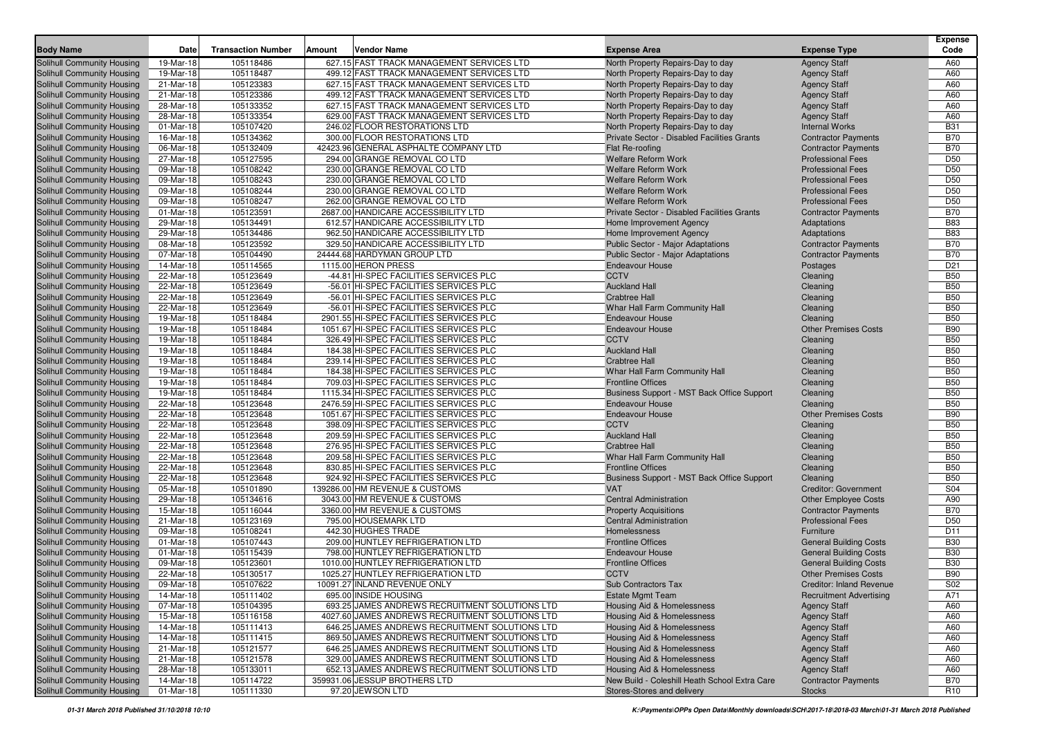| <b>Body Name</b>                                                       | Date                   | <b>Transaction Number</b> | Amount | <b>Vendor Name</b>                                           | <b>Expense Area</b>                                           | <b>Expense Type</b>                                       | <b>Expense</b><br>Code |
|------------------------------------------------------------------------|------------------------|---------------------------|--------|--------------------------------------------------------------|---------------------------------------------------------------|-----------------------------------------------------------|------------------------|
| <b>Solihull Community Housing</b>                                      | 19-Mar-18              | 105118486                 |        | 627.15 FAST TRACK MANAGEMENT SERVICES LTD                    | North Property Repairs-Day to day                             | <b>Agency Staff</b>                                       | A60                    |
| <b>Solihull Community Housing</b>                                      | 19-Mar-18              | 105118487                 |        | 499.12 FAST TRACK MANAGEMENT SERVICES LTD                    | North Property Repairs-Day to day                             | <b>Agency Staff</b>                                       | A60                    |
| <b>Solihull Community Housing</b>                                      | 21-Mar-18              | 105123383                 |        | 627.15 FAST TRACK MANAGEMENT SERVICES LTD                    | North Property Repairs-Day to day                             | <b>Agency Staff</b>                                       | A60                    |
| Solihull Community Housing                                             | 21-Mar-18              | 105123386                 |        | 499.12 FAST TRACK MANAGEMENT SERVICES LTD                    | North Property Repairs-Day to day                             | <b>Agency Staff</b>                                       | A60                    |
| Solihull Community Housing                                             | 28-Mar-18              | 105133352                 |        | 627.15 FAST TRACK MANAGEMENT SERVICES LTD                    | North Property Repairs-Day to day                             | <b>Agency Staff</b>                                       | A60                    |
| Solihull Community Housing                                             | 28-Mar-18              | 105133354                 |        | 629.00 FAST TRACK MANAGEMENT SERVICES LTD                    | North Property Repairs-Day to day                             | <b>Agency Staff</b>                                       | A60                    |
| <b>Solihull Community Housing</b>                                      | 01-Mar-18              | 105107420                 |        | 246.02 FLOOR RESTORATIONS LTD                                | North Property Repairs-Day to day                             | <b>Internal Works</b>                                     | <b>B31</b>             |
| <b>Solihull Community Housing</b>                                      | 16-Mar-18              | 105134362                 |        | 300.00 FLOOR RESTORATIONS LTD                                | Private Sector - Disabled Facilities Grants                   | <b>Contractor Payments</b>                                | <b>B70</b>             |
| <b>Solihull Community Housing</b>                                      | 06-Mar-18              | 105132409                 |        | 42423.96 GENERAL ASPHALTE COMPANY LTD                        | Flat Re-roofing                                               | <b>Contractor Payments</b>                                | <b>B70</b>             |
| Solihull Community Housing                                             | 27-Mar-18              | 105127595                 |        | 294.00 GRANGE REMOVAL CO LTD                                 | Welfare Reform Work                                           | <b>Professional Fees</b>                                  | D <sub>50</sub>        |
| <b>Solihull Community Housing</b>                                      | 09-Mar-18              | 105108242                 |        | 230.00 GRANGE REMOVAL CO LTD                                 | <b>Welfare Reform Work</b>                                    | <b>Professional Fees</b>                                  | D <sub>50</sub>        |
| Solihull Community Housing                                             | 09-Mar-18              | 105108243                 |        | 230.00 GRANGE REMOVAL CO LTD                                 | <b>Welfare Reform Work</b>                                    | <b>Professional Fees</b>                                  | D <sub>50</sub>        |
| Solihull Community Housing                                             | 09-Mar-18              | 105108244                 |        | 230.00 GRANGE REMOVAL CO LTD                                 | <b>Welfare Reform Work</b>                                    | <b>Professional Fees</b>                                  | D <sub>50</sub>        |
| Solihull Community Housing                                             | 09-Mar-18              | 105108247                 |        | 262.00 GRANGE REMOVAL CO LTD                                 | <b>Welfare Reform Work</b>                                    | <b>Professional Fees</b>                                  | D <sub>50</sub>        |
| <b>Solihull Community Housing</b>                                      | 01-Mar-18              | 105123591                 |        | 2687.00 HANDICARE ACCESSIBILITY LTD                          | Private Sector - Disabled Facilities Grants                   | <b>Contractor Payments</b>                                | <b>B70</b>             |
| <b>Solihull Community Housing</b>                                      | 29-Mar-18              | 105134491                 |        | 612.57 HANDICARE ACCESSIBILITY LTD                           | Home Improvement Agency                                       | Adaptations                                               | <b>B83</b>             |
| <b>Solihull Community Housing</b>                                      | 29-Mar-18              | 105134486                 |        | 962.50 HANDICARE ACCESSIBILITY LTD                           | Home Improvement Agency                                       | Adaptations                                               | <b>B83</b>             |
| <b>Solihull Community Housing</b>                                      | 08-Mar-18              | 105123592                 |        | 329.50 HANDICARE ACCESSIBILITY LTD                           | Public Sector - Major Adaptations                             | <b>Contractor Payments</b>                                | <b>B70</b>             |
| <b>Solihull Community Housing</b>                                      | 07-Mar-18              | 105104490                 |        | 24444.68 HARDYMAN GROUP LTD                                  | Public Sector - Major Adaptations                             | <b>Contractor Payments</b>                                | <b>B70</b>             |
| <b>Solihull Community Housing</b>                                      | 14-Mar-18              | 105114565                 |        | 1115.00 HERON PRESS                                          | <b>Endeavour House</b>                                        | Postages                                                  | D <sub>21</sub>        |
| Solihull Community Housing                                             | 22-Mar-18              | 105123649                 |        | -44.81 HI-SPEC FACILITIES SERVICES PLC                       | <b>CCTV</b>                                                   | Cleaning                                                  | <b>B50</b>             |
| Solihull Community Housing                                             | 22-Mar-18              | 105123649                 |        | -56.01 HI-SPEC FACILITIES SERVICES PLC                       | <b>Auckland Hall</b>                                          | Cleaning                                                  | <b>B50</b>             |
| <b>Solihull Community Housing</b>                                      | 22-Mar-18              | 105123649                 |        | -56.01 HI-SPEC FACILITIES SERVICES PLC                       | <b>Crabtree Hall</b>                                          | Cleaning                                                  | <b>B50</b>             |
| <b>Solihull Community Housing</b>                                      | 22-Mar-18              | 105123649                 |        | -56.01 HI-SPEC FACILITIES SERVICES PLC                       | Whar Hall Farm Community Hall                                 | Cleaning                                                  | <b>B50</b>             |
| <b>Solihull Community Housing</b>                                      | 19-Mar-18              | 105118484                 |        | 2901.55 HI-SPEC FACILITIES SERVICES PLC                      | <b>Endeavour House</b>                                        | Cleaning                                                  | <b>B50</b>             |
| <b>Solihull Community Housing</b>                                      | 19-Mar-18              | 105118484                 |        | 1051.67 HI-SPEC FACILITIES SERVICES PLC                      | <b>Endeavour House</b>                                        | <b>Other Premises Costs</b>                               | <b>B90</b>             |
| <b>Solihull Community Housing</b>                                      | 19-Mar-18              | 105118484                 |        | 326.49 HI-SPEC FACILITIES SERVICES PLC                       | <b>CCTV</b>                                                   | Cleaning                                                  | <b>B50</b>             |
| Solihull Community Housing                                             | 19-Mar-18              | 105118484                 |        | 184.38 HI-SPEC FACILITIES SERVICES PLC                       | <b>Auckland Hall</b>                                          | Cleaning                                                  | <b>B50</b>             |
| <b>Solihull Community Housing</b>                                      | 19-Mar-18              | 105118484                 |        | 239.14 HI-SPEC FACILITIES SERVICES PLC                       | <b>Crabtree Hall</b>                                          | Cleaning                                                  | <b>B50</b>             |
| Solihull Community Housing                                             | 19-Mar-18              | 105118484                 |        | 184.38 HI-SPEC FACILITIES SERVICES PLC                       | Whar Hall Farm Community Hall                                 | Cleaning                                                  | <b>B50</b>             |
| <b>Solihull Community Housing</b>                                      | 19-Mar-18              | 105118484                 |        | 709.03 HI-SPEC FACILITIES SERVICES PLC                       | <b>Frontline Offices</b>                                      | Cleaning                                                  | <b>B50</b>             |
| <b>Solihull Community Housing</b>                                      | 19-Mar-18              | 105118484                 |        | 1115.34 HI-SPEC FACILITIES SERVICES PLC                      | Business Support - MST Back Office Support                    | Cleaning                                                  | <b>B50</b>             |
| Solihull Community Housing                                             | 22-Mar-18              | 105123648                 |        | 2476.59 HI-SPEC FACILITIES SERVICES PLC                      | <b>Endeavour House</b>                                        | Cleaning                                                  | <b>B50</b>             |
| <b>Solihull Community Housing</b>                                      | 22-Mar-18              | 105123648                 |        | 1051.67 HI-SPEC FACILITIES SERVICES PLC                      | <b>Endeavour House</b>                                        | <b>Other Premises Costs</b>                               | <b>B90</b>             |
| <b>Solihull Community Housing</b>                                      | 22-Mar-18              | 105123648                 |        | 398.09 HI-SPEC FACILITIES SERVICES PLC                       | <b>CCTV</b>                                                   | Cleaning                                                  | <b>B50</b>             |
| <b>Solihull Community Housing</b>                                      | 22-Mar-18              | 105123648                 |        | 209.59 HI-SPEC FACILITIES SERVICES PLC                       | <b>Auckland Hall</b>                                          | Cleaning                                                  | <b>B50</b>             |
| <b>Solihull Community Housing</b>                                      | 22-Mar-18              | 105123648                 |        | 276.95 HI-SPEC FACILITIES SERVICES PLC                       | <b>Crabtree Hall</b>                                          | Cleaning                                                  | <b>B50</b>             |
| <b>Solihull Community Housing</b>                                      | 22-Mar-18              | 105123648                 |        | 209.58 HI-SPEC FACILITIES SERVICES PLC                       | Whar Hall Farm Community Hall                                 | Cleaning                                                  | <b>B50</b>             |
| <b>Solihull Community Housing</b>                                      | 22-Mar-18              | 105123648                 |        | 830.85 HI-SPEC FACILITIES SERVICES PLC                       | <b>Frontline Offices</b>                                      | Cleaning                                                  | <b>B50</b>             |
| <b>Solihull Community Housing</b>                                      | 22-Mar-18              | 105123648                 |        | 924.92 HI-SPEC FACILITIES SERVICES PLC                       | Business Support - MST Back Office Support                    | Cleaning                                                  | <b>B50</b>             |
| <b>Solihull Community Housing</b>                                      | 05-Mar-18              | 105101890                 |        | 139286.00 HM REVENUE & CUSTOMS                               | <b>VAT</b>                                                    | <b>Creditor: Government</b>                               | S04                    |
| <b>Solihull Community Housing</b><br><b>Solihull Community Housing</b> | 29-Mar-18<br>15-Mar-18 | 105134616<br>105116044    |        | 3043.00 HM REVENUE & CUSTOMS<br>3360.00 HM REVENUE & CUSTOMS | <b>Central Administration</b><br><b>Property Acquisitions</b> | <b>Other Employee Costs</b><br><b>Contractor Payments</b> | A90<br><b>B70</b>      |
| <b>Solihull Community Housing</b>                                      | 21-Mar-18              | 105123169                 |        | 795.00 HOUSEMARK LTD                                         | <b>Central Administration</b>                                 | <b>Professional Fees</b>                                  | D <sub>50</sub>        |
| <b>Solihull Community Housing</b>                                      | 09-Mar-18              | 105108241                 |        | 442.30 HUGHES TRADE                                          | Homelessness                                                  | Furniture                                                 | D <sub>11</sub>        |
| Solihull Community Housing                                             | 01-Mar-18              | 105107443                 |        | 209.00 HUNTLEY REFRIGERATION LTD                             | <b>Frontline Offices</b>                                      | <b>General Building Costs</b>                             | <b>B30</b>             |
| <b>Solihull Community Housing</b>                                      | 01-Mar-18              | 105115439                 |        | 798.00 HUNTLEY REFRIGERATION LTD                             | <b>Endeavour House</b>                                        | <b>General Building Costs</b>                             | <b>B30</b>             |
| <b>Solihull Community Housing</b>                                      | 09-Mar-18              | 105123601                 |        | 1010.00 HUNTLEY REFRIGERATION LTD                            | <b>Frontline Offices</b>                                      | <b>General Building Costs</b>                             | <b>B30</b>             |
| <b>Solihull Community Housing</b>                                      | 22-Mar-18              | 105130517                 |        | 1025.27 HUNTLEY REFRIGERATION LTD                            | <b>CCTV</b>                                                   | <b>Other Premises Costs</b>                               | <b>B90</b>             |
| Solihull Community Housing                                             | 09-Mar-18              | 105107622                 |        | 10091.27 INLAND REVENUE ONLY                                 | Sub Contractors Tax                                           | <b>Creditor: Inland Revenue</b>                           | S <sub>02</sub>        |
| Solihull Community Housing                                             | 14-Mar-18              | 105111402                 |        | 695.00 INSIDE HOUSING                                        | <b>Estate Mgmt Team</b>                                       | <b>Recruitment Advertising</b>                            | A71                    |
| <b>Solihull Community Housing</b>                                      | 07-Mar-18              | 105104395                 |        | 693.25 JAMES ANDREWS RECRUITMENT SOLUTIONS LTD               | Housing Aid & Homelessness                                    | <b>Agency Staff</b>                                       | A60                    |
| Solihull Community Housing                                             | 15-Mar-18              | 105116158                 |        | 4027.60 JAMES ANDREWS RECRUITMENT SOLUTIONS LTD              | <b>Housing Aid &amp; Homelessness</b>                         | <b>Agency Staff</b>                                       | A60                    |
| Solihull Community Housing                                             | 14-Mar-18              | 105111413                 |        | 646.25 JAMES ANDREWS RECRUITMENT SOLUTIONS LTD               | Housing Aid & Homelessness                                    | <b>Agency Staff</b>                                       | A60                    |
| Solihull Community Housing                                             | 14-Mar-18              | 105111415                 |        | 869.50 JAMES ANDREWS RECRUITMENT SOLUTIONS LTD               | Housing Aid & Homelessness                                    | <b>Agency Staff</b>                                       | A60                    |
| Solihull Community Housing                                             | 21-Mar-18              | 105121577                 |        | 646.25 JAMES ANDREWS RECRUITMENT SOLUTIONS LTD               | <b>Housing Aid &amp; Homelessness</b>                         | <b>Agency Staff</b>                                       | A60                    |
| <b>Solihull Community Housing</b>                                      | 21-Mar-18              | 105121578                 |        | 329.00 JAMES ANDREWS RECRUITMENT SOLUTIONS LTD               | Housing Aid & Homelessness                                    | <b>Agency Staff</b>                                       | A60                    |
| Solihull Community Housing                                             | 28-Mar-18              | 105133011                 |        | 652.13 JAMES ANDREWS RECRUITMENT SOLUTIONS LTD               | <b>Housing Aid &amp; Homelessness</b>                         | <b>Agency Staff</b>                                       | A60                    |
| Solihull Community Housing                                             | 14-Mar-18              | 105114722                 |        | 359931.06 JESSUP BROTHERS LTD                                | New Build - Coleshill Heath School Extra Care                 | <b>Contractor Payments</b>                                | <b>B70</b>             |
| Solihull Community Housing                                             | 01-Mar-18              | 105111330                 |        | 97.20 JEWSON LTD                                             | Stores-Stores and delivery                                    | <b>Stocks</b>                                             | R <sub>10</sub>        |
|                                                                        |                        |                           |        |                                                              |                                                               |                                                           |                        |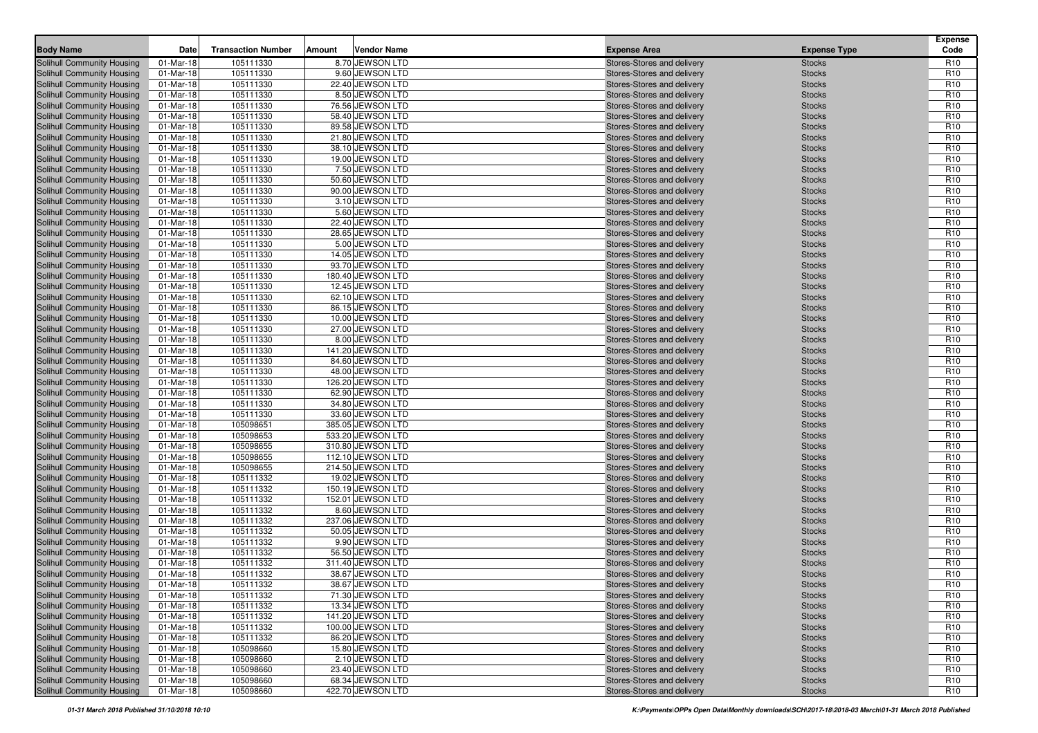| <b>Body Name</b>                  | Date        | <b>Transaction Number</b> | <b>Vendor Name</b><br>Amount | <b>Expense Area</b>        | <b>Expense Type</b> | <b>Expense</b><br>Code |
|-----------------------------------|-------------|---------------------------|------------------------------|----------------------------|---------------------|------------------------|
| Solihull Community Housing        | 01-Mar-18   | 105111330                 | 8.70 JEWSON LTD              | Stores-Stores and delivery | <b>Stocks</b>       | R <sub>10</sub>        |
| <b>Solihull Community Housing</b> | 01-Mar-18   | 105111330                 | 9.60 JEWSON LTD              | Stores-Stores and delivery | <b>Stocks</b>       | R <sub>10</sub>        |
| Solihull Community Housing        | 01-Mar-18   | 105111330                 | 22.40 JEWSON LTD             | Stores-Stores and delivery | <b>Stocks</b>       | R <sub>10</sub>        |
| Solihull Community Housing        | 01-Mar-18   | 105111330                 | 8.50 JEWSON LTD              | Stores-Stores and delivery | <b>Stocks</b>       | R <sub>10</sub>        |
| Solihull Community Housing        | 01-Mar-18   | 105111330                 | 76.56 JEWSON LTD             | Stores-Stores and delivery | <b>Stocks</b>       | R <sub>10</sub>        |
| Solihull Community Housing        | 01-Mar-18   | 105111330                 | 58.40 JEWSON LTD             | Stores-Stores and delivery | <b>Stocks</b>       | R <sub>10</sub>        |
| Solihull Community Housing        | 01-Mar-18   | 105111330                 | 89.58 JEWSON LTD             | Stores-Stores and delivery | <b>Stocks</b>       | R <sub>10</sub>        |
| Solihull Community Housing        | 01-Mar-18   | 105111330                 | 21.80 JEWSON LTD             | Stores-Stores and delivery | <b>Stocks</b>       | R <sub>10</sub>        |
| Solihull Community Housing        | 01-Mar-18   | 105111330                 | 38.10 JEWSON LTD             | Stores-Stores and delivery | <b>Stocks</b>       | R <sub>10</sub>        |
| Solihull Community Housing        | 01-Mar-18   | 105111330                 | 19.00 JEWSON LTD             | Stores-Stores and delivery | <b>Stocks</b>       | R <sub>10</sub>        |
| Solihull Community Housing        | 01-Mar-18   | 105111330                 | 7.50 JEWSON LTD              | Stores-Stores and delivery | <b>Stocks</b>       | R <sub>10</sub>        |
| Solihull Community Housing        | 01-Mar-18   | 105111330                 | 50.60 JEWSON LTD             | Stores-Stores and delivery | <b>Stocks</b>       | R <sub>10</sub>        |
| Solihull Community Housing        | 01-Mar-18   | 105111330                 | 90.00 JEWSON LTD             | Stores-Stores and delivery | <b>Stocks</b>       | R <sub>10</sub>        |
| Solihull Community Housing        | 01-Mar-18   | 105111330                 | 3.10 JEWSON LTD              | Stores-Stores and delivery | <b>Stocks</b>       | R <sub>10</sub>        |
| Solihull Community Housing        | 01-Mar-18   | 105111330                 | 5.60 JEWSON LTD              | Stores-Stores and delivery | <b>Stocks</b>       | R <sub>10</sub>        |
| Solihull Community Housing        | 01-Mar-18   | 105111330                 | 22.40 JEWSON LTD             | Stores-Stores and delivery | <b>Stocks</b>       | R <sub>10</sub>        |
| Solihull Community Housing        | 01-Mar-18   | 105111330                 | 28.65 JEWSON LTD             | Stores-Stores and delivery | <b>Stocks</b>       | R <sub>10</sub>        |
| Solihull Community Housing        | 01-Mar-18   | 105111330                 | 5.00 JEWSON LTD              | Stores-Stores and delivery | <b>Stocks</b>       | R <sub>10</sub>        |
| Solihull Community Housing        | 01-Mar-18   | 105111330                 | 14.05 JEWSON LTD             | Stores-Stores and delivery | <b>Stocks</b>       | R <sub>10</sub>        |
| Solihull Community Housing        | 01-Mar-18   | 105111330                 | 93.70 JEWSON LTD             | Stores-Stores and delivery | <b>Stocks</b>       | R <sub>10</sub>        |
| Solihull Community Housing        | 01-Mar-18   | 105111330                 | 180.40 JEWSON LTD            | Stores-Stores and delivery | <b>Stocks</b>       | R <sub>10</sub>        |
| Solihull Community Housing        | 01-Mar-18   | 105111330                 | 12.45 JEWSON LTD             | Stores-Stores and delivery | <b>Stocks</b>       | R <sub>10</sub>        |
| <b>Solihull Community Housing</b> | 01-Mar-18   | 105111330                 | 62.10 JEWSON LTD             | Stores-Stores and delivery | <b>Stocks</b>       | R <sub>10</sub>        |
| Solihull Community Housing        | 01-Mar-18   | 105111330                 | 86.15 JEWSON LTD             | Stores-Stores and delivery | <b>Stocks</b>       | R <sub>10</sub>        |
| Solihull Community Housing        | 01-Mar-18   | 105111330                 | 10.00 JEWSON LTD             | Stores-Stores and delivery | <b>Stocks</b>       | R <sub>10</sub>        |
| Solihull Community Housing        | 01-Mar-18   | 105111330                 | 27.00 JEWSON LTD             | Stores-Stores and delivery | <b>Stocks</b>       | R <sub>10</sub>        |
| Solihull Community Housing        | 01-Mar-18   | 105111330                 | 8.00 JEWSON LTD              | Stores-Stores and delivery | <b>Stocks</b>       | R <sub>10</sub>        |
| Solihull Community Housing        | 01-Mar-18   | 105111330                 | 141.20 JEWSON LTD            | Stores-Stores and delivery | <b>Stocks</b>       | R <sub>10</sub>        |
| Solihull Community Housing        | 01-Mar-18   | 105111330                 | 84.60 JEWSON LTD             | Stores-Stores and delivery | <b>Stocks</b>       | R <sub>10</sub>        |
| Solihull Community Housing        | 01-Mar-18   | 105111330                 | 48.00 JEWSON LTD             | Stores-Stores and delivery | <b>Stocks</b>       | R <sub>10</sub>        |
| Solihull Community Housing        | 01-Mar-18   | 105111330                 | 126.20 JEWSON LTD            | Stores-Stores and delivery | <b>Stocks</b>       | R <sub>10</sub>        |
| Solihull Community Housing        | 01-Mar-18   | 105111330                 | 62.90 JEWSON LTD             | Stores-Stores and delivery | <b>Stocks</b>       | R <sub>10</sub>        |
| Solihull Community Housing        | 01-Mar-18   | 105111330                 | 34.80 JEWSON LTD             | Stores-Stores and delivery | <b>Stocks</b>       | R <sub>10</sub>        |
| Solihull Community Housing        | 01-Mar-18   | 105111330                 | 33.60 JEWSON LTD             | Stores-Stores and delivery | <b>Stocks</b>       | R <sub>10</sub>        |
| Solihull Community Housing        | 01-Mar-18   | 105098651                 | 385.05 JEWSON LTD            | Stores-Stores and delivery | <b>Stocks</b>       | R <sub>10</sub>        |
| Solihull Community Housing        | 01-Mar-18   | 105098653                 | 533.20 JEWSON LTD            | Stores-Stores and delivery | <b>Stocks</b>       | R <sub>10</sub>        |
| Solihull Community Housing        | 01-Mar-18   | 105098655                 | 310.80 JEWSON LTD            | Stores-Stores and delivery | <b>Stocks</b>       | R <sub>10</sub>        |
| Solihull Community Housing        | 01-Mar-18   | 105098655                 | 112.10 JEWSON LTD            | Stores-Stores and delivery | <b>Stocks</b>       | R <sub>10</sub>        |
| Solihull Community Housing        | 01-Mar-18   | 105098655                 | 214.50 JEWSON LTD            | Stores-Stores and delivery | <b>Stocks</b>       | R <sub>10</sub>        |
| Solihull Community Housing        | 01-Mar-18   | 105111332                 | 19.02 JEWSON LTD             | Stores-Stores and delivery | <b>Stocks</b>       | R <sub>10</sub>        |
| Solihull Community Housing        | 01-Mar-18   | 105111332                 | 150.19 JEWSON LTD            | Stores-Stores and delivery | <b>Stocks</b>       | R <sub>10</sub>        |
| Solihull Community Housing        | 01-Mar-18   | 105111332                 | 152.01 JEWSON LTD            | Stores-Stores and delivery | <b>Stocks</b>       | R <sub>10</sub>        |
| Solihull Community Housing        | 01-Mar-18   | 105111332                 | 8.60 JEWSON LTD              | Stores-Stores and delivery | <b>Stocks</b>       | R <sub>10</sub>        |
| Solihull Community Housing        | 01-Mar-18   | 105111332                 | 237.06 JEWSON LTD            | Stores-Stores and delivery | <b>Stocks</b>       | R <sub>10</sub>        |
| Solihull Community Housing        | 01-Mar-18   | 105111332                 | 50.05 JEWSON LTD             | Stores-Stores and delivery | <b>Stocks</b>       | R <sub>10</sub>        |
| Solihull Community Housing        | 01-Mar-18   | 105111332                 | 9.90 JEWSON LTD              | Stores-Stores and delivery | <b>Stocks</b>       | R <sub>10</sub>        |
| Solihull Community Housing        | 01-Mar-18   | 105111332                 | 56.50 JEWSON LTD             | Stores-Stores and delivery | <b>Stocks</b>       | R <sub>10</sub>        |
| Solihull Community Housing        | 01-Mar-18   | 105111332                 | 311.40 JEWSON LTD            | Stores-Stores and delivery | <b>Stocks</b>       | R <sub>10</sub>        |
| Solihull Community Housing        | 01-Mar-18   | 105111332                 | 38.67 JEWSON LTD             | Stores-Stores and delivery | <b>Stocks</b>       | R <sub>10</sub>        |
| Solihull Community Housing        | 01-Mar-18   | 105111332                 | 38.67 JEWSON LTD             | Stores-Stores and delivery | <b>Stocks</b>       | R <sub>10</sub>        |
| Solihull Community Housing        | 01-Mar-18   | 105111332                 | 71.30 JEWSON LTD             | Stores-Stores and delivery | <b>Stocks</b>       | R <sub>10</sub>        |
| <b>Solihull Community Housing</b> | $01-Mar-18$ | 105111332                 | 13.34 JEWSON LTD             | Stores-Stores and delivery | <b>Stocks</b>       | R <sub>10</sub>        |
| Solihull Community Housing        | 01-Mar-18   | 105111332                 | 141.20 JEWSON LTD            | Stores-Stores and delivery | <b>Stocks</b>       | R <sub>10</sub>        |
| Solihull Community Housing        | 01-Mar-18   | 105111332                 | 100.00 JEWSON LTD            | Stores-Stores and delivery | <b>Stocks</b>       | R <sub>10</sub>        |
| Solihull Community Housing        | 01-Mar-18   | 105111332                 | 86.20 JEWSON LTD             | Stores-Stores and delivery | <b>Stocks</b>       | R <sub>10</sub>        |
| Solihull Community Housing        | 01-Mar-18   | 105098660                 | 15.80 JEWSON LTD             | Stores-Stores and delivery | <b>Stocks</b>       | R <sub>10</sub>        |
| Solihull Community Housing        | 01-Mar-18   | 105098660                 | 2.10 JEWSON LTD              | Stores-Stores and delivery | <b>Stocks</b>       | R <sub>10</sub>        |
| Solihull Community Housing        | 01-Mar-18   | 105098660                 | 23.40 JEWSON LTD             | Stores-Stores and delivery | <b>Stocks</b>       | R <sub>10</sub>        |
| Solihull Community Housing        | 01-Mar-18   | 105098660                 | 68.34 JEWSON LTD             | Stores-Stores and delivery | <b>Stocks</b>       | R <sub>10</sub>        |
| Solihull Community Housing        | 01-Mar-18   | 105098660                 | 422.70 JEWSON LTD            | Stores-Stores and delivery | <b>Stocks</b>       | R <sub>10</sub>        |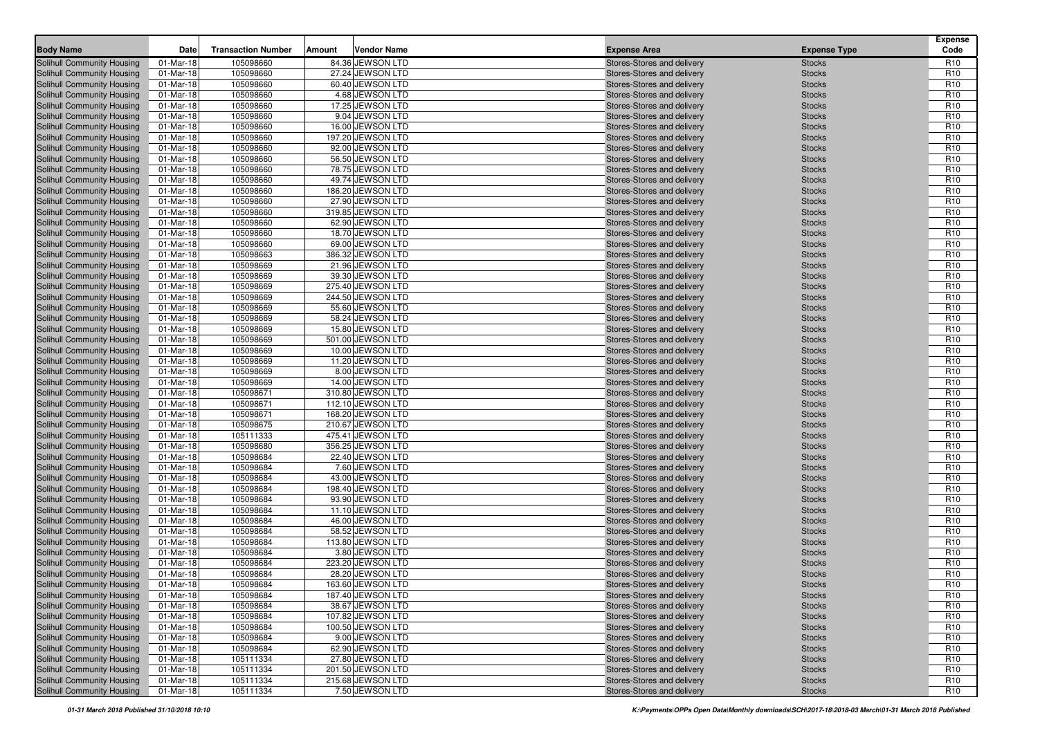| <b>Body Name</b>                  | Date      | <b>Transaction Number</b> | Vendor Name<br>Amount | <b>Expense Area</b>        | <b>Expense Type</b> | <b>Expense</b><br>Code |
|-----------------------------------|-----------|---------------------------|-----------------------|----------------------------|---------------------|------------------------|
| Solihull Community Housing        | 01-Mar-18 | 105098660                 | 84.36 JEWSON LTD      | Stores-Stores and delivery | <b>Stocks</b>       | R <sub>10</sub>        |
| <b>Solihull Community Housing</b> | 01-Mar-18 | 105098660                 | 27.24 JEWSON LTD      | Stores-Stores and delivery | <b>Stocks</b>       | R <sub>10</sub>        |
| Solihull Community Housing        | 01-Mar-18 | 105098660                 | 60.40 JEWSON LTD      | Stores-Stores and delivery | <b>Stocks</b>       | R <sub>10</sub>        |
| Solihull Community Housing        | 01-Mar-18 | 105098660                 | 4.68 JEWSON LTD       | Stores-Stores and delivery | <b>Stocks</b>       | R <sub>10</sub>        |
| Solihull Community Housing        | 01-Mar-18 | 105098660                 | 17.25 JEWSON LTD      | Stores-Stores and delivery | <b>Stocks</b>       | R <sub>10</sub>        |
| Solihull Community Housing        | 01-Mar-18 | 105098660                 | 9.04 JEWSON LTD       | Stores-Stores and delivery | <b>Stocks</b>       | R <sub>10</sub>        |
| Solihull Community Housing        | 01-Mar-18 | 105098660                 | 16.00 JEWSON LTD      | Stores-Stores and delivery | <b>Stocks</b>       | R <sub>10</sub>        |
| Solihull Community Housing        | 01-Mar-18 | 105098660                 | 197.20 JEWSON LTD     | Stores-Stores and delivery | <b>Stocks</b>       | R <sub>10</sub>        |
| Solihull Community Housing        | 01-Mar-18 | 105098660                 | 92.00 JEWSON LTD      | Stores-Stores and delivery | <b>Stocks</b>       | R <sub>10</sub>        |
| Solihull Community Housing        | 01-Mar-18 | 105098660                 | 56.50 JEWSON LTD      | Stores-Stores and delivery | <b>Stocks</b>       | R <sub>10</sub>        |
| Solihull Community Housing        | 01-Mar-18 | 105098660                 | 78.75 JEWSON LTD      | Stores-Stores and delivery | <b>Stocks</b>       | R <sub>10</sub>        |
| Solihull Community Housing        | 01-Mar-18 | 105098660                 | 49.74 JEWSON LTD      | Stores-Stores and delivery | <b>Stocks</b>       | R <sub>10</sub>        |
| Solihull Community Housing        | 01-Mar-18 | 105098660                 | 186.20 JEWSON LTD     | Stores-Stores and delivery | <b>Stocks</b>       | R <sub>10</sub>        |
| Solihull Community Housing        | 01-Mar-18 | 105098660                 | 27.90 JEWSON LTD      | Stores-Stores and delivery | <b>Stocks</b>       | R <sub>10</sub>        |
| Solihull Community Housing        | 01-Mar-18 | 105098660                 | 319.85 JEWSON LTD     | Stores-Stores and delivery | <b>Stocks</b>       | R <sub>10</sub>        |
| Solihull Community Housing        | 01-Mar-18 | 105098660                 | 62.90 JEWSON LTD      | Stores-Stores and delivery | <b>Stocks</b>       | R <sub>10</sub>        |
| Solihull Community Housing        | 01-Mar-18 | 105098660                 | 18.70 JEWSON LTD      | Stores-Stores and delivery | <b>Stocks</b>       | R <sub>10</sub>        |
| Solihull Community Housing        | 01-Mar-18 | 105098660                 | 69.00 JEWSON LTD      | Stores-Stores and delivery | <b>Stocks</b>       | R <sub>10</sub>        |
| Solihull Community Housing        | 01-Mar-18 | 105098663                 | 386.32 JEWSON LTD     | Stores-Stores and delivery | <b>Stocks</b>       | R <sub>10</sub>        |
| Solihull Community Housing        | 01-Mar-18 | 105098669                 | 21.96 JEWSON LTD      | Stores-Stores and delivery | <b>Stocks</b>       | R <sub>10</sub>        |
| Solihull Community Housing        | 01-Mar-18 | 105098669                 | 39.30 JEWSON LTD      | Stores-Stores and delivery | <b>Stocks</b>       | R <sub>10</sub>        |
| Solihull Community Housing        | 01-Mar-18 | 105098669                 | 275.40 JEWSON LTD     | Stores-Stores and delivery | <b>Stocks</b>       | R <sub>10</sub>        |
| <b>Solihull Community Housing</b> | 01-Mar-18 | 105098669                 | 244.50 JEWSON LTD     | Stores-Stores and delivery | <b>Stocks</b>       | R <sub>10</sub>        |
| Solihull Community Housing        | 01-Mar-18 | 105098669                 | 55.60 JEWSON LTD      | Stores-Stores and delivery | <b>Stocks</b>       | R <sub>10</sub>        |
| Solihull Community Housing        | 01-Mar-18 | 105098669                 | 58.24 JEWSON LTD      | Stores-Stores and delivery | <b>Stocks</b>       | R <sub>10</sub>        |
| Solihull Community Housing        | 01-Mar-18 | 105098669                 | 15.80 JEWSON LTD      | Stores-Stores and delivery | <b>Stocks</b>       | R <sub>10</sub>        |
| Solihull Community Housing        | 01-Mar-18 | 105098669                 | 501.00 JEWSON LTD     | Stores-Stores and delivery | <b>Stocks</b>       | R <sub>10</sub>        |
| Solihull Community Housing        | 01-Mar-18 | 105098669                 | 10.00 JEWSON LTD      | Stores-Stores and delivery | <b>Stocks</b>       | R <sub>10</sub>        |
| Solihull Community Housing        | 01-Mar-18 | 105098669                 | 11.20 JEWSON LTD      | Stores-Stores and delivery | <b>Stocks</b>       | R <sub>10</sub>        |
| Solihull Community Housing        | 01-Mar-18 | 105098669                 | 8.00 JEWSON LTD       | Stores-Stores and delivery | <b>Stocks</b>       | R <sub>10</sub>        |
| Solihull Community Housing        | 01-Mar-18 | 105098669                 | 14.00 JEWSON LTD      | Stores-Stores and delivery | <b>Stocks</b>       | R <sub>10</sub>        |
| Solihull Community Housing        | 01-Mar-18 | 105098671                 | 310.80 JEWSON LTD     | Stores-Stores and delivery | <b>Stocks</b>       | R <sub>10</sub>        |
| Solihull Community Housing        | 01-Mar-18 | 105098671                 | 112.10 JEWSON LTD     | Stores-Stores and delivery | <b>Stocks</b>       | R <sub>10</sub>        |
| Solihull Community Housing        | 01-Mar-18 | 105098671                 | 168.20 JEWSON LTD     | Stores-Stores and delivery | <b>Stocks</b>       | R <sub>10</sub>        |
| Solihull Community Housing        | 01-Mar-18 | 105098675                 | 210.67 JEWSON LTD     | Stores-Stores and delivery | <b>Stocks</b>       | R <sub>10</sub>        |
| Solihull Community Housing        | 01-Mar-18 | 105111333                 | 475.41 JEWSON LTD     | Stores-Stores and delivery | <b>Stocks</b>       | R <sub>10</sub>        |
| Solihull Community Housing        | 01-Mar-18 | 105098680                 | 356.25 JEWSON LTD     | Stores-Stores and delivery | <b>Stocks</b>       | R <sub>10</sub>        |
| Solihull Community Housing        | 01-Mar-18 | 105098684                 | 22.40 JEWSON LTD      | Stores-Stores and delivery | <b>Stocks</b>       | R <sub>10</sub>        |
| Solihull Community Housing        | 01-Mar-18 | 105098684                 | 7.60 JEWSON LTD       | Stores-Stores and delivery | <b>Stocks</b>       | R <sub>10</sub>        |
| Solihull Community Housing        | 01-Mar-18 | 105098684                 | 43.00 JEWSON LTD      | Stores-Stores and delivery | <b>Stocks</b>       | R <sub>10</sub>        |
| Solihull Community Housing        | 01-Mar-18 | 105098684                 | 198.40 JEWSON LTD     | Stores-Stores and delivery | <b>Stocks</b>       | R <sub>10</sub>        |
| Solihull Community Housing        | 01-Mar-18 | 105098684                 | 93.90 JEWSON LTD      | Stores-Stores and delivery | <b>Stocks</b>       | R <sub>10</sub>        |
| Solihull Community Housing        | 01-Mar-18 | 105098684                 | 11.10 JEWSON LTD      | Stores-Stores and delivery | <b>Stocks</b>       | R <sub>10</sub>        |
| Solihull Community Housing        | 01-Mar-18 | 105098684                 | 46.00 JEWSON LTD      | Stores-Stores and delivery | <b>Stocks</b>       | R <sub>10</sub>        |
| Solihull Community Housing        | 01-Mar-18 | 105098684                 | 58.52 JEWSON LTD      | Stores-Stores and delivery | <b>Stocks</b>       | R <sub>10</sub>        |
| Solihull Community Housing        | 01-Mar-18 | 105098684                 | 113.80 JEWSON LTD     | Stores-Stores and delivery | <b>Stocks</b>       | R <sub>10</sub>        |
| Solihull Community Housing        | 01-Mar-18 | 105098684                 | 3.80 JEWSON LTD       | Stores-Stores and delivery | <b>Stocks</b>       | R <sub>10</sub>        |
| Solihull Community Housing        | 01-Mar-18 | 105098684                 | 223.20 JEWSON LTD     | Stores-Stores and delivery | <b>Stocks</b>       | R <sub>10</sub>        |
| Solihull Community Housing        | 01-Mar-18 | 105098684                 | 28.20 JEWSON LTD      | Stores-Stores and delivery | <b>Stocks</b>       | R <sub>10</sub>        |
| Solihull Community Housing        | 01-Mar-18 | 105098684                 | 163.60 JEWSON LTD     | Stores-Stores and delivery | <b>Stocks</b>       | R <sub>10</sub>        |
| Solihull Community Housing        | 01-Mar-18 | 105098684                 | 187.40 JEWSON LTD     | Stores-Stores and delivery | <b>Stocks</b>       | R <sub>10</sub>        |
| <b>Solihull Community Housing</b> | 01-Mar-18 | 105098684                 | 38.67 JEWSON LTD      | Stores-Stores and delivery | <b>Stocks</b>       | R <sub>10</sub>        |
| Solihull Community Housing        | 01-Mar-18 | 105098684                 | 107.82 JEWSON LTD     | Stores-Stores and delivery | <b>Stocks</b>       | R <sub>10</sub>        |
| Solihull Community Housing        | 01-Mar-18 | 105098684                 | 100.50 JEWSON LTD     | Stores-Stores and delivery | <b>Stocks</b>       | R <sub>10</sub>        |
| Solihull Community Housing        | 01-Mar-18 | 105098684                 | 9.00 JEWSON LTD       | Stores-Stores and delivery | <b>Stocks</b>       | R <sub>10</sub>        |
| Solihull Community Housing        | 01-Mar-18 | 105098684                 | 62.90 JEWSON LTD      | Stores-Stores and delivery | <b>Stocks</b>       | R <sub>10</sub>        |
| Solihull Community Housing        | 01-Mar-18 | 105111334                 | 27.80 JEWSON LTD      | Stores-Stores and delivery | <b>Stocks</b>       | R <sub>10</sub>        |
| Solihull Community Housing        | 01-Mar-18 | 105111334                 | 201.50 JEWSON LTD     | Stores-Stores and delivery | <b>Stocks</b>       | R <sub>10</sub>        |
| Solihull Community Housing        | 01-Mar-18 | 105111334                 | 215.68 JEWSON LTD     | Stores-Stores and delivery | <b>Stocks</b>       | R <sub>10</sub>        |
| Solihull Community Housing        | 01-Mar-18 | 105111334                 | 7.50 JEWSON LTD       | Stores-Stores and delivery | <b>Stocks</b>       | R <sub>10</sub>        |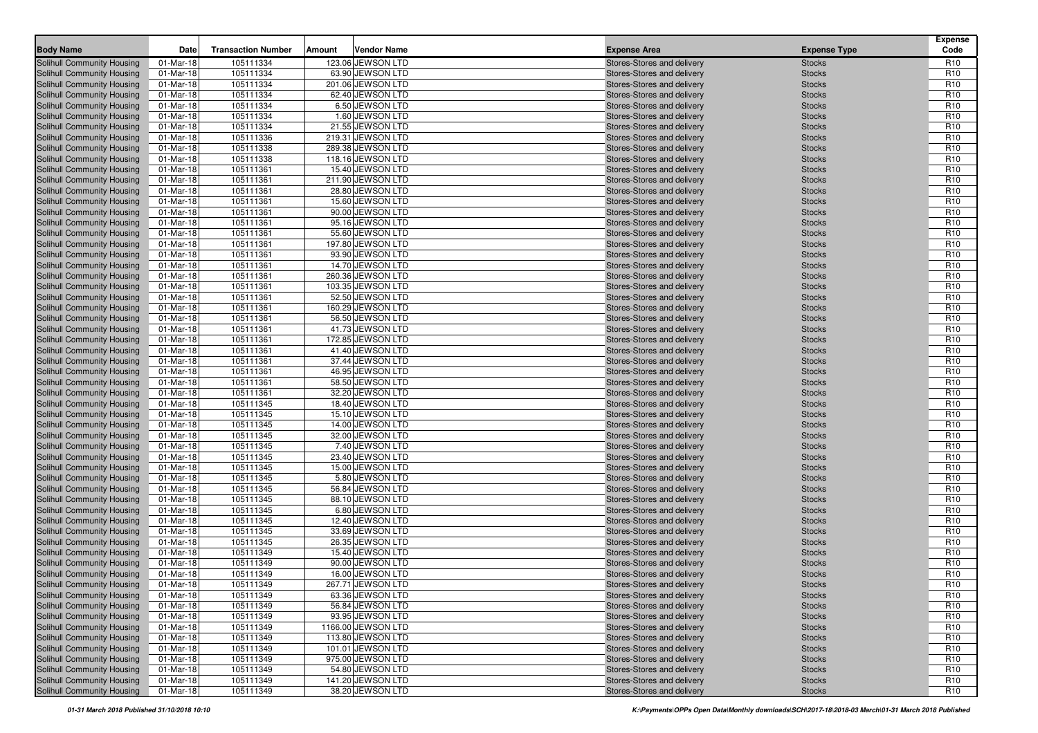| <b>Body Name</b>                  | Date        | <b>Transaction Number</b> | <b>Vendor Name</b><br>Amount | <b>Expense Area</b>        | <b>Expense Type</b> | <b>Expense</b><br>Code |
|-----------------------------------|-------------|---------------------------|------------------------------|----------------------------|---------------------|------------------------|
| Solihull Community Housing        | 01-Mar-18   | 105111334                 | 123.06 JEWSON LTD            | Stores-Stores and delivery | <b>Stocks</b>       | R <sub>10</sub>        |
| <b>Solihull Community Housing</b> | 01-Mar-18   | 105111334                 | 63.90 JEWSON LTD             | Stores-Stores and delivery | <b>Stocks</b>       | R <sub>10</sub>        |
| Solihull Community Housing        | 01-Mar-18   | 105111334                 | 201.06 JEWSON LTD            | Stores-Stores and delivery | <b>Stocks</b>       | R <sub>10</sub>        |
| Solihull Community Housing        | 01-Mar-18   | 105111334                 | 62.40 JEWSON LTD             | Stores-Stores and delivery | <b>Stocks</b>       | R <sub>10</sub>        |
| Solihull Community Housing        | 01-Mar-18   | 105111334                 | 6.50 JEWSON LTD              | Stores-Stores and delivery | <b>Stocks</b>       | R <sub>10</sub>        |
| Solihull Community Housing        | 01-Mar-18   | 105111334                 | 1.60 JEWSON LTD              | Stores-Stores and delivery | <b>Stocks</b>       | R <sub>10</sub>        |
| Solihull Community Housing        | 01-Mar-18   | 105111334                 | 21.55 JEWSON LTD             | Stores-Stores and delivery | <b>Stocks</b>       | R <sub>10</sub>        |
| Solihull Community Housing        | 01-Mar-18   | 105111336                 | 219.31 JEWSON LTD            | Stores-Stores and delivery | <b>Stocks</b>       | R <sub>10</sub>        |
| Solihull Community Housing        | 01-Mar-18   | 105111338                 | 289.38 JEWSON LTD            | Stores-Stores and delivery | <b>Stocks</b>       | R <sub>10</sub>        |
| Solihull Community Housing        | 01-Mar-18   | 105111338                 | 118.16 JEWSON LTD            | Stores-Stores and delivery | <b>Stocks</b>       | R <sub>10</sub>        |
| Solihull Community Housing        | 01-Mar-18   | 105111361                 | 15.40 JEWSON LTD             | Stores-Stores and delivery | <b>Stocks</b>       | R <sub>10</sub>        |
| Solihull Community Housing        | 01-Mar-18   | 105111361                 | 211.90 JEWSON LTD            | Stores-Stores and delivery | <b>Stocks</b>       | R <sub>10</sub>        |
| Solihull Community Housing        | 01-Mar-18   | 105111361                 | 28.80 JEWSON LTD             | Stores-Stores and delivery | <b>Stocks</b>       | R <sub>10</sub>        |
| Solihull Community Housing        | 01-Mar-18   | 105111361                 | 15.60 JEWSON LTD             | Stores-Stores and delivery | <b>Stocks</b>       | R <sub>10</sub>        |
| Solihull Community Housing        | 01-Mar-18   | 105111361                 | 90.00 JEWSON LTD             | Stores-Stores and delivery | <b>Stocks</b>       | R <sub>10</sub>        |
| Solihull Community Housing        | 01-Mar-18   | 105111361                 | 95.16 JEWSON LTD             | Stores-Stores and delivery | <b>Stocks</b>       | R <sub>10</sub>        |
| Solihull Community Housing        | 01-Mar-18   | 105111361                 | 55.60 JEWSON LTD             | Stores-Stores and delivery | <b>Stocks</b>       | R <sub>10</sub>        |
| Solihull Community Housing        | 01-Mar-18   | 105111361                 | 197.80 JEWSON LTD            | Stores-Stores and delivery | <b>Stocks</b>       | R <sub>10</sub>        |
| Solihull Community Housing        | 01-Mar-18   | 105111361                 | 93.90 JEWSON LTD             | Stores-Stores and delivery | <b>Stocks</b>       | R <sub>10</sub>        |
| Solihull Community Housing        | 01-Mar-18   | 105111361                 | 14.70 JEWSON LTD             | Stores-Stores and delivery | <b>Stocks</b>       | R <sub>10</sub>        |
| Solihull Community Housing        | 01-Mar-18   | 105111361                 | 260.36 JEWSON LTD            | Stores-Stores and delivery | <b>Stocks</b>       | R <sub>10</sub>        |
| Solihull Community Housing        | 01-Mar-18   | 105111361                 | 103.35 JEWSON LTD            | Stores-Stores and delivery | <b>Stocks</b>       | R <sub>10</sub>        |
| <b>Solihull Community Housing</b> | 01-Mar-18   | 105111361                 | 52.50 JEWSON LTD             | Stores-Stores and delivery | <b>Stocks</b>       | R <sub>10</sub>        |
| Solihull Community Housing        | 01-Mar-18   | 105111361                 | 160.29 JEWSON LTD            | Stores-Stores and delivery | <b>Stocks</b>       | R <sub>10</sub>        |
| Solihull Community Housing        | 01-Mar-18   | 105111361                 | 56.50 JEWSON LTD             | Stores-Stores and delivery | <b>Stocks</b>       | R <sub>10</sub>        |
| Solihull Community Housing        | 01-Mar-18   | 105111361                 | 41.73 JEWSON LTD             | Stores-Stores and delivery | <b>Stocks</b>       | R <sub>10</sub>        |
| Solihull Community Housing        | 01-Mar-18   | 105111361                 | 172.85 JEWSON LTD            | Stores-Stores and delivery | <b>Stocks</b>       | R <sub>10</sub>        |
| Solihull Community Housing        | 01-Mar-18   | 105111361                 | 41.40 JEWSON LTD             | Stores-Stores and delivery | <b>Stocks</b>       | R <sub>10</sub>        |
| Solihull Community Housing        | 01-Mar-18   | 105111361                 | 37.44 JEWSON LTD             | Stores-Stores and delivery | <b>Stocks</b>       | R <sub>10</sub>        |
| Solihull Community Housing        | 01-Mar-18   | 105111361                 | 46.95 JEWSON LTD             | Stores-Stores and delivery | <b>Stocks</b>       | R <sub>10</sub>        |
| Solihull Community Housing        | 01-Mar-18   | 105111361                 | 58.50 JEWSON LTD             | Stores-Stores and delivery | <b>Stocks</b>       | R <sub>10</sub>        |
| Solihull Community Housing        | 01-Mar-18   | 105111361                 | 32.20 JEWSON LTD             | Stores-Stores and delivery | <b>Stocks</b>       | R <sub>10</sub>        |
| Solihull Community Housing        | 01-Mar-18   | 105111345                 | 18.40 JEWSON LTD             | Stores-Stores and delivery | <b>Stocks</b>       | R <sub>10</sub>        |
| Solihull Community Housing        | 01-Mar-18   | 105111345                 | 15.10 JEWSON LTD             | Stores-Stores and delivery | <b>Stocks</b>       | R <sub>10</sub>        |
| Solihull Community Housing        | 01-Mar-18   | 105111345                 | 14.00 JEWSON LTD             | Stores-Stores and delivery | <b>Stocks</b>       | R <sub>10</sub>        |
| Solihull Community Housing        | 01-Mar-18   | 105111345                 | 32.00 JEWSON LTD             | Stores-Stores and delivery | <b>Stocks</b>       | R <sub>10</sub>        |
| Solihull Community Housing        | 01-Mar-18   | 105111345                 | 7.40 JEWSON LTD              | Stores-Stores and delivery | <b>Stocks</b>       | R <sub>10</sub>        |
| Solihull Community Housing        | 01-Mar-18   | 105111345                 | 23.40 JEWSON LTD             | Stores-Stores and delivery | <b>Stocks</b>       | R <sub>10</sub>        |
| Solihull Community Housing        | 01-Mar-18   | 105111345                 | 15.00 JEWSON LTD             | Stores-Stores and delivery | <b>Stocks</b>       | R <sub>10</sub>        |
| Solihull Community Housing        | 01-Mar-18   | 105111345                 | 5.80 JEWSON LTD              | Stores-Stores and delivery | <b>Stocks</b>       | R <sub>10</sub>        |
| Solihull Community Housing        | 01-Mar-18   | 105111345                 | 56.84 JEWSON LTD             | Stores-Stores and delivery | <b>Stocks</b>       | R <sub>10</sub>        |
| Solihull Community Housing        | 01-Mar-18   | 105111345                 | 88.10 JEWSON LTD             | Stores-Stores and delivery | <b>Stocks</b>       | R <sub>10</sub>        |
| Solihull Community Housing        | 01-Mar-18   | 105111345                 | 6.80 JEWSON LTD              | Stores-Stores and delivery | <b>Stocks</b>       | R <sub>10</sub>        |
| Solihull Community Housing        | 01-Mar-18   | 105111345                 | 12.40 JEWSON LTD             | Stores-Stores and delivery | <b>Stocks</b>       | R <sub>10</sub>        |
| Solihull Community Housing        | 01-Mar-18   | 105111345                 | 33.69 JEWSON LTD             | Stores-Stores and delivery | <b>Stocks</b>       | R <sub>10</sub>        |
| Solihull Community Housing        | 01-Mar-18   | 105111345                 | 26.35 JEWSON LTD             | Stores-Stores and delivery | <b>Stocks</b>       | R <sub>10</sub>        |
| Solihull Community Housing        | 01-Mar-18   | 105111349                 | 15.40 JEWSON LTD             | Stores-Stores and delivery | <b>Stocks</b>       | R <sub>10</sub>        |
| Solihull Community Housing        | 01-Mar-18   | 105111349                 | 90.00 JEWSON LTD             | Stores-Stores and delivery | <b>Stocks</b>       | R <sub>10</sub>        |
| Solihull Community Housing        | 01-Mar-18   | 105111349                 | 16.00 JEWSON LTD             | Stores-Stores and delivery | <b>Stocks</b>       | R <sub>10</sub>        |
| Solihull Community Housing        | $01-Mar-18$ | 105111349                 | 267.71 JEWSON LTD            | Stores-Stores and delivery | <b>Stocks</b>       | R <sub>10</sub>        |
| Solihull Community Housing        | 01-Mar-18   | 105111349                 | 63.36 JEWSON LTD             | Stores-Stores and delivery | <b>Stocks</b>       | R <sub>10</sub>        |
| <b>Solihull Community Housing</b> | $01-Mar-18$ | 105111349                 | 56.84 JEWSON LTD             | Stores-Stores and delivery | <b>Stocks</b>       | R <sub>10</sub>        |
| Solihull Community Housing        | 01-Mar-18   | 105111349                 | 93.95 JEWSON LTD             | Stores-Stores and delivery | <b>Stocks</b>       | R <sub>10</sub>        |
| Solihull Community Housing        | 01-Mar-18   | 105111349                 | 1166.00 JEWSON LTD           | Stores-Stores and delivery | <b>Stocks</b>       | R <sub>10</sub>        |
| Solihull Community Housing        | 01-Mar-18   | 105111349                 | 113.80 JEWSON LTD            | Stores-Stores and delivery | <b>Stocks</b>       | R <sub>10</sub>        |
| Solihull Community Housing        | 01-Mar-18   | 105111349                 | 101.01 JEWSON LTD            | Stores-Stores and delivery | <b>Stocks</b>       | R <sub>10</sub>        |
| Solihull Community Housing        | 01-Mar-18   | 105111349                 | 975.00 JEWSON LTD            | Stores-Stores and delivery | <b>Stocks</b>       | R <sub>10</sub>        |
| Solihull Community Housing        | 01-Mar-18   | 105111349                 | 54.80 JEWSON LTD             | Stores-Stores and delivery | <b>Stocks</b>       | R <sub>10</sub>        |
| Solihull Community Housing        | 01-Mar-18   | 105111349                 | 141.20 JEWSON LTD            | Stores-Stores and delivery | <b>Stocks</b>       | R <sub>10</sub>        |
| Solihull Community Housing        | 01-Mar-18   | 105111349                 | 38.20 JEWSON LTD             | Stores-Stores and delivery | <b>Stocks</b>       | R <sub>10</sub>        |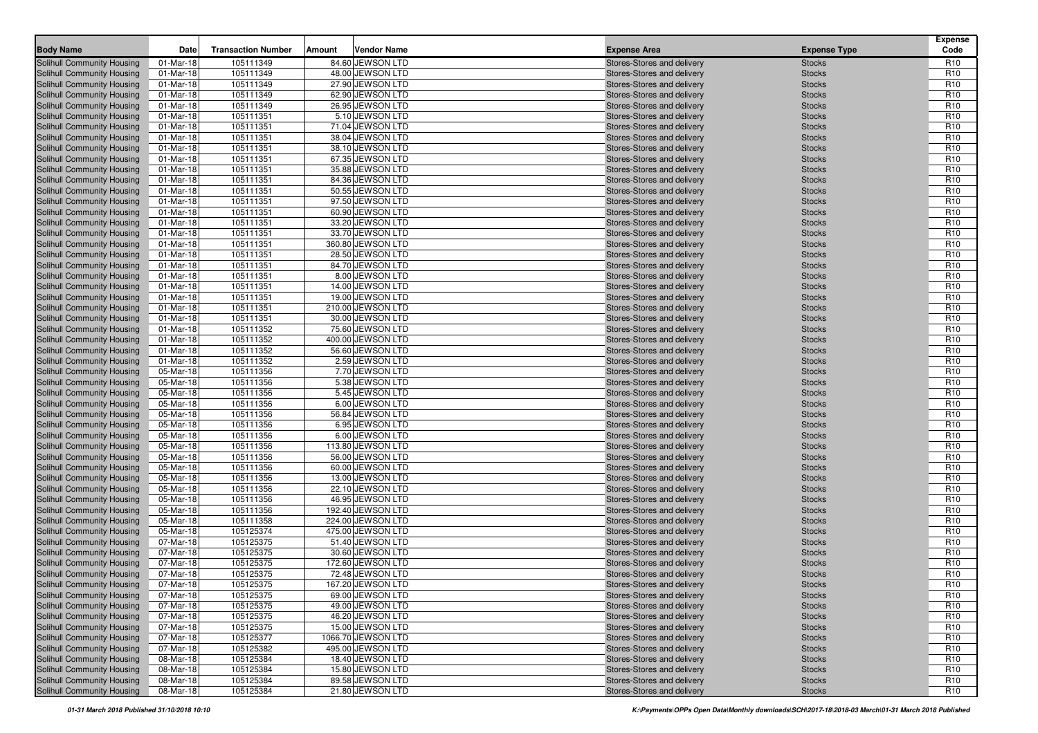| <b>Body Name</b>                  | Date      | <b>Transaction Number</b> | Vendor Name<br>Amount | <b>Expense Area</b>        | <b>Expense Type</b> | <b>Expense</b><br>Code |
|-----------------------------------|-----------|---------------------------|-----------------------|----------------------------|---------------------|------------------------|
| Solihull Community Housing        | 01-Mar-18 | 105111349                 | 84.60 JEWSON LTD      | Stores-Stores and delivery | <b>Stocks</b>       | R <sub>10</sub>        |
| <b>Solihull Community Housing</b> | 01-Mar-18 | 105111349                 | 48.00 JEWSON LTD      | Stores-Stores and delivery | <b>Stocks</b>       | R <sub>10</sub>        |
| Solihull Community Housing        | 01-Mar-18 | 105111349                 | 27.90 JEWSON LTD      | Stores-Stores and delivery | <b>Stocks</b>       | R <sub>10</sub>        |
| Solihull Community Housing        | 01-Mar-18 | 105111349                 | 62.90 JEWSON LTD      | Stores-Stores and delivery | <b>Stocks</b>       | R <sub>10</sub>        |
| Solihull Community Housing        | 01-Mar-18 | 105111349                 | 26.95 JEWSON LTD      | Stores-Stores and delivery | <b>Stocks</b>       | R <sub>10</sub>        |
| Solihull Community Housing        | 01-Mar-18 | 105111351                 | 5.10 JEWSON LTD       | Stores-Stores and delivery | <b>Stocks</b>       | R <sub>10</sub>        |
| Solihull Community Housing        | 01-Mar-18 | 105111351                 | 71.04 JEWSON LTD      | Stores-Stores and delivery | <b>Stocks</b>       | R <sub>10</sub>        |
| Solihull Community Housing        | 01-Mar-18 | 105111351                 | 38.04 JEWSON LTD      | Stores-Stores and delivery | <b>Stocks</b>       | R <sub>10</sub>        |
| Solihull Community Housing        | 01-Mar-18 | 105111351                 | 38.10 JEWSON LTD      | Stores-Stores and delivery | <b>Stocks</b>       | R <sub>10</sub>        |
| Solihull Community Housing        | 01-Mar-18 | 105111351                 | 67.35 JEWSON LTD      | Stores-Stores and delivery | <b>Stocks</b>       | R <sub>10</sub>        |
| Solihull Community Housing        | 01-Mar-18 | 105111351                 | 35.88 JEWSON LTD      | Stores-Stores and delivery | <b>Stocks</b>       | R <sub>10</sub>        |
| Solihull Community Housing        | 01-Mar-18 | 105111351                 | 84.36 JEWSON LTD      | Stores-Stores and delivery | <b>Stocks</b>       | R <sub>10</sub>        |
| Solihull Community Housing        | 01-Mar-18 | 105111351                 | 50.55 JEWSON LTD      | Stores-Stores and delivery | <b>Stocks</b>       | R <sub>10</sub>        |
| Solihull Community Housing        | 01-Mar-18 | 105111351                 | 97.50 JEWSON LTD      | Stores-Stores and delivery | <b>Stocks</b>       | R <sub>10</sub>        |
| Solihull Community Housing        | 01-Mar-18 | 105111351                 | 60.90 JEWSON LTD      | Stores-Stores and delivery | <b>Stocks</b>       | R <sub>10</sub>        |
| Solihull Community Housing        | 01-Mar-18 | 105111351                 | 33.20 JEWSON LTD      | Stores-Stores and delivery | <b>Stocks</b>       | R <sub>10</sub>        |
| Solihull Community Housing        | 01-Mar-18 | 105111351                 | 33.70 JEWSON LTD      | Stores-Stores and delivery | <b>Stocks</b>       | R <sub>10</sub>        |
| Solihull Community Housing        | 01-Mar-18 | 105111351                 | 360.80 JEWSON LTD     | Stores-Stores and delivery | <b>Stocks</b>       | R <sub>10</sub>        |
| Solihull Community Housing        | 01-Mar-18 | 105111351                 | 28.50 JEWSON LTD      | Stores-Stores and delivery | <b>Stocks</b>       | R <sub>10</sub>        |
| Solihull Community Housing        | 01-Mar-18 | 105111351                 | 84.70 JEWSON LTD      | Stores-Stores and delivery | <b>Stocks</b>       | R <sub>10</sub>        |
| Solihull Community Housing        | 01-Mar-18 | 105111351                 | 8.00 JEWSON LTD       | Stores-Stores and delivery | <b>Stocks</b>       | R <sub>10</sub>        |
| Solihull Community Housing        | 01-Mar-18 | 105111351                 | 14.00 JEWSON LTD      | Stores-Stores and delivery | <b>Stocks</b>       | R <sub>10</sub>        |
| <b>Solihull Community Housing</b> | 01-Mar-18 | 105111351                 | 19.00 JEWSON LTD      | Stores-Stores and delivery | <b>Stocks</b>       | R <sub>10</sub>        |
| Solihull Community Housing        | 01-Mar-18 | 105111351                 | 210.00 JEWSON LTD     | Stores-Stores and delivery | <b>Stocks</b>       | R <sub>10</sub>        |
| Solihull Community Housing        | 01-Mar-18 | 105111351                 | 30.00 JEWSON LTD      | Stores-Stores and delivery | <b>Stocks</b>       | R <sub>10</sub>        |
| Solihull Community Housing        | 01-Mar-18 | 105111352                 | 75.60 JEWSON LTD      | Stores-Stores and delivery | <b>Stocks</b>       | R <sub>10</sub>        |
| Solihull Community Housing        | 01-Mar-18 | 105111352                 | 400.00 JEWSON LTD     | Stores-Stores and delivery | <b>Stocks</b>       | R <sub>10</sub>        |
| Solihull Community Housing        | 01-Mar-18 | 105111352                 | 56.60 JEWSON LTD      | Stores-Stores and delivery | <b>Stocks</b>       | R <sub>10</sub>        |
| Solihull Community Housing        | 01-Mar-18 | 105111352                 | 2.59 JEWSON LTD       | Stores-Stores and delivery | <b>Stocks</b>       | R <sub>10</sub>        |
| Solihull Community Housing        | 05-Mar-18 | 105111356                 | 7.70 JEWSON LTD       | Stores-Stores and delivery | <b>Stocks</b>       | R <sub>10</sub>        |
| Solihull Community Housing        | 05-Mar-18 | 105111356                 | 5.38 JEWSON LTD       | Stores-Stores and delivery | <b>Stocks</b>       | R <sub>10</sub>        |
| Solihull Community Housing        | 05-Mar-18 | 105111356                 | 5.45 JEWSON LTD       | Stores-Stores and delivery | <b>Stocks</b>       | R <sub>10</sub>        |
| Solihull Community Housing        | 05-Mar-18 | 105111356                 | 6.00 JEWSON LTD       | Stores-Stores and delivery | <b>Stocks</b>       | R <sub>10</sub>        |
| Solihull Community Housing        | 05-Mar-18 | 105111356                 | 56.84 JEWSON LTD      | Stores-Stores and delivery | <b>Stocks</b>       | R <sub>10</sub>        |
| Solihull Community Housing        | 05-Mar-18 | 105111356                 | 6.95 JEWSON LTD       | Stores-Stores and delivery | <b>Stocks</b>       | R <sub>10</sub>        |
| Solihull Community Housing        | 05-Mar-18 | 105111356                 | 6.00 JEWSON LTD       | Stores-Stores and delivery | <b>Stocks</b>       | R <sub>10</sub>        |
| Solihull Community Housing        | 05-Mar-18 | 105111356                 | 113.80 JEWSON LTD     | Stores-Stores and delivery | <b>Stocks</b>       | R <sub>10</sub>        |
| Solihull Community Housing        | 05-Mar-18 | 105111356                 | 56.00 JEWSON LTD      | Stores-Stores and delivery | <b>Stocks</b>       | R <sub>10</sub>        |
| Solihull Community Housing        | 05-Mar-18 | 105111356                 | 60.00 JEWSON LTD      | Stores-Stores and delivery | <b>Stocks</b>       | R <sub>10</sub>        |
| Solihull Community Housing        | 05-Mar-18 | 105111356                 | 13.00 JEWSON LTD      | Stores-Stores and delivery | <b>Stocks</b>       | R <sub>10</sub>        |
| Solihull Community Housing        | 05-Mar-18 | 105111356                 | 22.10 JEWSON LTD      | Stores-Stores and delivery | <b>Stocks</b>       | R <sub>10</sub>        |
| Solihull Community Housing        | 05-Mar-18 | 105111356                 | 46.95 JEWSON LTD      | Stores-Stores and delivery | <b>Stocks</b>       | R <sub>10</sub>        |
| Solihull Community Housing        | 05-Mar-18 | 105111356                 | 192.40 JEWSON LTD     | Stores-Stores and delivery | <b>Stocks</b>       | R <sub>10</sub>        |
| Solihull Community Housing        | 05-Mar-18 | 105111358                 | 224.00 JEWSON LTD     | Stores-Stores and delivery | <b>Stocks</b>       | R <sub>10</sub>        |
| Solihull Community Housing        | 05-Mar-18 | 105125374                 | 475.00 JEWSON LTD     | Stores-Stores and delivery | <b>Stocks</b>       | R <sub>10</sub>        |
| Solihull Community Housing        | 07-Mar-18 | 105125375                 | 51.40 JEWSON LTD      | Stores-Stores and delivery | <b>Stocks</b>       | R <sub>10</sub>        |
| Solihull Community Housing        | 07-Mar-18 | 105125375                 | 30.60 JEWSON LTD      | Stores-Stores and delivery | <b>Stocks</b>       | R <sub>10</sub>        |
| Solihull Community Housing        | 07-Mar-18 | 105125375                 | 172.60 JEWSON LTD     | Stores-Stores and delivery | <b>Stocks</b>       | R <sub>10</sub>        |
| Solihull Community Housing        | 07-Mar-18 | 105125375                 | 72.48 JEWSON LTD      | Stores-Stores and delivery | <b>Stocks</b>       | R <sub>10</sub>        |
| Solihull Community Housing        | 07-Mar-18 | 105125375                 | 167.20 JEWSON LTD     | Stores-Stores and delivery | <b>Stocks</b>       | R <sub>10</sub>        |
| Solihull Community Housing        | 07-Mar-18 | 105125375                 | 69.00 JEWSON LTD      | Stores-Stores and delivery | <b>Stocks</b>       | R <sub>10</sub>        |
| <b>Solihull Community Housing</b> | 07-Mar-18 | 105125375                 | 49.00 JEWSON LTD      | Stores-Stores and delivery | <b>Stocks</b>       | R <sub>10</sub>        |
| Solihull Community Housing        | 07-Mar-18 | 105125375                 | 46.20 JEWSON LTD      | Stores-Stores and delivery | <b>Stocks</b>       | R <sub>10</sub>        |
| Solihull Community Housing        | 07-Mar-18 | 105125375                 | 15.00 JEWSON LTD      | Stores-Stores and delivery | <b>Stocks</b>       | R <sub>10</sub>        |
| Solihull Community Housing        | 07-Mar-18 | 105125377                 | 1066.70 JEWSON LTD    | Stores-Stores and delivery | <b>Stocks</b>       | R <sub>10</sub>        |
| Solihull Community Housing        | 07-Mar-18 | 105125382                 | 495.00 JEWSON LTD     | Stores-Stores and delivery | <b>Stocks</b>       | R <sub>10</sub>        |
| Solihull Community Housing        | 08-Mar-18 | 105125384                 | 18.40 JEWSON LTD      | Stores-Stores and delivery | <b>Stocks</b>       | R <sub>10</sub>        |
| Solihull Community Housing        | 08-Mar-18 | 105125384                 | 15.80 JEWSON LTD      | Stores-Stores and delivery | <b>Stocks</b>       | R <sub>10</sub>        |
| Solihull Community Housing        | 08-Mar-18 | 105125384                 | 89.58 JEWSON LTD      | Stores-Stores and delivery | <b>Stocks</b>       | R <sub>10</sub>        |
| Solihull Community Housing        | 08-Mar-18 | 105125384                 | 21.80 JEWSON LTD      | Stores-Stores and delivery | <b>Stocks</b>       | R <sub>10</sub>        |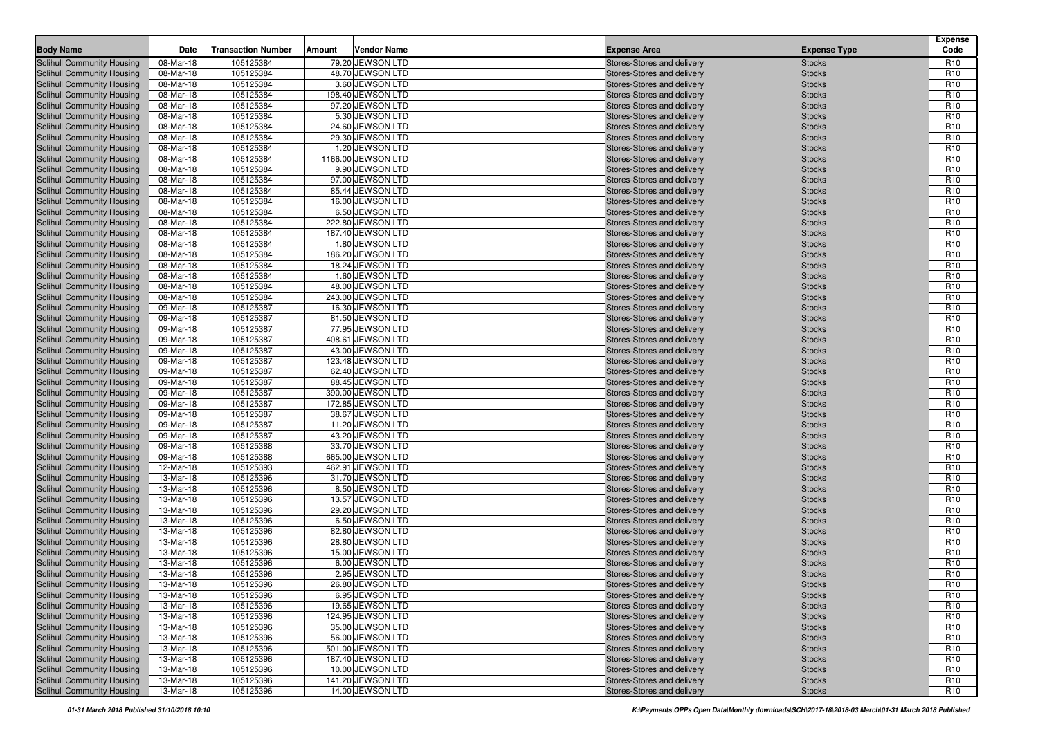| <b>Body Name</b>                                         | Date                   | <b>Transaction Number</b> | Amount | <b>Vendor Name</b>                    | <b>Expense Area</b>                                      | <b>Expense Type</b>            | <b>Expense</b><br>Code             |
|----------------------------------------------------------|------------------------|---------------------------|--------|---------------------------------------|----------------------------------------------------------|--------------------------------|------------------------------------|
| Solihull Community Housing                               | 08-Mar-18              | 105125384                 |        | 79.20 JEWSON LTD                      | Stores-Stores and delivery                               | <b>Stocks</b>                  | R <sub>10</sub>                    |
| Solihull Community Housing                               | 08-Mar-18              | 105125384                 |        | 48.70 JEWSON LTD                      | Stores-Stores and delivery                               | <b>Stocks</b>                  | R <sub>10</sub>                    |
| Solihull Community Housing                               | 08-Mar-18              | 105125384                 |        | 3.60 JEWSON LTD                       | Stores-Stores and delivery                               | <b>Stocks</b>                  | R <sub>10</sub>                    |
| Solihull Community Housing                               | 08-Mar-18              | 105125384                 |        | 198.40 JEWSON LTD                     | Stores-Stores and delivery                               | <b>Stocks</b>                  | R <sub>10</sub>                    |
| Solihull Community Housing                               | 08-Mar-18              | 105125384                 |        | 97.20 JEWSON LTD                      | Stores-Stores and delivery                               | <b>Stocks</b>                  | R <sub>10</sub>                    |
| Solihull Community Housing                               | 08-Mar-18              | 105125384                 |        | 5.30 JEWSON LTD                       | Stores-Stores and delivery                               | <b>Stocks</b>                  | R <sub>10</sub>                    |
| Solihull Community Housing                               | 08-Mar-18              | 105125384                 |        | 24.60 JEWSON LTD                      | Stores-Stores and delivery                               | <b>Stocks</b>                  | R <sub>10</sub>                    |
| Solihull Community Housing                               | 08-Mar-18              | 105125384                 |        | 29.30 JEWSON LTD                      | Stores-Stores and delivery                               | <b>Stocks</b>                  | R <sub>10</sub>                    |
| Solihull Community Housing                               | 08-Mar-18              | 105125384                 |        | 1.20 JEWSON LTD                       | Stores-Stores and delivery                               | <b>Stocks</b>                  | R <sub>10</sub>                    |
| Solihull Community Housing                               | 08-Mar-18              | 105125384                 |        | 1166.00 JEWSON LTD                    | Stores-Stores and delivery                               | <b>Stocks</b>                  | R <sub>10</sub>                    |
| Solihull Community Housing                               | 08-Mar-18              | 105125384                 |        | 9.90 JEWSON LTD                       | Stores-Stores and delivery                               | <b>Stocks</b>                  | R <sub>10</sub>                    |
| Solihull Community Housing                               | 08-Mar-18              | 105125384                 |        | 97.00 JEWSON LTD                      | Stores-Stores and delivery                               | <b>Stocks</b>                  | R <sub>10</sub>                    |
| Solihull Community Housing                               | 08-Mar-18              | 105125384                 |        | 85.44 JEWSON LTD                      | Stores-Stores and delivery                               | <b>Stocks</b>                  | R <sub>10</sub>                    |
| Solihull Community Housing                               | 08-Mar-18              | 105125384                 |        | 16.00 JEWSON LTD                      | Stores-Stores and delivery                               | <b>Stocks</b>                  | R <sub>10</sub>                    |
| Solihull Community Housing                               | 08-Mar-18              | 105125384                 |        | 6.50 JEWSON LTD                       | Stores-Stores and delivery                               | <b>Stocks</b>                  | R <sub>10</sub>                    |
| Solihull Community Housing                               | 08-Mar-18              | 105125384                 |        | 222.80 JEWSON LTD                     | Stores-Stores and delivery                               | <b>Stocks</b>                  | R <sub>10</sub>                    |
| Solihull Community Housing                               | 08-Mar-18              | 105125384                 |        | 187.40 JEWSON LTD                     | Stores-Stores and delivery                               | <b>Stocks</b>                  | R <sub>10</sub>                    |
| Solihull Community Housing                               | 08-Mar-18              | 105125384                 |        | 1.80 JEWSON LTD                       | Stores-Stores and delivery                               | <b>Stocks</b>                  | R <sub>10</sub>                    |
| Solihull Community Housing                               | 08-Mar-18              | 105125384                 |        | 186.20 JEWSON LTD                     | Stores-Stores and delivery                               | <b>Stocks</b>                  | R <sub>10</sub>                    |
| Solihull Community Housing                               | 08-Mar-18              | 105125384                 |        | 18.24 JEWSON LTD                      | Stores-Stores and delivery                               | <b>Stocks</b>                  | R <sub>10</sub>                    |
| Solihull Community Housing                               | 08-Mar-18              | 105125384                 |        | 1.60 JEWSON LTD                       | Stores-Stores and delivery                               | <b>Stocks</b>                  | R <sub>10</sub>                    |
| Solihull Community Housing                               | 08-Mar-18              | 105125384                 |        | 48.00 JEWSON LTD                      | Stores-Stores and delivery                               | <b>Stocks</b>                  | R <sub>10</sub>                    |
| Solihull Community Housing                               | 08-Mar-18              | 105125384                 |        | 243.00 JEWSON LTD                     | Stores-Stores and delivery                               | <b>Stocks</b>                  | R <sub>10</sub>                    |
| Solihull Community Housing                               | 09-Mar-18              | 105125387                 |        | 16.30 JEWSON LTD                      | Stores-Stores and delivery                               | <b>Stocks</b>                  | R <sub>10</sub>                    |
| Solihull Community Housing                               | 09-Mar-18              | 105125387                 |        | 81.50 JEWSON LTD                      | Stores-Stores and delivery                               | <b>Stocks</b>                  | R <sub>10</sub>                    |
| Solihull Community Housing                               | 09-Mar-18              | 105125387                 |        | 77.95 JEWSON LTD                      | Stores-Stores and delivery                               | <b>Stocks</b>                  | R <sub>10</sub>                    |
| Solihull Community Housing                               | 09-Mar-18              | 105125387                 |        | 408.61 JEWSON LTD                     | Stores-Stores and delivery                               | <b>Stocks</b>                  | R <sub>10</sub>                    |
| Solihull Community Housing                               | 09-Mar-18              | 105125387                 |        | 43.00 JEWSON LTD                      | Stores-Stores and delivery                               | <b>Stocks</b>                  | R <sub>10</sub>                    |
| Solihull Community Housing                               | 09-Mar-18              | 105125387                 |        | 123.48 JEWSON LTD                     | Stores-Stores and delivery                               | <b>Stocks</b>                  | R <sub>10</sub>                    |
| Solihull Community Housing                               | 09-Mar-18              | 105125387                 |        | 62.40 JEWSON LTD                      | Stores-Stores and delivery                               | <b>Stocks</b>                  | R <sub>10</sub>                    |
| Solihull Community Housing                               | 09-Mar-18              | 105125387                 |        | 88.45 JEWSON LTD                      | Stores-Stores and delivery                               | <b>Stocks</b>                  | R <sub>10</sub>                    |
| Solihull Community Housing                               | 09-Mar-18              | 105125387                 |        | 390.00 JEWSON LTD                     | Stores-Stores and delivery                               | <b>Stocks</b>                  | R <sub>10</sub>                    |
| Solihull Community Housing                               | 09-Mar-18              | 105125387                 |        | 172.85 JEWSON LTD                     | Stores-Stores and delivery                               | <b>Stocks</b>                  | R <sub>10</sub>                    |
| Solihull Community Housing                               | 09-Mar-18              | 105125387                 |        | 38.67 JEWSON LTD                      | Stores-Stores and delivery                               | <b>Stocks</b>                  | R <sub>10</sub>                    |
| Solihull Community Housing                               | 09-Mar-18              | 105125387                 |        | 11.20 JEWSON LTD                      | Stores-Stores and delivery                               | <b>Stocks</b>                  | R <sub>10</sub>                    |
| Solihull Community Housing                               | 09-Mar-18              | 105125387                 |        | 43.20 JEWSON LTD                      | Stores-Stores and delivery                               | <b>Stocks</b>                  | R <sub>10</sub><br>R <sub>10</sub> |
| Solihull Community Housing                               | 09-Mar-18              | 105125388<br>105125388    |        | 33.70 JEWSON LTD<br>665.00 JEWSON LTD | Stores-Stores and delivery                               | <b>Stocks</b>                  | R <sub>10</sub>                    |
| Solihull Community Housing<br>Solihull Community Housing | 09-Mar-18<br>12-Mar-18 | 105125393                 |        | 462.91 JEWSON LTD                     | Stores-Stores and delivery<br>Stores-Stores and delivery | <b>Stocks</b><br><b>Stocks</b> | R <sub>10</sub>                    |
| Solihull Community Housing                               | 13-Mar-18              | 105125396                 |        | 31.70 JEWSON LTD                      | Stores-Stores and delivery                               | <b>Stocks</b>                  | R <sub>10</sub>                    |
| Solihull Community Housing                               | 13-Mar-18              | 105125396                 |        | 8.50 JEWSON LTD                       | Stores-Stores and delivery                               | <b>Stocks</b>                  | R <sub>10</sub>                    |
| Solihull Community Housing                               | 13-Mar-18              | 105125396                 |        | 13.57 JEWSON LTD                      | Stores-Stores and delivery                               | <b>Stocks</b>                  | R <sub>10</sub>                    |
| Solihull Community Housing                               | 13-Mar-18              | 105125396                 |        | 29.20 JEWSON LTD                      | Stores-Stores and delivery                               | <b>Stocks</b>                  | R <sub>10</sub>                    |
| Solihull Community Housing                               | 13-Mar-18              | 105125396                 |        | 6.50 JEWSON LTD                       | Stores-Stores and delivery                               | <b>Stocks</b>                  | R <sub>10</sub>                    |
| Solihull Community Housing                               | 13-Mar-18              | 105125396                 |        | 82.80 JEWSON LTD                      | Stores-Stores and delivery                               | <b>Stocks</b>                  | R <sub>10</sub>                    |
| Solihull Community Housing                               | 13-Mar-18              | 105125396                 |        | 28.80 JEWSON LTD                      | Stores-Stores and delivery                               | <b>Stocks</b>                  | R <sub>10</sub>                    |
| Solihull Community Housing                               | 13-Mar-18              | 105125396                 |        | 15.00 JEWSON LTD                      | Stores-Stores and delivery                               | <b>Stocks</b>                  | R <sub>10</sub>                    |
| Solihull Community Housing                               | 13-Mar-18              | 105125396                 |        | 6.00 JEWSON LTD                       | Stores-Stores and delivery                               | <b>Stocks</b>                  | R <sub>10</sub>                    |
| Solihull Community Housing                               | 13-Mar-18              | 105125396                 |        | 2.95 JEWSON LTD                       | Stores-Stores and delivery                               | <b>Stocks</b>                  | R <sub>10</sub>                    |
| Solihull Community Housing                               | 13-Mar-18              | 105125396                 |        | 26.80 JEWSON LTD                      | Stores-Stores and delivery                               | <b>Stocks</b>                  | R <sub>10</sub>                    |
| Solihull Community Housing                               | 13-Mar-18              | 105125396                 |        | 6.95 JEWSON LTD                       | Stores-Stores and delivery                               | <b>Stocks</b>                  | R <sub>10</sub>                    |
| Solihull Community Housing                               | 13-Mar-18              | 105125396                 |        | 19.65 JEWSON LTD                      | Stores-Stores and delivery                               | <b>Stocks</b>                  | R <sub>10</sub>                    |
| Solihull Community Housing                               | 13-Mar-18              | 105125396                 |        | 124.95 JEWSON LTD                     | Stores-Stores and delivery                               | <b>Stocks</b>                  | R <sub>10</sub>                    |
| Solihull Community Housing                               | 13-Mar-18              | 105125396                 |        | 35.00 JEWSON LTD                      | Stores-Stores and delivery                               | <b>Stocks</b>                  | R <sub>10</sub>                    |
| Solihull Community Housing                               | 13-Mar-18              | 105125396                 |        | 56.00 JEWSON LTD                      | Stores-Stores and delivery                               | <b>Stocks</b>                  | R <sub>10</sub>                    |
| Solihull Community Housing                               | 13-Mar-18              | 105125396                 |        | 501.00 JEWSON LTD                     | Stores-Stores and delivery                               | <b>Stocks</b>                  | R <sub>10</sub>                    |
| Solihull Community Housing                               | 13-Mar-18              | 105125396                 |        | 187.40 JEWSON LTD                     | Stores-Stores and delivery                               | <b>Stocks</b>                  | R <sub>10</sub>                    |
| Solihull Community Housing                               | 13-Mar-18              | 105125396                 |        | 10.00 JEWSON LTD                      | Stores-Stores and delivery                               | <b>Stocks</b>                  | R <sub>10</sub>                    |
| Solihull Community Housing                               | 13-Mar-18              | 105125396                 |        | 141.20 JEWSON LTD                     | Stores-Stores and delivery                               | <b>Stocks</b>                  | R <sub>10</sub>                    |
| Solihull Community Housing                               | 13-Mar-18              | 105125396                 |        | 14.00 JEWSON LTD                      | Stores-Stores and delivery                               | <b>Stocks</b>                  | R <sub>10</sub>                    |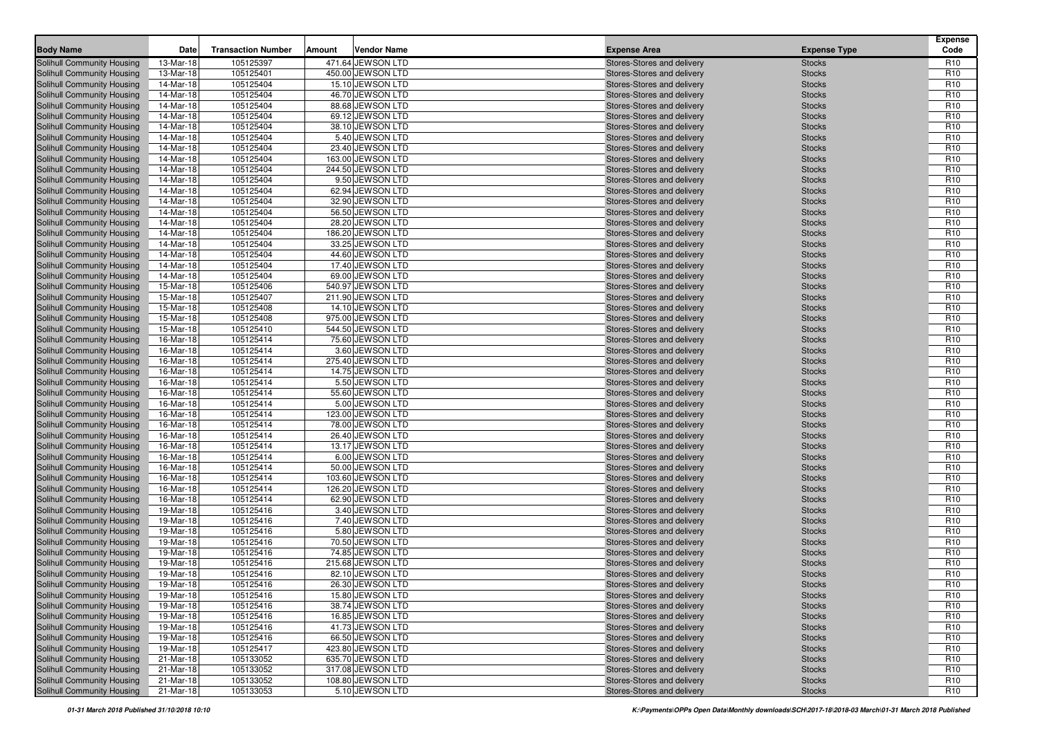| <b>Body Name</b>                                         | Date                   | <b>Transaction Number</b> | Amount | <b>Vendor Name</b>                  | <b>Expense Area</b>                                      | <b>Expense Type</b>            | <b>Expense</b><br>Code             |
|----------------------------------------------------------|------------------------|---------------------------|--------|-------------------------------------|----------------------------------------------------------|--------------------------------|------------------------------------|
| Solihull Community Housing                               | 13-Mar-18              | 105125397                 |        | 471.64 JEWSON LTD                   | Stores-Stores and delivery                               | <b>Stocks</b>                  | R <sub>10</sub>                    |
| Solihull Community Housing                               | 13-Mar-18              | 105125401                 |        | 450.00 JEWSON LTD                   | Stores-Stores and delivery                               | <b>Stocks</b>                  | R <sub>10</sub>                    |
| Solihull Community Housing                               | 14-Mar-18              | 105125404                 |        | 15.10 JEWSON LTD                    | Stores-Stores and delivery                               | <b>Stocks</b>                  | R <sub>10</sub>                    |
| Solihull Community Housing                               | 14-Mar-18              | 105125404                 |        | 46.70 JEWSON LTD                    | Stores-Stores and delivery                               | <b>Stocks</b>                  | R <sub>10</sub>                    |
| Solihull Community Housing                               | 14-Mar-18              | 105125404                 |        | 88.68 JEWSON LTD                    | Stores-Stores and delivery                               | <b>Stocks</b>                  | R <sub>10</sub>                    |
| Solihull Community Housing                               | 14-Mar-18              | 105125404                 |        | 69.12 JEWSON LTD                    | Stores-Stores and delivery                               | <b>Stocks</b>                  | R <sub>10</sub>                    |
| Solihull Community Housing                               | 14-Mar-18              | 105125404                 |        | 38.10 JEWSON LTD                    | Stores-Stores and delivery                               | <b>Stocks</b>                  | R <sub>10</sub>                    |
| Solihull Community Housing                               | 14-Mar-18              | 105125404                 |        | 5.40 JEWSON LTD                     | Stores-Stores and delivery                               | <b>Stocks</b>                  | R <sub>10</sub>                    |
| Solihull Community Housing                               | 14-Mar-18              | 105125404                 |        | 23.40 JEWSON LTD                    | Stores-Stores and delivery                               | <b>Stocks</b>                  | R <sub>10</sub>                    |
| Solihull Community Housing                               | 14-Mar-18              | 105125404                 |        | 163.00 JEWSON LTD                   | Stores-Stores and delivery                               | <b>Stocks</b>                  | R <sub>10</sub>                    |
| Solihull Community Housing                               | 14-Mar-18              | 105125404                 |        | 244.50 JEWSON LTD                   | Stores-Stores and delivery                               | <b>Stocks</b>                  | R <sub>10</sub>                    |
| Solihull Community Housing                               | 14-Mar-18              | 105125404                 |        | 9.50 JEWSON LTD                     | Stores-Stores and delivery                               | <b>Stocks</b>                  | R <sub>10</sub>                    |
| Solihull Community Housing                               | 14-Mar-18              | 105125404                 |        | 62.94 JEWSON LTD                    | Stores-Stores and delivery                               | <b>Stocks</b>                  | R <sub>10</sub>                    |
| Solihull Community Housing                               | 14-Mar-18              | 105125404                 |        | 32.90 JEWSON LTD                    | Stores-Stores and delivery                               | <b>Stocks</b>                  | R <sub>10</sub>                    |
| Solihull Community Housing                               | 14-Mar-18              | 105125404                 |        | 56.50 JEWSON LTD                    | Stores-Stores and delivery                               | <b>Stocks</b>                  | R <sub>10</sub>                    |
| Solihull Community Housing                               | 14-Mar-18              | 105125404                 |        | 28.20 JEWSON LTD                    | Stores-Stores and delivery                               | <b>Stocks</b>                  | R <sub>10</sub>                    |
| Solihull Community Housing                               | 14-Mar-18              | 105125404                 |        | 186.20 JEWSON LTD                   | Stores-Stores and delivery                               | <b>Stocks</b>                  | R <sub>10</sub>                    |
| Solihull Community Housing                               | 14-Mar-18              | 105125404                 |        | 33.25 JEWSON LTD                    | Stores-Stores and delivery                               | <b>Stocks</b>                  | R <sub>10</sub>                    |
| Solihull Community Housing                               | 14-Mar-18              | 105125404                 |        | 44.60 JEWSON LTD                    | Stores-Stores and delivery                               | <b>Stocks</b>                  | R <sub>10</sub>                    |
| Solihull Community Housing                               | 14-Mar-18              | 105125404                 |        | 17.40 JEWSON LTD                    | Stores-Stores and delivery                               | <b>Stocks</b>                  | R <sub>10</sub>                    |
| Solihull Community Housing                               | 14-Mar-18              | 105125404                 |        | 69.00 JEWSON LTD                    | Stores-Stores and delivery                               | <b>Stocks</b>                  | R <sub>10</sub>                    |
| Solihull Community Housing                               | 15-Mar-18              | 105125406                 |        | 540.97 JEWSON LTD                   | Stores-Stores and delivery                               | <b>Stocks</b>                  | R <sub>10</sub>                    |
| Solihull Community Housing                               | 15-Mar-18              | 105125407                 |        | 211.90 JEWSON LTD                   | Stores-Stores and delivery                               | <b>Stocks</b>                  | R <sub>10</sub>                    |
| Solihull Community Housing                               | 15-Mar-18              | 105125408                 |        | 14.10 JEWSON LTD                    | Stores-Stores and delivery                               | <b>Stocks</b>                  | R <sub>10</sub>                    |
| Solihull Community Housing                               | 15-Mar-18              | 105125408                 |        | 975.00 JEWSON LTD                   | Stores-Stores and delivery                               | <b>Stocks</b>                  | R <sub>10</sub>                    |
| Solihull Community Housing                               | 15-Mar-18              | 105125410                 |        | 544.50 JEWSON LTD                   | Stores-Stores and delivery                               | <b>Stocks</b>                  | R <sub>10</sub>                    |
| Solihull Community Housing                               | 16-Mar-18              | 105125414                 |        | 75.60 JEWSON LTD                    | Stores-Stores and delivery                               | <b>Stocks</b>                  | R <sub>10</sub>                    |
| Solihull Community Housing                               | 16-Mar-18              | 105125414                 |        | 3.60 JEWSON LTD                     | Stores-Stores and delivery                               | <b>Stocks</b>                  | R <sub>10</sub>                    |
| Solihull Community Housing                               | 16-Mar-18              | 105125414                 |        | 275.40 JEWSON LTD                   | Stores-Stores and delivery                               | <b>Stocks</b>                  | R <sub>10</sub>                    |
| Solihull Community Housing                               | 16-Mar-18              | 105125414                 |        | 14.75 JEWSON LTD                    | Stores-Stores and delivery                               | <b>Stocks</b>                  | R <sub>10</sub>                    |
| Solihull Community Housing                               | 16-Mar-18              | 105125414                 |        | 5.50 JEWSON LTD                     | Stores-Stores and delivery                               | <b>Stocks</b>                  | R <sub>10</sub>                    |
| Solihull Community Housing                               | 16-Mar-18              | 105125414                 |        | 55.60 JEWSON LTD                    | Stores-Stores and delivery                               | <b>Stocks</b>                  | R <sub>10</sub>                    |
| Solihull Community Housing                               | 16-Mar-18              | 105125414                 |        | 5.00 JEWSON LTD                     | Stores-Stores and delivery                               | <b>Stocks</b>                  | R <sub>10</sub>                    |
| Solihull Community Housing                               | 16-Mar-18              | 105125414                 |        | 123.00 JEWSON LTD                   | Stores-Stores and delivery                               | <b>Stocks</b>                  | R <sub>10</sub>                    |
| Solihull Community Housing                               | 16-Mar-18              | 105125414                 |        | 78.00 JEWSON LTD                    | Stores-Stores and delivery                               | <b>Stocks</b>                  | R <sub>10</sub>                    |
| Solihull Community Housing                               | 16-Mar-18              | 105125414                 |        | 26.40 JEWSON LTD                    | Stores-Stores and delivery                               | <b>Stocks</b>                  | R <sub>10</sub><br>R <sub>10</sub> |
| Solihull Community Housing                               | 16-Mar-18<br>16-Mar-18 | 105125414<br>105125414    |        | 13.17 JEWSON LTD<br>6.00 JEWSON LTD | Stores-Stores and delivery                               | <b>Stocks</b>                  | R <sub>10</sub>                    |
| Solihull Community Housing<br>Solihull Community Housing | 16-Mar-18              | 105125414                 |        | 50.00 JEWSON LTD                    | Stores-Stores and delivery<br>Stores-Stores and delivery | <b>Stocks</b><br><b>Stocks</b> | R <sub>10</sub>                    |
| Solihull Community Housing                               | 16-Mar-18              | 105125414                 |        | 103.60 JEWSON LTD                   | Stores-Stores and delivery                               | <b>Stocks</b>                  | R <sub>10</sub>                    |
| Solihull Community Housing                               | 16-Mar-18              | 105125414                 |        | 126.20 JEWSON LTD                   | Stores-Stores and delivery                               | <b>Stocks</b>                  | R <sub>10</sub>                    |
| Solihull Community Housing                               | 16-Mar-18              | 105125414                 |        | 62.90 JEWSON LTD                    | Stores-Stores and delivery                               | <b>Stocks</b>                  | R <sub>10</sub>                    |
| Solihull Community Housing                               | 19-Mar-18              | 105125416                 |        | 3.40 JEWSON LTD                     | Stores-Stores and delivery                               | <b>Stocks</b>                  | R <sub>10</sub>                    |
| Solihull Community Housing                               | 19-Mar-18              | 105125416                 |        | 7.40 JEWSON LTD                     | Stores-Stores and delivery                               | <b>Stocks</b>                  | R <sub>10</sub>                    |
| Solihull Community Housing                               | 19-Mar-18              | 105125416                 |        | 5.80 JEWSON LTD                     | Stores-Stores and delivery                               | <b>Stocks</b>                  | R <sub>10</sub>                    |
| Solihull Community Housing                               | 19-Mar-18              | 105125416                 |        | 70.50 JEWSON LTD                    | Stores-Stores and delivery                               | <b>Stocks</b>                  | R <sub>10</sub>                    |
| Solihull Community Housing                               | 19-Mar-18              | 105125416                 |        | 74.85 JEWSON LTD                    | Stores-Stores and delivery                               | <b>Stocks</b>                  | R <sub>10</sub>                    |
| Solihull Community Housing                               | 19-Mar-18              | 105125416                 |        | 215.68 JEWSON LTD                   | Stores-Stores and delivery                               | <b>Stocks</b>                  | R <sub>10</sub>                    |
| Solihull Community Housing                               | 19-Mar-18              | 105125416                 |        | 82.10 JEWSON LTD                    | Stores-Stores and delivery                               | <b>Stocks</b>                  | R <sub>10</sub>                    |
| Solihull Community Housing                               | 19-Mar-18              | 105125416                 |        | 26.30 JEWSON LTD                    | Stores-Stores and delivery                               | <b>Stocks</b>                  | R <sub>10</sub>                    |
| Solihull Community Housing                               | 19-Mar-18              | 105125416                 |        | 15.80 JEWSON LTD                    | Stores-Stores and delivery                               | <b>Stocks</b>                  | R <sub>10</sub>                    |
| Solihull Community Housing                               | 19-Mar-18              | 105125416                 |        | 38.74 JEWSON LTD                    | Stores-Stores and delivery                               | <b>Stocks</b>                  | R <sub>10</sub>                    |
| Solihull Community Housing                               | 19-Mar-18              | 105125416                 |        | 16.85 JEWSON LTD                    | Stores-Stores and delivery                               | <b>Stocks</b>                  | R <sub>10</sub>                    |
| Solihull Community Housing                               | 19-Mar-18              | 105125416                 |        | 41.73 JEWSON LTD                    | Stores-Stores and delivery                               | <b>Stocks</b>                  | R <sub>10</sub>                    |
| Solihull Community Housing                               | 19-Mar-18              | 105125416                 |        | 66.50 JEWSON LTD                    | Stores-Stores and delivery                               | <b>Stocks</b>                  | R <sub>10</sub>                    |
| Solihull Community Housing                               | 19-Mar-18              | 105125417                 |        | 423.80 JEWSON LTD                   | Stores-Stores and delivery                               | <b>Stocks</b>                  | R <sub>10</sub>                    |
| Solihull Community Housing                               | 21-Mar-18              | 105133052                 |        | 635.70 JEWSON LTD                   | Stores-Stores and delivery                               | <b>Stocks</b>                  | R <sub>10</sub>                    |
| Solihull Community Housing                               | 21-Mar-18              | 105133052                 |        | 317.08 JEWSON LTD                   | Stores-Stores and delivery                               | <b>Stocks</b>                  | R <sub>10</sub>                    |
| Solihull Community Housing                               | 21-Mar-18              | 105133052                 |        | 108.80 JEWSON LTD                   | Stores-Stores and delivery                               | <b>Stocks</b>                  | R <sub>10</sub>                    |
| Solihull Community Housing                               | 21-Mar-18              | 105133053                 |        | 5.10 JEWSON LTD                     | Stores-Stores and delivery                               | <b>Stocks</b>                  | R <sub>10</sub>                    |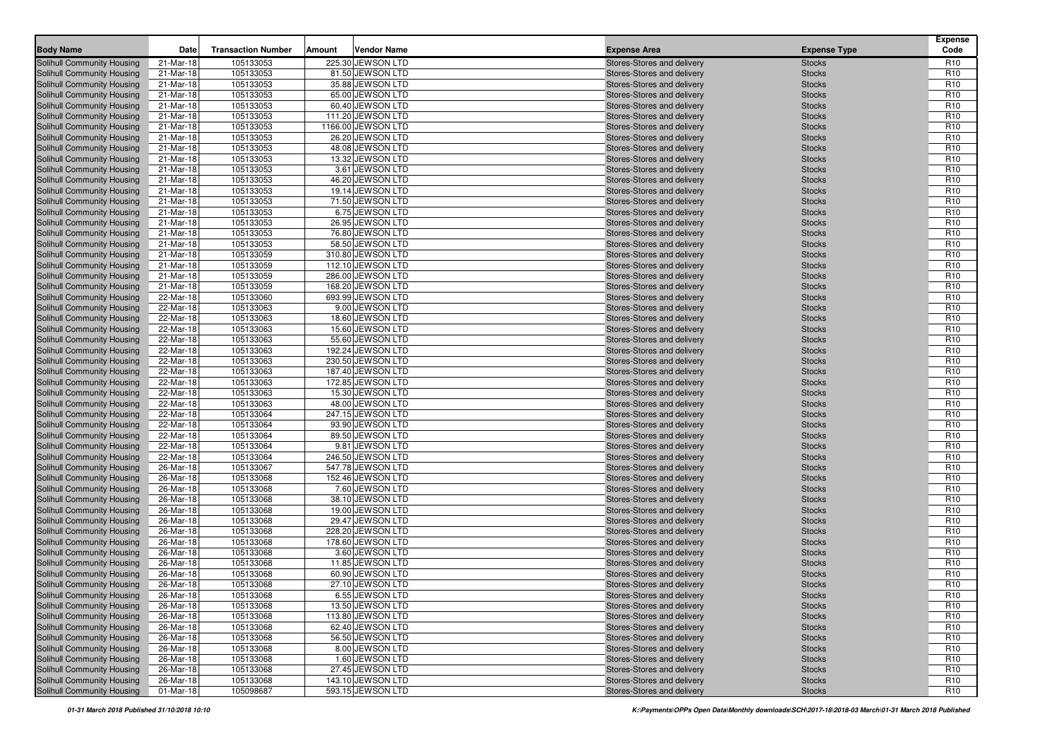| <b>Body Name</b>                                         | Date                   | <b>Transaction Number</b> | Vendor Name<br>Amount                | <b>Expense Area</b>                                      | <b>Expense Type</b> | <b>Expense</b><br>Code             |
|----------------------------------------------------------|------------------------|---------------------------|--------------------------------------|----------------------------------------------------------|---------------------|------------------------------------|
| Solihull Community Housing                               | 21-Mar-18              | 105133053                 | 225.30 JEWSON LTD                    | Stores-Stores and delivery                               | <b>Stocks</b>       | R <sub>10</sub>                    |
| <b>Solihull Community Housing</b>                        | 21-Mar-18              | 105133053                 | 81.50 JEWSON LTD                     | Stores-Stores and delivery                               | <b>Stocks</b>       | R <sub>10</sub>                    |
| Solihull Community Housing                               | 21-Mar-18              | 105133053                 | 35.88 JEWSON LTD                     | Stores-Stores and delivery                               | <b>Stocks</b>       | R <sub>10</sub>                    |
| Solihull Community Housing                               | 21-Mar-18              | 105133053                 | 65.00 JEWSON LTD                     | Stores-Stores and delivery                               | <b>Stocks</b>       | R <sub>10</sub>                    |
| Solihull Community Housing                               | 21-Mar-18              | 105133053                 | 60.40 JEWSON LTD                     | Stores-Stores and delivery                               | <b>Stocks</b>       | R <sub>10</sub>                    |
| Solihull Community Housing                               | 21-Mar-18              | 105133053                 | 111.20 JEWSON LTD                    | Stores-Stores and delivery                               | <b>Stocks</b>       | R <sub>10</sub>                    |
| Solihull Community Housing                               | 21-Mar-18              | 105133053                 | 1166.00 JEWSON LTD                   | Stores-Stores and delivery                               | <b>Stocks</b>       | R <sub>10</sub>                    |
| Solihull Community Housing                               | 21-Mar-18              | 105133053                 | 26.20 JEWSON LTD                     | Stores-Stores and delivery                               | <b>Stocks</b>       | R <sub>10</sub>                    |
| Solihull Community Housing                               | 21-Mar-18              | 105133053                 | 48.08 JEWSON LTD                     | Stores-Stores and delivery                               | <b>Stocks</b>       | R <sub>10</sub>                    |
| Solihull Community Housing                               | 21-Mar-18              | 105133053                 | 13.32 JEWSON LTD                     | Stores-Stores and delivery                               | <b>Stocks</b>       | R <sub>10</sub>                    |
| Solihull Community Housing                               | 21-Mar-18              | 105133053                 | 3.61 JEWSON LTD                      | Stores-Stores and delivery                               | <b>Stocks</b>       | R <sub>10</sub>                    |
| Solihull Community Housing                               | 21-Mar-18              | 105133053                 | 46.20 JEWSON LTD                     | Stores-Stores and delivery                               | <b>Stocks</b>       | R <sub>10</sub>                    |
| Solihull Community Housing                               | 21-Mar-18              | 105133053                 | 19.14 JEWSON LTD                     | Stores-Stores and delivery                               | <b>Stocks</b>       | R <sub>10</sub>                    |
| Solihull Community Housing                               | 21-Mar-18              | 105133053                 | 71.50 JEWSON LTD                     | Stores-Stores and delivery                               | <b>Stocks</b>       | R <sub>10</sub>                    |
| Solihull Community Housing                               | 21-Mar-18              | 105133053                 | 6.75 JEWSON LTD                      | Stores-Stores and delivery                               | <b>Stocks</b>       | R <sub>10</sub>                    |
| Solihull Community Housing                               | 21-Mar-18              | 105133053                 | 26.95 JEWSON LTD                     | Stores-Stores and delivery                               | <b>Stocks</b>       | R <sub>10</sub>                    |
| Solihull Community Housing                               | 21-Mar-18              | 105133053                 | 76.80 JEWSON LTD                     | Stores-Stores and delivery                               | <b>Stocks</b>       | R <sub>10</sub>                    |
| Solihull Community Housing                               | 21-Mar-18              | 105133053                 | 58.50 JEWSON LTD                     | Stores-Stores and delivery                               | <b>Stocks</b>       | R <sub>10</sub>                    |
| Solihull Community Housing                               | 21-Mar-18              | 105133059                 | 310.80 JEWSON LTD                    | Stores-Stores and delivery                               | <b>Stocks</b>       | R <sub>10</sub>                    |
| Solihull Community Housing                               | 21-Mar-18              | 105133059                 | 112.10 JEWSON LTD                    | Stores-Stores and delivery                               | <b>Stocks</b>       | R <sub>10</sub>                    |
| Solihull Community Housing                               | 21-Mar-18              | 105133059                 | 286.00 JEWSON LTD                    | Stores-Stores and delivery                               | <b>Stocks</b>       | R <sub>10</sub>                    |
| Solihull Community Housing                               | 21-Mar-18              | 105133059                 | 168.20 JEWSON LTD                    | Stores-Stores and delivery                               | <b>Stocks</b>       | R <sub>10</sub>                    |
| <b>Solihull Community Housing</b>                        | 22-Mar-18              | 105133060                 | 693.99 JEWSON LTD                    | Stores-Stores and delivery                               | <b>Stocks</b>       | R <sub>10</sub>                    |
| Solihull Community Housing                               | 22-Mar-18              | 105133063                 | 9.00 JEWSON LTD                      | Stores-Stores and delivery                               |                     | R <sub>10</sub>                    |
|                                                          | 22-Mar-18              | 105133063                 | 18.60 JEWSON LTD                     |                                                          | <b>Stocks</b>       | R <sub>10</sub>                    |
| Solihull Community Housing<br>Solihull Community Housing |                        |                           |                                      | Stores-Stores and delivery<br>Stores-Stores and delivery | <b>Stocks</b>       |                                    |
|                                                          | 22-Mar-18              | 105133063<br>105133063    | 15.60 JEWSON LTD<br>55.60 JEWSON LTD |                                                          | <b>Stocks</b>       | R <sub>10</sub><br>R <sub>10</sub> |
| Solihull Community Housing                               | 22-Mar-18              |                           | 192.24 JEWSON LTD                    | Stores-Stores and delivery                               | <b>Stocks</b>       |                                    |
| Solihull Community Housing                               | 22-Mar-18<br>22-Mar-18 | 105133063<br>105133063    | 230.50 JEWSON LTD                    | Stores-Stores and delivery                               | <b>Stocks</b>       | R <sub>10</sub><br>R <sub>10</sub> |
| Solihull Community Housing                               |                        |                           |                                      | Stores-Stores and delivery                               | <b>Stocks</b>       | R <sub>10</sub>                    |
| Solihull Community Housing<br>Solihull Community Housing | 22-Mar-18              | 105133063                 | 187.40 JEWSON LTD                    | Stores-Stores and delivery                               | <b>Stocks</b>       | R <sub>10</sub>                    |
|                                                          | 22-Mar-18              | 105133063                 | 172.85 JEWSON LTD                    | Stores-Stores and delivery                               | <b>Stocks</b>       | R <sub>10</sub>                    |
| Solihull Community Housing                               | 22-Mar-18              | 105133063                 | 15.30 JEWSON LTD                     | Stores-Stores and delivery                               | <b>Stocks</b>       |                                    |
| Solihull Community Housing                               | 22-Mar-18              | 105133063                 | 48.00 JEWSON LTD                     | Stores-Stores and delivery                               | <b>Stocks</b>       | R <sub>10</sub>                    |
| Solihull Community Housing                               | 22-Mar-18              | 105133064                 | 247.15 JEWSON LTD                    | Stores-Stores and delivery                               | <b>Stocks</b>       | R <sub>10</sub>                    |
| Solihull Community Housing                               | 22-Mar-18              | 105133064                 | 93.90 JEWSON LTD                     | Stores-Stores and delivery                               | <b>Stocks</b>       | R <sub>10</sub>                    |
| Solihull Community Housing                               | 22-Mar-18              | 105133064                 | 89.50 JEWSON LTD                     | Stores-Stores and delivery                               | <b>Stocks</b>       | R <sub>10</sub><br>R <sub>10</sub> |
| Solihull Community Housing                               | 22-Mar-18              | 105133064                 | 9.81 JEWSON LTD                      | Stores-Stores and delivery                               | <b>Stocks</b>       |                                    |
| Solihull Community Housing                               | 22-Mar-18              | 105133064                 | 246.50 JEWSON LTD                    | Stores-Stores and delivery                               | <b>Stocks</b>       | R <sub>10</sub>                    |
| Solihull Community Housing                               | 26-Mar-18              | 105133067                 | 547.78 JEWSON LTD                    | Stores-Stores and delivery                               | <b>Stocks</b>       | R <sub>10</sub>                    |
| Solihull Community Housing                               | 26-Mar-18              | 105133068                 | 152.46 JEWSON LTD                    | Stores-Stores and delivery                               | <b>Stocks</b>       | R <sub>10</sub>                    |
| Solihull Community Housing                               | 26-Mar-18              | 105133068                 | 7.60 JEWSON LTD                      | Stores-Stores and delivery                               | <b>Stocks</b>       | R <sub>10</sub>                    |
| Solihull Community Housing                               | 26-Mar-18              | 105133068                 | 38.10 JEWSON LTD                     | Stores-Stores and delivery                               | <b>Stocks</b>       | R <sub>10</sub>                    |
| Solihull Community Housing                               | 26-Mar-18              | 105133068                 | 19.00 JEWSON LTD                     | Stores-Stores and delivery                               | <b>Stocks</b>       | R <sub>10</sub>                    |
| Solihull Community Housing                               | 26-Mar-18              | 105133068                 | 29.47 JEWSON LTD                     | Stores-Stores and delivery                               | <b>Stocks</b>       | R <sub>10</sub>                    |
| Solihull Community Housing                               | 26-Mar-18              | 105133068                 | 228.20 JEWSON LTD                    | Stores-Stores and delivery                               | <b>Stocks</b>       | R <sub>10</sub>                    |
| Solihull Community Housing                               | 26-Mar-18              | 105133068                 | 178.60 JEWSON LTD                    | Stores-Stores and delivery                               | <b>Stocks</b>       | R <sub>10</sub>                    |
| Solihull Community Housing                               | 26-Mar-18              | 105133068                 | 3.60 JEWSON LTD                      | Stores-Stores and delivery                               | <b>Stocks</b>       | R <sub>10</sub>                    |
| Solihull Community Housing                               | 26-Mar-18              | 105133068                 | 11.85 JEWSON LTD                     | Stores-Stores and delivery                               | <b>Stocks</b>       | R <sub>10</sub>                    |
| Solihull Community Housing                               | 26-Mar-18              | 105133068                 | 60.90 JEWSON LTD                     | Stores-Stores and delivery                               | <b>Stocks</b>       | R <sub>10</sub>                    |
| Solihull Community Housing                               | 26-Mar-18              | 105133068                 | 27.10 JEWSON LTD                     | Stores-Stores and delivery                               | <b>Stocks</b>       | R <sub>10</sub>                    |
| Solihull Community Housing                               | 26-Mar-18              | 105133068                 | 6.55 JEWSON LTD                      | Stores-Stores and delivery                               | <b>Stocks</b>       | R <sub>10</sub>                    |
| <b>Solihull Community Housing</b>                        | 26-Mar-18              | 105133068                 | 13.50 JEWSON LTD                     | Stores-Stores and delivery                               | <b>Stocks</b>       | R <sub>10</sub>                    |
| Solihull Community Housing                               | 26-Mar-18              | 105133068                 | 113.80 JEWSON LTD                    | Stores-Stores and delivery                               | <b>Stocks</b>       | R <sub>10</sub>                    |
| Solihull Community Housing                               | 26-Mar-18              | 105133068                 | 62.40 JEWSON LTD                     | Stores-Stores and delivery                               | <b>Stocks</b>       | R <sub>10</sub>                    |
| Solihull Community Housing                               | 26-Mar-18              | 105133068                 | 56.50 JEWSON LTD                     | Stores-Stores and delivery                               | <b>Stocks</b>       | R <sub>10</sub>                    |
| Solihull Community Housing                               | 26-Mar-18              | 105133068                 | 8.00 JEWSON LTD                      | Stores-Stores and delivery                               | <b>Stocks</b>       | R <sub>10</sub>                    |
| Solihull Community Housing                               | 26-Mar-18              | 105133068                 | 1.60 JEWSON LTD                      | Stores-Stores and delivery                               | <b>Stocks</b>       | R <sub>10</sub>                    |
| Solihull Community Housing                               | 26-Mar-18              | 105133068                 | 27.45 JEWSON LTD                     | Stores-Stores and delivery                               | <b>Stocks</b>       | R <sub>10</sub>                    |
| Solihull Community Housing                               | 26-Mar-18              | 105133068                 | 143.10 JEWSON LTD                    | Stores-Stores and delivery                               | <b>Stocks</b>       | R <sub>10</sub>                    |
| Solihull Community Housing                               | 01-Mar-18              | 105098687                 | 593.15 JEWSON LTD                    | Stores-Stores and delivery                               | <b>Stocks</b>       | R <sub>10</sub>                    |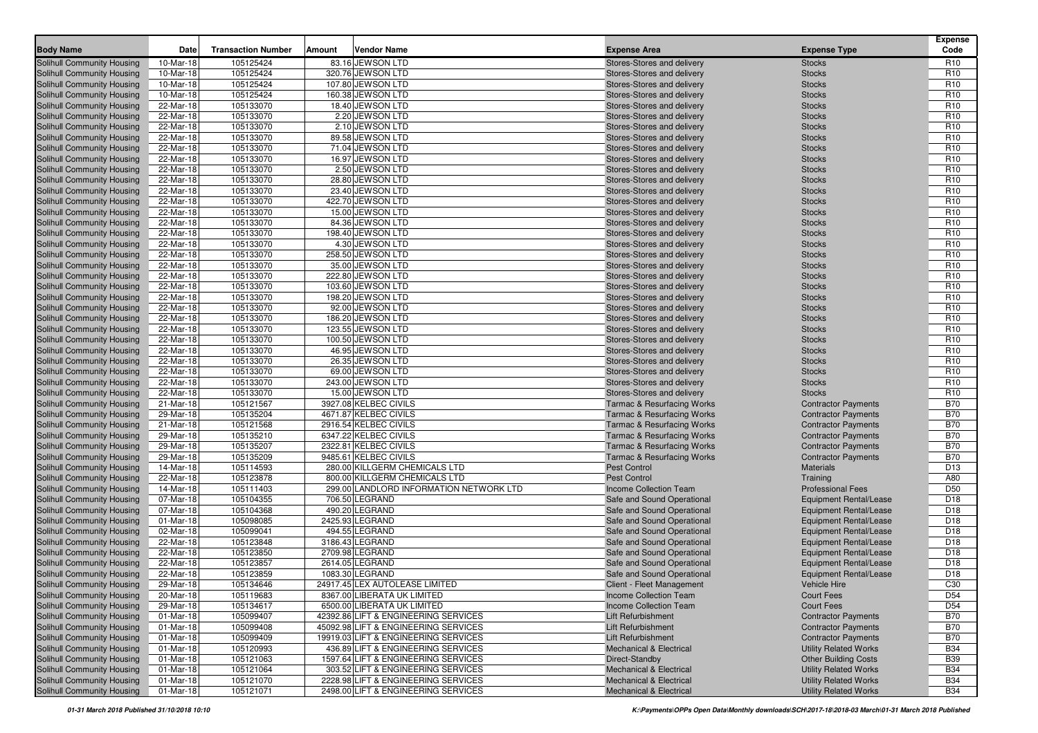| <b>Body Name</b>                                         | Date                   | <b>Transaction Number</b> | <b>Vendor Name</b><br>Amount            | <b>Expense Area</b>                                      | <b>Expense Type</b>                                            | <b>Expense</b><br>Code |
|----------------------------------------------------------|------------------------|---------------------------|-----------------------------------------|----------------------------------------------------------|----------------------------------------------------------------|------------------------|
|                                                          |                        | 105125424                 | 83.16 JEWSON LTD                        |                                                          |                                                                | R <sub>10</sub>        |
| Solihull Community Housing<br>Solihull Community Housing | 10-Mar-18<br>10-Mar-18 | 105125424                 | 320.76 JEWSON LTD                       | Stores-Stores and delivery<br>Stores-Stores and delivery | <b>Stocks</b><br><b>Stocks</b>                                 | R <sub>10</sub>        |
| Solihull Community Housing                               | 10-Mar-18              | 105125424                 | 107.80 JEWSON LTD                       | Stores-Stores and delivery                               | <b>Stocks</b>                                                  | R <sub>10</sub>        |
| Solihull Community Housing                               | 10-Mar-18              | 105125424                 | 160.38 JEWSON LTD                       | Stores-Stores and delivery                               | <b>Stocks</b>                                                  | R <sub>10</sub>        |
| Solihull Community Housing                               | 22-Mar-18              | 105133070                 | 18.40 JEWSON LTD                        | Stores-Stores and delivery                               | <b>Stocks</b>                                                  | R <sub>10</sub>        |
| Solihull Community Housing                               | 22-Mar-18              | 105133070                 | 2.20 JEWSON LTD                         | Stores-Stores and delivery                               | <b>Stocks</b>                                                  | R <sub>10</sub>        |
| Solihull Community Housing                               | 22-Mar-18              | 105133070                 | 2.10 JEWSON LTD                         | Stores-Stores and delivery                               | <b>Stocks</b>                                                  | R <sub>10</sub>        |
| Solihull Community Housing                               | 22-Mar-18              | 105133070                 | 89.58 JEWSON LTD                        | Stores-Stores and delivery                               | <b>Stocks</b>                                                  | R <sub>10</sub>        |
| Solihull Community Housing                               | 22-Mar-18              | 105133070                 | 71.04 JEWSON LTD                        | Stores-Stores and delivery                               | <b>Stocks</b>                                                  | R <sub>10</sub>        |
| Solihull Community Housing                               | 22-Mar-18              | 105133070                 | 16.97 JEWSON LTD                        | Stores-Stores and delivery                               | <b>Stocks</b>                                                  | R <sub>10</sub>        |
| Solihull Community Housing                               | 22-Mar-18              | 105133070                 | 2.50 JEWSON LTD                         | Stores-Stores and delivery                               | <b>Stocks</b>                                                  | R <sub>10</sub>        |
| Solihull Community Housing                               | 22-Mar-18              | 105133070                 | 28.80 JEWSON LTD                        | Stores-Stores and delivery                               | <b>Stocks</b>                                                  | R <sub>10</sub>        |
| Solihull Community Housing                               | 22-Mar-18              | 105133070                 | 23.40 JEWSON LTD                        | Stores-Stores and delivery                               | <b>Stocks</b>                                                  | R <sub>10</sub>        |
| Solihull Community Housing                               | 22-Mar-18              | 105133070                 | 422.70 JEWSON LTD                       | Stores-Stores and delivery                               | <b>Stocks</b>                                                  | R <sub>10</sub>        |
| Solihull Community Housing                               | 22-Mar-18              | 105133070                 | 15.00 JEWSON LTD                        | Stores-Stores and delivery                               | <b>Stocks</b>                                                  | R <sub>10</sub>        |
| Solihull Community Housing                               | 22-Mar-18              | 105133070                 | 84.36 JEWSON LTD                        | Stores-Stores and delivery                               | <b>Stocks</b>                                                  | R <sub>10</sub>        |
| Solihull Community Housing                               | 22-Mar-18              | 105133070                 | 198.40 JEWSON LTD                       | Stores-Stores and delivery                               | <b>Stocks</b>                                                  | R <sub>10</sub>        |
| Solihull Community Housing                               | 22-Mar-18              | 105133070                 | 4.30 JEWSON LTD                         | Stores-Stores and delivery                               | <b>Stocks</b>                                                  | R <sub>10</sub>        |
| Solihull Community Housing                               | 22-Mar-18              | 105133070                 | 258.50 JEWSON LTD                       | Stores-Stores and delivery                               | <b>Stocks</b>                                                  | R <sub>10</sub>        |
| Solihull Community Housing                               | 22-Mar-18              | 105133070                 | 35.00 JEWSON LTD                        | Stores-Stores and delivery                               | <b>Stocks</b>                                                  | R <sub>10</sub>        |
| Solihull Community Housing                               | 22-Mar-18              | 105133070                 | 222.80 JEWSON LTD                       | Stores-Stores and delivery                               | <b>Stocks</b>                                                  | R <sub>10</sub>        |
| Solihull Community Housing                               | 22-Mar-18              | 105133070                 | 103.60 JEWSON LTD                       | Stores-Stores and delivery                               | <b>Stocks</b>                                                  | R <sub>10</sub>        |
| Solihull Community Housing                               | 22-Mar-18              | 105133070                 | 198.20 JEWSON LTD                       | Stores-Stores and delivery                               | <b>Stocks</b>                                                  | R <sub>10</sub>        |
| Solihull Community Housing                               | 22-Mar-18              | 105133070                 | 92.00 JEWSON LTD                        | Stores-Stores and delivery                               | <b>Stocks</b>                                                  | R <sub>10</sub>        |
| Solihull Community Housing                               | 22-Mar-18              | 105133070                 | 186.20 JEWSON LTD                       | Stores-Stores and delivery                               | <b>Stocks</b>                                                  | R <sub>10</sub>        |
| Solihull Community Housing                               | 22-Mar-18              | 105133070                 | 123.55 JEWSON LTD                       | Stores-Stores and delivery                               | <b>Stocks</b>                                                  | R <sub>10</sub>        |
| Solihull Community Housing                               | 22-Mar-18              | 105133070                 | 100.50 JEWSON LTD                       | Stores-Stores and delivery                               | <b>Stocks</b>                                                  | R <sub>10</sub>        |
| Solihull Community Housing                               | 22-Mar-18              | 105133070                 | 46.95 JEWSON LTD                        | Stores-Stores and delivery                               | <b>Stocks</b>                                                  | R <sub>10</sub>        |
| Solihull Community Housing                               | 22-Mar-18              | 105133070                 | 26.35 JEWSON LTD                        | Stores-Stores and delivery                               | <b>Stocks</b>                                                  | R <sub>10</sub>        |
| Solihull Community Housing                               | 22-Mar-18              | 105133070                 | 69.00 JEWSON LTD                        | Stores-Stores and delivery                               | <b>Stocks</b>                                                  | R <sub>10</sub>        |
| Solihull Community Housing                               | 22-Mar-18              | 105133070                 | 243.00 JEWSON LTD                       | Stores-Stores and delivery                               | <b>Stocks</b>                                                  | R <sub>10</sub>        |
| Solihull Community Housing                               | 22-Mar-18              | 105133070                 | 15.00 JEWSON LTD                        | Stores-Stores and delivery                               | <b>Stocks</b>                                                  | R <sub>10</sub>        |
| Solihull Community Housing                               | 21-Mar-18              | 105121567                 | 3927.08 KELBEC CIVILS                   | <b>Tarmac &amp; Resurfacing Works</b>                    | <b>Contractor Payments</b>                                     | <b>B70</b>             |
| Solihull Community Housing                               | 29-Mar-18              | 105135204                 | 4671.87 KELBEC CIVILS                   | <b>Tarmac &amp; Resurfacing Works</b>                    | <b>Contractor Payments</b>                                     | <b>B70</b>             |
| Solihull Community Housing                               | 21-Mar-18              | 105121568                 | 2916.54 KELBEC CIVILS                   | <b>Tarmac &amp; Resurfacing Works</b>                    | <b>Contractor Payments</b>                                     | <b>B70</b>             |
| Solihull Community Housing                               | 29-Mar-18              | 105135210                 | 6347.22 KELBEC CIVILS                   | <b>Tarmac &amp; Resurfacing Works</b>                    | <b>Contractor Payments</b>                                     | <b>B70</b>             |
| Solihull Community Housing                               | 29-Mar-18              | 105135207                 | 2322.81 KELBEC CIVILS                   | <b>Tarmac &amp; Resurfacing Works</b>                    | <b>Contractor Payments</b>                                     | <b>B70</b>             |
| Solihull Community Housing                               | 29-Mar-18              | 105135209                 | 9485.61 KELBEC CIVILS                   | <b>Tarmac &amp; Resurfacing Works</b>                    | <b>Contractor Payments</b>                                     | <b>B70</b>             |
| Solihull Community Housing                               | 14-Mar-18              | 105114593                 | 280.00 KILLGERM CHEMICALS LTD           | Pest Control                                             | <b>Materials</b>                                               | D <sub>13</sub>        |
| Solihull Community Housing                               | 22-Mar-18              | 105123878                 | 800.00 KILLGERM CHEMICALS LTD           | <b>Pest Control</b>                                      | Training                                                       | A80                    |
| Solihull Community Housing                               | 14-Mar-18              | 105111403                 | 299.00 LANDLORD INFORMATION NETWORK LTD | Income Collection Team                                   | <b>Professional Fees</b>                                       | D <sub>50</sub>        |
| Solihull Community Housing                               | 07-Mar-18              | 105104355                 | 706.50 LEGRAND                          | Safe and Sound Operational                               | <b>Equipment Rental/Lease</b>                                  | D18                    |
| Solihull Community Housing                               | 07-Mar-18              | 105104368                 | 490.20 LEGRAND                          | Safe and Sound Operational                               | <b>Equipment Rental/Lease</b>                                  | D <sub>18</sub>        |
| Solihull Community Housing                               | 01-Mar-18              | 105098085                 | 2425.93 LEGRAND                         | Safe and Sound Operational<br>Safe and Sound Operational | <b>Equipment Rental/Lease</b>                                  | D18                    |
| Solihull Community Housing                               | 02-Mar-18<br>22-Mar-18 | 105099041<br>105123848    | 494.55 LEGRAND<br>3186.43 LEGRAND       | Safe and Sound Operational                               | <b>Equipment Rental/Lease</b>                                  | D18<br>D18             |
| Solihull Community Housing<br>Solihull Community Housing | 22-Mar-18              | 105123850                 | 2709.98 LEGRAND                         | Safe and Sound Operational                               | <b>Equipment Rental/Lease</b>                                  | D <sub>18</sub>        |
| Solihull Community Housing                               | 22-Mar-18              | 105123857                 | 2614.05 LEGRAND                         | Safe and Sound Operational                               | <b>Equipment Rental/Lease</b><br><b>Equipment Rental/Lease</b> | D18                    |
| Solihull Community Housing                               | 22-Mar-18              | 105123859                 | 1083.30 LEGRAND                         | Safe and Sound Operational                               | <b>Equipment Rental/Lease</b>                                  | D18                    |
| Solihull Community Housing                               | 29-Mar-18              | 105134646                 | 24917.45 LEX AUTOLEASE LIMITED          | Client - Fleet Management                                | Vehicle Hire                                                   | C30                    |
| Solihull Community Housing                               | 20-Mar-18              | 105119683                 | 8367.00 LIBERATA UK LIMITED             | Income Collection Team                                   | <b>Court Fees</b>                                              | D <sub>54</sub>        |
| <b>Solihull Community Housing</b>                        | 29-Mar-18              | 105134617                 | 6500.00 LIBERATA UK LIMITED             | Income Collection Team                                   | Court Fees                                                     | D <sub>54</sub>        |
| Solihull Community Housing                               | 01-Mar-18              | 105099407                 | 42392.86 LIFT & ENGINEERING SERVICES    | Lift Refurbishment                                       | <b>Contractor Payments</b>                                     | <b>B70</b>             |
| Solihull Community Housing                               | 01-Mar-18              | 105099408                 | 45092.98 LIFT & ENGINEERING SERVICES    | Lift Refurbishment                                       | <b>Contractor Payments</b>                                     | <b>B70</b>             |
| Solihull Community Housing                               | 01-Mar-18              | 105099409                 | 19919.03 LIFT & ENGINEERING SERVICES    | Lift Refurbishment                                       | <b>Contractor Payments</b>                                     | B70                    |
| Solihull Community Housing                               | 01-Mar-18              | 105120993                 | 436.89 LIFT & ENGINEERING SERVICES      | <b>Mechanical &amp; Electrical</b>                       | <b>Utility Related Works</b>                                   | <b>B34</b>             |
| Solihull Community Housing                               | 01-Mar-18              | 105121063                 | 1597.64 LIFT & ENGINEERING SERVICES     | Direct-Standby                                           | <b>Other Building Costs</b>                                    | <b>B39</b>             |
| Solihull Community Housing                               | 01-Mar-18              | 105121064                 | 303.52 LIFT & ENGINEERING SERVICES      | <b>Mechanical &amp; Electrical</b>                       | <b>Utility Related Works</b>                                   | <b>B34</b>             |
| Solihull Community Housing                               | 01-Mar-18              | 105121070                 | 2228.98 LIFT & ENGINEERING SERVICES     | <b>Mechanical &amp; Electrical</b>                       | <b>Utility Related Works</b>                                   | <b>B34</b>             |
| Solihull Community Housing                               | 01-Mar-18              | 105121071                 | 2498.00 LIFT & ENGINEERING SERVICES     | <b>Mechanical &amp; Electrical</b>                       | <b>Utility Related Works</b>                                   | <b>B34</b>             |
|                                                          |                        |                           |                                         |                                                          |                                                                |                        |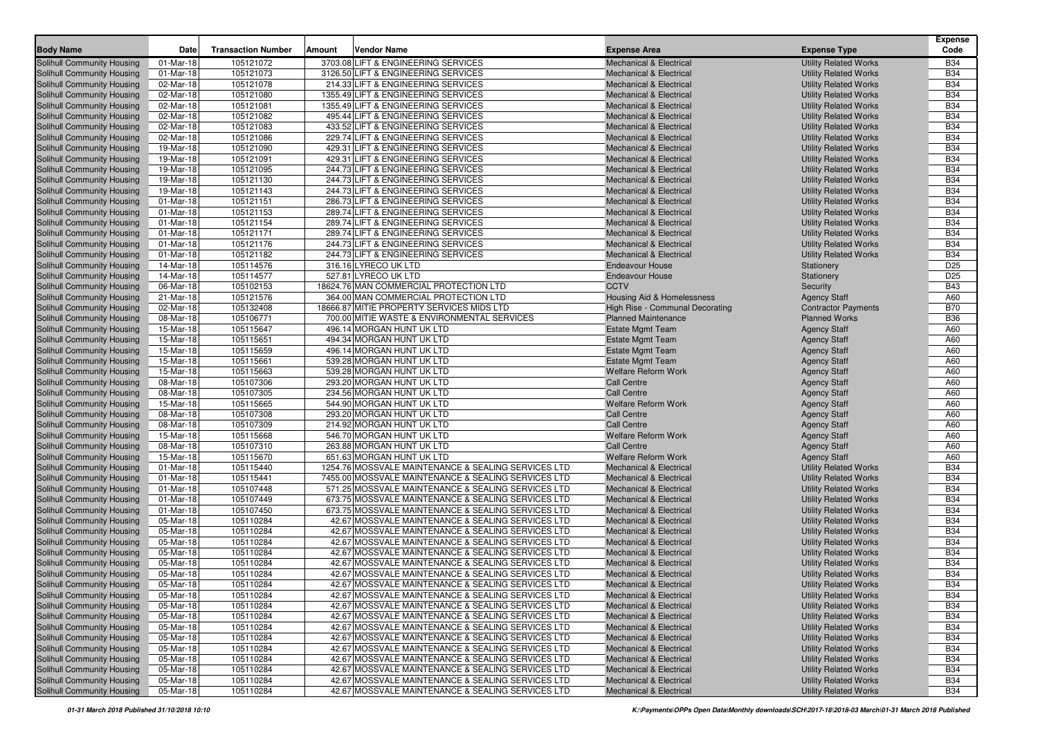| <b>Body Name</b>                                         | Date                   | <b>Transaction Number</b> | Amount | <b>Vendor Name</b>                                                                                     | <b>Expense Area</b>                                                      | <b>Expense Type</b>                                          | <b>Expense</b><br>Code   |
|----------------------------------------------------------|------------------------|---------------------------|--------|--------------------------------------------------------------------------------------------------------|--------------------------------------------------------------------------|--------------------------------------------------------------|--------------------------|
|                                                          | 01-Mar-18              | 105121072                 |        | 3703.08 LIFT & ENGINEERING SERVICES                                                                    | <b>Mechanical &amp; Electrical</b>                                       | <b>Utility Related Works</b>                                 | <b>B34</b>               |
| Solihull Community Housing<br>Solihull Community Housing | 01-Mar-18              | 105121073                 |        | 3126.50 LIFT & ENGINEERING SERVICES                                                                    | <b>Mechanical &amp; Electrical</b>                                       | <b>Utility Related Works</b>                                 | <b>B34</b>               |
| Solihull Community Housing                               | 02-Mar-18              | 105121078                 |        | 214.33 LIFT & ENGINEERING SERVICES                                                                     | <b>Mechanical &amp; Electrical</b>                                       | <b>Utility Related Works</b>                                 | <b>B34</b>               |
| Solihull Community Housing                               | 02-Mar-18              | 105121080                 |        | 1355.49 LIFT & ENGINEERING SERVICES                                                                    | <b>Mechanical &amp; Electrical</b>                                       | <b>Utility Related Works</b>                                 | <b>B34</b>               |
| Solihull Community Housing                               | 02-Mar-18              | 105121081                 |        | 1355.49 LIFT & ENGINEERING SERVICES                                                                    | <b>Mechanical &amp; Electrical</b>                                       | <b>Utility Related Works</b>                                 | <b>B34</b>               |
| Solihull Community Housing                               | 02-Mar-18              | 105121082                 |        | 495.44 LIFT & ENGINEERING SERVICES                                                                     | <b>Mechanical &amp; Electrical</b>                                       | <b>Utility Related Works</b>                                 | <b>B34</b>               |
| Solihull Community Housing                               | 02-Mar-18              | 105121083                 |        | 433.52 LIFT & ENGINEERING SERVICES                                                                     | <b>Mechanical &amp; Electrical</b>                                       | <b>Utility Related Works</b>                                 | <b>B34</b>               |
| Solihull Community Housing                               | 02-Mar-18              | 105121086                 |        | 229.74 LIFT & ENGINEERING SERVICES                                                                     | <b>Mechanical &amp; Electrical</b>                                       | <b>Utility Related Works</b>                                 | <b>B34</b>               |
| Solihull Community Housing                               | 19-Mar-18              | 105121090                 |        | 429.31 LIFT & ENGINEERING SERVICES                                                                     | <b>Mechanical &amp; Electrical</b>                                       | <b>Utility Related Works</b>                                 | <b>B34</b>               |
| Solihull Community Housing                               | 19-Mar-18              | 105121091                 |        | 429.31 LIFT & ENGINEERING SERVICES                                                                     | <b>Mechanical &amp; Electrical</b>                                       | <b>Utility Related Works</b>                                 | <b>B34</b>               |
| Solihull Community Housing                               | 19-Mar-18              | 105121095                 |        | 244.73 LIFT & ENGINEERING SERVICES                                                                     | <b>Mechanical &amp; Electrical</b>                                       | <b>Utility Related Works</b>                                 | <b>B34</b>               |
| Solihull Community Housing                               | 19-Mar-18              | 105121130                 |        | 244.73 LIFT & ENGINEERING SERVICES                                                                     | <b>Mechanical &amp; Electrical</b>                                       | <b>Utility Related Works</b>                                 | <b>B34</b>               |
| Solihull Community Housing                               | 19-Mar-18              | 105121143                 |        | 244.73 LIFT & ENGINEERING SERVICES                                                                     | <b>Mechanical &amp; Electrical</b>                                       | <b>Utility Related Works</b>                                 | <b>B34</b>               |
| Solihull Community Housing                               | 01-Mar-18              | 105121151                 |        | 286.73 LIFT & ENGINEERING SERVICES                                                                     | <b>Mechanical &amp; Electrical</b>                                       | <b>Utility Related Works</b>                                 | <b>B34</b>               |
| Solihull Community Housing                               | 01-Mar-18              | 105121153                 |        | 289.74 LIFT & ENGINEERING SERVICES                                                                     | <b>Mechanical &amp; Electrical</b>                                       | <b>Utility Related Works</b>                                 | <b>B34</b>               |
| Solihull Community Housing                               | 01-Mar-18              | 105121154                 |        | 289.74 LIFT & ENGINEERING SERVICES                                                                     | <b>Mechanical &amp; Electrical</b>                                       | <b>Utility Related Works</b>                                 | <b>B34</b>               |
| Solihull Community Housing                               | 01-Mar-18              | 105121171                 |        | 289.74 LIFT & ENGINEERING SERVICES                                                                     | <b>Mechanical &amp; Electrical</b>                                       | <b>Utility Related Works</b>                                 | <b>B34</b>               |
| Solihull Community Housing                               | 01-Mar-18              | 105121176                 |        | 244.73 LIFT & ENGINEERING SERVICES                                                                     | <b>Mechanical &amp; Electrical</b>                                       | <b>Utility Related Works</b>                                 | <b>B34</b>               |
| Solihull Community Housing                               | 01-Mar-18              | 105121182                 |        | 244.73 LIFT & ENGINEERING SERVICES                                                                     | <b>Mechanical &amp; Electrical</b>                                       | <b>Utility Related Works</b>                                 | <b>B34</b>               |
| Solihull Community Housing                               | 14-Mar-18              | 105114576                 |        | 316.16 LYRECO UK LTD                                                                                   | <b>Endeavour House</b>                                                   | Stationery                                                   | D <sub>25</sub>          |
| Solihull Community Housing                               | 14-Mar-18              | 105114577                 |        | 527.81 LYRECO UK LTD                                                                                   | <b>Endeavour House</b>                                                   | Stationery                                                   | D <sub>25</sub>          |
| Solihull Community Housing                               | 06-Mar-18              | 105102153                 |        | 18624.76 MAN COMMERCIAL PROTECTION LTD                                                                 | <b>CCTV</b>                                                              | Security                                                     | <b>B43</b>               |
| Solihull Community Housing                               | 21-Mar-18              | 105121576                 |        | 364.00 MAN COMMERCIAL PROTECTION LTD                                                                   | Housing Aid & Homelessness                                               | <b>Agency Staff</b>                                          | A60                      |
| Solihull Community Housing                               | 02-Mar-18              | 105132408                 |        | 18666.87 MITIE PROPERTY SERVICES MIDS LTD                                                              | High Rise - Communal Decorating                                          | <b>Contractor Payments</b>                                   | <b>B70</b>               |
| Solihull Community Housing                               | 08-Mar-18              | 105106771                 |        | 700.00 MITIE WASTE & ENVIRONMENTAL SERVICES                                                            | <b>Planned Maintenance</b>                                               | <b>Planned Works</b>                                         | <b>B36</b>               |
| Solihull Community Housing                               | 15-Mar-18              | 105115647                 |        | 496.14 MORGAN HUNT UK LTD                                                                              | <b>Estate Mgmt Team</b>                                                  | <b>Agency Staff</b>                                          | A60                      |
| Solihull Community Housing                               | 15-Mar-18              | 105115651                 |        | 494.34 MORGAN HUNT UK LTD                                                                              | <b>Estate Mgmt Team</b>                                                  | <b>Agency Staff</b>                                          | A60                      |
| Solihull Community Housing                               | 15-Mar-18              | 105115659                 |        | 496.14 MORGAN HUNT UK LTD                                                                              | <b>Estate Mgmt Team</b>                                                  | <b>Agency Staff</b>                                          | A60                      |
| Solihull Community Housing                               | 15-Mar-18              | 105115661                 |        | 539.28 MORGAN HUNT UK LTD                                                                              | <b>Estate Mgmt Team</b>                                                  | <b>Agency Staff</b>                                          | A60                      |
| Solihull Community Housing                               | 15-Mar-18              | 105115663                 |        | 539.28 MORGAN HUNT UK LTD                                                                              | <b>Welfare Reform Work</b>                                               | <b>Agency Staff</b>                                          | A60                      |
| Solihull Community Housing                               | 08-Mar-18              | 105107306                 |        | 293.20 MORGAN HUNT UK LTD                                                                              | <b>Call Centre</b>                                                       | <b>Agency Staff</b>                                          | A60                      |
| Solihull Community Housing                               | 08-Mar-18              | 105107305                 |        | 234.56 MORGAN HUNT UK LTD                                                                              | <b>Call Centre</b>                                                       | <b>Agency Staff</b>                                          | A60                      |
| Solihull Community Housing<br>Solihull Community Housing | 15-Mar-18<br>08-Mar-18 | 105115665<br>105107308    |        | 544.90 MORGAN HUNT UK LTD<br>293.20 MORGAN HUNT UK LTD                                                 | Welfare Reform Work<br><b>Call Centre</b>                                | <b>Agency Staff</b>                                          | A60<br>A60               |
| Solihull Community Housing                               | 08-Mar-18              | 105107309                 |        | 214.92 MORGAN HUNT UK LTD                                                                              | <b>Call Centre</b>                                                       | <b>Agency Staff</b><br><b>Agency Staff</b>                   | A60                      |
| Solihull Community Housing                               | 15-Mar-18              | 105115668                 |        | 546.70 MORGAN HUNT UK LTD                                                                              | <b>Welfare Reform Work</b>                                               | <b>Agency Staff</b>                                          | A60                      |
| Solihull Community Housing                               | 08-Mar-18              | 105107310                 |        | 263.88 MORGAN HUNT UK LTD                                                                              | <b>Call Centre</b>                                                       | <b>Agency Staff</b>                                          | A60                      |
| Solihull Community Housing                               | 15-Mar-18              | 105115670                 |        | 651.63 MORGAN HUNT UK LTD                                                                              | <b>Welfare Reform Work</b>                                               | <b>Agency Staff</b>                                          | A60                      |
| Solihull Community Housing                               | 01-Mar-18              | 105115440                 |        | 1254.76 MOSSVALE MAINTENANCE & SEALING SERVICES LTD                                                    | <b>Mechanical &amp; Electrical</b>                                       | <b>Utility Related Works</b>                                 | <b>B34</b>               |
| Solihull Community Housing                               | 01-Mar-18              | 105115441                 |        | 7455.00 MOSSVALE MAINTENANCE & SEALING SERVICES LTD                                                    | <b>Mechanical &amp; Electrical</b>                                       | <b>Utility Related Works</b>                                 | <b>B34</b>               |
| Solihull Community Housing                               | 01-Mar-18              | 105107448                 |        | 571.25 MOSSVALE MAINTENANCE & SEALING SERVICES LTD                                                     | <b>Mechanical &amp; Electrical</b>                                       | <b>Utility Related Works</b>                                 | <b>B34</b>               |
| Solihull Community Housing                               | 01-Mar-18              | 105107449                 |        | 673.75 MOSSVALE MAINTENANCE & SEALING SERVICES LTD                                                     | <b>Mechanical &amp; Electrical</b>                                       | <b>Utility Related Works</b>                                 | <b>B34</b>               |
| Solihull Community Housing                               | 01-Mar-18              | 105107450                 |        | 673.75 MOSSVALE MAINTENANCE & SEALING SERVICES LTD                                                     | <b>Mechanical &amp; Electrical</b>                                       | <b>Utility Related Works</b>                                 | <b>B34</b>               |
| Solihull Community Housing                               | 05-Mar-18              | 105110284                 |        | 42.67 MOSSVALE MAINTENANCE & SEALING SERVICES LTD                                                      | <b>Mechanical &amp; Electrical</b>                                       | <b>Utility Related Works</b>                                 | <b>B34</b>               |
| Solihull Community Housing                               | 05-Mar-18              | 105110284                 |        | 42.67 MOSSVALE MAINTENANCE & SEALING SERVICES LTD                                                      | <b>Mechanical &amp; Electrical</b>                                       | <b>Utility Related Works</b>                                 | <b>B34</b>               |
| Solihull Community Housing                               | 05-Mar-18              | 105110284                 |        | 42.67 MOSSVALE MAINTENANCE & SEALING SERVICES LTD                                                      | <b>Mechanical &amp; Electrical</b>                                       | <b>Utility Related Works</b>                                 | <b>B34</b>               |
| Solihull Community Housing                               | 05-Mar-18              | 105110284                 |        | 42.67 MOSSVALE MAINTENANCE & SEALING SERVICES LTD                                                      | <b>Mechanical &amp; Electrical</b>                                       | <b>Utility Related Works</b>                                 | <b>B34</b>               |
| Solihull Community Housing                               | 05-Mar-18              | 105110284                 |        | 42.67 MOSSVALE MAINTENANCE & SEALING SERVICES LTD                                                      | <b>Mechanical &amp; Electrical</b>                                       | <b>Utility Related Works</b>                                 | <b>B34</b>               |
| Solihull Community Housing                               | 05-Mar-18              | 105110284                 |        | 42.67 MOSSVALE MAINTENANCE & SEALING SERVICES LTD                                                      | <b>Mechanical &amp; Electrical</b>                                       | <b>Utility Related Works</b>                                 | <b>B34</b>               |
| Solihull Community Housing                               | 05-Mar-18              | 105110284                 |        | 42.67 MOSSVALE MAINTENANCE & SEALING SERVICES LTD                                                      | <b>Mechanical &amp; Electrical</b>                                       | <b>Utility Related Works</b>                                 | <b>B34</b>               |
| Solihull Community Housing                               | 05-Mar-18              | 105110284                 |        | 42.67 MOSSVALE MAINTENANCE & SEALING SERVICES LTD                                                      | <b>Mechanical &amp; Electrical</b>                                       | <b>Utility Related Works</b>                                 | <b>B34</b>               |
| Solihull Community Housing                               | 05-Mar-18              | 105110284                 |        | 42.67 MOSSVALE MAINTENANCE & SEALING SERVICES LTD                                                      | <b>Mechanical &amp; Electrical</b>                                       | <b>Utility Related Works</b>                                 | <b>B34</b>               |
| Solihull Community Housing                               | 05-Mar-18              | 105110284                 |        | 42.67 MOSSVALE MAINTENANCE & SEALING SERVICES LTD                                                      | <b>Mechanical &amp; Electrical</b>                                       | <b>Utility Related Works</b>                                 | <b>B34</b>               |
| Solihull Community Housing                               | 05-Mar-18              | 105110284                 |        | 42.67 MOSSVALE MAINTENANCE & SEALING SERVICES LTD                                                      | <b>Mechanical &amp; Electrical</b>                                       | <b>Utility Related Works</b>                                 | <b>B34</b>               |
| Solihull Community Housing                               | 05-Mar-18              | 105110284                 |        | 42.67 MOSSVALE MAINTENANCE & SEALING SERVICES LTD                                                      | <b>Mechanical &amp; Electrical</b>                                       | <b>Utility Related Works</b>                                 | <b>B34</b>               |
| Solihull Community Housing                               | 05-Mar-18              | 105110284                 |        | 42.67 MOSSVALE MAINTENANCE & SEALING SERVICES LTD                                                      | <b>Mechanical &amp; Electrical</b>                                       | <b>Utility Related Works</b>                                 | <b>B34</b>               |
| Solihull Community Housing                               | 05-Mar-18              | 105110284                 |        | 42.67 MOSSVALE MAINTENANCE & SEALING SERVICES LTD                                                      | <b>Mechanical &amp; Electrical</b>                                       | <b>Utility Related Works</b>                                 | <b>B34</b>               |
| Solihull Community Housing                               | 05-Mar-18              | 105110284                 |        | 42.67 MOSSVALE MAINTENANCE & SEALING SERVICES LTD                                                      | <b>Mechanical &amp; Electrical</b>                                       | <b>Utility Related Works</b>                                 | <b>B34</b>               |
| Solihull Community Housing<br>Solihull Community Housing | 05-Mar-18              | 105110284<br>105110284    |        | 42.67 MOSSVALE MAINTENANCE & SEALING SERVICES LTD<br>42.67 MOSSVALE MAINTENANCE & SEALING SERVICES LTD | <b>Mechanical &amp; Electrical</b><br><b>Mechanical &amp; Electrical</b> | <b>Utility Related Works</b><br><b>Utility Related Works</b> | <b>B34</b><br><b>B34</b> |
|                                                          | 05-Mar-18              |                           |        |                                                                                                        |                                                                          |                                                              |                          |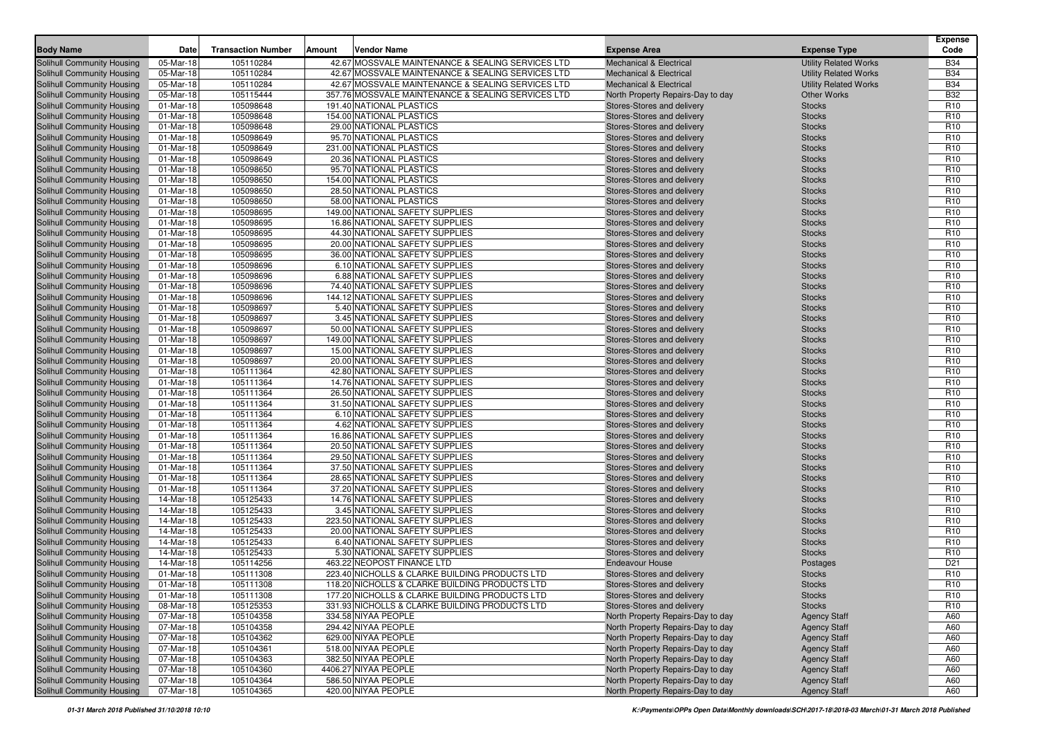| 42.67 MOSSVALE MAINTENANCE & SEALING SERVICES LTD<br>Solihull Community Housing<br>05-Mar-18<br>105110284<br><b>Mechanical &amp; Electrical</b><br><b>Utility Related Works</b><br><b>B34</b><br><b>B34</b><br><b>Solihull Community Housing</b><br>05-Mar-18<br>105110284<br>42.67 MOSSVALE MAINTENANCE & SEALING SERVICES LTD<br><b>Mechanical &amp; Electrical</b><br><b>Utility Related Works</b><br><b>B34</b><br><b>Solihull Community Housing</b><br>05-Mar-18<br>105110284<br>42.67 MOSSVALE MAINTENANCE & SEALING SERVICES LTD<br><b>Mechanical &amp; Electrical</b><br><b>Utility Related Works</b><br><b>B32</b><br>Solihull Community Housing<br>05-Mar-18<br>105115444<br>357.76 MOSSVALE MAINTENANCE & SEALING SERVICES LTD<br><b>Other Works</b><br>North Property Repairs-Day to day<br>01-Mar-18<br>105098648<br>191.40 NATIONAL PLASTICS<br>R <sub>10</sub><br>Solihull Community Housing<br>Stores-Stores and delivery<br><b>Stocks</b><br>154.00 NATIONAL PLASTICS<br>R <sub>10</sub><br><b>Solihull Community Housing</b><br>01-Mar-18<br>105098648<br>Stores-Stores and delivery<br><b>Stocks</b><br>R <sub>10</sub><br>Solihull Community Housing<br>01-Mar-18<br>105098648<br>29.00 NATIONAL PLASTICS<br>Stores-Stores and delivery<br><b>Stocks</b><br>R <sub>10</sub><br>Solihull Community Housing<br>01-Mar-18<br>105098649<br>95.70 NATIONAL PLASTICS<br><b>Stocks</b><br>Stores-Stores and delivery<br>R <sub>10</sub><br><b>Solihull Community Housing</b><br>01-Mar-18<br>105098649<br>231.00 NATIONAL PLASTICS<br>Stores-Stores and delivery<br><b>Stocks</b><br>R <sub>10</sub><br><b>Solihull Community Housing</b><br>01-Mar-18<br>105098649<br>20.36 NATIONAL PLASTICS<br>Stores-Stores and delivery<br><b>Stocks</b><br><b>Solihull Community Housing</b><br>01-Mar-18<br>105098650<br>95.70 NATIONAL PLASTICS<br>Stores-Stores and delivery<br>R <sub>10</sub><br><b>Stocks</b><br>R <sub>10</sub><br>Solihull Community Housing<br>01-Mar-18<br>105098650<br>154.00 NATIONAL PLASTICS<br>Stores-Stores and delivery<br><b>Stocks</b><br>Solihull Community Housing<br>01-Mar-18<br>105098650<br>28.50 NATIONAL PLASTICS<br>R <sub>10</sub><br>Stores-Stores and delivery<br><b>Stocks</b><br>58.00 NATIONAL PLASTICS<br>R <sub>10</sub><br>Solihull Community Housing<br>01-Mar-18<br>105098650<br>Stores-Stores and delivery<br><b>Stocks</b><br>Solihull Community Housing<br>01-Mar-18<br>105098695<br>149.00 NATIONAL SAFETY SUPPLIES<br>Stores-Stores and delivery<br>R <sub>10</sub><br><b>Stocks</b><br>R <sub>10</sub><br>Solihull Community Housing<br>01-Mar-18<br>105098695<br>16.86 NATIONAL SAFETY SUPPLIES<br><b>Stocks</b><br>Stores-Stores and delivery<br>R <sub>10</sub><br>Solihull Community Housing<br>01-Mar-18<br>105098695<br>44.30 NATIONAL SAFETY SUPPLIES<br>Stores-Stores and delivery<br><b>Stocks</b><br>R <sub>10</sub><br><b>Solihull Community Housing</b><br>01-Mar-18<br>105098695<br>20.00 NATIONAL SAFETY SUPPLIES<br>Stores-Stores and delivery<br><b>Stocks</b><br>36.00 NATIONAL SAFETY SUPPLIES<br>R <sub>10</sub><br><b>Solihull Community Housing</b><br>01-Mar-18<br>105098695<br>Stores-Stores and delivery<br><b>Stocks</b><br>R <sub>10</sub><br><b>Solihull Community Housing</b><br>01-Mar-18<br>105098696<br>6.10 NATIONAL SAFETY SUPPLIES<br>Stores-Stores and delivery<br><b>Stocks</b><br>6.88 NATIONAL SAFETY SUPPLIES<br>R <sub>10</sub><br>01-Mar-18<br>105098696<br>Solihull Community Housing<br>Stores-Stores and delivery<br><b>Stocks</b><br>74.40 NATIONAL SAFETY SUPPLIES<br>R <sub>10</sub><br>Solihull Community Housing<br>01-Mar-18<br>105098696<br>Stores-Stores and delivery<br><b>Stocks</b><br>R <sub>10</sub><br>Solihull Community Housing<br>01-Mar-18<br>105098696<br>144.12 NATIONAL SAFETY SUPPLIES<br>Stores-Stores and delivery<br><b>Stocks</b><br>R <sub>10</sub><br>Solihull Community Housing<br>01-Mar-18<br>105098697<br>5.40 NATIONAL SAFETY SUPPLIES<br>Stores-Stores and delivery<br><b>Stocks</b><br>R <sub>10</sub><br>Solihull Community Housing<br>01-Mar-18<br>105098697<br>3.45 NATIONAL SAFETY SUPPLIES<br>Stores-Stores and delivery<br><b>Stocks</b><br>105098697<br>50.00 NATIONAL SAFETY SUPPLIES<br>R <sub>10</sub><br>Solihull Community Housing<br>01-Mar-18<br>Stores-Stores and delivery<br><b>Stocks</b><br><b>Solihull Community Housing</b><br>01-Mar-18<br>105098697<br>149.00 NATIONAL SAFETY SUPPLIES<br>R <sub>10</sub><br>Stores-Stores and delivery<br><b>Stocks</b><br>R <sub>10</sub><br>Solihull Community Housing<br>01-Mar-18<br>105098697<br>15.00 NATIONAL SAFETY SUPPLIES<br>Stores-Stores and delivery<br><b>Stocks</b><br>20.00 NATIONAL SAFETY SUPPLIES<br>105098697<br>R <sub>10</sub><br>Solihull Community Housing<br>01-Mar-18<br>Stores-Stores and delivery<br><b>Stocks</b><br>42.80 NATIONAL SAFETY SUPPLIES<br>R <sub>10</sub><br>01-Mar-18<br>105111364<br>Solihull Community Housing<br>Stores-Stores and delivery<br><b>Stocks</b><br><b>Solihull Community Housing</b><br>01-Mar-18<br>105111364<br>14.76 NATIONAL SAFETY SUPPLIES<br>R <sub>10</sub><br>Stores-Stores and delivery<br><b>Stocks</b><br>R <sub>10</sub><br>Solihull Community Housing<br>01-Mar-18<br>105111364<br>26.50 NATIONAL SAFETY SUPPLIES<br><b>Stocks</b><br>Stores-Stores and delivery<br>R <sub>10</sub><br>Solihull Community Housing<br>01-Mar-18<br>105111364<br>31.50 NATIONAL SAFETY SUPPLIES<br>Stores-Stores and delivery<br><b>Stocks</b><br>R <sub>10</sub><br>Solihull Community Housing<br>01-Mar-18<br>105111364<br>6.10 NATIONAL SAFETY SUPPLIES<br><b>Stocks</b><br>Stores-Stores and delivery<br>Solihull Community Housing<br>01-Mar-18<br>105111364<br>4.62 NATIONAL SAFETY SUPPLIES<br>R <sub>10</sub><br>Stores-Stores and delivery<br><b>Stocks</b><br>R <sub>10</sub><br><b>Solihull Community Housing</b><br>01-Mar-18<br>105111364<br>16.86 NATIONAL SAFETY SUPPLIES<br>Stores-Stores and delivery<br><b>Stocks</b><br>Solihull Community Housing<br>01-Mar-18<br>105111364<br>20.50 NATIONAL SAFETY SUPPLIES<br>R <sub>10</sub><br>Stores-Stores and delivery<br><b>Stocks</b><br>Solihull Community Housing<br>01-Mar-18<br>29.50 NATIONAL SAFETY SUPPLIES<br>R <sub>10</sub><br>105111364<br>Stores-Stores and delivery<br><b>Stocks</b><br>37.50 NATIONAL SAFETY SUPPLIES<br>R <sub>10</sub><br>01-Mar-18<br>105111364<br>Solihull Community Housing<br>Stores-Stores and delivery<br><b>Stocks</b><br><b>Solihull Community Housing</b><br>01-Mar-18<br>105111364<br>28.65 NATIONAL SAFETY SUPPLIES<br>R <sub>10</sub><br>Stores-Stores and delivery<br><b>Stocks</b><br>R <sub>10</sub><br>Solihull Community Housing<br>01-Mar-18<br>105111364<br>37.20 NATIONAL SAFETY SUPPLIES<br><b>Stocks</b><br>Stores-Stores and delivery<br>R <sub>10</sub><br>Solihull Community Housing<br>14-Mar-18<br>105125433<br>14.76 NATIONAL SAFETY SUPPLIES<br>Stores-Stores and delivery<br><b>Stocks</b><br>R <sub>10</sub><br><b>Solihull Community Housing</b><br>105125433<br>3.45 NATIONAL SAFETY SUPPLIES<br>14-Mar-18<br>Stores-Stores and delivery<br><b>Stocks</b><br>223.50 NATIONAL SAFETY SUPPLIES<br>R <sub>10</sub><br><b>Solihull Community Housing</b><br>14-Mar-18<br>105125433<br>Stores-Stores and delivery<br><b>Stocks</b><br><b>Solihull Community Housing</b><br>14-Mar-18<br>105125433<br>20.00 NATIONAL SAFETY SUPPLIES<br>R <sub>10</sub><br>Stores-Stores and delivery<br><b>Stocks</b><br>105125433<br>6.40 NATIONAL SAFETY SUPPLIES<br>R <sub>10</sub><br>14-Mar-18<br>Solihull Community Housing<br>Stores-Stores and delivery<br><b>Stocks</b><br>5.30 NATIONAL SAFETY SUPPLIES<br>Solihull Community Housing<br>14-Mar-18<br>105125433<br>Stores-Stores and delivery<br>R <sub>10</sub><br><b>Stocks</b><br>463.22 NEOPOST FINANCE LTD<br>D <sub>21</sub><br>Solihull Community Housing<br>14-Mar-18<br>105114256<br><b>Endeavour House</b><br>Postages<br>R <sub>10</sub><br>Solihull Community Housing<br>01-Mar-18<br>105111308<br>223.40 NICHOLLS & CLARKE BUILDING PRODUCTS LTD<br>Stores-Stores and delivery<br><b>Stocks</b><br>R10<br>Solihull Community Housing<br>01-Mar-18<br>118.20 NICHOLLS & CLARKE BUILDING PRODUCTS LTD<br>105111308<br>Stores-Stores and delivery<br><b>Stocks</b><br>Solihull Community Housing<br>105111308<br>177.20 NICHOLLS & CLARKE BUILDING PRODUCTS LTD<br>Stores-Stores and delivery<br>R <sub>10</sub><br>01-Mar-18<br><b>Stocks</b><br>Solihull Community Housing<br>105125353<br>331.93 NICHOLLS & CLARKE BUILDING PRODUCTS LTD<br>08-Mar-18<br>Stores-Stores and delivery<br>R <sub>10</sub><br><b>Stocks</b><br>Solihull Community Housing<br>07-Mar-18<br>105104358<br>334.58 NIYAA PEOPLE<br>North Property Repairs-Day to day<br><b>Agency Staff</b><br>A60<br>Solihull Community Housing<br>294.42 NIYAA PEOPLE<br>07-Mar-18<br>105104358<br>North Property Repairs-Day to day<br><b>Agency Staff</b><br>A60<br>105104362<br>Solihull Community Housing<br>07-Mar-18<br>629.00 NIYAA PEOPLE<br>North Property Repairs-Day to day<br><b>Agency Staff</b><br>A60<br>Solihull Community Housing<br>518.00 NIYAA PEOPLE<br>07-Mar-18<br>105104361<br>North Property Repairs-Day to day<br><b>Agency Staff</b><br>A60<br>Solihull Community Housing<br>382.50 NIYAA PEOPLE<br>07-Mar-18<br>105104363<br>North Property Repairs-Day to day<br><b>Agency Staff</b><br>A60<br>Solihull Community Housing<br>07-Mar-18<br>105104360<br>4406.27 NIYAA PEOPLE<br>North Property Repairs-Day to day<br><b>Agency Staff</b><br>A60<br>Solihull Community Housing<br>07-Mar-18<br>105104364<br>586.50 NIYAA PEOPLE<br>North Property Repairs-Day to day<br><b>Agency Staff</b><br>A60<br>Solihull Community Housing<br>420.00 NIYAA PEOPLE<br>105104365<br>North Property Repairs-Day to day<br><b>Agency Staff</b><br>A60<br>07-Mar-18 | <b>Body Name</b> | Date | <b>Transaction Number</b> | Amount | <b>Vendor Name</b> | <b>Expense Area</b> | <b>Expense Type</b> | Expense<br>Code |
|-----------------------------------------------------------------------------------------------------------------------------------------------------------------------------------------------------------------------------------------------------------------------------------------------------------------------------------------------------------------------------------------------------------------------------------------------------------------------------------------------------------------------------------------------------------------------------------------------------------------------------------------------------------------------------------------------------------------------------------------------------------------------------------------------------------------------------------------------------------------------------------------------------------------------------------------------------------------------------------------------------------------------------------------------------------------------------------------------------------------------------------------------------------------------------------------------------------------------------------------------------------------------------------------------------------------------------------------------------------------------------------------------------------------------------------------------------------------------------------------------------------------------------------------------------------------------------------------------------------------------------------------------------------------------------------------------------------------------------------------------------------------------------------------------------------------------------------------------------------------------------------------------------------------------------------------------------------------------------------------------------------------------------------------------------------------------------------------------------------------------------------------------------------------------------------------------------------------------------------------------------------------------------------------------------------------------------------------------------------------------------------------------------------------------------------------------------------------------------------------------------------------------------------------------------------------------------------------------------------------------------------------------------------------------------------------------------------------------------------------------------------------------------------------------------------------------------------------------------------------------------------------------------------------------------------------------------------------------------------------------------------------------------------------------------------------------------------------------------------------------------------------------------------------------------------------------------------------------------------------------------------------------------------------------------------------------------------------------------------------------------------------------------------------------------------------------------------------------------------------------------------------------------------------------------------------------------------------------------------------------------------------------------------------------------------------------------------------------------------------------------------------------------------------------------------------------------------------------------------------------------------------------------------------------------------------------------------------------------------------------------------------------------------------------------------------------------------------------------------------------------------------------------------------------------------------------------------------------------------------------------------------------------------------------------------------------------------------------------------------------------------------------------------------------------------------------------------------------------------------------------------------------------------------------------------------------------------------------------------------------------------------------------------------------------------------------------------------------------------------------------------------------------------------------------------------------------------------------------------------------------------------------------------------------------------------------------------------------------------------------------------------------------------------------------------------------------------------------------------------------------------------------------------------------------------------------------------------------------------------------------------------------------------------------------------------------------------------------------------------------------------------------------------------------------------------------------------------------------------------------------------------------------------------------------------------------------------------------------------------------------------------------------------------------------------------------------------------------------------------------------------------------------------------------------------------------------------------------------------------------------------------------------------------------------------------------------------------------------------------------------------------------------------------------------------------------------------------------------------------------------------------------------------------------------------------------------------------------------------------------------------------------------------------------------------------------------------------------------------------------------------------------------------------------------------------------------------------------------------------------------------------------------------------------------------------------------------------------------------------------------------------------------------------------------------------------------------------------------------------------------------------------------------------------------------------------------------------------------------------------------------------------------------------------------------------------------------------------------------------------------------------------------------------------------------------------------------------------------------------------------------------------------------------------------------------------------------------------------------------------------------------------------------------------------------------------------------------------------------------------------------------------------------------------------------------------------------------------------------------------------------------------------------------------------------------------------------------------------------------------------------------------------------------------------------------------------------------------------------------------------------------------------------------------------------------------------------------------------------------------------------------------------------------------------------------------------------------------------------------------------------------------------------------------------------------------------------------------------------------------------------------------------------------------------------------------------------------------------------------------------------------------------------------------------------------------------------------------------------------------------------------------------------------------------------------------------------------------------------------------------------------------------------------------------------------------------------------------------------------------------------------------------------------------------------------------------------------------------------------------------------------------------------------------------------------------------------------------------------------------------------------------------------------------------------------------------------------------------------------------------------------------------------------------------------------------------------------------------------------------------------------------------------------------------------------------------------------------------------------------------------------------------------------------------------------------------------------------------------------------------------------------------------------------------------------------------------------------------------------------------------------------------------------------------------------------------------------------------------------------------------------------------------------------------------------------------------------------------------------------------------------------------------------------------------------------------------------------------------------------------------------|------------------|------|---------------------------|--------|--------------------|---------------------|---------------------|-----------------|
|                                                                                                                                                                                                                                                                                                                                                                                                                                                                                                                                                                                                                                                                                                                                                                                                                                                                                                                                                                                                                                                                                                                                                                                                                                                                                                                                                                                                                                                                                                                                                                                                                                                                                                                                                                                                                                                                                                                                                                                                                                                                                                                                                                                                                                                                                                                                                                                                                                                                                                                                                                                                                                                                                                                                                                                                                                                                                                                                                                                                                                                                                                                                                                                                                                                                                                                                                                                                                                                                                                                                                                                                                                                                                                                                                                                                                                                                                                                                                                                                                                                                                                                                                                                                                                                                                                                                                                                                                                                                                                                                                                                                                                                                                                                                                                                                                                                                                                                                                                                                                                                                                                                                                                                                                                                                                                                                                                                                                                                                                                                                                                                                                                                                                                                                                                                                                                                                                                                                                                                                                                                                                                                                                                                                                                                                                                                                                                                                                                                                                                                                                                                                                                                                                                                                                                                                                                                                                                                                                                                                                                                                                                                                                                                                                                                                                                                                                                                                                                                                                                                                                                                                                                                                                                                                                                                                                                                                                                                                                                                                                                                                                                                                                                                                                                                                                                                                                                                                                                                                                                                                                                                                                                                                                                                                                                                                                                                                                                                                                                                                                                                                                                                                                                                                                                                                                                                                                                                                                                                                                                                                                                                                                                                                                                                                                                                                                                                                                         |                  |      |                           |        |                    |                     |                     |                 |
|                                                                                                                                                                                                                                                                                                                                                                                                                                                                                                                                                                                                                                                                                                                                                                                                                                                                                                                                                                                                                                                                                                                                                                                                                                                                                                                                                                                                                                                                                                                                                                                                                                                                                                                                                                                                                                                                                                                                                                                                                                                                                                                                                                                                                                                                                                                                                                                                                                                                                                                                                                                                                                                                                                                                                                                                                                                                                                                                                                                                                                                                                                                                                                                                                                                                                                                                                                                                                                                                                                                                                                                                                                                                                                                                                                                                                                                                                                                                                                                                                                                                                                                                                                                                                                                                                                                                                                                                                                                                                                                                                                                                                                                                                                                                                                                                                                                                                                                                                                                                                                                                                                                                                                                                                                                                                                                                                                                                                                                                                                                                                                                                                                                                                                                                                                                                                                                                                                                                                                                                                                                                                                                                                                                                                                                                                                                                                                                                                                                                                                                                                                                                                                                                                                                                                                                                                                                                                                                                                                                                                                                                                                                                                                                                                                                                                                                                                                                                                                                                                                                                                                                                                                                                                                                                                                                                                                                                                                                                                                                                                                                                                                                                                                                                                                                                                                                                                                                                                                                                                                                                                                                                                                                                                                                                                                                                                                                                                                                                                                                                                                                                                                                                                                                                                                                                                                                                                                                                                                                                                                                                                                                                                                                                                                                                                                                                                                                                                         |                  |      |                           |        |                    |                     |                     |                 |
|                                                                                                                                                                                                                                                                                                                                                                                                                                                                                                                                                                                                                                                                                                                                                                                                                                                                                                                                                                                                                                                                                                                                                                                                                                                                                                                                                                                                                                                                                                                                                                                                                                                                                                                                                                                                                                                                                                                                                                                                                                                                                                                                                                                                                                                                                                                                                                                                                                                                                                                                                                                                                                                                                                                                                                                                                                                                                                                                                                                                                                                                                                                                                                                                                                                                                                                                                                                                                                                                                                                                                                                                                                                                                                                                                                                                                                                                                                                                                                                                                                                                                                                                                                                                                                                                                                                                                                                                                                                                                                                                                                                                                                                                                                                                                                                                                                                                                                                                                                                                                                                                                                                                                                                                                                                                                                                                                                                                                                                                                                                                                                                                                                                                                                                                                                                                                                                                                                                                                                                                                                                                                                                                                                                                                                                                                                                                                                                                                                                                                                                                                                                                                                                                                                                                                                                                                                                                                                                                                                                                                                                                                                                                                                                                                                                                                                                                                                                                                                                                                                                                                                                                                                                                                                                                                                                                                                                                                                                                                                                                                                                                                                                                                                                                                                                                                                                                                                                                                                                                                                                                                                                                                                                                                                                                                                                                                                                                                                                                                                                                                                                                                                                                                                                                                                                                                                                                                                                                                                                                                                                                                                                                                                                                                                                                                                                                                                                                                         |                  |      |                           |        |                    |                     |                     |                 |
|                                                                                                                                                                                                                                                                                                                                                                                                                                                                                                                                                                                                                                                                                                                                                                                                                                                                                                                                                                                                                                                                                                                                                                                                                                                                                                                                                                                                                                                                                                                                                                                                                                                                                                                                                                                                                                                                                                                                                                                                                                                                                                                                                                                                                                                                                                                                                                                                                                                                                                                                                                                                                                                                                                                                                                                                                                                                                                                                                                                                                                                                                                                                                                                                                                                                                                                                                                                                                                                                                                                                                                                                                                                                                                                                                                                                                                                                                                                                                                                                                                                                                                                                                                                                                                                                                                                                                                                                                                                                                                                                                                                                                                                                                                                                                                                                                                                                                                                                                                                                                                                                                                                                                                                                                                                                                                                                                                                                                                                                                                                                                                                                                                                                                                                                                                                                                                                                                                                                                                                                                                                                                                                                                                                                                                                                                                                                                                                                                                                                                                                                                                                                                                                                                                                                                                                                                                                                                                                                                                                                                                                                                                                                                                                                                                                                                                                                                                                                                                                                                                                                                                                                                                                                                                                                                                                                                                                                                                                                                                                                                                                                                                                                                                                                                                                                                                                                                                                                                                                                                                                                                                                                                                                                                                                                                                                                                                                                                                                                                                                                                                                                                                                                                                                                                                                                                                                                                                                                                                                                                                                                                                                                                                                                                                                                                                                                                                                                                         |                  |      |                           |        |                    |                     |                     |                 |
|                                                                                                                                                                                                                                                                                                                                                                                                                                                                                                                                                                                                                                                                                                                                                                                                                                                                                                                                                                                                                                                                                                                                                                                                                                                                                                                                                                                                                                                                                                                                                                                                                                                                                                                                                                                                                                                                                                                                                                                                                                                                                                                                                                                                                                                                                                                                                                                                                                                                                                                                                                                                                                                                                                                                                                                                                                                                                                                                                                                                                                                                                                                                                                                                                                                                                                                                                                                                                                                                                                                                                                                                                                                                                                                                                                                                                                                                                                                                                                                                                                                                                                                                                                                                                                                                                                                                                                                                                                                                                                                                                                                                                                                                                                                                                                                                                                                                                                                                                                                                                                                                                                                                                                                                                                                                                                                                                                                                                                                                                                                                                                                                                                                                                                                                                                                                                                                                                                                                                                                                                                                                                                                                                                                                                                                                                                                                                                                                                                                                                                                                                                                                                                                                                                                                                                                                                                                                                                                                                                                                                                                                                                                                                                                                                                                                                                                                                                                                                                                                                                                                                                                                                                                                                                                                                                                                                                                                                                                                                                                                                                                                                                                                                                                                                                                                                                                                                                                                                                                                                                                                                                                                                                                                                                                                                                                                                                                                                                                                                                                                                                                                                                                                                                                                                                                                                                                                                                                                                                                                                                                                                                                                                                                                                                                                                                                                                                                                                         |                  |      |                           |        |                    |                     |                     |                 |
|                                                                                                                                                                                                                                                                                                                                                                                                                                                                                                                                                                                                                                                                                                                                                                                                                                                                                                                                                                                                                                                                                                                                                                                                                                                                                                                                                                                                                                                                                                                                                                                                                                                                                                                                                                                                                                                                                                                                                                                                                                                                                                                                                                                                                                                                                                                                                                                                                                                                                                                                                                                                                                                                                                                                                                                                                                                                                                                                                                                                                                                                                                                                                                                                                                                                                                                                                                                                                                                                                                                                                                                                                                                                                                                                                                                                                                                                                                                                                                                                                                                                                                                                                                                                                                                                                                                                                                                                                                                                                                                                                                                                                                                                                                                                                                                                                                                                                                                                                                                                                                                                                                                                                                                                                                                                                                                                                                                                                                                                                                                                                                                                                                                                                                                                                                                                                                                                                                                                                                                                                                                                                                                                                                                                                                                                                                                                                                                                                                                                                                                                                                                                                                                                                                                                                                                                                                                                                                                                                                                                                                                                                                                                                                                                                                                                                                                                                                                                                                                                                                                                                                                                                                                                                                                                                                                                                                                                                                                                                                                                                                                                                                                                                                                                                                                                                                                                                                                                                                                                                                                                                                                                                                                                                                                                                                                                                                                                                                                                                                                                                                                                                                                                                                                                                                                                                                                                                                                                                                                                                                                                                                                                                                                                                                                                                                                                                                                                                         |                  |      |                           |        |                    |                     |                     |                 |
|                                                                                                                                                                                                                                                                                                                                                                                                                                                                                                                                                                                                                                                                                                                                                                                                                                                                                                                                                                                                                                                                                                                                                                                                                                                                                                                                                                                                                                                                                                                                                                                                                                                                                                                                                                                                                                                                                                                                                                                                                                                                                                                                                                                                                                                                                                                                                                                                                                                                                                                                                                                                                                                                                                                                                                                                                                                                                                                                                                                                                                                                                                                                                                                                                                                                                                                                                                                                                                                                                                                                                                                                                                                                                                                                                                                                                                                                                                                                                                                                                                                                                                                                                                                                                                                                                                                                                                                                                                                                                                                                                                                                                                                                                                                                                                                                                                                                                                                                                                                                                                                                                                                                                                                                                                                                                                                                                                                                                                                                                                                                                                                                                                                                                                                                                                                                                                                                                                                                                                                                                                                                                                                                                                                                                                                                                                                                                                                                                                                                                                                                                                                                                                                                                                                                                                                                                                                                                                                                                                                                                                                                                                                                                                                                                                                                                                                                                                                                                                                                                                                                                                                                                                                                                                                                                                                                                                                                                                                                                                                                                                                                                                                                                                                                                                                                                                                                                                                                                                                                                                                                                                                                                                                                                                                                                                                                                                                                                                                                                                                                                                                                                                                                                                                                                                                                                                                                                                                                                                                                                                                                                                                                                                                                                                                                                                                                                                                                                         |                  |      |                           |        |                    |                     |                     |                 |
|                                                                                                                                                                                                                                                                                                                                                                                                                                                                                                                                                                                                                                                                                                                                                                                                                                                                                                                                                                                                                                                                                                                                                                                                                                                                                                                                                                                                                                                                                                                                                                                                                                                                                                                                                                                                                                                                                                                                                                                                                                                                                                                                                                                                                                                                                                                                                                                                                                                                                                                                                                                                                                                                                                                                                                                                                                                                                                                                                                                                                                                                                                                                                                                                                                                                                                                                                                                                                                                                                                                                                                                                                                                                                                                                                                                                                                                                                                                                                                                                                                                                                                                                                                                                                                                                                                                                                                                                                                                                                                                                                                                                                                                                                                                                                                                                                                                                                                                                                                                                                                                                                                                                                                                                                                                                                                                                                                                                                                                                                                                                                                                                                                                                                                                                                                                                                                                                                                                                                                                                                                                                                                                                                                                                                                                                                                                                                                                                                                                                                                                                                                                                                                                                                                                                                                                                                                                                                                                                                                                                                                                                                                                                                                                                                                                                                                                                                                                                                                                                                                                                                                                                                                                                                                                                                                                                                                                                                                                                                                                                                                                                                                                                                                                                                                                                                                                                                                                                                                                                                                                                                                                                                                                                                                                                                                                                                                                                                                                                                                                                                                                                                                                                                                                                                                                                                                                                                                                                                                                                                                                                                                                                                                                                                                                                                                                                                                                                                         |                  |      |                           |        |                    |                     |                     |                 |
|                                                                                                                                                                                                                                                                                                                                                                                                                                                                                                                                                                                                                                                                                                                                                                                                                                                                                                                                                                                                                                                                                                                                                                                                                                                                                                                                                                                                                                                                                                                                                                                                                                                                                                                                                                                                                                                                                                                                                                                                                                                                                                                                                                                                                                                                                                                                                                                                                                                                                                                                                                                                                                                                                                                                                                                                                                                                                                                                                                                                                                                                                                                                                                                                                                                                                                                                                                                                                                                                                                                                                                                                                                                                                                                                                                                                                                                                                                                                                                                                                                                                                                                                                                                                                                                                                                                                                                                                                                                                                                                                                                                                                                                                                                                                                                                                                                                                                                                                                                                                                                                                                                                                                                                                                                                                                                                                                                                                                                                                                                                                                                                                                                                                                                                                                                                                                                                                                                                                                                                                                                                                                                                                                                                                                                                                                                                                                                                                                                                                                                                                                                                                                                                                                                                                                                                                                                                                                                                                                                                                                                                                                                                                                                                                                                                                                                                                                                                                                                                                                                                                                                                                                                                                                                                                                                                                                                                                                                                                                                                                                                                                                                                                                                                                                                                                                                                                                                                                                                                                                                                                                                                                                                                                                                                                                                                                                                                                                                                                                                                                                                                                                                                                                                                                                                                                                                                                                                                                                                                                                                                                                                                                                                                                                                                                                                                                                                                                                         |                  |      |                           |        |                    |                     |                     |                 |
|                                                                                                                                                                                                                                                                                                                                                                                                                                                                                                                                                                                                                                                                                                                                                                                                                                                                                                                                                                                                                                                                                                                                                                                                                                                                                                                                                                                                                                                                                                                                                                                                                                                                                                                                                                                                                                                                                                                                                                                                                                                                                                                                                                                                                                                                                                                                                                                                                                                                                                                                                                                                                                                                                                                                                                                                                                                                                                                                                                                                                                                                                                                                                                                                                                                                                                                                                                                                                                                                                                                                                                                                                                                                                                                                                                                                                                                                                                                                                                                                                                                                                                                                                                                                                                                                                                                                                                                                                                                                                                                                                                                                                                                                                                                                                                                                                                                                                                                                                                                                                                                                                                                                                                                                                                                                                                                                                                                                                                                                                                                                                                                                                                                                                                                                                                                                                                                                                                                                                                                                                                                                                                                                                                                                                                                                                                                                                                                                                                                                                                                                                                                                                                                                                                                                                                                                                                                                                                                                                                                                                                                                                                                                                                                                                                                                                                                                                                                                                                                                                                                                                                                                                                                                                                                                                                                                                                                                                                                                                                                                                                                                                                                                                                                                                                                                                                                                                                                                                                                                                                                                                                                                                                                                                                                                                                                                                                                                                                                                                                                                                                                                                                                                                                                                                                                                                                                                                                                                                                                                                                                                                                                                                                                                                                                                                                                                                                                                                         |                  |      |                           |        |                    |                     |                     |                 |
|                                                                                                                                                                                                                                                                                                                                                                                                                                                                                                                                                                                                                                                                                                                                                                                                                                                                                                                                                                                                                                                                                                                                                                                                                                                                                                                                                                                                                                                                                                                                                                                                                                                                                                                                                                                                                                                                                                                                                                                                                                                                                                                                                                                                                                                                                                                                                                                                                                                                                                                                                                                                                                                                                                                                                                                                                                                                                                                                                                                                                                                                                                                                                                                                                                                                                                                                                                                                                                                                                                                                                                                                                                                                                                                                                                                                                                                                                                                                                                                                                                                                                                                                                                                                                                                                                                                                                                                                                                                                                                                                                                                                                                                                                                                                                                                                                                                                                                                                                                                                                                                                                                                                                                                                                                                                                                                                                                                                                                                                                                                                                                                                                                                                                                                                                                                                                                                                                                                                                                                                                                                                                                                                                                                                                                                                                                                                                                                                                                                                                                                                                                                                                                                                                                                                                                                                                                                                                                                                                                                                                                                                                                                                                                                                                                                                                                                                                                                                                                                                                                                                                                                                                                                                                                                                                                                                                                                                                                                                                                                                                                                                                                                                                                                                                                                                                                                                                                                                                                                                                                                                                                                                                                                                                                                                                                                                                                                                                                                                                                                                                                                                                                                                                                                                                                                                                                                                                                                                                                                                                                                                                                                                                                                                                                                                                                                                                                                                                         |                  |      |                           |        |                    |                     |                     |                 |
|                                                                                                                                                                                                                                                                                                                                                                                                                                                                                                                                                                                                                                                                                                                                                                                                                                                                                                                                                                                                                                                                                                                                                                                                                                                                                                                                                                                                                                                                                                                                                                                                                                                                                                                                                                                                                                                                                                                                                                                                                                                                                                                                                                                                                                                                                                                                                                                                                                                                                                                                                                                                                                                                                                                                                                                                                                                                                                                                                                                                                                                                                                                                                                                                                                                                                                                                                                                                                                                                                                                                                                                                                                                                                                                                                                                                                                                                                                                                                                                                                                                                                                                                                                                                                                                                                                                                                                                                                                                                                                                                                                                                                                                                                                                                                                                                                                                                                                                                                                                                                                                                                                                                                                                                                                                                                                                                                                                                                                                                                                                                                                                                                                                                                                                                                                                                                                                                                                                                                                                                                                                                                                                                                                                                                                                                                                                                                                                                                                                                                                                                                                                                                                                                                                                                                                                                                                                                                                                                                                                                                                                                                                                                                                                                                                                                                                                                                                                                                                                                                                                                                                                                                                                                                                                                                                                                                                                                                                                                                                                                                                                                                                                                                                                                                                                                                                                                                                                                                                                                                                                                                                                                                                                                                                                                                                                                                                                                                                                                                                                                                                                                                                                                                                                                                                                                                                                                                                                                                                                                                                                                                                                                                                                                                                                                                                                                                                                                                         |                  |      |                           |        |                    |                     |                     |                 |
|                                                                                                                                                                                                                                                                                                                                                                                                                                                                                                                                                                                                                                                                                                                                                                                                                                                                                                                                                                                                                                                                                                                                                                                                                                                                                                                                                                                                                                                                                                                                                                                                                                                                                                                                                                                                                                                                                                                                                                                                                                                                                                                                                                                                                                                                                                                                                                                                                                                                                                                                                                                                                                                                                                                                                                                                                                                                                                                                                                                                                                                                                                                                                                                                                                                                                                                                                                                                                                                                                                                                                                                                                                                                                                                                                                                                                                                                                                                                                                                                                                                                                                                                                                                                                                                                                                                                                                                                                                                                                                                                                                                                                                                                                                                                                                                                                                                                                                                                                                                                                                                                                                                                                                                                                                                                                                                                                                                                                                                                                                                                                                                                                                                                                                                                                                                                                                                                                                                                                                                                                                                                                                                                                                                                                                                                                                                                                                                                                                                                                                                                                                                                                                                                                                                                                                                                                                                                                                                                                                                                                                                                                                                                                                                                                                                                                                                                                                                                                                                                                                                                                                                                                                                                                                                                                                                                                                                                                                                                                                                                                                                                                                                                                                                                                                                                                                                                                                                                                                                                                                                                                                                                                                                                                                                                                                                                                                                                                                                                                                                                                                                                                                                                                                                                                                                                                                                                                                                                                                                                                                                                                                                                                                                                                                                                                                                                                                                                                         |                  |      |                           |        |                    |                     |                     |                 |
|                                                                                                                                                                                                                                                                                                                                                                                                                                                                                                                                                                                                                                                                                                                                                                                                                                                                                                                                                                                                                                                                                                                                                                                                                                                                                                                                                                                                                                                                                                                                                                                                                                                                                                                                                                                                                                                                                                                                                                                                                                                                                                                                                                                                                                                                                                                                                                                                                                                                                                                                                                                                                                                                                                                                                                                                                                                                                                                                                                                                                                                                                                                                                                                                                                                                                                                                                                                                                                                                                                                                                                                                                                                                                                                                                                                                                                                                                                                                                                                                                                                                                                                                                                                                                                                                                                                                                                                                                                                                                                                                                                                                                                                                                                                                                                                                                                                                                                                                                                                                                                                                                                                                                                                                                                                                                                                                                                                                                                                                                                                                                                                                                                                                                                                                                                                                                                                                                                                                                                                                                                                                                                                                                                                                                                                                                                                                                                                                                                                                                                                                                                                                                                                                                                                                                                                                                                                                                                                                                                                                                                                                                                                                                                                                                                                                                                                                                                                                                                                                                                                                                                                                                                                                                                                                                                                                                                                                                                                                                                                                                                                                                                                                                                                                                                                                                                                                                                                                                                                                                                                                                                                                                                                                                                                                                                                                                                                                                                                                                                                                                                                                                                                                                                                                                                                                                                                                                                                                                                                                                                                                                                                                                                                                                                                                                                                                                                                                                         |                  |      |                           |        |                    |                     |                     |                 |
|                                                                                                                                                                                                                                                                                                                                                                                                                                                                                                                                                                                                                                                                                                                                                                                                                                                                                                                                                                                                                                                                                                                                                                                                                                                                                                                                                                                                                                                                                                                                                                                                                                                                                                                                                                                                                                                                                                                                                                                                                                                                                                                                                                                                                                                                                                                                                                                                                                                                                                                                                                                                                                                                                                                                                                                                                                                                                                                                                                                                                                                                                                                                                                                                                                                                                                                                                                                                                                                                                                                                                                                                                                                                                                                                                                                                                                                                                                                                                                                                                                                                                                                                                                                                                                                                                                                                                                                                                                                                                                                                                                                                                                                                                                                                                                                                                                                                                                                                                                                                                                                                                                                                                                                                                                                                                                                                                                                                                                                                                                                                                                                                                                                                                                                                                                                                                                                                                                                                                                                                                                                                                                                                                                                                                                                                                                                                                                                                                                                                                                                                                                                                                                                                                                                                                                                                                                                                                                                                                                                                                                                                                                                                                                                                                                                                                                                                                                                                                                                                                                                                                                                                                                                                                                                                                                                                                                                                                                                                                                                                                                                                                                                                                                                                                                                                                                                                                                                                                                                                                                                                                                                                                                                                                                                                                                                                                                                                                                                                                                                                                                                                                                                                                                                                                                                                                                                                                                                                                                                                                                                                                                                                                                                                                                                                                                                                                                                                                         |                  |      |                           |        |                    |                     |                     |                 |
|                                                                                                                                                                                                                                                                                                                                                                                                                                                                                                                                                                                                                                                                                                                                                                                                                                                                                                                                                                                                                                                                                                                                                                                                                                                                                                                                                                                                                                                                                                                                                                                                                                                                                                                                                                                                                                                                                                                                                                                                                                                                                                                                                                                                                                                                                                                                                                                                                                                                                                                                                                                                                                                                                                                                                                                                                                                                                                                                                                                                                                                                                                                                                                                                                                                                                                                                                                                                                                                                                                                                                                                                                                                                                                                                                                                                                                                                                                                                                                                                                                                                                                                                                                                                                                                                                                                                                                                                                                                                                                                                                                                                                                                                                                                                                                                                                                                                                                                                                                                                                                                                                                                                                                                                                                                                                                                                                                                                                                                                                                                                                                                                                                                                                                                                                                                                                                                                                                                                                                                                                                                                                                                                                                                                                                                                                                                                                                                                                                                                                                                                                                                                                                                                                                                                                                                                                                                                                                                                                                                                                                                                                                                                                                                                                                                                                                                                                                                                                                                                                                                                                                                                                                                                                                                                                                                                                                                                                                                                                                                                                                                                                                                                                                                                                                                                                                                                                                                                                                                                                                                                                                                                                                                                                                                                                                                                                                                                                                                                                                                                                                                                                                                                                                                                                                                                                                                                                                                                                                                                                                                                                                                                                                                                                                                                                                                                                                                                                         |                  |      |                           |        |                    |                     |                     |                 |
|                                                                                                                                                                                                                                                                                                                                                                                                                                                                                                                                                                                                                                                                                                                                                                                                                                                                                                                                                                                                                                                                                                                                                                                                                                                                                                                                                                                                                                                                                                                                                                                                                                                                                                                                                                                                                                                                                                                                                                                                                                                                                                                                                                                                                                                                                                                                                                                                                                                                                                                                                                                                                                                                                                                                                                                                                                                                                                                                                                                                                                                                                                                                                                                                                                                                                                                                                                                                                                                                                                                                                                                                                                                                                                                                                                                                                                                                                                                                                                                                                                                                                                                                                                                                                                                                                                                                                                                                                                                                                                                                                                                                                                                                                                                                                                                                                                                                                                                                                                                                                                                                                                                                                                                                                                                                                                                                                                                                                                                                                                                                                                                                                                                                                                                                                                                                                                                                                                                                                                                                                                                                                                                                                                                                                                                                                                                                                                                                                                                                                                                                                                                                                                                                                                                                                                                                                                                                                                                                                                                                                                                                                                                                                                                                                                                                                                                                                                                                                                                                                                                                                                                                                                                                                                                                                                                                                                                                                                                                                                                                                                                                                                                                                                                                                                                                                                                                                                                                                                                                                                                                                                                                                                                                                                                                                                                                                                                                                                                                                                                                                                                                                                                                                                                                                                                                                                                                                                                                                                                                                                                                                                                                                                                                                                                                                                                                                                                                                         |                  |      |                           |        |                    |                     |                     |                 |
|                                                                                                                                                                                                                                                                                                                                                                                                                                                                                                                                                                                                                                                                                                                                                                                                                                                                                                                                                                                                                                                                                                                                                                                                                                                                                                                                                                                                                                                                                                                                                                                                                                                                                                                                                                                                                                                                                                                                                                                                                                                                                                                                                                                                                                                                                                                                                                                                                                                                                                                                                                                                                                                                                                                                                                                                                                                                                                                                                                                                                                                                                                                                                                                                                                                                                                                                                                                                                                                                                                                                                                                                                                                                                                                                                                                                                                                                                                                                                                                                                                                                                                                                                                                                                                                                                                                                                                                                                                                                                                                                                                                                                                                                                                                                                                                                                                                                                                                                                                                                                                                                                                                                                                                                                                                                                                                                                                                                                                                                                                                                                                                                                                                                                                                                                                                                                                                                                                                                                                                                                                                                                                                                                                                                                                                                                                                                                                                                                                                                                                                                                                                                                                                                                                                                                                                                                                                                                                                                                                                                                                                                                                                                                                                                                                                                                                                                                                                                                                                                                                                                                                                                                                                                                                                                                                                                                                                                                                                                                                                                                                                                                                                                                                                                                                                                                                                                                                                                                                                                                                                                                                                                                                                                                                                                                                                                                                                                                                                                                                                                                                                                                                                                                                                                                                                                                                                                                                                                                                                                                                                                                                                                                                                                                                                                                                                                                                                                                         |                  |      |                           |        |                    |                     |                     |                 |
|                                                                                                                                                                                                                                                                                                                                                                                                                                                                                                                                                                                                                                                                                                                                                                                                                                                                                                                                                                                                                                                                                                                                                                                                                                                                                                                                                                                                                                                                                                                                                                                                                                                                                                                                                                                                                                                                                                                                                                                                                                                                                                                                                                                                                                                                                                                                                                                                                                                                                                                                                                                                                                                                                                                                                                                                                                                                                                                                                                                                                                                                                                                                                                                                                                                                                                                                                                                                                                                                                                                                                                                                                                                                                                                                                                                                                                                                                                                                                                                                                                                                                                                                                                                                                                                                                                                                                                                                                                                                                                                                                                                                                                                                                                                                                                                                                                                                                                                                                                                                                                                                                                                                                                                                                                                                                                                                                                                                                                                                                                                                                                                                                                                                                                                                                                                                                                                                                                                                                                                                                                                                                                                                                                                                                                                                                                                                                                                                                                                                                                                                                                                                                                                                                                                                                                                                                                                                                                                                                                                                                                                                                                                                                                                                                                                                                                                                                                                                                                                                                                                                                                                                                                                                                                                                                                                                                                                                                                                                                                                                                                                                                                                                                                                                                                                                                                                                                                                                                                                                                                                                                                                                                                                                                                                                                                                                                                                                                                                                                                                                                                                                                                                                                                                                                                                                                                                                                                                                                                                                                                                                                                                                                                                                                                                                                                                                                                                                                         |                  |      |                           |        |                    |                     |                     |                 |
|                                                                                                                                                                                                                                                                                                                                                                                                                                                                                                                                                                                                                                                                                                                                                                                                                                                                                                                                                                                                                                                                                                                                                                                                                                                                                                                                                                                                                                                                                                                                                                                                                                                                                                                                                                                                                                                                                                                                                                                                                                                                                                                                                                                                                                                                                                                                                                                                                                                                                                                                                                                                                                                                                                                                                                                                                                                                                                                                                                                                                                                                                                                                                                                                                                                                                                                                                                                                                                                                                                                                                                                                                                                                                                                                                                                                                                                                                                                                                                                                                                                                                                                                                                                                                                                                                                                                                                                                                                                                                                                                                                                                                                                                                                                                                                                                                                                                                                                                                                                                                                                                                                                                                                                                                                                                                                                                                                                                                                                                                                                                                                                                                                                                                                                                                                                                                                                                                                                                                                                                                                                                                                                                                                                                                                                                                                                                                                                                                                                                                                                                                                                                                                                                                                                                                                                                                                                                                                                                                                                                                                                                                                                                                                                                                                                                                                                                                                                                                                                                                                                                                                                                                                                                                                                                                                                                                                                                                                                                                                                                                                                                                                                                                                                                                                                                                                                                                                                                                                                                                                                                                                                                                                                                                                                                                                                                                                                                                                                                                                                                                                                                                                                                                                                                                                                                                                                                                                                                                                                                                                                                                                                                                                                                                                                                                                                                                                                                                         |                  |      |                           |        |                    |                     |                     |                 |
|                                                                                                                                                                                                                                                                                                                                                                                                                                                                                                                                                                                                                                                                                                                                                                                                                                                                                                                                                                                                                                                                                                                                                                                                                                                                                                                                                                                                                                                                                                                                                                                                                                                                                                                                                                                                                                                                                                                                                                                                                                                                                                                                                                                                                                                                                                                                                                                                                                                                                                                                                                                                                                                                                                                                                                                                                                                                                                                                                                                                                                                                                                                                                                                                                                                                                                                                                                                                                                                                                                                                                                                                                                                                                                                                                                                                                                                                                                                                                                                                                                                                                                                                                                                                                                                                                                                                                                                                                                                                                                                                                                                                                                                                                                                                                                                                                                                                                                                                                                                                                                                                                                                                                                                                                                                                                                                                                                                                                                                                                                                                                                                                                                                                                                                                                                                                                                                                                                                                                                                                                                                                                                                                                                                                                                                                                                                                                                                                                                                                                                                                                                                                                                                                                                                                                                                                                                                                                                                                                                                                                                                                                                                                                                                                                                                                                                                                                                                                                                                                                                                                                                                                                                                                                                                                                                                                                                                                                                                                                                                                                                                                                                                                                                                                                                                                                                                                                                                                                                                                                                                                                                                                                                                                                                                                                                                                                                                                                                                                                                                                                                                                                                                                                                                                                                                                                                                                                                                                                                                                                                                                                                                                                                                                                                                                                                                                                                                                                         |                  |      |                           |        |                    |                     |                     |                 |
|                                                                                                                                                                                                                                                                                                                                                                                                                                                                                                                                                                                                                                                                                                                                                                                                                                                                                                                                                                                                                                                                                                                                                                                                                                                                                                                                                                                                                                                                                                                                                                                                                                                                                                                                                                                                                                                                                                                                                                                                                                                                                                                                                                                                                                                                                                                                                                                                                                                                                                                                                                                                                                                                                                                                                                                                                                                                                                                                                                                                                                                                                                                                                                                                                                                                                                                                                                                                                                                                                                                                                                                                                                                                                                                                                                                                                                                                                                                                                                                                                                                                                                                                                                                                                                                                                                                                                                                                                                                                                                                                                                                                                                                                                                                                                                                                                                                                                                                                                                                                                                                                                                                                                                                                                                                                                                                                                                                                                                                                                                                                                                                                                                                                                                                                                                                                                                                                                                                                                                                                                                                                                                                                                                                                                                                                                                                                                                                                                                                                                                                                                                                                                                                                                                                                                                                                                                                                                                                                                                                                                                                                                                                                                                                                                                                                                                                                                                                                                                                                                                                                                                                                                                                                                                                                                                                                                                                                                                                                                                                                                                                                                                                                                                                                                                                                                                                                                                                                                                                                                                                                                                                                                                                                                                                                                                                                                                                                                                                                                                                                                                                                                                                                                                                                                                                                                                                                                                                                                                                                                                                                                                                                                                                                                                                                                                                                                                                                                         |                  |      |                           |        |                    |                     |                     |                 |
|                                                                                                                                                                                                                                                                                                                                                                                                                                                                                                                                                                                                                                                                                                                                                                                                                                                                                                                                                                                                                                                                                                                                                                                                                                                                                                                                                                                                                                                                                                                                                                                                                                                                                                                                                                                                                                                                                                                                                                                                                                                                                                                                                                                                                                                                                                                                                                                                                                                                                                                                                                                                                                                                                                                                                                                                                                                                                                                                                                                                                                                                                                                                                                                                                                                                                                                                                                                                                                                                                                                                                                                                                                                                                                                                                                                                                                                                                                                                                                                                                                                                                                                                                                                                                                                                                                                                                                                                                                                                                                                                                                                                                                                                                                                                                                                                                                                                                                                                                                                                                                                                                                                                                                                                                                                                                                                                                                                                                                                                                                                                                                                                                                                                                                                                                                                                                                                                                                                                                                                                                                                                                                                                                                                                                                                                                                                                                                                                                                                                                                                                                                                                                                                                                                                                                                                                                                                                                                                                                                                                                                                                                                                                                                                                                                                                                                                                                                                                                                                                                                                                                                                                                                                                                                                                                                                                                                                                                                                                                                                                                                                                                                                                                                                                                                                                                                                                                                                                                                                                                                                                                                                                                                                                                                                                                                                                                                                                                                                                                                                                                                                                                                                                                                                                                                                                                                                                                                                                                                                                                                                                                                                                                                                                                                                                                                                                                                                                                         |                  |      |                           |        |                    |                     |                     |                 |
|                                                                                                                                                                                                                                                                                                                                                                                                                                                                                                                                                                                                                                                                                                                                                                                                                                                                                                                                                                                                                                                                                                                                                                                                                                                                                                                                                                                                                                                                                                                                                                                                                                                                                                                                                                                                                                                                                                                                                                                                                                                                                                                                                                                                                                                                                                                                                                                                                                                                                                                                                                                                                                                                                                                                                                                                                                                                                                                                                                                                                                                                                                                                                                                                                                                                                                                                                                                                                                                                                                                                                                                                                                                                                                                                                                                                                                                                                                                                                                                                                                                                                                                                                                                                                                                                                                                                                                                                                                                                                                                                                                                                                                                                                                                                                                                                                                                                                                                                                                                                                                                                                                                                                                                                                                                                                                                                                                                                                                                                                                                                                                                                                                                                                                                                                                                                                                                                                                                                                                                                                                                                                                                                                                                                                                                                                                                                                                                                                                                                                                                                                                                                                                                                                                                                                                                                                                                                                                                                                                                                                                                                                                                                                                                                                                                                                                                                                                                                                                                                                                                                                                                                                                                                                                                                                                                                                                                                                                                                                                                                                                                                                                                                                                                                                                                                                                                                                                                                                                                                                                                                                                                                                                                                                                                                                                                                                                                                                                                                                                                                                                                                                                                                                                                                                                                                                                                                                                                                                                                                                                                                                                                                                                                                                                                                                                                                                                                                                         |                  |      |                           |        |                    |                     |                     |                 |
|                                                                                                                                                                                                                                                                                                                                                                                                                                                                                                                                                                                                                                                                                                                                                                                                                                                                                                                                                                                                                                                                                                                                                                                                                                                                                                                                                                                                                                                                                                                                                                                                                                                                                                                                                                                                                                                                                                                                                                                                                                                                                                                                                                                                                                                                                                                                                                                                                                                                                                                                                                                                                                                                                                                                                                                                                                                                                                                                                                                                                                                                                                                                                                                                                                                                                                                                                                                                                                                                                                                                                                                                                                                                                                                                                                                                                                                                                                                                                                                                                                                                                                                                                                                                                                                                                                                                                                                                                                                                                                                                                                                                                                                                                                                                                                                                                                                                                                                                                                                                                                                                                                                                                                                                                                                                                                                                                                                                                                                                                                                                                                                                                                                                                                                                                                                                                                                                                                                                                                                                                                                                                                                                                                                                                                                                                                                                                                                                                                                                                                                                                                                                                                                                                                                                                                                                                                                                                                                                                                                                                                                                                                                                                                                                                                                                                                                                                                                                                                                                                                                                                                                                                                                                                                                                                                                                                                                                                                                                                                                                                                                                                                                                                                                                                                                                                                                                                                                                                                                                                                                                                                                                                                                                                                                                                                                                                                                                                                                                                                                                                                                                                                                                                                                                                                                                                                                                                                                                                                                                                                                                                                                                                                                                                                                                                                                                                                                                                         |                  |      |                           |        |                    |                     |                     |                 |
|                                                                                                                                                                                                                                                                                                                                                                                                                                                                                                                                                                                                                                                                                                                                                                                                                                                                                                                                                                                                                                                                                                                                                                                                                                                                                                                                                                                                                                                                                                                                                                                                                                                                                                                                                                                                                                                                                                                                                                                                                                                                                                                                                                                                                                                                                                                                                                                                                                                                                                                                                                                                                                                                                                                                                                                                                                                                                                                                                                                                                                                                                                                                                                                                                                                                                                                                                                                                                                                                                                                                                                                                                                                                                                                                                                                                                                                                                                                                                                                                                                                                                                                                                                                                                                                                                                                                                                                                                                                                                                                                                                                                                                                                                                                                                                                                                                                                                                                                                                                                                                                                                                                                                                                                                                                                                                                                                                                                                                                                                                                                                                                                                                                                                                                                                                                                                                                                                                                                                                                                                                                                                                                                                                                                                                                                                                                                                                                                                                                                                                                                                                                                                                                                                                                                                                                                                                                                                                                                                                                                                                                                                                                                                                                                                                                                                                                                                                                                                                                                                                                                                                                                                                                                                                                                                                                                                                                                                                                                                                                                                                                                                                                                                                                                                                                                                                                                                                                                                                                                                                                                                                                                                                                                                                                                                                                                                                                                                                                                                                                                                                                                                                                                                                                                                                                                                                                                                                                                                                                                                                                                                                                                                                                                                                                                                                                                                                                                                         |                  |      |                           |        |                    |                     |                     |                 |
|                                                                                                                                                                                                                                                                                                                                                                                                                                                                                                                                                                                                                                                                                                                                                                                                                                                                                                                                                                                                                                                                                                                                                                                                                                                                                                                                                                                                                                                                                                                                                                                                                                                                                                                                                                                                                                                                                                                                                                                                                                                                                                                                                                                                                                                                                                                                                                                                                                                                                                                                                                                                                                                                                                                                                                                                                                                                                                                                                                                                                                                                                                                                                                                                                                                                                                                                                                                                                                                                                                                                                                                                                                                                                                                                                                                                                                                                                                                                                                                                                                                                                                                                                                                                                                                                                                                                                                                                                                                                                                                                                                                                                                                                                                                                                                                                                                                                                                                                                                                                                                                                                                                                                                                                                                                                                                                                                                                                                                                                                                                                                                                                                                                                                                                                                                                                                                                                                                                                                                                                                                                                                                                                                                                                                                                                                                                                                                                                                                                                                                                                                                                                                                                                                                                                                                                                                                                                                                                                                                                                                                                                                                                                                                                                                                                                                                                                                                                                                                                                                                                                                                                                                                                                                                                                                                                                                                                                                                                                                                                                                                                                                                                                                                                                                                                                                                                                                                                                                                                                                                                                                                                                                                                                                                                                                                                                                                                                                                                                                                                                                                                                                                                                                                                                                                                                                                                                                                                                                                                                                                                                                                                                                                                                                                                                                                                                                                                                                         |                  |      |                           |        |                    |                     |                     |                 |
|                                                                                                                                                                                                                                                                                                                                                                                                                                                                                                                                                                                                                                                                                                                                                                                                                                                                                                                                                                                                                                                                                                                                                                                                                                                                                                                                                                                                                                                                                                                                                                                                                                                                                                                                                                                                                                                                                                                                                                                                                                                                                                                                                                                                                                                                                                                                                                                                                                                                                                                                                                                                                                                                                                                                                                                                                                                                                                                                                                                                                                                                                                                                                                                                                                                                                                                                                                                                                                                                                                                                                                                                                                                                                                                                                                                                                                                                                                                                                                                                                                                                                                                                                                                                                                                                                                                                                                                                                                                                                                                                                                                                                                                                                                                                                                                                                                                                                                                                                                                                                                                                                                                                                                                                                                                                                                                                                                                                                                                                                                                                                                                                                                                                                                                                                                                                                                                                                                                                                                                                                                                                                                                                                                                                                                                                                                                                                                                                                                                                                                                                                                                                                                                                                                                                                                                                                                                                                                                                                                                                                                                                                                                                                                                                                                                                                                                                                                                                                                                                                                                                                                                                                                                                                                                                                                                                                                                                                                                                                                                                                                                                                                                                                                                                                                                                                                                                                                                                                                                                                                                                                                                                                                                                                                                                                                                                                                                                                                                                                                                                                                                                                                                                                                                                                                                                                                                                                                                                                                                                                                                                                                                                                                                                                                                                                                                                                                                                                         |                  |      |                           |        |                    |                     |                     |                 |
|                                                                                                                                                                                                                                                                                                                                                                                                                                                                                                                                                                                                                                                                                                                                                                                                                                                                                                                                                                                                                                                                                                                                                                                                                                                                                                                                                                                                                                                                                                                                                                                                                                                                                                                                                                                                                                                                                                                                                                                                                                                                                                                                                                                                                                                                                                                                                                                                                                                                                                                                                                                                                                                                                                                                                                                                                                                                                                                                                                                                                                                                                                                                                                                                                                                                                                                                                                                                                                                                                                                                                                                                                                                                                                                                                                                                                                                                                                                                                                                                                                                                                                                                                                                                                                                                                                                                                                                                                                                                                                                                                                                                                                                                                                                                                                                                                                                                                                                                                                                                                                                                                                                                                                                                                                                                                                                                                                                                                                                                                                                                                                                                                                                                                                                                                                                                                                                                                                                                                                                                                                                                                                                                                                                                                                                                                                                                                                                                                                                                                                                                                                                                                                                                                                                                                                                                                                                                                                                                                                                                                                                                                                                                                                                                                                                                                                                                                                                                                                                                                                                                                                                                                                                                                                                                                                                                                                                                                                                                                                                                                                                                                                                                                                                                                                                                                                                                                                                                                                                                                                                                                                                                                                                                                                                                                                                                                                                                                                                                                                                                                                                                                                                                                                                                                                                                                                                                                                                                                                                                                                                                                                                                                                                                                                                                                                                                                                                                                         |                  |      |                           |        |                    |                     |                     |                 |
|                                                                                                                                                                                                                                                                                                                                                                                                                                                                                                                                                                                                                                                                                                                                                                                                                                                                                                                                                                                                                                                                                                                                                                                                                                                                                                                                                                                                                                                                                                                                                                                                                                                                                                                                                                                                                                                                                                                                                                                                                                                                                                                                                                                                                                                                                                                                                                                                                                                                                                                                                                                                                                                                                                                                                                                                                                                                                                                                                                                                                                                                                                                                                                                                                                                                                                                                                                                                                                                                                                                                                                                                                                                                                                                                                                                                                                                                                                                                                                                                                                                                                                                                                                                                                                                                                                                                                                                                                                                                                                                                                                                                                                                                                                                                                                                                                                                                                                                                                                                                                                                                                                                                                                                                                                                                                                                                                                                                                                                                                                                                                                                                                                                                                                                                                                                                                                                                                                                                                                                                                                                                                                                                                                                                                                                                                                                                                                                                                                                                                                                                                                                                                                                                                                                                                                                                                                                                                                                                                                                                                                                                                                                                                                                                                                                                                                                                                                                                                                                                                                                                                                                                                                                                                                                                                                                                                                                                                                                                                                                                                                                                                                                                                                                                                                                                                                                                                                                                                                                                                                                                                                                                                                                                                                                                                                                                                                                                                                                                                                                                                                                                                                                                                                                                                                                                                                                                                                                                                                                                                                                                                                                                                                                                                                                                                                                                                                                                                         |                  |      |                           |        |                    |                     |                     |                 |
|                                                                                                                                                                                                                                                                                                                                                                                                                                                                                                                                                                                                                                                                                                                                                                                                                                                                                                                                                                                                                                                                                                                                                                                                                                                                                                                                                                                                                                                                                                                                                                                                                                                                                                                                                                                                                                                                                                                                                                                                                                                                                                                                                                                                                                                                                                                                                                                                                                                                                                                                                                                                                                                                                                                                                                                                                                                                                                                                                                                                                                                                                                                                                                                                                                                                                                                                                                                                                                                                                                                                                                                                                                                                                                                                                                                                                                                                                                                                                                                                                                                                                                                                                                                                                                                                                                                                                                                                                                                                                                                                                                                                                                                                                                                                                                                                                                                                                                                                                                                                                                                                                                                                                                                                                                                                                                                                                                                                                                                                                                                                                                                                                                                                                                                                                                                                                                                                                                                                                                                                                                                                                                                                                                                                                                                                                                                                                                                                                                                                                                                                                                                                                                                                                                                                                                                                                                                                                                                                                                                                                                                                                                                                                                                                                                                                                                                                                                                                                                                                                                                                                                                                                                                                                                                                                                                                                                                                                                                                                                                                                                                                                                                                                                                                                                                                                                                                                                                                                                                                                                                                                                                                                                                                                                                                                                                                                                                                                                                                                                                                                                                                                                                                                                                                                                                                                                                                                                                                                                                                                                                                                                                                                                                                                                                                                                                                                                                                                         |                  |      |                           |        |                    |                     |                     |                 |
|                                                                                                                                                                                                                                                                                                                                                                                                                                                                                                                                                                                                                                                                                                                                                                                                                                                                                                                                                                                                                                                                                                                                                                                                                                                                                                                                                                                                                                                                                                                                                                                                                                                                                                                                                                                                                                                                                                                                                                                                                                                                                                                                                                                                                                                                                                                                                                                                                                                                                                                                                                                                                                                                                                                                                                                                                                                                                                                                                                                                                                                                                                                                                                                                                                                                                                                                                                                                                                                                                                                                                                                                                                                                                                                                                                                                                                                                                                                                                                                                                                                                                                                                                                                                                                                                                                                                                                                                                                                                                                                                                                                                                                                                                                                                                                                                                                                                                                                                                                                                                                                                                                                                                                                                                                                                                                                                                                                                                                                                                                                                                                                                                                                                                                                                                                                                                                                                                                                                                                                                                                                                                                                                                                                                                                                                                                                                                                                                                                                                                                                                                                                                                                                                                                                                                                                                                                                                                                                                                                                                                                                                                                                                                                                                                                                                                                                                                                                                                                                                                                                                                                                                                                                                                                                                                                                                                                                                                                                                                                                                                                                                                                                                                                                                                                                                                                                                                                                                                                                                                                                                                                                                                                                                                                                                                                                                                                                                                                                                                                                                                                                                                                                                                                                                                                                                                                                                                                                                                                                                                                                                                                                                                                                                                                                                                                                                                                                                                         |                  |      |                           |        |                    |                     |                     |                 |
|                                                                                                                                                                                                                                                                                                                                                                                                                                                                                                                                                                                                                                                                                                                                                                                                                                                                                                                                                                                                                                                                                                                                                                                                                                                                                                                                                                                                                                                                                                                                                                                                                                                                                                                                                                                                                                                                                                                                                                                                                                                                                                                                                                                                                                                                                                                                                                                                                                                                                                                                                                                                                                                                                                                                                                                                                                                                                                                                                                                                                                                                                                                                                                                                                                                                                                                                                                                                                                                                                                                                                                                                                                                                                                                                                                                                                                                                                                                                                                                                                                                                                                                                                                                                                                                                                                                                                                                                                                                                                                                                                                                                                                                                                                                                                                                                                                                                                                                                                                                                                                                                                                                                                                                                                                                                                                                                                                                                                                                                                                                                                                                                                                                                                                                                                                                                                                                                                                                                                                                                                                                                                                                                                                                                                                                                                                                                                                                                                                                                                                                                                                                                                                                                                                                                                                                                                                                                                                                                                                                                                                                                                                                                                                                                                                                                                                                                                                                                                                                                                                                                                                                                                                                                                                                                                                                                                                                                                                                                                                                                                                                                                                                                                                                                                                                                                                                                                                                                                                                                                                                                                                                                                                                                                                                                                                                                                                                                                                                                                                                                                                                                                                                                                                                                                                                                                                                                                                                                                                                                                                                                                                                                                                                                                                                                                                                                                                                                                         |                  |      |                           |        |                    |                     |                     |                 |
|                                                                                                                                                                                                                                                                                                                                                                                                                                                                                                                                                                                                                                                                                                                                                                                                                                                                                                                                                                                                                                                                                                                                                                                                                                                                                                                                                                                                                                                                                                                                                                                                                                                                                                                                                                                                                                                                                                                                                                                                                                                                                                                                                                                                                                                                                                                                                                                                                                                                                                                                                                                                                                                                                                                                                                                                                                                                                                                                                                                                                                                                                                                                                                                                                                                                                                                                                                                                                                                                                                                                                                                                                                                                                                                                                                                                                                                                                                                                                                                                                                                                                                                                                                                                                                                                                                                                                                                                                                                                                                                                                                                                                                                                                                                                                                                                                                                                                                                                                                                                                                                                                                                                                                                                                                                                                                                                                                                                                                                                                                                                                                                                                                                                                                                                                                                                                                                                                                                                                                                                                                                                                                                                                                                                                                                                                                                                                                                                                                                                                                                                                                                                                                                                                                                                                                                                                                                                                                                                                                                                                                                                                                                                                                                                                                                                                                                                                                                                                                                                                                                                                                                                                                                                                                                                                                                                                                                                                                                                                                                                                                                                                                                                                                                                                                                                                                                                                                                                                                                                                                                                                                                                                                                                                                                                                                                                                                                                                                                                                                                                                                                                                                                                                                                                                                                                                                                                                                                                                                                                                                                                                                                                                                                                                                                                                                                                                                                                                         |                  |      |                           |        |                    |                     |                     |                 |
|                                                                                                                                                                                                                                                                                                                                                                                                                                                                                                                                                                                                                                                                                                                                                                                                                                                                                                                                                                                                                                                                                                                                                                                                                                                                                                                                                                                                                                                                                                                                                                                                                                                                                                                                                                                                                                                                                                                                                                                                                                                                                                                                                                                                                                                                                                                                                                                                                                                                                                                                                                                                                                                                                                                                                                                                                                                                                                                                                                                                                                                                                                                                                                                                                                                                                                                                                                                                                                                                                                                                                                                                                                                                                                                                                                                                                                                                                                                                                                                                                                                                                                                                                                                                                                                                                                                                                                                                                                                                                                                                                                                                                                                                                                                                                                                                                                                                                                                                                                                                                                                                                                                                                                                                                                                                                                                                                                                                                                                                                                                                                                                                                                                                                                                                                                                                                                                                                                                                                                                                                                                                                                                                                                                                                                                                                                                                                                                                                                                                                                                                                                                                                                                                                                                                                                                                                                                                                                                                                                                                                                                                                                                                                                                                                                                                                                                                                                                                                                                                                                                                                                                                                                                                                                                                                                                                                                                                                                                                                                                                                                                                                                                                                                                                                                                                                                                                                                                                                                                                                                                                                                                                                                                                                                                                                                                                                                                                                                                                                                                                                                                                                                                                                                                                                                                                                                                                                                                                                                                                                                                                                                                                                                                                                                                                                                                                                                                                                         |                  |      |                           |        |                    |                     |                     |                 |
|                                                                                                                                                                                                                                                                                                                                                                                                                                                                                                                                                                                                                                                                                                                                                                                                                                                                                                                                                                                                                                                                                                                                                                                                                                                                                                                                                                                                                                                                                                                                                                                                                                                                                                                                                                                                                                                                                                                                                                                                                                                                                                                                                                                                                                                                                                                                                                                                                                                                                                                                                                                                                                                                                                                                                                                                                                                                                                                                                                                                                                                                                                                                                                                                                                                                                                                                                                                                                                                                                                                                                                                                                                                                                                                                                                                                                                                                                                                                                                                                                                                                                                                                                                                                                                                                                                                                                                                                                                                                                                                                                                                                                                                                                                                                                                                                                                                                                                                                                                                                                                                                                                                                                                                                                                                                                                                                                                                                                                                                                                                                                                                                                                                                                                                                                                                                                                                                                                                                                                                                                                                                                                                                                                                                                                                                                                                                                                                                                                                                                                                                                                                                                                                                                                                                                                                                                                                                                                                                                                                                                                                                                                                                                                                                                                                                                                                                                                                                                                                                                                                                                                                                                                                                                                                                                                                                                                                                                                                                                                                                                                                                                                                                                                                                                                                                                                                                                                                                                                                                                                                                                                                                                                                                                                                                                                                                                                                                                                                                                                                                                                                                                                                                                                                                                                                                                                                                                                                                                                                                                                                                                                                                                                                                                                                                                                                                                                                                                         |                  |      |                           |        |                    |                     |                     |                 |
|                                                                                                                                                                                                                                                                                                                                                                                                                                                                                                                                                                                                                                                                                                                                                                                                                                                                                                                                                                                                                                                                                                                                                                                                                                                                                                                                                                                                                                                                                                                                                                                                                                                                                                                                                                                                                                                                                                                                                                                                                                                                                                                                                                                                                                                                                                                                                                                                                                                                                                                                                                                                                                                                                                                                                                                                                                                                                                                                                                                                                                                                                                                                                                                                                                                                                                                                                                                                                                                                                                                                                                                                                                                                                                                                                                                                                                                                                                                                                                                                                                                                                                                                                                                                                                                                                                                                                                                                                                                                                                                                                                                                                                                                                                                                                                                                                                                                                                                                                                                                                                                                                                                                                                                                                                                                                                                                                                                                                                                                                                                                                                                                                                                                                                                                                                                                                                                                                                                                                                                                                                                                                                                                                                                                                                                                                                                                                                                                                                                                                                                                                                                                                                                                                                                                                                                                                                                                                                                                                                                                                                                                                                                                                                                                                                                                                                                                                                                                                                                                                                                                                                                                                                                                                                                                                                                                                                                                                                                                                                                                                                                                                                                                                                                                                                                                                                                                                                                                                                                                                                                                                                                                                                                                                                                                                                                                                                                                                                                                                                                                                                                                                                                                                                                                                                                                                                                                                                                                                                                                                                                                                                                                                                                                                                                                                                                                                                                                                         |                  |      |                           |        |                    |                     |                     |                 |
|                                                                                                                                                                                                                                                                                                                                                                                                                                                                                                                                                                                                                                                                                                                                                                                                                                                                                                                                                                                                                                                                                                                                                                                                                                                                                                                                                                                                                                                                                                                                                                                                                                                                                                                                                                                                                                                                                                                                                                                                                                                                                                                                                                                                                                                                                                                                                                                                                                                                                                                                                                                                                                                                                                                                                                                                                                                                                                                                                                                                                                                                                                                                                                                                                                                                                                                                                                                                                                                                                                                                                                                                                                                                                                                                                                                                                                                                                                                                                                                                                                                                                                                                                                                                                                                                                                                                                                                                                                                                                                                                                                                                                                                                                                                                                                                                                                                                                                                                                                                                                                                                                                                                                                                                                                                                                                                                                                                                                                                                                                                                                                                                                                                                                                                                                                                                                                                                                                                                                                                                                                                                                                                                                                                                                                                                                                                                                                                                                                                                                                                                                                                                                                                                                                                                                                                                                                                                                                                                                                                                                                                                                                                                                                                                                                                                                                                                                                                                                                                                                                                                                                                                                                                                                                                                                                                                                                                                                                                                                                                                                                                                                                                                                                                                                                                                                                                                                                                                                                                                                                                                                                                                                                                                                                                                                                                                                                                                                                                                                                                                                                                                                                                                                                                                                                                                                                                                                                                                                                                                                                                                                                                                                                                                                                                                                                                                                                                                                         |                  |      |                           |        |                    |                     |                     |                 |
|                                                                                                                                                                                                                                                                                                                                                                                                                                                                                                                                                                                                                                                                                                                                                                                                                                                                                                                                                                                                                                                                                                                                                                                                                                                                                                                                                                                                                                                                                                                                                                                                                                                                                                                                                                                                                                                                                                                                                                                                                                                                                                                                                                                                                                                                                                                                                                                                                                                                                                                                                                                                                                                                                                                                                                                                                                                                                                                                                                                                                                                                                                                                                                                                                                                                                                                                                                                                                                                                                                                                                                                                                                                                                                                                                                                                                                                                                                                                                                                                                                                                                                                                                                                                                                                                                                                                                                                                                                                                                                                                                                                                                                                                                                                                                                                                                                                                                                                                                                                                                                                                                                                                                                                                                                                                                                                                                                                                                                                                                                                                                                                                                                                                                                                                                                                                                                                                                                                                                                                                                                                                                                                                                                                                                                                                                                                                                                                                                                                                                                                                                                                                                                                                                                                                                                                                                                                                                                                                                                                                                                                                                                                                                                                                                                                                                                                                                                                                                                                                                                                                                                                                                                                                                                                                                                                                                                                                                                                                                                                                                                                                                                                                                                                                                                                                                                                                                                                                                                                                                                                                                                                                                                                                                                                                                                                                                                                                                                                                                                                                                                                                                                                                                                                                                                                                                                                                                                                                                                                                                                                                                                                                                                                                                                                                                                                                                                                                                         |                  |      |                           |        |                    |                     |                     |                 |
|                                                                                                                                                                                                                                                                                                                                                                                                                                                                                                                                                                                                                                                                                                                                                                                                                                                                                                                                                                                                                                                                                                                                                                                                                                                                                                                                                                                                                                                                                                                                                                                                                                                                                                                                                                                                                                                                                                                                                                                                                                                                                                                                                                                                                                                                                                                                                                                                                                                                                                                                                                                                                                                                                                                                                                                                                                                                                                                                                                                                                                                                                                                                                                                                                                                                                                                                                                                                                                                                                                                                                                                                                                                                                                                                                                                                                                                                                                                                                                                                                                                                                                                                                                                                                                                                                                                                                                                                                                                                                                                                                                                                                                                                                                                                                                                                                                                                                                                                                                                                                                                                                                                                                                                                                                                                                                                                                                                                                                                                                                                                                                                                                                                                                                                                                                                                                                                                                                                                                                                                                                                                                                                                                                                                                                                                                                                                                                                                                                                                                                                                                                                                                                                                                                                                                                                                                                                                                                                                                                                                                                                                                                                                                                                                                                                                                                                                                                                                                                                                                                                                                                                                                                                                                                                                                                                                                                                                                                                                                                                                                                                                                                                                                                                                                                                                                                                                                                                                                                                                                                                                                                                                                                                                                                                                                                                                                                                                                                                                                                                                                                                                                                                                                                                                                                                                                                                                                                                                                                                                                                                                                                                                                                                                                                                                                                                                                                                                                         |                  |      |                           |        |                    |                     |                     |                 |
|                                                                                                                                                                                                                                                                                                                                                                                                                                                                                                                                                                                                                                                                                                                                                                                                                                                                                                                                                                                                                                                                                                                                                                                                                                                                                                                                                                                                                                                                                                                                                                                                                                                                                                                                                                                                                                                                                                                                                                                                                                                                                                                                                                                                                                                                                                                                                                                                                                                                                                                                                                                                                                                                                                                                                                                                                                                                                                                                                                                                                                                                                                                                                                                                                                                                                                                                                                                                                                                                                                                                                                                                                                                                                                                                                                                                                                                                                                                                                                                                                                                                                                                                                                                                                                                                                                                                                                                                                                                                                                                                                                                                                                                                                                                                                                                                                                                                                                                                                                                                                                                                                                                                                                                                                                                                                                                                                                                                                                                                                                                                                                                                                                                                                                                                                                                                                                                                                                                                                                                                                                                                                                                                                                                                                                                                                                                                                                                                                                                                                                                                                                                                                                                                                                                                                                                                                                                                                                                                                                                                                                                                                                                                                                                                                                                                                                                                                                                                                                                                                                                                                                                                                                                                                                                                                                                                                                                                                                                                                                                                                                                                                                                                                                                                                                                                                                                                                                                                                                                                                                                                                                                                                                                                                                                                                                                                                                                                                                                                                                                                                                                                                                                                                                                                                                                                                                                                                                                                                                                                                                                                                                                                                                                                                                                                                                                                                                                                                         |                  |      |                           |        |                    |                     |                     |                 |
|                                                                                                                                                                                                                                                                                                                                                                                                                                                                                                                                                                                                                                                                                                                                                                                                                                                                                                                                                                                                                                                                                                                                                                                                                                                                                                                                                                                                                                                                                                                                                                                                                                                                                                                                                                                                                                                                                                                                                                                                                                                                                                                                                                                                                                                                                                                                                                                                                                                                                                                                                                                                                                                                                                                                                                                                                                                                                                                                                                                                                                                                                                                                                                                                                                                                                                                                                                                                                                                                                                                                                                                                                                                                                                                                                                                                                                                                                                                                                                                                                                                                                                                                                                                                                                                                                                                                                                                                                                                                                                                                                                                                                                                                                                                                                                                                                                                                                                                                                                                                                                                                                                                                                                                                                                                                                                                                                                                                                                                                                                                                                                                                                                                                                                                                                                                                                                                                                                                                                                                                                                                                                                                                                                                                                                                                                                                                                                                                                                                                                                                                                                                                                                                                                                                                                                                                                                                                                                                                                                                                                                                                                                                                                                                                                                                                                                                                                                                                                                                                                                                                                                                                                                                                                                                                                                                                                                                                                                                                                                                                                                                                                                                                                                                                                                                                                                                                                                                                                                                                                                                                                                                                                                                                                                                                                                                                                                                                                                                                                                                                                                                                                                                                                                                                                                                                                                                                                                                                                                                                                                                                                                                                                                                                                                                                                                                                                                                                                         |                  |      |                           |        |                    |                     |                     |                 |
|                                                                                                                                                                                                                                                                                                                                                                                                                                                                                                                                                                                                                                                                                                                                                                                                                                                                                                                                                                                                                                                                                                                                                                                                                                                                                                                                                                                                                                                                                                                                                                                                                                                                                                                                                                                                                                                                                                                                                                                                                                                                                                                                                                                                                                                                                                                                                                                                                                                                                                                                                                                                                                                                                                                                                                                                                                                                                                                                                                                                                                                                                                                                                                                                                                                                                                                                                                                                                                                                                                                                                                                                                                                                                                                                                                                                                                                                                                                                                                                                                                                                                                                                                                                                                                                                                                                                                                                                                                                                                                                                                                                                                                                                                                                                                                                                                                                                                                                                                                                                                                                                                                                                                                                                                                                                                                                                                                                                                                                                                                                                                                                                                                                                                                                                                                                                                                                                                                                                                                                                                                                                                                                                                                                                                                                                                                                                                                                                                                                                                                                                                                                                                                                                                                                                                                                                                                                                                                                                                                                                                                                                                                                                                                                                                                                                                                                                                                                                                                                                                                                                                                                                                                                                                                                                                                                                                                                                                                                                                                                                                                                                                                                                                                                                                                                                                                                                                                                                                                                                                                                                                                                                                                                                                                                                                                                                                                                                                                                                                                                                                                                                                                                                                                                                                                                                                                                                                                                                                                                                                                                                                                                                                                                                                                                                                                                                                                                                                         |                  |      |                           |        |                    |                     |                     |                 |
|                                                                                                                                                                                                                                                                                                                                                                                                                                                                                                                                                                                                                                                                                                                                                                                                                                                                                                                                                                                                                                                                                                                                                                                                                                                                                                                                                                                                                                                                                                                                                                                                                                                                                                                                                                                                                                                                                                                                                                                                                                                                                                                                                                                                                                                                                                                                                                                                                                                                                                                                                                                                                                                                                                                                                                                                                                                                                                                                                                                                                                                                                                                                                                                                                                                                                                                                                                                                                                                                                                                                                                                                                                                                                                                                                                                                                                                                                                                                                                                                                                                                                                                                                                                                                                                                                                                                                                                                                                                                                                                                                                                                                                                                                                                                                                                                                                                                                                                                                                                                                                                                                                                                                                                                                                                                                                                                                                                                                                                                                                                                                                                                                                                                                                                                                                                                                                                                                                                                                                                                                                                                                                                                                                                                                                                                                                                                                                                                                                                                                                                                                                                                                                                                                                                                                                                                                                                                                                                                                                                                                                                                                                                                                                                                                                                                                                                                                                                                                                                                                                                                                                                                                                                                                                                                                                                                                                                                                                                                                                                                                                                                                                                                                                                                                                                                                                                                                                                                                                                                                                                                                                                                                                                                                                                                                                                                                                                                                                                                                                                                                                                                                                                                                                                                                                                                                                                                                                                                                                                                                                                                                                                                                                                                                                                                                                                                                                                                                         |                  |      |                           |        |                    |                     |                     |                 |
|                                                                                                                                                                                                                                                                                                                                                                                                                                                                                                                                                                                                                                                                                                                                                                                                                                                                                                                                                                                                                                                                                                                                                                                                                                                                                                                                                                                                                                                                                                                                                                                                                                                                                                                                                                                                                                                                                                                                                                                                                                                                                                                                                                                                                                                                                                                                                                                                                                                                                                                                                                                                                                                                                                                                                                                                                                                                                                                                                                                                                                                                                                                                                                                                                                                                                                                                                                                                                                                                                                                                                                                                                                                                                                                                                                                                                                                                                                                                                                                                                                                                                                                                                                                                                                                                                                                                                                                                                                                                                                                                                                                                                                                                                                                                                                                                                                                                                                                                                                                                                                                                                                                                                                                                                                                                                                                                                                                                                                                                                                                                                                                                                                                                                                                                                                                                                                                                                                                                                                                                                                                                                                                                                                                                                                                                                                                                                                                                                                                                                                                                                                                                                                                                                                                                                                                                                                                                                                                                                                                                                                                                                                                                                                                                                                                                                                                                                                                                                                                                                                                                                                                                                                                                                                                                                                                                                                                                                                                                                                                                                                                                                                                                                                                                                                                                                                                                                                                                                                                                                                                                                                                                                                                                                                                                                                                                                                                                                                                                                                                                                                                                                                                                                                                                                                                                                                                                                                                                                                                                                                                                                                                                                                                                                                                                                                                                                                                                                         |                  |      |                           |        |                    |                     |                     |                 |
|                                                                                                                                                                                                                                                                                                                                                                                                                                                                                                                                                                                                                                                                                                                                                                                                                                                                                                                                                                                                                                                                                                                                                                                                                                                                                                                                                                                                                                                                                                                                                                                                                                                                                                                                                                                                                                                                                                                                                                                                                                                                                                                                                                                                                                                                                                                                                                                                                                                                                                                                                                                                                                                                                                                                                                                                                                                                                                                                                                                                                                                                                                                                                                                                                                                                                                                                                                                                                                                                                                                                                                                                                                                                                                                                                                                                                                                                                                                                                                                                                                                                                                                                                                                                                                                                                                                                                                                                                                                                                                                                                                                                                                                                                                                                                                                                                                                                                                                                                                                                                                                                                                                                                                                                                                                                                                                                                                                                                                                                                                                                                                                                                                                                                                                                                                                                                                                                                                                                                                                                                                                                                                                                                                                                                                                                                                                                                                                                                                                                                                                                                                                                                                                                                                                                                                                                                                                                                                                                                                                                                                                                                                                                                                                                                                                                                                                                                                                                                                                                                                                                                                                                                                                                                                                                                                                                                                                                                                                                                                                                                                                                                                                                                                                                                                                                                                                                                                                                                                                                                                                                                                                                                                                                                                                                                                                                                                                                                                                                                                                                                                                                                                                                                                                                                                                                                                                                                                                                                                                                                                                                                                                                                                                                                                                                                                                                                                                                                         |                  |      |                           |        |                    |                     |                     |                 |
|                                                                                                                                                                                                                                                                                                                                                                                                                                                                                                                                                                                                                                                                                                                                                                                                                                                                                                                                                                                                                                                                                                                                                                                                                                                                                                                                                                                                                                                                                                                                                                                                                                                                                                                                                                                                                                                                                                                                                                                                                                                                                                                                                                                                                                                                                                                                                                                                                                                                                                                                                                                                                                                                                                                                                                                                                                                                                                                                                                                                                                                                                                                                                                                                                                                                                                                                                                                                                                                                                                                                                                                                                                                                                                                                                                                                                                                                                                                                                                                                                                                                                                                                                                                                                                                                                                                                                                                                                                                                                                                                                                                                                                                                                                                                                                                                                                                                                                                                                                                                                                                                                                                                                                                                                                                                                                                                                                                                                                                                                                                                                                                                                                                                                                                                                                                                                                                                                                                                                                                                                                                                                                                                                                                                                                                                                                                                                                                                                                                                                                                                                                                                                                                                                                                                                                                                                                                                                                                                                                                                                                                                                                                                                                                                                                                                                                                                                                                                                                                                                                                                                                                                                                                                                                                                                                                                                                                                                                                                                                                                                                                                                                                                                                                                                                                                                                                                                                                                                                                                                                                                                                                                                                                                                                                                                                                                                                                                                                                                                                                                                                                                                                                                                                                                                                                                                                                                                                                                                                                                                                                                                                                                                                                                                                                                                                                                                                                                                         |                  |      |                           |        |                    |                     |                     |                 |
|                                                                                                                                                                                                                                                                                                                                                                                                                                                                                                                                                                                                                                                                                                                                                                                                                                                                                                                                                                                                                                                                                                                                                                                                                                                                                                                                                                                                                                                                                                                                                                                                                                                                                                                                                                                                                                                                                                                                                                                                                                                                                                                                                                                                                                                                                                                                                                                                                                                                                                                                                                                                                                                                                                                                                                                                                                                                                                                                                                                                                                                                                                                                                                                                                                                                                                                                                                                                                                                                                                                                                                                                                                                                                                                                                                                                                                                                                                                                                                                                                                                                                                                                                                                                                                                                                                                                                                                                                                                                                                                                                                                                                                                                                                                                                                                                                                                                                                                                                                                                                                                                                                                                                                                                                                                                                                                                                                                                                                                                                                                                                                                                                                                                                                                                                                                                                                                                                                                                                                                                                                                                                                                                                                                                                                                                                                                                                                                                                                                                                                                                                                                                                                                                                                                                                                                                                                                                                                                                                                                                                                                                                                                                                                                                                                                                                                                                                                                                                                                                                                                                                                                                                                                                                                                                                                                                                                                                                                                                                                                                                                                                                                                                                                                                                                                                                                                                                                                                                                                                                                                                                                                                                                                                                                                                                                                                                                                                                                                                                                                                                                                                                                                                                                                                                                                                                                                                                                                                                                                                                                                                                                                                                                                                                                                                                                                                                                                                                         |                  |      |                           |        |                    |                     |                     |                 |
|                                                                                                                                                                                                                                                                                                                                                                                                                                                                                                                                                                                                                                                                                                                                                                                                                                                                                                                                                                                                                                                                                                                                                                                                                                                                                                                                                                                                                                                                                                                                                                                                                                                                                                                                                                                                                                                                                                                                                                                                                                                                                                                                                                                                                                                                                                                                                                                                                                                                                                                                                                                                                                                                                                                                                                                                                                                                                                                                                                                                                                                                                                                                                                                                                                                                                                                                                                                                                                                                                                                                                                                                                                                                                                                                                                                                                                                                                                                                                                                                                                                                                                                                                                                                                                                                                                                                                                                                                                                                                                                                                                                                                                                                                                                                                                                                                                                                                                                                                                                                                                                                                                                                                                                                                                                                                                                                                                                                                                                                                                                                                                                                                                                                                                                                                                                                                                                                                                                                                                                                                                                                                                                                                                                                                                                                                                                                                                                                                                                                                                                                                                                                                                                                                                                                                                                                                                                                                                                                                                                                                                                                                                                                                                                                                                                                                                                                                                                                                                                                                                                                                                                                                                                                                                                                                                                                                                                                                                                                                                                                                                                                                                                                                                                                                                                                                                                                                                                                                                                                                                                                                                                                                                                                                                                                                                                                                                                                                                                                                                                                                                                                                                                                                                                                                                                                                                                                                                                                                                                                                                                                                                                                                                                                                                                                                                                                                                                                                         |                  |      |                           |        |                    |                     |                     |                 |
|                                                                                                                                                                                                                                                                                                                                                                                                                                                                                                                                                                                                                                                                                                                                                                                                                                                                                                                                                                                                                                                                                                                                                                                                                                                                                                                                                                                                                                                                                                                                                                                                                                                                                                                                                                                                                                                                                                                                                                                                                                                                                                                                                                                                                                                                                                                                                                                                                                                                                                                                                                                                                                                                                                                                                                                                                                                                                                                                                                                                                                                                                                                                                                                                                                                                                                                                                                                                                                                                                                                                                                                                                                                                                                                                                                                                                                                                                                                                                                                                                                                                                                                                                                                                                                                                                                                                                                                                                                                                                                                                                                                                                                                                                                                                                                                                                                                                                                                                                                                                                                                                                                                                                                                                                                                                                                                                                                                                                                                                                                                                                                                                                                                                                                                                                                                                                                                                                                                                                                                                                                                                                                                                                                                                                                                                                                                                                                                                                                                                                                                                                                                                                                                                                                                                                                                                                                                                                                                                                                                                                                                                                                                                                                                                                                                                                                                                                                                                                                                                                                                                                                                                                                                                                                                                                                                                                                                                                                                                                                                                                                                                                                                                                                                                                                                                                                                                                                                                                                                                                                                                                                                                                                                                                                                                                                                                                                                                                                                                                                                                                                                                                                                                                                                                                                                                                                                                                                                                                                                                                                                                                                                                                                                                                                                                                                                                                                                                                         |                  |      |                           |        |                    |                     |                     |                 |
|                                                                                                                                                                                                                                                                                                                                                                                                                                                                                                                                                                                                                                                                                                                                                                                                                                                                                                                                                                                                                                                                                                                                                                                                                                                                                                                                                                                                                                                                                                                                                                                                                                                                                                                                                                                                                                                                                                                                                                                                                                                                                                                                                                                                                                                                                                                                                                                                                                                                                                                                                                                                                                                                                                                                                                                                                                                                                                                                                                                                                                                                                                                                                                                                                                                                                                                                                                                                                                                                                                                                                                                                                                                                                                                                                                                                                                                                                                                                                                                                                                                                                                                                                                                                                                                                                                                                                                                                                                                                                                                                                                                                                                                                                                                                                                                                                                                                                                                                                                                                                                                                                                                                                                                                                                                                                                                                                                                                                                                                                                                                                                                                                                                                                                                                                                                                                                                                                                                                                                                                                                                                                                                                                                                                                                                                                                                                                                                                                                                                                                                                                                                                                                                                                                                                                                                                                                                                                                                                                                                                                                                                                                                                                                                                                                                                                                                                                                                                                                                                                                                                                                                                                                                                                                                                                                                                                                                                                                                                                                                                                                                                                                                                                                                                                                                                                                                                                                                                                                                                                                                                                                                                                                                                                                                                                                                                                                                                                                                                                                                                                                                                                                                                                                                                                                                                                                                                                                                                                                                                                                                                                                                                                                                                                                                                                                                                                                                                                         |                  |      |                           |        |                    |                     |                     |                 |
|                                                                                                                                                                                                                                                                                                                                                                                                                                                                                                                                                                                                                                                                                                                                                                                                                                                                                                                                                                                                                                                                                                                                                                                                                                                                                                                                                                                                                                                                                                                                                                                                                                                                                                                                                                                                                                                                                                                                                                                                                                                                                                                                                                                                                                                                                                                                                                                                                                                                                                                                                                                                                                                                                                                                                                                                                                                                                                                                                                                                                                                                                                                                                                                                                                                                                                                                                                                                                                                                                                                                                                                                                                                                                                                                                                                                                                                                                                                                                                                                                                                                                                                                                                                                                                                                                                                                                                                                                                                                                                                                                                                                                                                                                                                                                                                                                                                                                                                                                                                                                                                                                                                                                                                                                                                                                                                                                                                                                                                                                                                                                                                                                                                                                                                                                                                                                                                                                                                                                                                                                                                                                                                                                                                                                                                                                                                                                                                                                                                                                                                                                                                                                                                                                                                                                                                                                                                                                                                                                                                                                                                                                                                                                                                                                                                                                                                                                                                                                                                                                                                                                                                                                                                                                                                                                                                                                                                                                                                                                                                                                                                                                                                                                                                                                                                                                                                                                                                                                                                                                                                                                                                                                                                                                                                                                                                                                                                                                                                                                                                                                                                                                                                                                                                                                                                                                                                                                                                                                                                                                                                                                                                                                                                                                                                                                                                                                                                                                         |                  |      |                           |        |                    |                     |                     |                 |
|                                                                                                                                                                                                                                                                                                                                                                                                                                                                                                                                                                                                                                                                                                                                                                                                                                                                                                                                                                                                                                                                                                                                                                                                                                                                                                                                                                                                                                                                                                                                                                                                                                                                                                                                                                                                                                                                                                                                                                                                                                                                                                                                                                                                                                                                                                                                                                                                                                                                                                                                                                                                                                                                                                                                                                                                                                                                                                                                                                                                                                                                                                                                                                                                                                                                                                                                                                                                                                                                                                                                                                                                                                                                                                                                                                                                                                                                                                                                                                                                                                                                                                                                                                                                                                                                                                                                                                                                                                                                                                                                                                                                                                                                                                                                                                                                                                                                                                                                                                                                                                                                                                                                                                                                                                                                                                                                                                                                                                                                                                                                                                                                                                                                                                                                                                                                                                                                                                                                                                                                                                                                                                                                                                                                                                                                                                                                                                                                                                                                                                                                                                                                                                                                                                                                                                                                                                                                                                                                                                                                                                                                                                                                                                                                                                                                                                                                                                                                                                                                                                                                                                                                                                                                                                                                                                                                                                                                                                                                                                                                                                                                                                                                                                                                                                                                                                                                                                                                                                                                                                                                                                                                                                                                                                                                                                                                                                                                                                                                                                                                                                                                                                                                                                                                                                                                                                                                                                                                                                                                                                                                                                                                                                                                                                                                                                                                                                                                                         |                  |      |                           |        |                    |                     |                     |                 |
|                                                                                                                                                                                                                                                                                                                                                                                                                                                                                                                                                                                                                                                                                                                                                                                                                                                                                                                                                                                                                                                                                                                                                                                                                                                                                                                                                                                                                                                                                                                                                                                                                                                                                                                                                                                                                                                                                                                                                                                                                                                                                                                                                                                                                                                                                                                                                                                                                                                                                                                                                                                                                                                                                                                                                                                                                                                                                                                                                                                                                                                                                                                                                                                                                                                                                                                                                                                                                                                                                                                                                                                                                                                                                                                                                                                                                                                                                                                                                                                                                                                                                                                                                                                                                                                                                                                                                                                                                                                                                                                                                                                                                                                                                                                                                                                                                                                                                                                                                                                                                                                                                                                                                                                                                                                                                                                                                                                                                                                                                                                                                                                                                                                                                                                                                                                                                                                                                                                                                                                                                                                                                                                                                                                                                                                                                                                                                                                                                                                                                                                                                                                                                                                                                                                                                                                                                                                                                                                                                                                                                                                                                                                                                                                                                                                                                                                                                                                                                                                                                                                                                                                                                                                                                                                                                                                                                                                                                                                                                                                                                                                                                                                                                                                                                                                                                                                                                                                                                                                                                                                                                                                                                                                                                                                                                                                                                                                                                                                                                                                                                                                                                                                                                                                                                                                                                                                                                                                                                                                                                                                                                                                                                                                                                                                                                                                                                                                                                         |                  |      |                           |        |                    |                     |                     |                 |
|                                                                                                                                                                                                                                                                                                                                                                                                                                                                                                                                                                                                                                                                                                                                                                                                                                                                                                                                                                                                                                                                                                                                                                                                                                                                                                                                                                                                                                                                                                                                                                                                                                                                                                                                                                                                                                                                                                                                                                                                                                                                                                                                                                                                                                                                                                                                                                                                                                                                                                                                                                                                                                                                                                                                                                                                                                                                                                                                                                                                                                                                                                                                                                                                                                                                                                                                                                                                                                                                                                                                                                                                                                                                                                                                                                                                                                                                                                                                                                                                                                                                                                                                                                                                                                                                                                                                                                                                                                                                                                                                                                                                                                                                                                                                                                                                                                                                                                                                                                                                                                                                                                                                                                                                                                                                                                                                                                                                                                                                                                                                                                                                                                                                                                                                                                                                                                                                                                                                                                                                                                                                                                                                                                                                                                                                                                                                                                                                                                                                                                                                                                                                                                                                                                                                                                                                                                                                                                                                                                                                                                                                                                                                                                                                                                                                                                                                                                                                                                                                                                                                                                                                                                                                                                                                                                                                                                                                                                                                                                                                                                                                                                                                                                                                                                                                                                                                                                                                                                                                                                                                                                                                                                                                                                                                                                                                                                                                                                                                                                                                                                                                                                                                                                                                                                                                                                                                                                                                                                                                                                                                                                                                                                                                                                                                                                                                                                                                                         |                  |      |                           |        |                    |                     |                     |                 |
|                                                                                                                                                                                                                                                                                                                                                                                                                                                                                                                                                                                                                                                                                                                                                                                                                                                                                                                                                                                                                                                                                                                                                                                                                                                                                                                                                                                                                                                                                                                                                                                                                                                                                                                                                                                                                                                                                                                                                                                                                                                                                                                                                                                                                                                                                                                                                                                                                                                                                                                                                                                                                                                                                                                                                                                                                                                                                                                                                                                                                                                                                                                                                                                                                                                                                                                                                                                                                                                                                                                                                                                                                                                                                                                                                                                                                                                                                                                                                                                                                                                                                                                                                                                                                                                                                                                                                                                                                                                                                                                                                                                                                                                                                                                                                                                                                                                                                                                                                                                                                                                                                                                                                                                                                                                                                                                                                                                                                                                                                                                                                                                                                                                                                                                                                                                                                                                                                                                                                                                                                                                                                                                                                                                                                                                                                                                                                                                                                                                                                                                                                                                                                                                                                                                                                                                                                                                                                                                                                                                                                                                                                                                                                                                                                                                                                                                                                                                                                                                                                                                                                                                                                                                                                                                                                                                                                                                                                                                                                                                                                                                                                                                                                                                                                                                                                                                                                                                                                                                                                                                                                                                                                                                                                                                                                                                                                                                                                                                                                                                                                                                                                                                                                                                                                                                                                                                                                                                                                                                                                                                                                                                                                                                                                                                                                                                                                                                                                         |                  |      |                           |        |                    |                     |                     |                 |
|                                                                                                                                                                                                                                                                                                                                                                                                                                                                                                                                                                                                                                                                                                                                                                                                                                                                                                                                                                                                                                                                                                                                                                                                                                                                                                                                                                                                                                                                                                                                                                                                                                                                                                                                                                                                                                                                                                                                                                                                                                                                                                                                                                                                                                                                                                                                                                                                                                                                                                                                                                                                                                                                                                                                                                                                                                                                                                                                                                                                                                                                                                                                                                                                                                                                                                                                                                                                                                                                                                                                                                                                                                                                                                                                                                                                                                                                                                                                                                                                                                                                                                                                                                                                                                                                                                                                                                                                                                                                                                                                                                                                                                                                                                                                                                                                                                                                                                                                                                                                                                                                                                                                                                                                                                                                                                                                                                                                                                                                                                                                                                                                                                                                                                                                                                                                                                                                                                                                                                                                                                                                                                                                                                                                                                                                                                                                                                                                                                                                                                                                                                                                                                                                                                                                                                                                                                                                                                                                                                                                                                                                                                                                                                                                                                                                                                                                                                                                                                                                                                                                                                                                                                                                                                                                                                                                                                                                                                                                                                                                                                                                                                                                                                                                                                                                                                                                                                                                                                                                                                                                                                                                                                                                                                                                                                                                                                                                                                                                                                                                                                                                                                                                                                                                                                                                                                                                                                                                                                                                                                                                                                                                                                                                                                                                                                                                                                                                                         |                  |      |                           |        |                    |                     |                     |                 |
|                                                                                                                                                                                                                                                                                                                                                                                                                                                                                                                                                                                                                                                                                                                                                                                                                                                                                                                                                                                                                                                                                                                                                                                                                                                                                                                                                                                                                                                                                                                                                                                                                                                                                                                                                                                                                                                                                                                                                                                                                                                                                                                                                                                                                                                                                                                                                                                                                                                                                                                                                                                                                                                                                                                                                                                                                                                                                                                                                                                                                                                                                                                                                                                                                                                                                                                                                                                                                                                                                                                                                                                                                                                                                                                                                                                                                                                                                                                                                                                                                                                                                                                                                                                                                                                                                                                                                                                                                                                                                                                                                                                                                                                                                                                                                                                                                                                                                                                                                                                                                                                                                                                                                                                                                                                                                                                                                                                                                                                                                                                                                                                                                                                                                                                                                                                                                                                                                                                                                                                                                                                                                                                                                                                                                                                                                                                                                                                                                                                                                                                                                                                                                                                                                                                                                                                                                                                                                                                                                                                                                                                                                                                                                                                                                                                                                                                                                                                                                                                                                                                                                                                                                                                                                                                                                                                                                                                                                                                                                                                                                                                                                                                                                                                                                                                                                                                                                                                                                                                                                                                                                                                                                                                                                                                                                                                                                                                                                                                                                                                                                                                                                                                                                                                                                                                                                                                                                                                                                                                                                                                                                                                                                                                                                                                                                                                                                                                                                         |                  |      |                           |        |                    |                     |                     |                 |
|                                                                                                                                                                                                                                                                                                                                                                                                                                                                                                                                                                                                                                                                                                                                                                                                                                                                                                                                                                                                                                                                                                                                                                                                                                                                                                                                                                                                                                                                                                                                                                                                                                                                                                                                                                                                                                                                                                                                                                                                                                                                                                                                                                                                                                                                                                                                                                                                                                                                                                                                                                                                                                                                                                                                                                                                                                                                                                                                                                                                                                                                                                                                                                                                                                                                                                                                                                                                                                                                                                                                                                                                                                                                                                                                                                                                                                                                                                                                                                                                                                                                                                                                                                                                                                                                                                                                                                                                                                                                                                                                                                                                                                                                                                                                                                                                                                                                                                                                                                                                                                                                                                                                                                                                                                                                                                                                                                                                                                                                                                                                                                                                                                                                                                                                                                                                                                                                                                                                                                                                                                                                                                                                                                                                                                                                                                                                                                                                                                                                                                                                                                                                                                                                                                                                                                                                                                                                                                                                                                                                                                                                                                                                                                                                                                                                                                                                                                                                                                                                                                                                                                                                                                                                                                                                                                                                                                                                                                                                                                                                                                                                                                                                                                                                                                                                                                                                                                                                                                                                                                                                                                                                                                                                                                                                                                                                                                                                                                                                                                                                                                                                                                                                                                                                                                                                                                                                                                                                                                                                                                                                                                                                                                                                                                                                                                                                                                                                                         |                  |      |                           |        |                    |                     |                     |                 |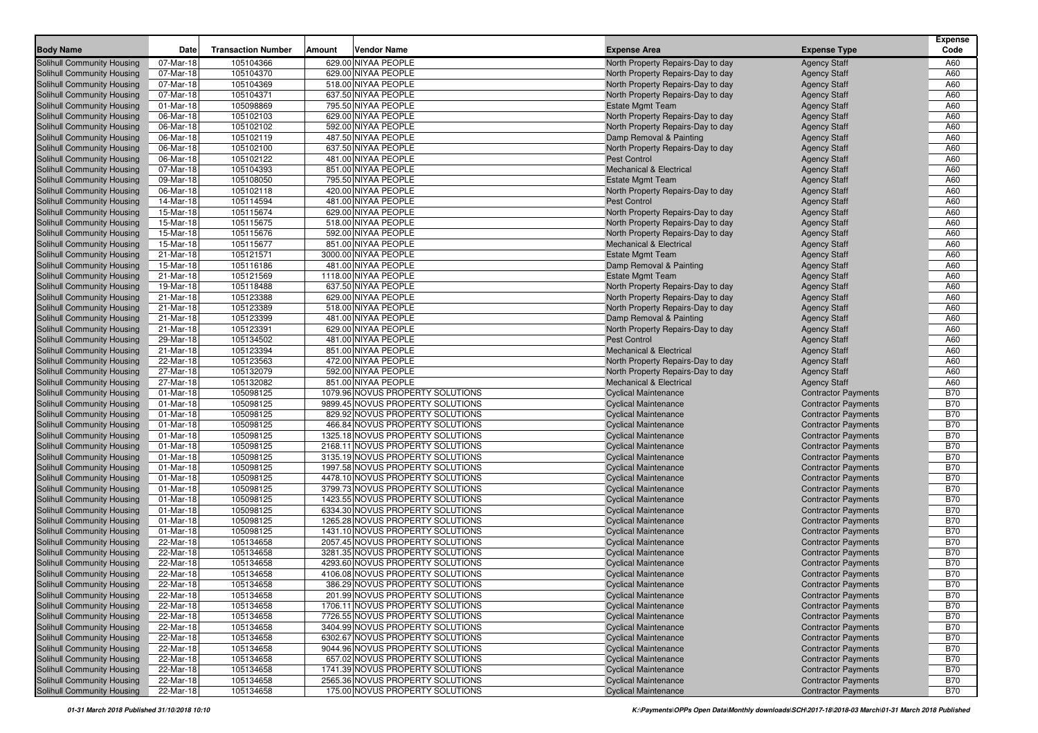| <b>Body Name</b>                                                | Date                   | <b>Transaction Number</b> | Amount | <b>Vendor Name</b>                                                   | <b>Expense Area</b>                                        | <b>Expense Type</b>                                      | <b>Expense</b><br>Code   |
|-----------------------------------------------------------------|------------------------|---------------------------|--------|----------------------------------------------------------------------|------------------------------------------------------------|----------------------------------------------------------|--------------------------|
| <b>Solihull Community Housing</b>                               | 07-Mar-18              | 105104366                 |        | 629.00 NIYAA PEOPLE                                                  | North Property Repairs-Day to day                          | <b>Agency Staff</b>                                      | A60                      |
| <b>Solihull Community Housing</b>                               | 07-Mar-18              | 105104370                 |        | 629.00 NIYAA PEOPLE                                                  | North Property Repairs-Day to day                          | <b>Agency Staff</b>                                      | A60                      |
| Solihull Community Housing                                      | 07-Mar-18              | 105104369                 |        | 518.00 NIYAA PEOPLE                                                  | North Property Repairs-Day to day                          | <b>Agency Staff</b>                                      | A60                      |
| Solihull Community Housing                                      | 07-Mar-18              | 105104371                 |        | 637.50 NIYAA PEOPLE                                                  | North Property Repairs-Day to day                          | <b>Agency Staff</b>                                      | A60                      |
| Solihull Community Housing                                      | 01-Mar-18              | 105098869                 |        | 795.50 NIYAA PEOPLE                                                  | <b>Estate Mgmt Team</b>                                    | <b>Agency Staff</b>                                      | A60                      |
| Solihull Community Housing                                      | 06-Mar-18              | 105102103                 |        | 629.00 NIYAA PEOPLE                                                  | North Property Repairs-Day to day                          | <b>Agency Staff</b>                                      | A60                      |
| <b>Solihull Community Housing</b>                               | 06-Mar-18              | 105102102                 |        | 592.00 NIYAA PEOPLE                                                  | North Property Repairs-Day to day                          | <b>Agency Staff</b>                                      | A60                      |
| Solihull Community Housing                                      | 06-Mar-18              | 105102119                 |        | 487.50 NIYAA PEOPLE                                                  | Damp Removal & Painting                                    | <b>Agency Staff</b>                                      | A60                      |
| <b>Solihull Community Housing</b>                               | 06-Mar-18              | 105102100                 |        | 637.50 NIYAA PEOPLE                                                  | North Property Repairs-Day to day                          | <b>Agency Staff</b>                                      | A60                      |
| Solihull Community Housing                                      | 06-Mar-18              | 105102122                 |        | 481.00 NIYAA PEOPLE                                                  | <b>Pest Control</b>                                        | <b>Agency Staff</b>                                      | A60                      |
| Solihull Community Housing                                      | 07-Mar-18              | 105104393                 |        | 851.00 NIYAA PEOPLE                                                  | <b>Mechanical &amp; Electrical</b>                         | <b>Agency Staff</b>                                      | A60                      |
| Solihull Community Housing                                      | 09-Mar-18              | 105108050                 |        | 795.50 NIYAA PEOPLE                                                  | <b>Estate Mgmt Team</b>                                    | <b>Agency Staff</b>                                      | A60                      |
| Solihull Community Housing                                      | 06-Mar-18              | 105102118                 |        | 420.00 NIYAA PEOPLE                                                  | North Property Repairs-Day to day                          | <b>Agency Staff</b>                                      | A60                      |
| Solihull Community Housing                                      | 14-Mar-18              | 105114594                 |        | 481.00 NIYAA PEOPLE                                                  | <b>Pest Control</b>                                        | <b>Agency Staff</b>                                      | A60                      |
| Solihull Community Housing                                      | 15-Mar-18              | 105115674                 |        | 629.00 NIYAA PEOPLE                                                  | North Property Repairs-Day to day                          | <b>Agency Staff</b>                                      | A60                      |
| <b>Solihull Community Housing</b>                               | 15-Mar-18              | 105115675                 |        | 518.00 NIYAA PEOPLE                                                  | North Property Repairs-Day to day                          | <b>Agency Staff</b>                                      | A60                      |
| Solihull Community Housing                                      | 15-Mar-18              | 105115676                 |        | 592.00 NIYAA PEOPLE                                                  | North Property Repairs-Day to day                          | <b>Agency Staff</b>                                      | A60                      |
| <b>Solihull Community Housing</b>                               | 15-Mar-18              | 105115677                 |        | 851.00 NIYAA PEOPLE                                                  | <b>Mechanical &amp; Electrical</b>                         | <b>Agency Staff</b>                                      | A60                      |
| Solihull Community Housing                                      | 21-Mar-18              | 105121571                 |        | 3000.00 NIYAA PEOPLE                                                 | <b>Estate Mgmt Team</b>                                    | <b>Agency Staff</b>                                      | A60                      |
| Solihull Community Housing                                      | 15-Mar-18              | 105116186                 |        | 481.00 NIYAA PEOPLE                                                  | Damp Removal & Painting                                    | <b>Agency Staff</b>                                      | A60                      |
| Solihull Community Housing                                      | 21-Mar-18              | 105121569                 |        | 1118.00 NIYAA PEOPLE                                                 | <b>Estate Mgmt Team</b>                                    | <b>Agency Staff</b>                                      | A60                      |
| Solihull Community Housing                                      | 19-Mar-18              | 105118488                 |        | 637.50 NIYAA PEOPLE                                                  | North Property Repairs-Day to day                          | <b>Agency Staff</b>                                      | A60                      |
| Solihull Community Housing                                      | 21-Mar-18              | 105123388                 |        | 629.00 NIYAA PEOPLE                                                  | North Property Repairs-Day to day                          | <b>Agency Staff</b>                                      | A60                      |
| Solihull Community Housing                                      | 21-Mar-18              | 105123389                 |        | 518.00 NIYAA PEOPLE                                                  | North Property Repairs-Day to day                          | <b>Agency Staff</b>                                      | A60                      |
| <b>Solihull Community Housing</b>                               | 21-Mar-18              | 105123399                 |        | 481.00 NIYAA PEOPLE                                                  | Damp Removal & Painting                                    | <b>Agency Staff</b>                                      | A60                      |
| Solihull Community Housing                                      | 21-Mar-18              | 105123391                 |        | 629.00 NIYAA PEOPLE                                                  | North Property Repairs-Day to day                          | <b>Agency Staff</b>                                      | A60                      |
| <b>Solihull Community Housing</b>                               | 29-Mar-18              | 105134502                 |        | 481.00 NIYAA PEOPLE                                                  | <b>Pest Control</b>                                        | <b>Agency Staff</b>                                      | A60                      |
| Solihull Community Housing                                      | 21-Mar-18              | 105123394                 |        | 851.00 NIYAA PEOPLE                                                  | <b>Mechanical &amp; Electrical</b>                         | <b>Agency Staff</b>                                      | A60                      |
| Solihull Community Housing                                      | 22-Mar-18              | 105123563                 |        | 472.00 NIYAA PEOPLE                                                  | North Property Repairs-Day to day                          | <b>Agency Staff</b>                                      | A60                      |
| Solihull Community Housing                                      | 27-Mar-18              | 105132079                 |        | 592.00 NIYAA PEOPLE                                                  | North Property Repairs-Day to day                          | <b>Agency Staff</b>                                      | A60                      |
| <b>Solihull Community Housing</b>                               | 27-Mar-18              | 105132082                 |        | 851.00 NIYAA PEOPLE                                                  | <b>Mechanical &amp; Electrical</b>                         | <b>Agency Staff</b>                                      | A60                      |
| <b>Solihull Community Housing</b>                               | 01-Mar-18              | 105098125                 |        | 1079.96 NOVUS PROPERTY SOLUTIONS                                     | <b>Cyclical Maintenance</b>                                | <b>Contractor Payments</b>                               | <b>B70</b>               |
| Solihull Community Housing                                      | 01-Mar-18              | 105098125                 |        | 9899.45 NOVUS PROPERTY SOLUTIONS                                     | <b>Cyclical Maintenance</b>                                | <b>Contractor Payments</b>                               | <b>B70</b>               |
| <b>Solihull Community Housing</b>                               | 01-Mar-18              | 105098125                 |        | 829.92 NOVUS PROPERTY SOLUTIONS                                      | <b>Cyclical Maintenance</b>                                | <b>Contractor Payments</b>                               | <b>B70</b>               |
| <b>Solihull Community Housing</b>                               | 01-Mar-18              | 105098125                 |        | 466.84 NOVUS PROPERTY SOLUTIONS                                      | <b>Cyclical Maintenance</b>                                | <b>Contractor Payments</b>                               | <b>B70</b>               |
| <b>Solihull Community Housing</b>                               | 01-Mar-18              | 105098125                 |        | 1325.18 NOVUS PROPERTY SOLUTIONS                                     | <b>Cyclical Maintenance</b>                                | <b>Contractor Payments</b>                               | <b>B70</b>               |
| Solihull Community Housing                                      | 01-Mar-18              | 105098125                 |        | 2168.11 NOVUS PROPERTY SOLUTIONS                                     | <b>Cyclical Maintenance</b>                                | <b>Contractor Payments</b>                               | <b>B70</b>               |
| Solihull Community Housing                                      | 01-Mar-18              | 105098125                 |        | 3135.19 NOVUS PROPERTY SOLUTIONS                                     | <b>Cyclical Maintenance</b>                                | <b>Contractor Payments</b>                               | <b>B70</b>               |
| Solihull Community Housing                                      | 01-Mar-18              | 105098125                 |        | 1997.58 NOVUS PROPERTY SOLUTIONS                                     | <b>Cyclical Maintenance</b>                                | <b>Contractor Payments</b>                               | <b>B70</b>               |
| Solihull Community Housing                                      | 01-Mar-18              | 105098125                 |        | 4478.10 NOVUS PROPERTY SOLUTIONS                                     | <b>Cyclical Maintenance</b>                                | <b>Contractor Payments</b>                               | <b>B70</b>               |
| <b>Solihull Community Housing</b>                               | 01-Mar-18              | 105098125                 |        | 3799.73 NOVUS PROPERTY SOLUTIONS                                     | <b>Cyclical Maintenance</b>                                | <b>Contractor Payments</b>                               | <b>B70</b>               |
| Solihull Community Housing                                      | 01-Mar-18              | 105098125                 |        | 1423.55 NOVUS PROPERTY SOLUTIONS                                     | <b>Cyclical Maintenance</b>                                | <b>Contractor Payments</b>                               | <b>B70</b>               |
| Solihull Community Housing                                      | 01-Mar-18              | 105098125                 |        | 6334.30 NOVUS PROPERTY SOLUTIONS                                     | <b>Cyclical Maintenance</b>                                | <b>Contractor Payments</b>                               | <b>B70</b>               |
| <b>Solihull Community Housing</b>                               | 01-Mar-18              | 105098125                 |        | 1265.28 NOVUS PROPERTY SOLUTIONS                                     | <b>Cyclical Maintenance</b>                                | <b>Contractor Payments</b>                               | <b>B70</b>               |
| <b>Solihull Community Housing</b>                               | 01-Mar-18              | 105098125                 |        | 1431.10 NOVUS PROPERTY SOLUTIONS                                     | <b>Cyclical Maintenance</b>                                | <b>Contractor Payments</b>                               | <b>B70</b>               |
| Solihull Community Housing                                      | 22-Mar-18              | 105134658                 |        | 2057.45 NOVUS PROPERTY SOLUTIONS                                     | <b>Cyclical Maintenance</b>                                | <b>Contractor Payments</b>                               | <b>B70</b>               |
| Solihull Community Housing                                      | 22-Mar-18              | 105134658                 |        | 3281.35 NOVUS PROPERTY SOLUTIONS                                     | <b>Cyclical Maintenance</b>                                | <b>Contractor Payments</b>                               | <b>B70</b>               |
| Solihull Community Housing                                      | 22-Mar-18              | 105134658                 |        | 4293.60 NOVUS PROPERTY SOLUTIONS                                     | <b>Cyclical Maintenance</b>                                | <b>Contractor Payments</b>                               | <b>B70</b>               |
| Solihull Community Housing                                      | 22-Mar-18              | 105134658                 |        | 4106.08 NOVUS PROPERTY SOLUTIONS                                     | <b>Cyclical Maintenance</b>                                | <b>Contractor Payments</b>                               | <b>B70</b>               |
| Solihull Community Housing                                      | 22-Mar-18              | 105134658                 |        | 386.29 NOVUS PROPERTY SOLUTIONS                                      | <b>Cyclical Maintenance</b>                                | <b>Contractor Payments</b>                               | <b>B70</b>               |
| <b>Solihull Community Housing</b>                               | 22-Mar-18              | 105134658                 |        | 201.99 NOVUS PROPERTY SOLUTIONS                                      | <b>Cyclical Maintenance</b>                                | <b>Contractor Payments</b>                               | <b>B70</b>               |
| Solihull Community Housing                                      | 22-Mar-18              | 105134658                 |        | 1706.11 NOVUS PROPERTY SOLUTIONS                                     | <b>Cyclical Maintenance</b>                                | <b>Contractor Payments</b>                               | <b>B70</b>               |
| <b>Solihull Community Housing</b>                               | 22-Mar-18              | 105134658                 |        | 7726.55 NOVUS PROPERTY SOLUTIONS                                     | <b>Cyclical Maintenance</b>                                | <b>Contractor Payments</b>                               | <b>B70</b>               |
| Solihull Community Housing                                      | 22-Mar-18              | 105134658                 |        | 3404.99 NOVUS PROPERTY SOLUTIONS                                     | <b>Cyclical Maintenance</b>                                | <b>Contractor Payments</b>                               | <b>B70</b>               |
| <b>Solihull Community Housing</b>                               | 22-Mar-18              | 105134658                 |        | 6302.67 NOVUS PROPERTY SOLUTIONS                                     | <b>Cyclical Maintenance</b>                                | <b>Contractor Payments</b>                               | <b>B70</b>               |
| <b>Solihull Community Housing</b>                               | 22-Mar-18              | 105134658                 |        | 9044.96 NOVUS PROPERTY SOLUTIONS                                     | <b>Cyclical Maintenance</b>                                | <b>Contractor Payments</b>                               | <b>B70</b>               |
| <b>Solihull Community Housing</b>                               | 22-Mar-18              | 105134658<br>105134658    |        | 657.02 NOVUS PROPERTY SOLUTIONS                                      | <b>Cyclical Maintenance</b><br><b>Cyclical Maintenance</b> | <b>Contractor Payments</b>                               | <b>B70</b>               |
| <b>Solihull Community Housing</b><br>Solihull Community Housing | 22-Mar-18<br>22-Mar-18 | 105134658                 |        | 1741.39 NOVUS PROPERTY SOLUTIONS<br>2565.36 NOVUS PROPERTY SOLUTIONS | <b>Cyclical Maintenance</b>                                | <b>Contractor Payments</b>                               | <b>B70</b><br><b>B70</b> |
| <b>Solihull Community Housing</b>                               | 22-Mar-18              | 105134658                 |        | 175.00 NOVUS PROPERTY SOLUTIONS                                      | <b>Cyclical Maintenance</b>                                | <b>Contractor Payments</b><br><b>Contractor Payments</b> | <b>B70</b>               |
|                                                                 |                        |                           |        |                                                                      |                                                            |                                                          |                          |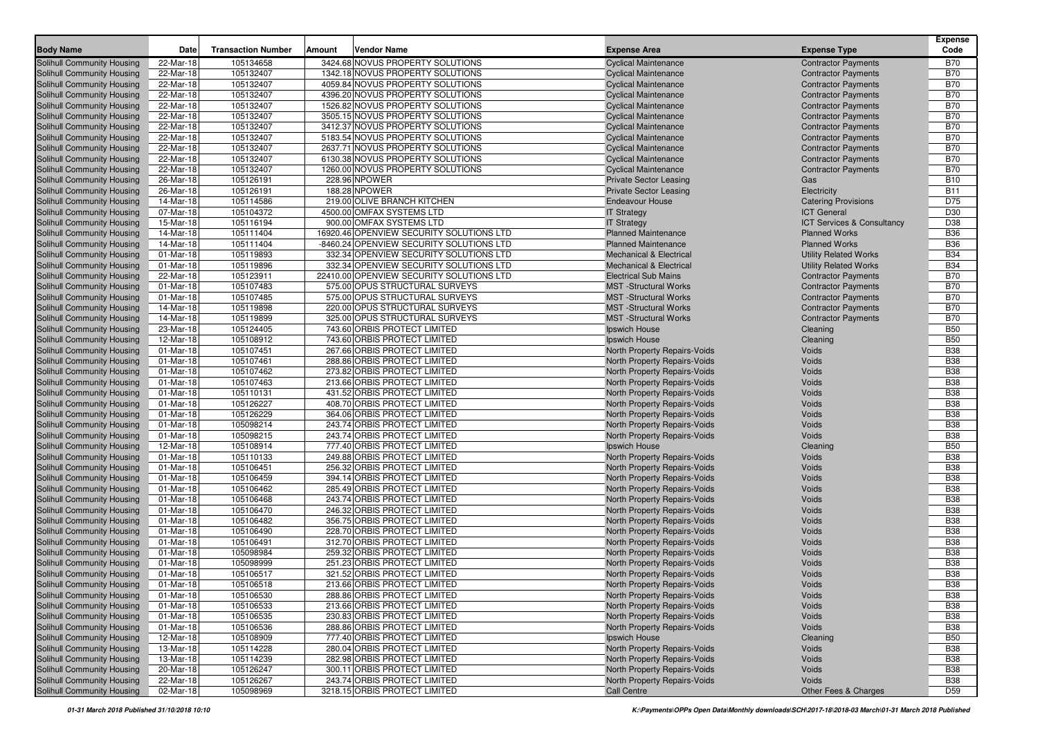| <b>Body Name</b>                                                | Date                   | <b>Transaction Number</b> | <b>Amount</b> | <b>Vendor Name</b>                                                                 | <b>Expense Area</b>                                               | <b>Expense Type</b>                                      | <b>Expense</b><br>Code   |
|-----------------------------------------------------------------|------------------------|---------------------------|---------------|------------------------------------------------------------------------------------|-------------------------------------------------------------------|----------------------------------------------------------|--------------------------|
| <b>Solihull Community Housing</b>                               | 22-Mar-18              | 105134658                 |               | 3424.68 NOVUS PROPERTY SOLUTIONS                                                   | <b>Cyclical Maintenance</b>                                       | <b>Contractor Payments</b>                               | <b>B70</b>               |
| <b>Solihull Community Housing</b>                               | 22-Mar-18              | 105132407                 |               | 1342.18 NOVUS PROPERTY SOLUTIONS                                                   | <b>Cyclical Maintenance</b>                                       | <b>Contractor Payments</b>                               | <b>B70</b>               |
| <b>Solihull Community Housing</b>                               | 22-Mar-18              | 105132407                 |               | 4059.84 NOVUS PROPERTY SOLUTIONS                                                   | <b>Cyclical Maintenance</b>                                       | <b>Contractor Payments</b>                               | <b>B70</b>               |
| Solihull Community Housing                                      | 22-Mar-18              | 105132407                 |               | 4396.20 NOVUS PROPERTY SOLUTIONS                                                   | <b>Cyclical Maintenance</b>                                       | <b>Contractor Payments</b>                               | <b>B70</b>               |
| Solihull Community Housing                                      | 22-Mar-18              | 105132407                 |               | 1526.82 NOVUS PROPERTY SOLUTIONS                                                   | <b>Cyclical Maintenance</b>                                       | <b>Contractor Payments</b>                               | <b>B70</b>               |
| Solihull Community Housing                                      | 22-Mar-18              | 105132407                 |               | 3505.15 NOVUS PROPERTY SOLUTIONS                                                   | <b>Cyclical Maintenance</b>                                       | <b>Contractor Payments</b>                               | <b>B70</b>               |
| <b>Solihull Community Housing</b>                               | 22-Mar-18              | 105132407                 |               | 3412.37 NOVUS PROPERTY SOLUTIONS                                                   | <b>Cyclical Maintenance</b>                                       | <b>Contractor Payments</b>                               | <b>B70</b>               |
| Solihull Community Housing                                      | 22-Mar-18              | 105132407                 |               | 5183.54 NOVUS PROPERTY SOLUTIONS                                                   | <b>Cyclical Maintenance</b>                                       | <b>Contractor Payments</b>                               | <b>B70</b>               |
| <b>Solihull Community Housing</b>                               | 22-Mar-18              | 105132407                 |               | 2637.71 NOVUS PROPERTY SOLUTIONS                                                   | <b>Cyclical Maintenance</b>                                       | <b>Contractor Payments</b>                               | <b>B70</b>               |
| Solihull Community Housing                                      | 22-Mar-18              | 105132407                 |               | 6130.38 NOVUS PROPERTY SOLUTIONS                                                   | <b>Cyclical Maintenance</b>                                       | <b>Contractor Payments</b>                               | <b>B70</b>               |
| <b>Solihull Community Housing</b>                               | 22-Mar-18              | 105132407                 |               | 1260.00 NOVUS PROPERTY SOLUTIONS                                                   | <b>Cyclical Maintenance</b>                                       | <b>Contractor Payments</b>                               | <b>B70</b>               |
| Solihull Community Housing                                      | 26-Mar-18              | 105126191                 |               | 228.96 NPOWER                                                                      | <b>Private Sector Leasing</b>                                     | Gas                                                      | <b>B10</b>               |
| Solihull Community Housing                                      | 26-Mar-18              | 105126191                 |               | 188.28 NPOWER                                                                      | <b>Private Sector Leasing</b>                                     | Electricity                                              | <b>B11</b>               |
| Solihull Community Housing                                      | 14-Mar-18              | 105114586                 |               | 219.00 OLIVE BRANCH KITCHEN                                                        | <b>Endeavour House</b>                                            | <b>Catering Provisions</b>                               | D75                      |
| <b>Solihull Community Housing</b>                               | 07-Mar-18              | 105104372                 |               | 4500.00 OMFAX SYSTEMS LTD                                                          | <b>IT Strategy</b>                                                | <b>ICT</b> General                                       | D30                      |
| <b>Solihull Community Housing</b>                               | 15-Mar-18              | 105116194                 |               | 900.00 OMFAX SYSTEMS LTD                                                           | <b>IT Strategy</b>                                                | ICT Services & Consultancy                               | D38                      |
| <b>Solihull Community Housing</b>                               | 14-Mar-18              | 105111404                 |               | 16920.46 OPENVIEW SECURITY SOLUTIONS LTD                                           | <b>Planned Maintenance</b>                                        | <b>Planned Works</b>                                     | <b>B36</b>               |
| <b>Solihull Community Housing</b>                               | 14-Mar-18              | 105111404                 |               | -8460.24 OPENVIEW SECURITY SOLUTIONS LTD                                           | <b>Planned Maintenance</b>                                        | <b>Planned Works</b>                                     | <b>B36</b>               |
| <b>Solihull Community Housing</b>                               | 01-Mar-18              | 105119893                 |               | 332.34 OPENVIEW SECURITY SOLUTIONS LTD                                             | <b>Mechanical &amp; Electrical</b>                                | <b>Utility Related Works</b>                             | <b>B34</b>               |
| <b>Solihull Community Housing</b>                               | 01-Mar-18<br>22-Mar-18 | 105119896<br>105123911    |               | 332.34 OPENVIEW SECURITY SOLUTIONS LTD<br>22410.00 OPENVIEW SECURITY SOLUTIONS LTD | <b>Mechanical &amp; Electrical</b><br><b>Electrical Sub Mains</b> | <b>Utility Related Works</b>                             | <b>B34</b><br><b>B70</b> |
| Solihull Community Housing<br>Solihull Community Housing        | 01-Mar-18              | 105107483                 |               | 575.00 OPUS STRUCTURAL SURVEYS                                                     | <b>MST</b> -Structural Works                                      | <b>Contractor Payments</b><br><b>Contractor Payments</b> | <b>B70</b>               |
| <b>Solihull Community Housing</b>                               | 01-Mar-18              | 105107485                 |               | 575.00 OPUS STRUCTURAL SURVEYS                                                     | <b>MST</b> -Structural Works                                      | <b>Contractor Payments</b>                               | <b>B70</b>               |
| Solihull Community Housing                                      | 14-Mar-18              | 105119898                 |               | 220.00 OPUS STRUCTURAL SURVEYS                                                     | <b>MST</b> -Structural Works                                      | <b>Contractor Payments</b>                               | <b>B70</b>               |
| Solihull Community Housing                                      | 14-Mar-18              | 105119899                 |               | 325.00 OPUS STRUCTURAL SURVEYS                                                     | <b>MST</b> -Structural Works                                      | <b>Contractor Payments</b>                               | <b>B70</b>               |
| Solihull Community Housing                                      | 23-Mar-18              | 105124405                 |               | 743.60 ORBIS PROTECT LIMITED                                                       | Ipswich House                                                     | Cleaning                                                 | <b>B50</b>               |
| <b>Solihull Community Housing</b>                               | 12-Mar-18              | 105108912                 |               | 743.60 ORBIS PROTECT LIMITED                                                       | Ipswich House                                                     | Cleaning                                                 | <b>B50</b>               |
| Solihull Community Housing                                      | 01-Mar-18              | 105107451                 |               | 267.66 ORBIS PROTECT LIMITED                                                       | <b>North Property Repairs-Voids</b>                               | Voids                                                    | <b>B38</b>               |
| Solihull Community Housing                                      | 01-Mar-18              | 105107461                 |               | 288.86 ORBIS PROTECT LIMITED                                                       | North Property Repairs-Voids                                      | Voids                                                    | <b>B38</b>               |
| Solihull Community Housing                                      | 01-Mar-18              | 105107462                 |               | 273.82 ORBIS PROTECT LIMITED                                                       | <b>North Property Repairs-Voids</b>                               | Voids                                                    | <b>B38</b>               |
| <b>Solihull Community Housing</b>                               | 01-Mar-18              | 105107463                 |               | 213.66 ORBIS PROTECT LIMITED                                                       | North Property Repairs-Voids                                      | Voids                                                    | <b>B38</b>               |
| <b>Solihull Community Housing</b>                               | 01-Mar-18              | 105110131                 |               | 431.52 ORBIS PROTECT LIMITED                                                       | <b>North Property Repairs-Voids</b>                               | Voids                                                    | <b>B38</b>               |
| Solihull Community Housing                                      | 01-Mar-18              | 105126227                 |               | 408.70 ORBIS PROTECT LIMITED                                                       | North Property Repairs-Voids                                      | Voids                                                    | <b>B38</b>               |
| <b>Solihull Community Housing</b>                               | 01-Mar-18              | 105126229                 |               | 364.06 ORBIS PROTECT LIMITED                                                       | North Property Repairs-Voids                                      | Voids                                                    | <b>B38</b>               |
| <b>Solihull Community Housing</b>                               | 01-Mar-18              | 105098214                 |               | 243.74 ORBIS PROTECT LIMITED                                                       | <b>North Property Repairs-Voids</b>                               | Voids                                                    | <b>B38</b>               |
| <b>Solihull Community Housing</b>                               | 01-Mar-18              | 105098215                 |               | 243.74 ORBIS PROTECT LIMITED                                                       | North Property Repairs-Voids                                      | Voids                                                    | <b>B38</b>               |
| Solihull Community Housing                                      | 12-Mar-18              | 105108914                 |               | 777.40 ORBIS PROTECT LIMITED<br>249.88 ORBIS PROTECT LIMITED                       | Ipswich House                                                     | Cleaning                                                 | <b>B50</b><br><b>B38</b> |
| Solihull Community Housing<br>Solihull Community Housing        | 01-Mar-18<br>01-Mar-18 | 105110133<br>105106451    |               | 256.32 ORBIS PROTECT LIMITED                                                       | North Property Repairs-Voids<br>North Property Repairs-Voids      | Voids<br>Voids                                           | <b>B38</b>               |
| <b>Solihull Community Housing</b>                               | 01-Mar-18              | 105106459                 |               | 394.14 ORBIS PROTECT LIMITED                                                       | North Property Repairs-Voids                                      | Voids                                                    | <b>B38</b>               |
| <b>Solihull Community Housing</b>                               | 01-Mar-18              | 105106462                 |               | 285.49 ORBIS PROTECT LIMITED                                                       | <b>North Property Repairs-Voids</b>                               | Voids                                                    | <b>B38</b>               |
| <b>Solihull Community Housing</b>                               | 01-Mar-18              | 105106468                 |               | 243.74 ORBIS PROTECT LIMITED                                                       | <b>North Property Repairs-Voids</b>                               | Voids                                                    | <b>B38</b>               |
| Solihull Community Housing                                      | 01-Mar-18              | 105106470                 |               | 246.32 ORBIS PROTECT LIMITED                                                       | <b>North Property Repairs-Voids</b>                               | Voids                                                    | <b>B38</b>               |
| <b>Solihull Community Housing</b>                               | 01-Mar-18              | 105106482                 |               | 356.75 ORBIS PROTECT LIMITED                                                       | <b>North Property Repairs-Voids</b>                               | Voids                                                    | <b>B38</b>               |
| <b>Solihull Community Housing</b>                               | 01-Mar-18              | 105106490                 |               | 228.70 ORBIS PROTECT LIMITED                                                       | North Property Repairs-Voids                                      | Voids                                                    | <b>B38</b>               |
| Solihull Community Housing                                      | 01-Mar-18              | 105106491                 |               | 312.70 ORBIS PROTECT LIMITED                                                       | North Property Repairs-Voids                                      | Voids                                                    | <b>B38</b>               |
| Solihull Community Housing                                      | 01-Mar-18              | 105098984                 |               | 259.32 ORBIS PROTECT LIMITED                                                       | North Property Repairs-Voids                                      | Voids                                                    | <b>B38</b>               |
| Solihull Community Housing                                      | 01-Mar-18              | 105098999                 |               | 251.23 ORBIS PROTECT LIMITED                                                       | North Property Repairs-Voids                                      | Voids                                                    | <b>B38</b>               |
| Solihull Community Housing                                      | 01-Mar-18              | 105106517                 |               | 321.52 ORBIS PROTECT LIMITED                                                       | North Property Repairs-Voids                                      | Voids                                                    | <b>B38</b>               |
| Solihull Community Housing                                      | 01-Mar-18              | 105106518                 |               | 213.66 ORBIS PROTECT LIMITED                                                       | North Property Repairs-Voids                                      | Voids                                                    | <b>B</b> 38              |
| <b>Solihull Community Housing</b>                               | 01-Mar-18              | 105106530                 |               | 288.86 ORBIS PROTECT LIMITED                                                       | North Property Repairs-Voids                                      | Voids                                                    | <b>B38</b>               |
| Solihull Community Housing<br><b>Solihull Community Housing</b> | 01-Mar-18<br>01-Mar-18 | 105106533<br>105106535    |               | 213.66 ORBIS PROTECT LIMITED<br>230.83 ORBIS PROTECT LIMITED                       | North Property Repairs-Voids<br>North Property Repairs-Voids      | Voids<br>Voids                                           | <b>B38</b><br><b>B38</b> |
| Solihull Community Housing                                      | 01-Mar-18              | 105106536                 |               | 288.86 ORBIS PROTECT LIMITED                                                       | North Property Repairs-Voids                                      | Voids                                                    | <b>B38</b>               |
| Solihull Community Housing                                      | 12-Mar-18              | 105108909                 |               | 777.40 ORBIS PROTECT LIMITED                                                       | Ipswich House                                                     | Cleaning                                                 | <b>B50</b>               |
| <b>Solihull Community Housing</b>                               | 13-Mar-18              | 105114228                 |               | 280.04 ORBIS PROTECT LIMITED                                                       | North Property Repairs-Voids                                      | Voids                                                    | <b>B38</b>               |
| Solihull Community Housing                                      | 13-Mar-18              | 105114239                 |               | 282.98 ORBIS PROTECT LIMITED                                                       | North Property Repairs-Voids                                      | Voids                                                    | <b>B38</b>               |
| <b>Solihull Community Housing</b>                               | 20-Mar-18              | 105126247                 |               | 300.11 ORBIS PROTECT LIMITED                                                       | North Property Repairs-Voids                                      | Voids                                                    | <b>B38</b>               |
| Solihull Community Housing                                      | 22-Mar-18              | 105126267                 |               | 243.74 ORBIS PROTECT LIMITED                                                       | North Property Repairs-Voids                                      | Voids                                                    | <b>B38</b>               |
| Solihull Community Housing                                      | 02-Mar-18              | 105098969                 |               | 3218.15 ORBIS PROTECT LIMITED                                                      | Call Centre                                                       | Other Fees & Charges                                     | D59                      |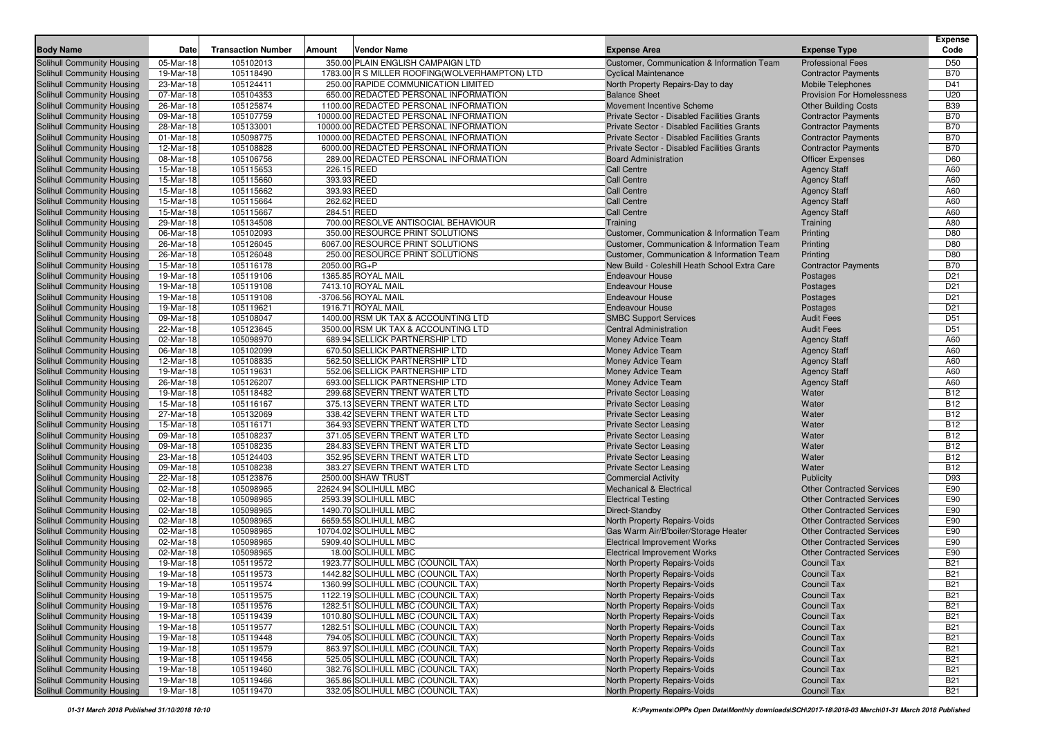| <b>Body Name</b>                                         | Date                   | <b>Transaction Number</b> | Amount<br><b>Vendor Name</b>                                             | <b>Expense Area</b>                                          | <b>Expense Type</b>                      | <b>Expense</b><br>Code   |
|----------------------------------------------------------|------------------------|---------------------------|--------------------------------------------------------------------------|--------------------------------------------------------------|------------------------------------------|--------------------------|
| <b>Solihull Community Housing</b>                        | 05-Mar-18              | 105102013                 | 350.00 PLAIN ENGLISH CAMPAIGN LTD                                        | Customer, Communication & Information Team                   | <b>Professional Fees</b>                 | D50                      |
| <b>Solihull Community Housing</b>                        | 19-Mar-18              | 105118490                 | 1783.00 R S MILLER ROOFING (WOLVERHAMPTON) LTD                           | <b>Cyclical Maintenance</b>                                  | <b>Contractor Payments</b>               | <b>B70</b>               |
| <b>Solihull Community Housing</b>                        | 23-Mar-18              | 105124411                 | 250.00 RAPIDE COMMUNICATION LIMITED                                      | North Property Repairs-Day to day                            | <b>Mobile Telephones</b>                 | D41                      |
| Solihull Community Housing                               | 07-Mar-18              | 105104353                 | 650.00 REDACTED PERSONAL INFORMATION                                     | <b>Balance Sheet</b>                                         | <b>Provision For Homelessness</b>        | U20                      |
| Solihull Community Housing                               | 26-Mar-18              | 105125874                 | 1100.00 REDACTED PERSONAL INFORMATION                                    | Movement Incentive Scheme                                    | <b>Other Building Costs</b>              | <b>B39</b>               |
| <b>Solihull Community Housing</b>                        | 09-Mar-18              | 105107759                 | 10000.00 REDACTED PERSONAL INFORMATION                                   | Private Sector - Disabled Facilities Grants                  | <b>Contractor Payments</b>               | <b>B70</b>               |
| <b>Solihull Community Housing</b>                        | 28-Mar-18              | 105133001                 | 10000.00 REDACTED PERSONAL INFORMATION                                   | Private Sector - Disabled Facilities Grants                  | <b>Contractor Payments</b>               | <b>B70</b>               |
| <b>Solihull Community Housing</b>                        | 01-Mar-18              | 105098775                 | 10000.00 REDACTED PERSONAL INFORMATION                                   | Private Sector - Disabled Facilities Grants                  | <b>Contractor Payments</b>               | <b>B70</b>               |
| <b>Solihull Community Housing</b>                        | 12-Mar-18              | 105108828                 | 6000.00 REDACTED PERSONAL INFORMATION                                    | Private Sector - Disabled Facilities Grants                  | <b>Contractor Payments</b>               | <b>B70</b>               |
| <b>Solihull Community Housing</b>                        | 08-Mar-18              | 105106756                 | 289.00 REDACTED PERSONAL INFORMATION                                     | <b>Board Administration</b>                                  | <b>Officer Expenses</b>                  | D60                      |
| <b>Solihull Community Housing</b>                        | 15-Mar-18              | 105115653                 | 226.15 REED                                                              | <b>Call Centre</b>                                           | <b>Agency Staff</b>                      | A60                      |
| Solihull Community Housing                               | 15-Mar-18              | 105115660                 | 393.93 REED                                                              | <b>Call Centre</b>                                           | <b>Agency Staff</b>                      | A60                      |
| Solihull Community Housing                               | 15-Mar-18              | 105115662                 | 393.93 REED                                                              | Call Centre                                                  | <b>Agency Staff</b>                      | A60                      |
| Solihull Community Housing                               | 15-Mar-18              | 105115664                 | 262.62 REED                                                              | <b>Call Centre</b>                                           | <b>Agency Staff</b>                      | A60                      |
| <b>Solihull Community Housing</b>                        | 15-Mar-18              | 105115667                 | 284.51 REED                                                              | <b>Call Centre</b>                                           | <b>Agency Staff</b>                      | A60                      |
| <b>Solihull Community Housing</b>                        | 29-Mar-18              | 105134508                 | 700.00 RESOLVE ANTISOCIAL BEHAVIOUR                                      | Training                                                     | Training                                 | A80                      |
| <b>Solihull Community Housing</b>                        | 06-Mar-18              | 105102093                 | 350.00 RESOURCE PRINT SOLUTIONS                                          | Customer, Communication & Information Team                   | Printing                                 | D80                      |
| <b>Solihull Community Housing</b>                        | 26-Mar-18              | 105126045                 | 6067.00 RESOURCE PRINT SOLUTIONS                                         | Customer, Communication & Information Team                   | Printing                                 | D80                      |
| <b>Solihull Community Housing</b>                        | 26-Mar-18              | 105126048                 | 250.00 RESOURCE PRINT SOLUTIONS                                          | Customer, Communication & Information Team                   | Printing                                 | D80                      |
| <b>Solihull Community Housing</b>                        | 15-Mar-18              | 105116178                 | 2050.00 RG+P                                                             | New Build - Coleshill Heath School Extra Care                | <b>Contractor Payments</b>               | <b>B70</b>               |
| Solihull Community Housing                               | 19-Mar-18              | 105119106                 | 1365.85 ROYAL MAIL                                                       | <b>Endeavour House</b>                                       | Postages                                 | D <sub>21</sub>          |
| Solihull Community Housing                               | 19-Mar-18              | 105119108                 | 7413.10 ROYAL MAIL                                                       | <b>Endeavour House</b>                                       | Postages                                 | D <sub>21</sub>          |
| <b>Solihull Community Housing</b>                        | 19-Mar-18              | 105119108                 | -3706.56 ROYAL MAIL                                                      | <b>Endeavour House</b>                                       | Postages                                 | D <sub>21</sub>          |
| <b>Solihull Community Housing</b>                        | 19-Mar-18              | 105119621                 | 1916.71 ROYAL MAIL                                                       | <b>Endeavour House</b>                                       | Postages                                 | D <sub>21</sub>          |
| <b>Solihull Community Housing</b>                        | 09-Mar-18              | 105108047                 | 1400.00 RSM UK TAX & ACCOUNTING LTD                                      | <b>SMBC Support Services</b>                                 | <b>Audit Fees</b>                        | D <sub>51</sub>          |
| Solihull Community Housing                               | 22-Mar-18              | 105123645                 | 3500.00 RSM UK TAX & ACCOUNTING LTD                                      | <b>Central Administration</b>                                | <b>Audit Fees</b>                        | D <sub>51</sub>          |
| <b>Solihull Community Housing</b>                        | 02-Mar-18              | 105098970                 | 689.94 SELLICK PARTNERSHIP LTD                                           | Money Advice Team                                            | <b>Agency Staff</b>                      | A60                      |
| Solihull Community Housing                               | 06-Mar-18              | 105102099                 | 670.50 SELLICK PARTNERSHIP LTD                                           | Money Advice Team                                            | <b>Agency Staff</b>                      | A60                      |
| Solihull Community Housing                               | 12-Mar-18              | 105108835                 | 562.50 SELLICK PARTNERSHIP LTD                                           | Money Advice Team                                            | <b>Agency Staff</b>                      | A60                      |
| Solihull Community Housing                               | 19-Mar-18              | 105119631                 | 552.06 SELLICK PARTNERSHIP LTD                                           | Money Advice Team                                            | <b>Agency Staff</b>                      | A60                      |
| <b>Solihull Community Housing</b>                        | 26-Mar-18              | 105126207                 | 693.00 SELLICK PARTNERSHIP LTD                                           | Money Advice Team                                            | <b>Agency Staff</b>                      | A60                      |
| <b>Solihull Community Housing</b>                        | 19-Mar-18              | 105118482                 | 299.68 SEVERN TRENT WATER LTD                                            | <b>Private Sector Leasing</b>                                | Water                                    | <b>B12</b>               |
| <b>Solihull Community Housing</b>                        | 15-Mar-18              | 105116167                 | 375.13 SEVERN TRENT WATER LTD                                            | <b>Private Sector Leasing</b>                                | Water                                    | <b>B12</b>               |
| <b>Solihull Community Housing</b>                        | 27-Mar-18              | 105132069                 | 338.42 SEVERN TRENT WATER LTD                                            | <b>Private Sector Leasing</b>                                | Water                                    | <b>B12</b>               |
| <b>Solihull Community Housing</b>                        | 15-Mar-18              | 105116171                 | 364.93 SEVERN TRENT WATER LTD                                            | <b>Private Sector Leasing</b>                                | Water                                    | <b>B12</b>               |
| <b>Solihull Community Housing</b>                        | 09-Mar-18              | 105108237                 | 371.05 SEVERN TRENT WATER LTD                                            | <b>Private Sector Leasing</b>                                | Water                                    | <b>B12</b>               |
| Solihull Community Housing                               | 09-Mar-18              | 105108235                 | 284.83 SEVERN TRENT WATER LTD                                            | <b>Private Sector Leasing</b>                                | Water                                    | <b>B12</b>               |
| Solihull Community Housing                               | 23-Mar-18              | 105124403                 | 352.95 SEVERN TRENT WATER LTD                                            | <b>Private Sector Leasing</b>                                | Water                                    | <b>B12</b>               |
| Solihull Community Housing                               | 09-Mar-18              | 105108238                 | 383.27 SEVERN TRENT WATER LTD                                            | <b>Private Sector Leasing</b>                                | Water                                    | <b>B12</b>               |
| <b>Solihull Community Housing</b>                        | 22-Mar-18              | 105123876                 | 2500.00 SHAW TRUST                                                       | <b>Commercial Activity</b>                                   | <b>Publicity</b>                         | D93                      |
| <b>Solihull Community Housing</b>                        | 02-Mar-18              | 105098965                 | 22624.94 SOLIHULL MBC                                                    | <b>Mechanical &amp; Electrical</b>                           | <b>Other Contracted Services</b>         | E90                      |
| <b>Solihull Community Housing</b>                        | 02-Mar-18              | 105098965                 | 2593.39 SOLIHULL MBC                                                     | <b>Electrical Testing</b>                                    | <b>Other Contracted Services</b>         | E90                      |
| Solihull Community Housing                               | 02-Mar-18              | 105098965                 | 1490.70 SOLIHULL MBC                                                     | Direct-Standby                                               | <b>Other Contracted Services</b>         | E90                      |
| <b>Solihull Community Housing</b>                        | 02-Mar-18              | 105098965                 | 6659.55 SOLIHULL MBC                                                     | North Property Repairs-Voids                                 | <b>Other Contracted Services</b>         | E90                      |
| <b>Solihull Community Housing</b>                        | 02-Mar-18              | 105098965                 | 10704.02 SOLIHULL MBC                                                    | Gas Warm Air/B'boiler/Storage Heater                         | <b>Other Contracted Services</b>         | E90                      |
| Solihull Community Housing                               | 02-Mar-18              | 105098965                 | 5909.40 SOLIHULL MBC                                                     | <b>Electrical Improvement Works</b>                          | <b>Other Contracted Services</b>         | E90                      |
| Solihull Community Housing                               | 02-Mar-18              | 105098965                 | 18.00 SOLIHULL MBC                                                       | <b>Electrical Improvement Works</b>                          | <b>Other Contracted Services</b>         | E90                      |
| Solihull Community Housing                               | 19-Mar-18              | 105119572                 | 1923.77 SOLIHULL MBC (COUNCIL TAX)                                       | North Property Repairs-Voids                                 | <b>Council Tax</b>                       | <b>B21</b>               |
| <b>Solihull Community Housing</b>                        | 19-Mar-18              | 105119573                 | 1442.82 SOLIHULL MBC (COUNCIL TAX)                                       | North Property Repairs-Voids                                 | <b>Council Tax</b>                       | <b>B21</b>               |
| Solihull Community Housing                               | 19-Mar-18              | 105119574                 | 1360.99 SOLIHULL MBC (COUNCIL TAX)                                       | North Property Repairs-Voids                                 | <b>Council Tax</b>                       | <b>B21</b>               |
| Solihull Community Housing                               | 19-Mar-18              | 105119575                 | 1122.19 SOLIHULL MBC (COUNCIL TAX)                                       | North Property Repairs-Voids                                 | Council Tax                              | <b>B21</b>               |
| Solihull Community Housing                               | 19-Mar-18              | 105119576                 | 1282.51 SOLIHULL MBC (COUNCIL TAX)                                       | North Property Repairs-Voids                                 | <b>Council Tax</b>                       | <b>B21</b>               |
| Solihull Community Housing<br>Solihull Community Housing | 19-Mar-18              | 105119439                 | 1010.80 SOLIHULL MBC (COUNCIL TAX)<br>1282.51 SOLIHULL MBC (COUNCIL TAX) | North Property Repairs-Voids                                 | <b>Council Tax</b>                       | <b>B21</b>               |
|                                                          | 19-Mar-18              | 105119577<br>105119448    | 794.05 SOLIHULL MBC (COUNCIL TAX)                                        | North Property Repairs-Voids<br>North Property Repairs-Voids | <b>Council Tax</b>                       | <b>B21</b>               |
| Solihull Community Housing                               | 19-Mar-18              |                           |                                                                          |                                                              | <b>Council Tax</b>                       | <b>B21</b>               |
| Solihull Community Housing                               | 19-Mar-18              | 105119579                 | 863.97 SOLIHULL MBC (COUNCIL TAX)                                        | North Property Repairs-Voids                                 | <b>Council Tax</b>                       | <b>B21</b>               |
| Solihull Community Housing                               | 19-Mar-18<br>19-Mar-18 | 105119456<br>105119460    | 525.05 SOLIHULL MBC (COUNCIL TAX)                                        | North Property Repairs-Voids<br>North Property Repairs-Voids | <b>Council Tax</b>                       | <b>B21</b>               |
| Solihull Community Housing<br>Solihull Community Housing | 19-Mar-18              | 105119466                 | 382.76 SOLIHULL MBC (COUNCIL TAX)<br>365.86 SOLIHULL MBC (COUNCIL TAX)   |                                                              | <b>Council Tax</b><br><b>Council Tax</b> | <b>B21</b><br><b>B21</b> |
| Solihull Community Housing                               | 19-Mar-18              | 105119470                 | 332.05 SOLIHULL MBC (COUNCIL TAX)                                        | North Property Repairs-Voids<br>North Property Repairs-Voids | <b>Council Tax</b>                       | <b>B21</b>               |
|                                                          |                        |                           |                                                                          |                                                              |                                          |                          |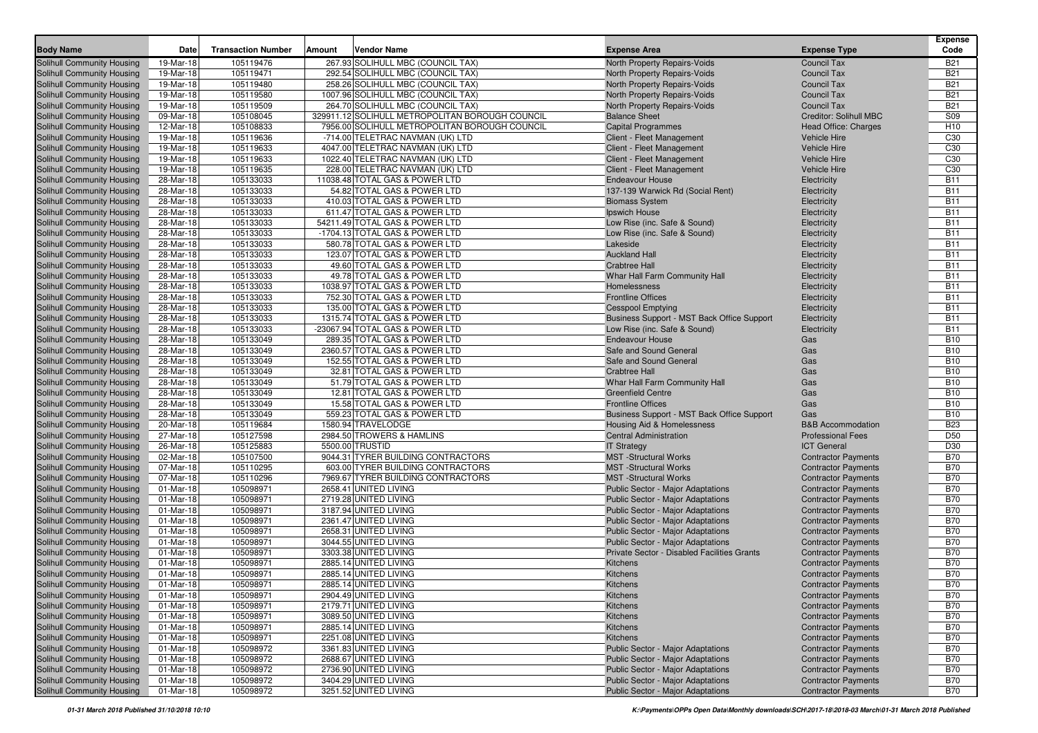| <b>Body Name</b>                                         | Date                    | <b>Transaction Number</b> | <b>Amount</b> | <b>Vendor Name</b>                                          | <b>Expense Area</b>                                                      | <b>Expense Type</b>          | <b>Expense</b><br>Code   |
|----------------------------------------------------------|-------------------------|---------------------------|---------------|-------------------------------------------------------------|--------------------------------------------------------------------------|------------------------------|--------------------------|
| Solihull Community Housing                               | 19-Mar-18               | 105119476                 |               | 267.93 SOLIHULL MBC (COUNCIL TAX)                           | North Property Repairs-Voids                                             | <b>Council Tax</b>           | <b>B21</b>               |
| Solihull Community Housing                               | 19-Mar-18               | 105119471                 |               | 292.54 SOLIHULL MBC (COUNCIL TAX)                           | North Property Repairs-Voids                                             | <b>Council Tax</b>           | <b>B21</b>               |
| Solihull Community Housing                               | 19-Mar-18               | 105119480                 |               | 258.26 SOLIHULL MBC (COUNCIL TAX)                           | North Property Repairs-Voids                                             | <b>Council Tax</b>           | <b>B21</b>               |
| Solihull Community Housing                               | 19-Mar-18               | 105119580                 |               | 1007.96 SOLIHULL MBC (COUNCIL TAX)                          | North Property Repairs-Voids                                             | <b>Council Tax</b>           | <b>B21</b>               |
| Solihull Community Housing                               | 19-Mar-18               | 105119509                 |               | 264.70 SOLIHULL MBC (COUNCIL TAX)                           | North Property Repairs-Voids                                             | <b>Council Tax</b>           | <b>B21</b>               |
| Solihull Community Housing                               | 09-Mar-18               | 105108045                 |               | 329911.12 SOLIHULL METROPOLITAN BOROUGH COUNCIL             | <b>Balance Sheet</b>                                                     | Creditor: Solihull MBC       | S09                      |
| Solihull Community Housing                               | 12-Mar-18               | 105108833                 |               | 7956.00 SOLIHULL METROPOLITAN BOROUGH COUNCIL               | <b>Capital Programmes</b>                                                | <b>Head Office: Charges</b>  | H <sub>10</sub>          |
| Solihull Community Housing                               | 19-Mar-18               | 105119636                 |               | -714.00 TELETRAC NAVMAN (UK) LTD                            | Client - Fleet Management                                                | <b>Vehicle Hire</b>          | C30                      |
| Solihull Community Housing                               | 19-Mar-18               | 105119633                 |               | 4047.00 TELETRAC NAVMAN (UK) LTD                            | Client - Fleet Management                                                | <b>Vehicle Hire</b>          | C30                      |
| Solihull Community Housing                               | 19-Mar-18               | 105119633                 |               | 1022.40 TELETRAC NAVMAN (UK) LTD                            | Client - Fleet Management                                                | <b>Vehicle Hire</b>          | C30                      |
| Solihull Community Housing                               | 19-Mar-18               | 105119635                 |               | 228.00 TELETRAC NAVMAN (UK) LTD                             | Client - Fleet Management                                                | <b>Vehicle Hire</b>          | C30                      |
| Solihull Community Housing                               | 28-Mar-18               | 105133033                 |               | 11038.48 TOTAL GAS & POWER LTD                              | <b>Endeavour House</b>                                                   | Electricity                  | <b>B11</b>               |
| Solihull Community Housing                               | 28-Mar-18               | 105133033                 |               | 54.82 TOTAL GAS & POWER LTD                                 | 137-139 Warwick Rd (Social Rent)                                         | Electricity                  | <b>B11</b>               |
| Solihull Community Housing                               | 28-Mar-18               | 105133033                 |               | 410.03 TOTAL GAS & POWER LTD                                | <b>Biomass System</b>                                                    | Electricity                  | <b>B11</b>               |
| Solihull Community Housing                               | 28-Mar-18               | 105133033                 |               | 611.47 TOTAL GAS & POWER LTD                                | Ipswich House                                                            | Electricity                  | <b>B11</b>               |
| Solihull Community Housing                               | 28-Mar-18               | 105133033                 |               | 54211.49 TOTAL GAS & POWER LTD                              | Low Rise (inc. Safe & Sound)                                             | Electricity                  | <b>B11</b>               |
| Solihull Community Housing                               | 28-Mar-18               | 105133033                 |               | -1704.13 TOTAL GAS & POWER LTD                              | Low Rise (inc. Safe & Sound)                                             | Electricity                  | <b>B11</b>               |
| Solihull Community Housing                               | 28-Mar-18               | 105133033                 |               | 580.78 TOTAL GAS & POWER LTD                                | Lakeside                                                                 | Electricity                  | <b>B11</b>               |
| Solihull Community Housing                               | 28-Mar-18               | 105133033                 |               | 123.07 TOTAL GAS & POWER LTD                                | <b>Auckland Hall</b>                                                     | Electricity                  | <b>B11</b>               |
| Solihull Community Housing                               | 28-Mar-18               | 105133033                 |               | 49.60 TOTAL GAS & POWER LTD                                 | <b>Crabtree Hall</b>                                                     | Electricity                  | <b>B11</b>               |
| Solihull Community Housing                               | 28-Mar-18               | 105133033                 |               | 49.78 TOTAL GAS & POWER LTD                                 | Whar Hall Farm Community Hall                                            | Electricity                  | <b>B11</b>               |
| Solihull Community Housing                               | 28-Mar-18               | 105133033                 |               | 1038.97 TOTAL GAS & POWER LTD                               | Homelessness                                                             | Electricity                  | <b>B11</b>               |
| Solihull Community Housing                               | 28-Mar-18               | 105133033                 |               | 752.30 TOTAL GAS & POWER LTD                                | <b>Frontline Offices</b>                                                 | Electricity                  | <b>B11</b>               |
| Solihull Community Housing                               | 28-Mar-18               | 105133033                 |               | 135.00 TOTAL GAS & POWER LTD                                | <b>Cesspool Emptying</b>                                                 | Electricity                  | <b>B11</b>               |
| Solihull Community Housing                               | 28-Mar-18               | 105133033                 |               | 1315.74 TOTAL GAS & POWER LTD                               | Business Support - MST Back Office Support                               | Electricity                  | <b>B11</b>               |
| Solihull Community Housing                               | 28-Mar-18               | 105133033                 |               | -23067.94 TOTAL GAS & POWER LTD                             | Low Rise (inc. Safe & Sound)                                             | Electricity                  | <b>B11</b>               |
| Solihull Community Housing                               | 28-Mar-18               | 105133049                 |               | 289.35 TOTAL GAS & POWER LTD                                | <b>Endeavour House</b>                                                   | Gas                          | <b>B10</b>               |
| Solihull Community Housing                               | 28-Mar-18               | 105133049                 |               | 2360.57 TOTAL GAS & POWER LTD                               | Safe and Sound General                                                   | Gas                          | <b>B10</b>               |
| Solihull Community Housing                               | 28-Mar-18               | 105133049                 |               | 152.55 TOTAL GAS & POWER LTD                                | Safe and Sound General                                                   | Gas                          | <b>B10</b>               |
| Solihull Community Housing                               | 28-Mar-18               | 105133049                 |               | 32.81 TOTAL GAS & POWER LTD<br>51.79 TOTAL GAS & POWER LTD  | <b>Crabtree Hall</b>                                                     | Gas                          | <b>B10</b><br><b>B10</b> |
| Solihull Community Housing                               | 28-Mar-18<br>28-Mar-18  | 105133049<br>105133049    |               | 12.81 TOTAL GAS & POWER LTD                                 | Whar Hall Farm Community Hall<br><b>Greenfield Centre</b>                | Gas<br>Gas                   | <b>B10</b>               |
| Solihull Community Housing                               |                         | 105133049                 |               |                                                             | <b>Frontline Offices</b>                                                 |                              | <b>B10</b>               |
| Solihull Community Housing<br>Solihull Community Housing | 28-Mar-18<br>28-Mar-18  | 105133049                 |               | 15.58 TOTAL GAS & POWER LTD<br>559.23 TOTAL GAS & POWER LTD |                                                                          | Gas<br>Gas                   | <b>B10</b>               |
| Solihull Community Housing                               | 20-Mar-18               | 105119684                 |               | 1580.94 TRAVELODGE                                          | Business Support - MST Back Office Support<br>Housing Aid & Homelessness | <b>B&amp;B</b> Accommodation | <b>B23</b>               |
| Solihull Community Housing                               | 27-Mar-18               | 105127598                 |               | 2984.50 TROWERS & HAMLINS                                   | <b>Central Administration</b>                                            | <b>Professional Fees</b>     | D <sub>50</sub>          |
| Solihull Community Housing                               | 26-Mar-18               | 105125883                 |               | 5500.00 TRUSTID                                             | <b>IT Strategy</b>                                                       | <b>ICT General</b>           | D30                      |
| Solihull Community Housing                               | 02-Mar-18               | 105107500                 |               | 9044.31 TYRER BUILDING CONTRACTORS                          | <b>MST</b> -Structural Works                                             | <b>Contractor Payments</b>   | <b>B70</b>               |
| Solihull Community Housing                               | 07-Mar-18               | 105110295                 |               | 603.00 TYRER BUILDING CONTRACTORS                           | <b>MST</b> -Structural Works                                             | <b>Contractor Payments</b>   | <b>B70</b>               |
| Solihull Community Housing                               | 07-Mar-18               | 105110296                 |               | 7969.67 TYRER BUILDING CONTRACTORS                          | <b>MST</b> -Structural Works                                             | <b>Contractor Payments</b>   | <b>B70</b>               |
| Solihull Community Housing                               | 01-Mar-18               | 105098971                 |               | 2658.41 UNITED LIVING                                       | Public Sector - Major Adaptations                                        | <b>Contractor Payments</b>   | <b>B70</b>               |
| Solihull Community Housing                               | 01-Mar-18               | 105098971                 |               | 2719.28 UNITED LIVING                                       | Public Sector - Major Adaptations                                        | <b>Contractor Payments</b>   | <b>B70</b>               |
| Solihull Community Housing                               | 01-Mar-18               | 105098971                 |               | 3187.94 UNITED LIVING                                       | <b>Public Sector - Major Adaptations</b>                                 | <b>Contractor Payments</b>   | <b>B70</b>               |
| Solihull Community Housing                               | 01-Mar-18               | 105098971                 |               | 2361.47 UNITED LIVING                                       | <b>Public Sector - Major Adaptations</b>                                 | <b>Contractor Payments</b>   | <b>B70</b>               |
| Solihull Community Housing                               | 01-Mar-18               | 105098971                 |               | 2658.31 UNITED LIVING                                       | Public Sector - Major Adaptations                                        | <b>Contractor Payments</b>   | <b>B70</b>               |
| Solihull Community Housing                               | 01-Mar-18               | 105098971                 |               | 3044.55 UNITED LIVING                                       | Public Sector - Major Adaptations                                        | <b>Contractor Payments</b>   | <b>B70</b>               |
| Solihull Community Housing                               | 01-Mar-18               | 105098971                 |               | 3303.38 UNITED LIVING                                       | Private Sector - Disabled Facilities Grants                              | <b>Contractor Payments</b>   | <b>B70</b>               |
| Solihull Community Housing                               | 01-Mar-18               | 105098971                 |               | 2885.14 UNITED LIVING                                       | Kitchens                                                                 | <b>Contractor Payments</b>   | <b>B70</b>               |
| Solihull Community Housing                               | 01-Mar-18               | 105098971                 |               | 2885.14 UNITED LIVING                                       | Kitchens                                                                 | <b>Contractor Payments</b>   | <b>B70</b>               |
| <b>Solihull Community Housing</b>                        | $01-Mar-18$             | 105098971                 |               | 2885.14 UNITED LIVING                                       | Kitchens                                                                 | <b>Contractor Payments</b>   | <b>B70</b>               |
| Solihull Community Housing                               | 01-Mar-18               | 105098971                 |               | 2904.49 UNITED LIVING                                       | Kitchens                                                                 | <b>Contractor Payments</b>   | <b>B70</b>               |
| Solihull Community Housing                               | 01-Mar-18               | 105098971                 |               | 2179.71 UNITED LIVING                                       | Kitchens                                                                 | <b>Contractor Payments</b>   | <b>B70</b>               |
| Solihull Community Housing                               | $\overline{01}$ -Mar-18 | 105098971                 |               | 3089.50 UNITED LIVING                                       | Kitchens                                                                 | <b>Contractor Payments</b>   | <b>B70</b>               |
| Solihull Community Housing                               | 01-Mar-18               | 105098971                 |               | 2885.14 UNITED LIVING                                       | Kitchens                                                                 | <b>Contractor Payments</b>   | <b>B70</b>               |
| Solihull Community Housing                               | 01-Mar-18               | 105098971                 |               | 2251.08 UNITED LIVING                                       | Kitchens                                                                 | <b>Contractor Payments</b>   | <b>B70</b>               |
| Solihull Community Housing                               | 01-Mar-18               | 105098972                 |               | 3361.83 UNITED LIVING                                       | Public Sector - Major Adaptations                                        | <b>Contractor Payments</b>   | <b>B70</b>               |
| Solihull Community Housing                               | 01-Mar-18               | 105098972                 |               | 2688.67 UNITED LIVING                                       | Public Sector - Major Adaptations                                        | <b>Contractor Payments</b>   | <b>B70</b>               |
| Solihull Community Housing                               | 01-Mar-18               | 105098972                 |               | 2736.90 UNITED LIVING                                       | Public Sector - Major Adaptations                                        | <b>Contractor Payments</b>   | <b>B70</b>               |
| Solihull Community Housing                               | 01-Mar-18               | 105098972                 |               | 3404.29 UNITED LIVING                                       | Public Sector - Major Adaptations                                        | <b>Contractor Payments</b>   | <b>B70</b>               |
| Solihull Community Housing                               | 01-Mar-18               | 105098972                 |               | 3251.52 UNITED LIVING                                       | Public Sector - Major Adaptations                                        | <b>Contractor Payments</b>   | <b>B70</b>               |